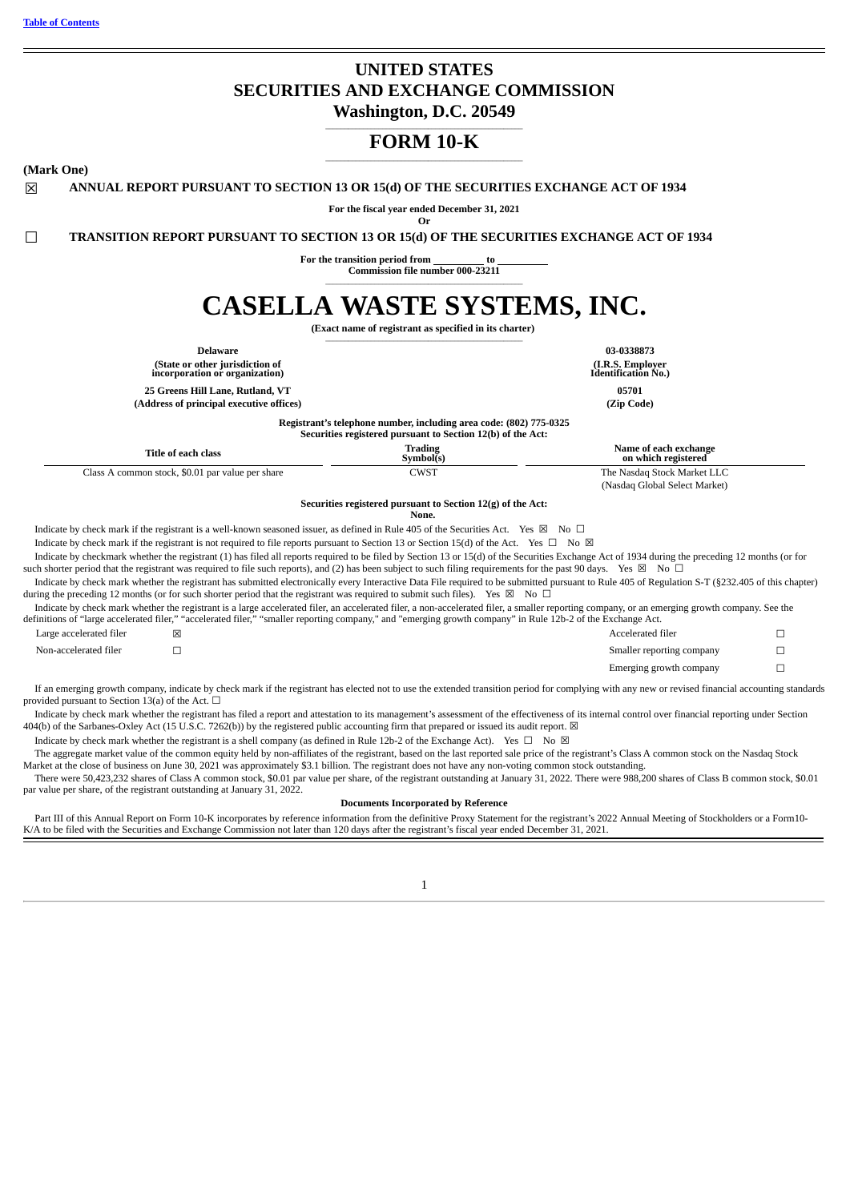# **UNITED STATES SECURITIES AND EXCHANGE COMMISSION Washington, D.C. 20549**

#### \_\_\_\_\_\_\_\_\_\_\_\_\_\_\_\_\_\_\_\_\_\_\_\_\_\_\_\_\_\_\_\_\_\_\_\_\_\_\_\_\_\_\_\_\_\_\_\_\_\_\_\_ **FORM 10-K**  $\mathcal{L}_\text{max} = \mathcal{L}_\text{max} = \mathcal{L}_\text{max} = \mathcal{L}_\text{max} = \mathcal{L}_\text{max} = \mathcal{L}_\text{max}$

**(Mark One)**

☒ **ANNUAL REPORT PURSUANT TO SECTION 13 OR 15(d) OF THE SECURITIES EXCHANGE ACT OF 1934**

**For the fiscal year ended December 31, 2021 Or**

☐ **TRANSITION REPORT PURSUANT TO SECTION 13 OR 15(d) OF THE SECURITIES EXCHANGE ACT OF 1934**

**For the transition period from to Commission file number 000-23211**

# \_\_\_\_\_\_\_\_\_\_\_\_\_\_\_\_\_\_\_\_\_\_\_\_\_\_\_\_\_\_\_\_\_\_\_\_\_\_\_\_\_\_\_\_\_\_\_\_\_\_\_\_ **CASELLA WASTE SYSTEMS, INC.**

**(Exact name of registrant as specified in its charter)**

| <b>Delaware</b><br>(State or other jurisdiction of<br>incorporation or organization)<br>25 Greens Hill Lane, Rutland, VT<br>(Address of principal executive offices)                                                                                                                                                                                           |                                                                                                                                   | 03-0338873<br>(I.R.S. Employer<br><b>Identification No.)</b><br>05701<br>(Zip Code) |   |
|----------------------------------------------------------------------------------------------------------------------------------------------------------------------------------------------------------------------------------------------------------------------------------------------------------------------------------------------------------------|-----------------------------------------------------------------------------------------------------------------------------------|-------------------------------------------------------------------------------------|---|
|                                                                                                                                                                                                                                                                                                                                                                | Registrant's telephone number, including area code: (802) 775-0325<br>Securities registered pursuant to Section 12(b) of the Act: |                                                                                     |   |
| <b>Title of each class</b>                                                                                                                                                                                                                                                                                                                                     | <b>Trading</b><br>Symbol(s)                                                                                                       | Name of each exchange<br>on which registered                                        |   |
| Class A common stock, \$0.01 par value per share                                                                                                                                                                                                                                                                                                               | <b>CWST</b>                                                                                                                       | The Nasdaq Stock Market LLC<br>(Nasdaq Global Select Market)                        |   |
|                                                                                                                                                                                                                                                                                                                                                                | Securities registered pursuant to Section 12(g) of the Act:<br>None.                                                              |                                                                                     |   |
| Indicate by check mark if the registrant is a well-known seasoned issuer, as defined in Rule 405 of the Securities Act. Yes $\boxtimes$ No $\Box$                                                                                                                                                                                                              |                                                                                                                                   |                                                                                     |   |
| Indicate by check mark if the registrant is not required to file reports pursuant to Section 13 or Section 15(d) of the Act. Yes $\square$ No $\boxtimes$                                                                                                                                                                                                      |                                                                                                                                   |                                                                                     |   |
| Indicate by checkmark whether the registrant (1) has filed all reports required to be filed by Section 13 or 15(d) of the Securities Exchange Act of 1934 during the preceding 12 months (or for                                                                                                                                                               |                                                                                                                                   |                                                                                     |   |
| such shorter period that the registrant was required to file such reports), and (2) has been subject to such filing requirements for the past 90 days. Yes $\boxtimes$ No $\Box$                                                                                                                                                                               |                                                                                                                                   |                                                                                     |   |
| Indicate by check mark whether the registrant has submitted electronically every Interactive Data File required to be submitted pursuant to Rule 405 of Regulation S-T (§232.405 of this chapter)<br>during the preceding 12 months (or for such shorter period that the registrant was required to submit such files). Yes $\boxtimes$ No $\Box$              |                                                                                                                                   |                                                                                     |   |
| Indicate by check mark whether the registrant is a large accelerated filer, an accelerated filer, a non-accelerated filer, a smaller reporting company, or an emerging growth company. See the<br>definitions of "large accelerated filer," "accelerated filer," "smaller reporting company," and "emerging growth company" in Rule 12b-2 of the Exchange Act. |                                                                                                                                   |                                                                                     |   |
| Large accelerated filer<br>冈                                                                                                                                                                                                                                                                                                                                   |                                                                                                                                   | Accelerated filer                                                                   | П |
| Non-accelerated filer<br>□                                                                                                                                                                                                                                                                                                                                     |                                                                                                                                   | Smaller reporting company                                                           | П |
|                                                                                                                                                                                                                                                                                                                                                                |                                                                                                                                   | Emerging growth company                                                             | П |
| If an emerging growth company, indicate by check mark if the registrant has elected not to use the extended transition period for complying with any new or revised financial accounting standards<br>provided pursuant to Section 13(a) of the Act. $\Box$                                                                                                    |                                                                                                                                   |                                                                                     |   |
| Indicate by check mark whether the registrant has filed a report and attestation to its management's assessment of the effectiveness of its internal control over financial reporting under Section                                                                                                                                                            |                                                                                                                                   |                                                                                     |   |
| 404(b) of the Sarbanes-Oxley Act (15 U.S.C. 7262(b)) by the registered public accounting firm that prepared or issued its audit report. $\boxtimes$                                                                                                                                                                                                            |                                                                                                                                   |                                                                                     |   |
| Indicate by check mark whether the registrant is a shell company (as defined in Rule 12b-2 of the Exchange Act). Yes $\square$ No $\boxtimes$                                                                                                                                                                                                                  |                                                                                                                                   |                                                                                     |   |
| The aggregate market value of the common equity held by non-affiliates of the registrant, based on the last reported sale price of the registrant's Class A common stock on the Nasdaq Stock<br>Market at the close of business on June 30, 2021 was approximately \$3.1 billion. The registrant does not have any non-voting common stock outstanding.        |                                                                                                                                   |                                                                                     |   |

There were 50,423,232 shares of Class A common stock, \$0.01 par value per share, of the registrant outstanding at January 31, 2022. There were 988,200 shares of Class B common stock, \$0.01 par value per share, of the registrant outstanding at January 31, 2022.

#### **Documents Incorporated by Reference**

<span id="page-0-0"></span>Part III of this Annual Report on Form 10-K incorporates by reference information from the definitive Proxy Statement for the registrant's 2022 Annual Meeting of Stockholders or a Form10-K/A to be filed with the Securities and Exchange Commission not later than 120 days after the registrant's fiscal year ended December 31, 2021.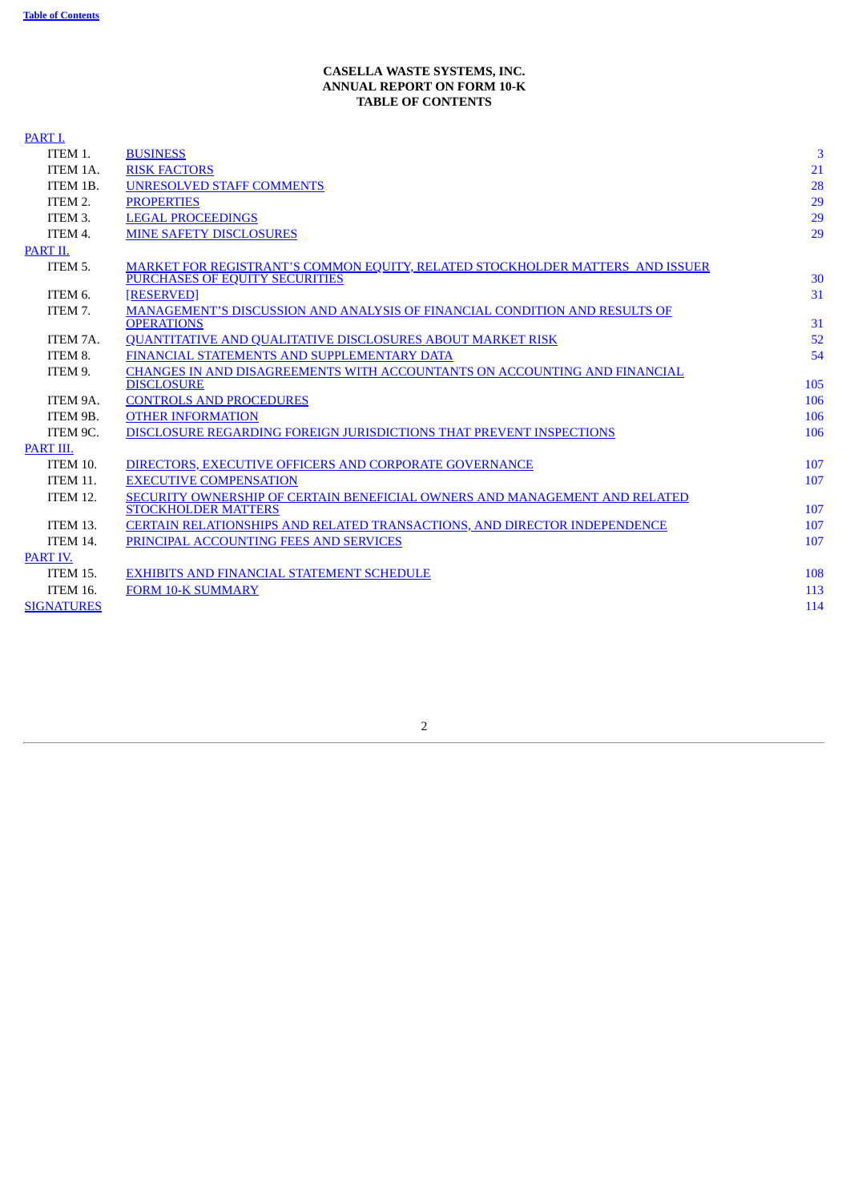# **CASELLA WASTE SYSTEMS, INC. ANNUAL REPORT ON FORM 10-K TABLE OF CONTENTS**

| PART I.           |                                                                                                                 |     |
|-------------------|-----------------------------------------------------------------------------------------------------------------|-----|
| ITEM 1.           | <b>BUSINESS</b>                                                                                                 | 3   |
| ITEM 1A.          | <b>RISK FACTORS</b>                                                                                             | 21  |
| ITEM 1B.          | <b>UNRESOLVED STAFF COMMENTS</b>                                                                                | 28  |
| ITEM 2.           | <b>PROPERTIES</b>                                                                                               | 29  |
| ITEM 3.           | <b>LEGAL PROCEEDINGS</b>                                                                                        | 29  |
| ITEM 4.           | <b>MINE SAFETY DISCLOSURES</b>                                                                                  | 29  |
| PART II.          |                                                                                                                 |     |
| ITEM 5.           | MARKET FOR REGISTRANT'S COMMON EQUITY, RELATED STOCKHOLDER MATTERS AND ISSUER<br>PURCHASES OF EQUITY SECURITIES | 30  |
| ITEM 6.           | <b>[RESERVED]</b>                                                                                               | 31  |
| ITEM 7.           | MANAGEMENT'S DISCUSSION AND ANALYSIS OF FINANCIAL CONDITION AND RESULTS OF                                      |     |
|                   | <b>OPERATIONS</b>                                                                                               | 31  |
| ITEM 7A.          | <b>QUANTITATIVE AND QUALITATIVE DISCLOSURES ABOUT MARKET RISK</b>                                               | 52  |
| ITEM 8.           | FINANCIAL STATEMENTS AND SUPPLEMENTARY DATA                                                                     | 54  |
| ITEM 9.           | CHANGES IN AND DISAGREEMENTS WITH ACCOUNTANTS ON ACCOUNTING AND FINANCIAL                                       |     |
|                   | <b>DISCLOSURE</b>                                                                                               | 105 |
| ITEM 9A.          | <b>CONTROLS AND PROCEDURES</b>                                                                                  | 106 |
| ITEM 9B.          | <b>OTHER INFORMATION</b>                                                                                        | 106 |
| ITEM 9C.          | DISCLOSURE REGARDING FOREIGN JURISDICTIONS THAT PREVENT INSPECTIONS                                             | 106 |
| PART III.         |                                                                                                                 |     |
| <b>ITEM 10.</b>   | DIRECTORS, EXECUTIVE OFFICERS AND CORPORATE GOVERNANCE                                                          | 107 |
| <b>ITEM 11.</b>   | <b>EXECUTIVE COMPENSATION</b>                                                                                   | 107 |
| <b>ITEM 12.</b>   | SECURITY OWNERSHIP OF CERTAIN BENEFICIAL OWNERS AND MANAGEMENT AND RELATED<br><b>STOCKHOLDER MATTERS</b>        | 107 |
| <b>ITEM 13.</b>   |                                                                                                                 |     |
|                   | <b>CERTAIN RELATIONSHIPS AND RELATED TRANSACTIONS, AND DIRECTOR INDEPENDENCE</b>                                | 107 |
| <b>ITEM 14.</b>   | PRINCIPAL ACCOUNTING FEES AND SERVICES                                                                          | 107 |
| PART IV.          |                                                                                                                 |     |
| ITEM 15.          | <b>EXHIBITS AND FINANCIAL STATEMENT SCHEDULE</b>                                                                | 108 |
| ITEM 16.          | <b>FORM 10-K SUMMARY</b>                                                                                        | 113 |
| <b>SIGNATURES</b> |                                                                                                                 | 114 |
|                   |                                                                                                                 |     |

<span id="page-1-0"></span>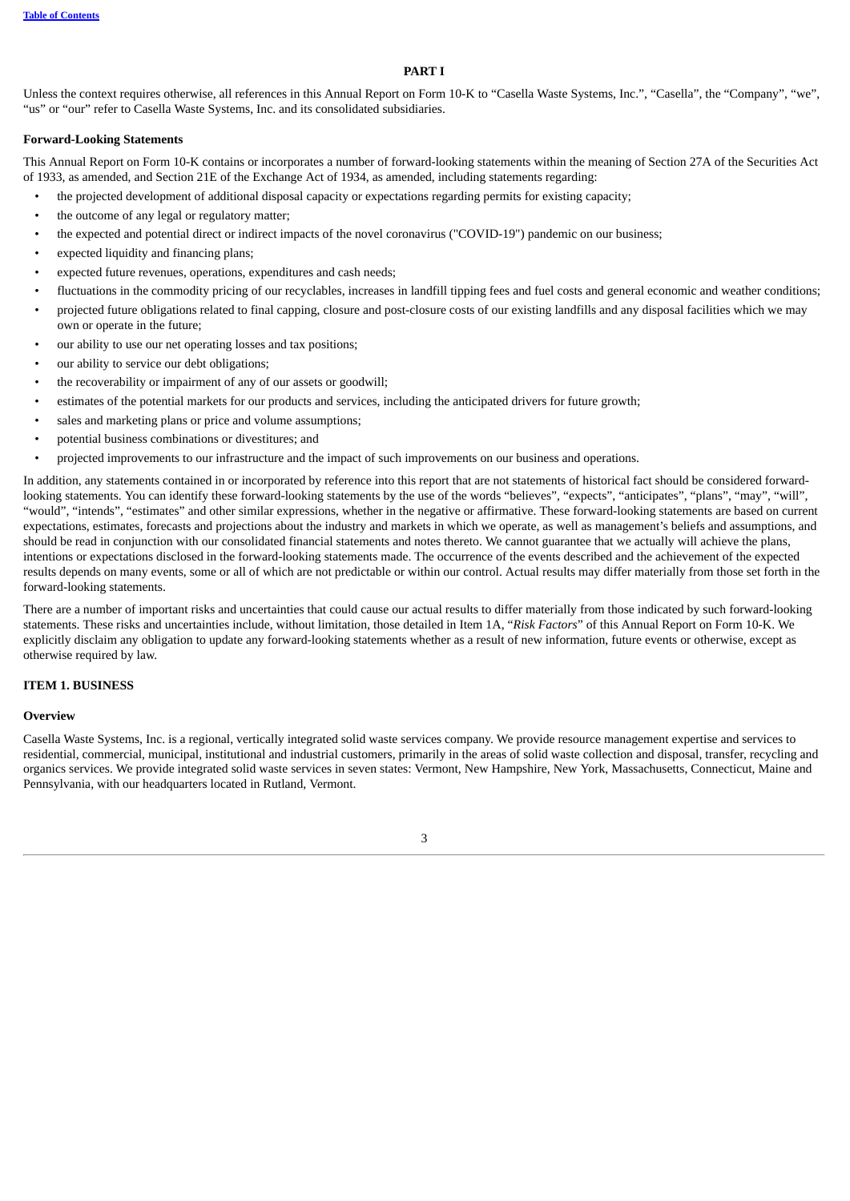## **PART I**

Unless the context requires otherwise, all references in this Annual Report on Form 10-K to "Casella Waste Systems, Inc.", "Casella", the "Company", "we", "us" or "our" refer to Casella Waste Systems, Inc. and its consolidated subsidiaries.

#### **Forward-Looking Statements**

This Annual Report on Form 10-K contains or incorporates a number of forward-looking statements within the meaning of Section 27A of the Securities Act of 1933, as amended, and Section 21E of the Exchange Act of 1934, as amended, including statements regarding:

- the projected development of additional disposal capacity or expectations regarding permits for existing capacity;
- the outcome of any legal or regulatory matter;
- the expected and potential direct or indirect impacts of the novel coronavirus ("COVID-19") pandemic on our business;
- expected liquidity and financing plans;
- expected future revenues, operations, expenditures and cash needs;
- fluctuations in the commodity pricing of our recyclables, increases in landfill tipping fees and fuel costs and general economic and weather conditions;
- projected future obligations related to final capping, closure and post-closure costs of our existing landfills and any disposal facilities which we may own or operate in the future;
- our ability to use our net operating losses and tax positions;
- our ability to service our debt obligations;
- the recoverability or impairment of any of our assets or goodwill;
- estimates of the potential markets for our products and services, including the anticipated drivers for future growth;
- sales and marketing plans or price and volume assumptions;
- potential business combinations or divestitures; and
- projected improvements to our infrastructure and the impact of such improvements on our business and operations.

In addition, any statements contained in or incorporated by reference into this report that are not statements of historical fact should be considered forwardlooking statements. You can identify these forward-looking statements by the use of the words "believes", "expects", "anticipates", "plans", "may", "will", "would", "intends", "estimates" and other similar expressions, whether in the negative or affirmative. These forward-looking statements are based on current expectations, estimates, forecasts and projections about the industry and markets in which we operate, as well as management's beliefs and assumptions, and should be read in conjunction with our consolidated financial statements and notes thereto. We cannot guarantee that we actually will achieve the plans, intentions or expectations disclosed in the forward-looking statements made. The occurrence of the events described and the achievement of the expected results depends on many events, some or all of which are not predictable or within our control. Actual results may differ materially from those set forth in the forward-looking statements.

There are a number of important risks and uncertainties that could cause our actual results to differ materially from those indicated by such forward-looking statements. These risks and uncertainties include, without limitation, those detailed in Item 1A, "*Risk Factors*" of this Annual Report on Form 10-K. We explicitly disclaim any obligation to update any forward-looking statements whether as a result of new information, future events or otherwise, except as otherwise required by law.

# <span id="page-2-0"></span>**ITEM 1. BUSINESS**

## **Overview**

Casella Waste Systems, Inc. is a regional, vertically integrated solid waste services company. We provide resource management expertise and services to residential, commercial, municipal, institutional and industrial customers, primarily in the areas of solid waste collection and disposal, transfer, recycling and organics services. We provide integrated solid waste services in seven states: Vermont, New Hampshire, New York, Massachusetts, Connecticut, Maine and Pennsylvania, with our headquarters located in Rutland, Vermont.

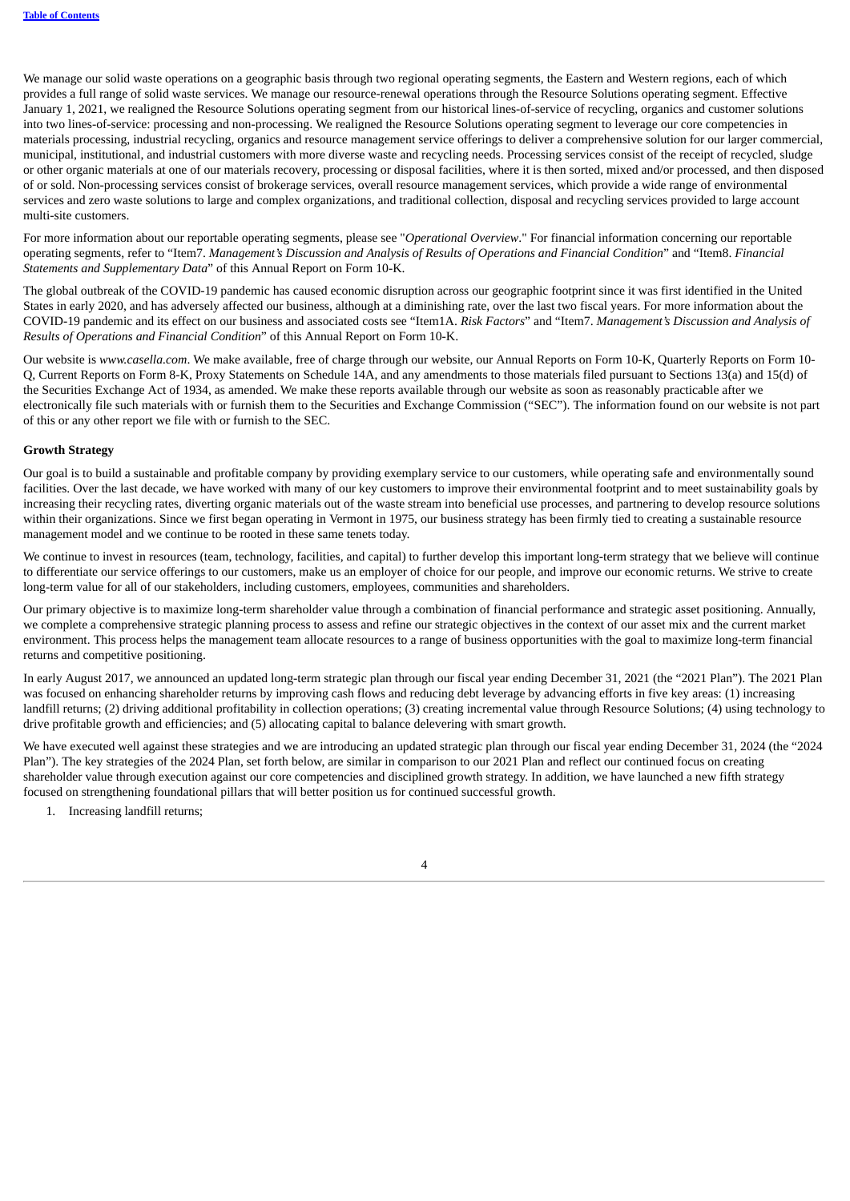We manage our solid waste operations on a geographic basis through two regional operating segments, the Eastern and Western regions, each of which provides a full range of solid waste services. We manage our resource-renewal operations through the Resource Solutions operating segment. Effective January 1, 2021, we realigned the Resource Solutions operating segment from our historical lines-of-service of recycling, organics and customer solutions into two lines-of-service: processing and non-processing. We realigned the Resource Solutions operating segment to leverage our core competencies in materials processing, industrial recycling, organics and resource management service offerings to deliver a comprehensive solution for our larger commercial, municipal, institutional, and industrial customers with more diverse waste and recycling needs. Processing services consist of the receipt of recycled, sludge or other organic materials at one of our materials recovery, processing or disposal facilities, where it is then sorted, mixed and/or processed, and then disposed of or sold. Non-processing services consist of brokerage services, overall resource management services, which provide a wide range of environmental services and zero waste solutions to large and complex organizations, and traditional collection, disposal and recycling services provided to large account multi-site customers.

For more information about our reportable operating segments, please see "*Operational Overview*." For financial information concerning our reportable operating segments, refer to "Item7. Management's Discussion and Analysis of Results of Operations and Financial Condition" and "Item8. Financial *Statements and Supplementary Data*" of this Annual Report on Form 10-K.

The global outbreak of the COVID-19 pandemic has caused economic disruption across our geographic footprint since it was first identified in the United States in early 2020, and has adversely affected our business, although at a diminishing rate, over the last two fiscal years. For more information about the COVID-19 pandemic and its effect on our business and associated costs see "Item1A. *Risk Factors*" and "Item7. *Management's Discussion and Analysis of Results of Operations and Financial Condition*" of this Annual Report on Form 10-K.

Our website is *www.casella.com*. We make available, free of charge through our website, our Annual Reports on Form 10-K, Quarterly Reports on Form 10- Q, Current Reports on Form 8-K, Proxy Statements on Schedule 14A, and any amendments to those materials filed pursuant to Sections 13(a) and 15(d) of the Securities Exchange Act of 1934, as amended. We make these reports available through our website as soon as reasonably practicable after we electronically file such materials with or furnish them to the Securities and Exchange Commission ("SEC"). The information found on our website is not part of this or any other report we file with or furnish to the SEC.

## **Growth Strategy**

Our goal is to build a sustainable and profitable company by providing exemplary service to our customers, while operating safe and environmentally sound facilities. Over the last decade, we have worked with many of our key customers to improve their environmental footprint and to meet sustainability goals by increasing their recycling rates, diverting organic materials out of the waste stream into beneficial use processes, and partnering to develop resource solutions within their organizations. Since we first began operating in Vermont in 1975, our business strategy has been firmly tied to creating a sustainable resource management model and we continue to be rooted in these same tenets today.

We continue to invest in resources (team, technology, facilities, and capital) to further develop this important long-term strategy that we believe will continue to differentiate our service offerings to our customers, make us an employer of choice for our people, and improve our economic returns. We strive to create long-term value for all of our stakeholders, including customers, employees, communities and shareholders.

Our primary objective is to maximize long-term shareholder value through a combination of financial performance and strategic asset positioning. Annually, we complete a comprehensive strategic planning process to assess and refine our strategic objectives in the context of our asset mix and the current market environment. This process helps the management team allocate resources to a range of business opportunities with the goal to maximize long-term financial returns and competitive positioning.

In early August 2017, we announced an updated long-term strategic plan through our fiscal year ending December 31, 2021 (the "2021 Plan"). The 2021 Plan was focused on enhancing shareholder returns by improving cash flows and reducing debt leverage by advancing efforts in five key areas: (1) increasing landfill returns; (2) driving additional profitability in collection operations; (3) creating incremental value through Resource Solutions; (4) using technology to drive profitable growth and efficiencies; and (5) allocating capital to balance delevering with smart growth.

We have executed well against these strategies and we are introducing an updated strategic plan through our fiscal year ending December 31, 2024 (the "2024 Plan"). The key strategies of the 2024 Plan, set forth below, are similar in comparison to our 2021 Plan and reflect our continued focus on creating shareholder value through execution against our core competencies and disciplined growth strategy. In addition, we have launched a new fifth strategy focused on strengthening foundational pillars that will better position us for continued successful growth.

1. Increasing landfill returns;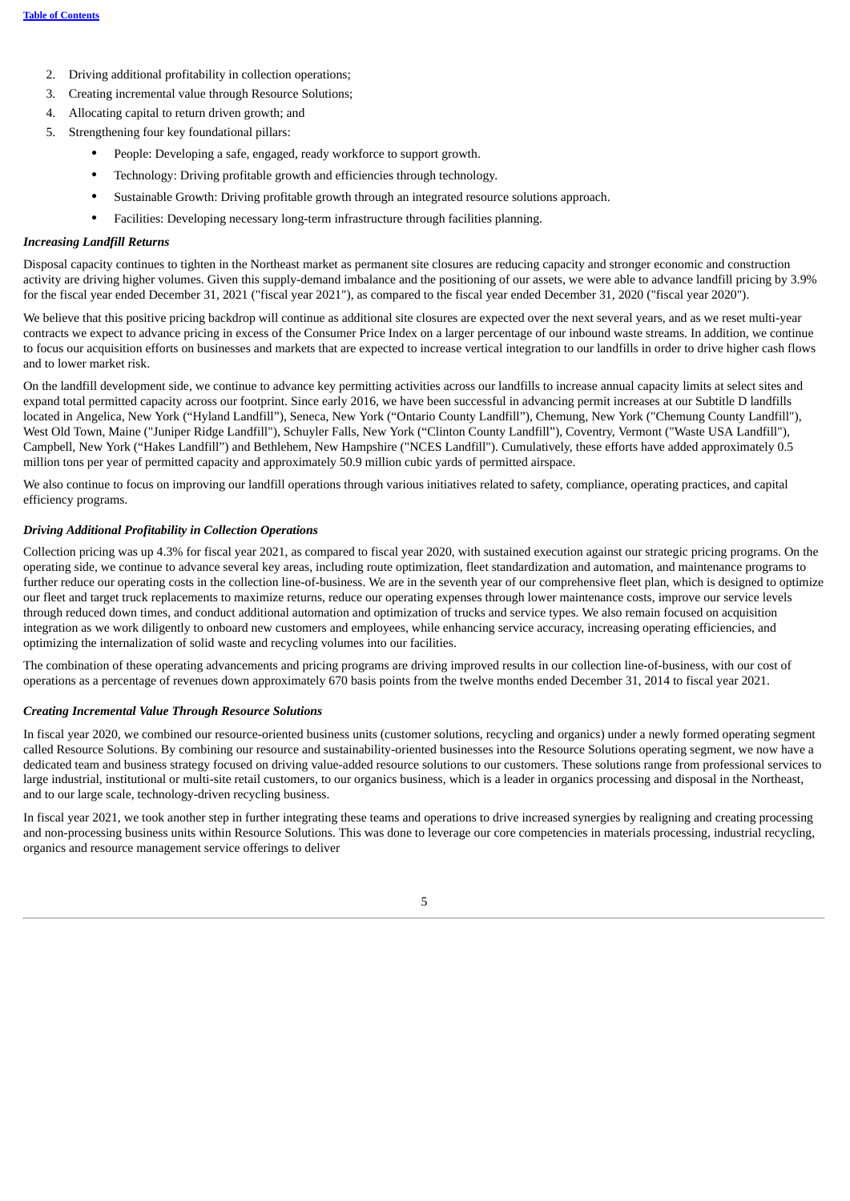- 2. Driving additional profitability in collection operations;
- 3. Creating incremental value through Resource Solutions;
- 4. Allocating capital to return driven growth; and
- 5. Strengthening four key foundational pillars:
	- People: Developing a safe, engaged, ready workforce to support growth.
	- Technology: Driving profitable growth and efficiencies through technology.
	- Sustainable Growth: Driving profitable growth through an integrated resource solutions approach.
	- Facilities: Developing necessary long-term infrastructure through facilities planning.

## *Increasing Landfill Returns*

Disposal capacity continues to tighten in the Northeast market as permanent site closures are reducing capacity and stronger economic and construction activity are driving higher volumes. Given this supply-demand imbalance and the positioning of our assets, we were able to advance landfill pricing by 3.9% for the fiscal year ended December 31, 2021 ("fiscal year 2021"), as compared to the fiscal year ended December 31, 2020 ("fiscal year 2020").

We believe that this positive pricing backdrop will continue as additional site closures are expected over the next several years, and as we reset multi-year contracts we expect to advance pricing in excess of the Consumer Price Index on a larger percentage of our inbound waste streams. In addition, we continue to focus our acquisition efforts on businesses and markets that are expected to increase vertical integration to our landfills in order to drive higher cash flows and to lower market risk.

On the landfill development side, we continue to advance key permitting activities across our landfills to increase annual capacity limits at select sites and expand total permitted capacity across our footprint. Since early 2016, we have been successful in advancing permit increases at our Subtitle D landfills located in Angelica, New York ("Hyland Landfill"), Seneca, New York ("Ontario County Landfill"), Chemung, New York ("Chemung County Landfill"), West Old Town, Maine ("Juniper Ridge Landfill"), Schuyler Falls, New York ("Clinton County Landfill"), Coventry, Vermont ("Waste USA Landfill"), Campbell, New York ("Hakes Landfill") and Bethlehem, New Hampshire ("NCES Landfill"). Cumulatively, these efforts have added approximately 0.5 million tons per year of permitted capacity and approximately 50.9 million cubic yards of permitted airspace.

We also continue to focus on improving our landfill operations through various initiatives related to safety, compliance, operating practices, and capital efficiency programs.

## *Driving Additional Profitability in Collection Operations*

Collection pricing was up 4.3% for fiscal year 2021, as compared to fiscal year 2020, with sustained execution against our strategic pricing programs. On the operating side, we continue to advance several key areas, including route optimization, fleet standardization and automation, and maintenance programs to further reduce our operating costs in the collection line-of-business. We are in the seventh year of our comprehensive fleet plan, which is designed to optimize our fleet and target truck replacements to maximize returns, reduce our operating expenses through lower maintenance costs, improve our service levels through reduced down times, and conduct additional automation and optimization of trucks and service types. We also remain focused on acquisition integration as we work diligently to onboard new customers and employees, while enhancing service accuracy, increasing operating efficiencies, and optimizing the internalization of solid waste and recycling volumes into our facilities.

The combination of these operating advancements and pricing programs are driving improved results in our collection line-of-business, with our cost of operations as a percentage of revenues down approximately 670 basis points from the twelve months ended December 31, 2014 to fiscal year 2021.

#### *Creating Incremental Value Through Resource Solutions*

In fiscal year 2020, we combined our resource-oriented business units (customer solutions, recycling and organics) under a newly formed operating segment called Resource Solutions. By combining our resource and sustainability-oriented businesses into the Resource Solutions operating segment, we now have a dedicated team and business strategy focused on driving value-added resource solutions to our customers. These solutions range from professional services to large industrial, institutional or multi-site retail customers, to our organics business, which is a leader in organics processing and disposal in the Northeast, and to our large scale, technology-driven recycling business.

In fiscal year 2021, we took another step in further integrating these teams and operations to drive increased synergies by realigning and creating processing and non-processing business units within Resource Solutions. This was done to leverage our core competencies in materials processing, industrial recycling, organics and resource management service offerings to deliver

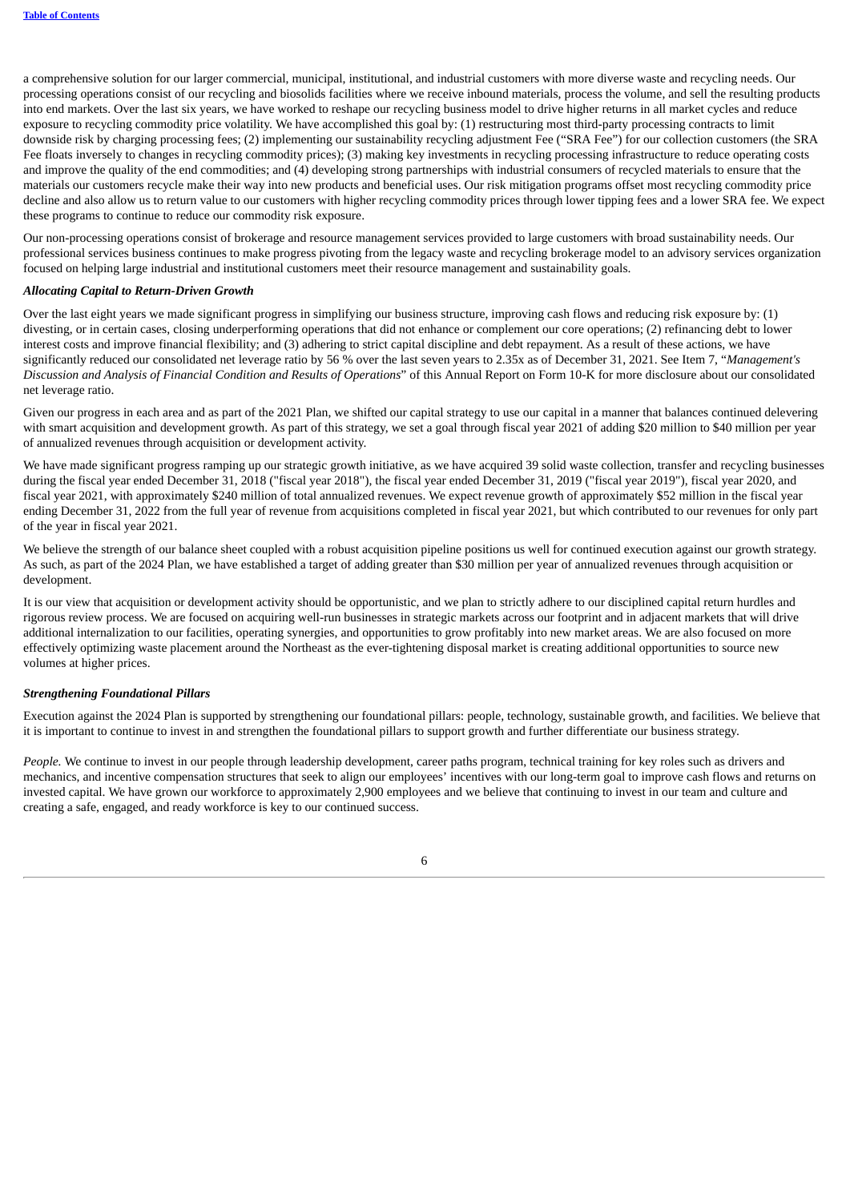a comprehensive solution for our larger commercial, municipal, institutional, and industrial customers with more diverse waste and recycling needs. Our processing operations consist of our recycling and biosolids facilities where we receive inbound materials, process the volume, and sell the resulting products into end markets. Over the last six years, we have worked to reshape our recycling business model to drive higher returns in all market cycles and reduce exposure to recycling commodity price volatility. We have accomplished this goal by: (1) restructuring most third-party processing contracts to limit downside risk by charging processing fees; (2) implementing our sustainability recycling adjustment Fee ("SRA Fee") for our collection customers (the SRA Fee floats inversely to changes in recycling commodity prices); (3) making key investments in recycling processing infrastructure to reduce operating costs and improve the quality of the end commodities; and (4) developing strong partnerships with industrial consumers of recycled materials to ensure that the materials our customers recycle make their way into new products and beneficial uses. Our risk mitigation programs offset most recycling commodity price decline and also allow us to return value to our customers with higher recycling commodity prices through lower tipping fees and a lower SRA fee. We expect these programs to continue to reduce our commodity risk exposure.

Our non-processing operations consist of brokerage and resource management services provided to large customers with broad sustainability needs. Our professional services business continues to make progress pivoting from the legacy waste and recycling brokerage model to an advisory services organization focused on helping large industrial and institutional customers meet their resource management and sustainability goals.

## *Allocating Capital to Return-Driven Growth*

Over the last eight years we made significant progress in simplifying our business structure, improving cash flows and reducing risk exposure by: (1) divesting, or in certain cases, closing underperforming operations that did not enhance or complement our core operations; (2) refinancing debt to lower interest costs and improve financial flexibility; and (3) adhering to strict capital discipline and debt repayment. As a result of these actions, we have significantly reduced our consolidated net leverage ratio by 56 % over the last seven years to 2.35x as of December 31, 2021. See Item 7, "*Management's Discussion and Analysis of Financial Condition and Results of Operations*" of this Annual Report on Form 10-K for more disclosure about our consolidated net leverage ratio.

Given our progress in each area and as part of the 2021 Plan, we shifted our capital strategy to use our capital in a manner that balances continued delevering with smart acquisition and development growth. As part of this strategy, we set a goal through fiscal year 2021 of adding \$20 million to \$40 million per year of annualized revenues through acquisition or development activity.

We have made significant progress ramping up our strategic growth initiative, as we have acquired 39 solid waste collection, transfer and recycling businesses during the fiscal year ended December 31, 2018 ("fiscal year 2018"), the fiscal year ended December 31, 2019 ("fiscal year 2019"), fiscal year 2020, and fiscal year 2021, with approximately \$240 million of total annualized revenues. We expect revenue growth of approximately \$52 million in the fiscal year ending December 31, 2022 from the full year of revenue from acquisitions completed in fiscal year 2021, but which contributed to our revenues for only part of the year in fiscal year 2021.

We believe the strength of our balance sheet coupled with a robust acquisition pipeline positions us well for continued execution against our growth strategy. As such, as part of the 2024 Plan, we have established a target of adding greater than \$30 million per year of annualized revenues through acquisition or development.

It is our view that acquisition or development activity should be opportunistic, and we plan to strictly adhere to our disciplined capital return hurdles and rigorous review process. We are focused on acquiring well-run businesses in strategic markets across our footprint and in adjacent markets that will drive additional internalization to our facilities, operating synergies, and opportunities to grow profitably into new market areas. We are also focused on more effectively optimizing waste placement around the Northeast as the ever-tightening disposal market is creating additional opportunities to source new volumes at higher prices.

## *Strengthening Foundational Pillars*

Execution against the 2024 Plan is supported by strengthening our foundational pillars: people, technology, sustainable growth, and facilities. We believe that it is important to continue to invest in and strengthen the foundational pillars to support growth and further differentiate our business strategy.

*People.* We continue to invest in our people through leadership development, career paths program, technical training for key roles such as drivers and mechanics, and incentive compensation structures that seek to align our employees' incentives with our long-term goal to improve cash flows and returns on invested capital. We have grown our workforce to approximately 2,900 employees and we believe that continuing to invest in our team and culture and creating a safe, engaged, and ready workforce is key to our continued success.

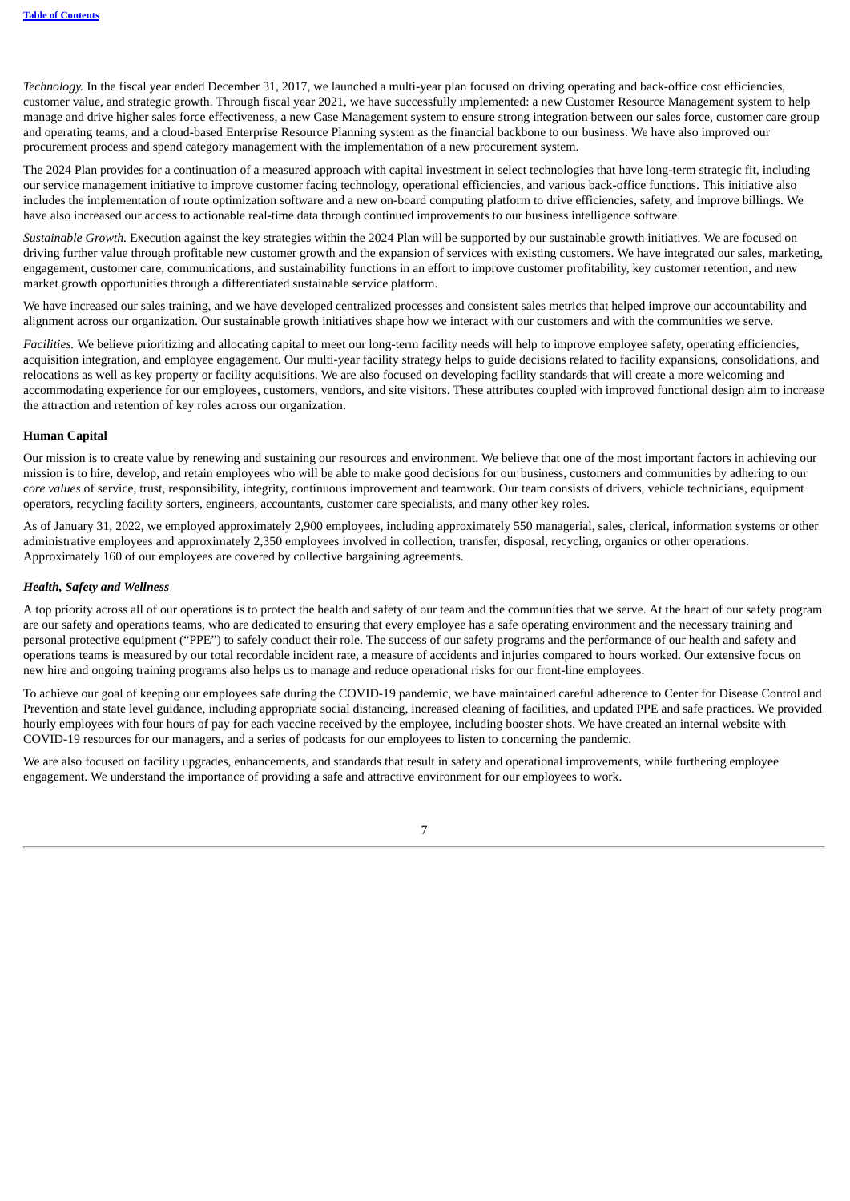*Technology.* In the fiscal year ended December 31, 2017, we launched a multi-year plan focused on driving operating and back-office cost efficiencies, customer value, and strategic growth. Through fiscal year 2021, we have successfully implemented: a new Customer Resource Management system to help manage and drive higher sales force effectiveness, a new Case Management system to ensure strong integration between our sales force, customer care group and operating teams, and a cloud-based Enterprise Resource Planning system as the financial backbone to our business. We have also improved our procurement process and spend category management with the implementation of a new procurement system.

The 2024 Plan provides for a continuation of a measured approach with capital investment in select technologies that have long-term strategic fit, including our service management initiative to improve customer facing technology, operational efficiencies, and various back-office functions. This initiative also includes the implementation of route optimization software and a new on-board computing platform to drive efficiencies, safety, and improve billings. We have also increased our access to actionable real-time data through continued improvements to our business intelligence software.

*Sustainable Growth.* Execution against the key strategies within the 2024 Plan will be supported by our sustainable growth initiatives. We are focused on driving further value through profitable new customer growth and the expansion of services with existing customers. We have integrated our sales, marketing, engagement, customer care, communications, and sustainability functions in an effort to improve customer profitability, key customer retention, and new market growth opportunities through a differentiated sustainable service platform.

We have increased our sales training, and we have developed centralized processes and consistent sales metrics that helped improve our accountability and alignment across our organization. Our sustainable growth initiatives shape how we interact with our customers and with the communities we serve.

*Facilities.* We believe prioritizing and allocating capital to meet our long-term facility needs will help to improve employee safety, operating efficiencies, acquisition integration, and employee engagement. Our multi-year facility strategy helps to guide decisions related to facility expansions, consolidations, and relocations as well as key property or facility acquisitions. We are also focused on developing facility standards that will create a more welcoming and accommodating experience for our employees, customers, vendors, and site visitors. These attributes coupled with improved functional design aim to increase the attraction and retention of key roles across our organization.

## **Human Capital**

Our mission is to create value by renewing and sustaining our resources and environment. We believe that one of the most important factors in achieving our mission is to hire, develop, and retain employees who will be able to make good decisions for our business, customers and communities by adhering to our c*ore values* of service, trust, responsibility, integrity, continuous improvement and teamwork. Our team consists of drivers, vehicle technicians, equipment operators, recycling facility sorters, engineers, accountants, customer care specialists, and many other key roles.

As of January 31, 2022, we employed approximately 2,900 employees, including approximately 550 managerial, sales, clerical, information systems or other administrative employees and approximately 2,350 employees involved in collection, transfer, disposal, recycling, organics or other operations. Approximately 160 of our employees are covered by collective bargaining agreements.

#### *Health, Safety and Wellness*

A top priority across all of our operations is to protect the health and safety of our team and the communities that we serve. At the heart of our safety program are our safety and operations teams, who are dedicated to ensuring that every employee has a safe operating environment and the necessary training and personal protective equipment ("PPE") to safely conduct their role. The success of our safety programs and the performance of our health and safety and operations teams is measured by our total recordable incident rate, a measure of accidents and injuries compared to hours worked. Our extensive focus on new hire and ongoing training programs also helps us to manage and reduce operational risks for our front-line employees.

To achieve our goal of keeping our employees safe during the COVID-19 pandemic, we have maintained careful adherence to Center for Disease Control and Prevention and state level guidance, including appropriate social distancing, increased cleaning of facilities, and updated PPE and safe practices. We provided hourly employees with four hours of pay for each vaccine received by the employee, including booster shots. We have created an internal website with COVID-19 resources for our managers, and a series of podcasts for our employees to listen to concerning the pandemic.

We are also focused on facility upgrades, enhancements, and standards that result in safety and operational improvements, while furthering employee engagement. We understand the importance of providing a safe and attractive environment for our employees to work.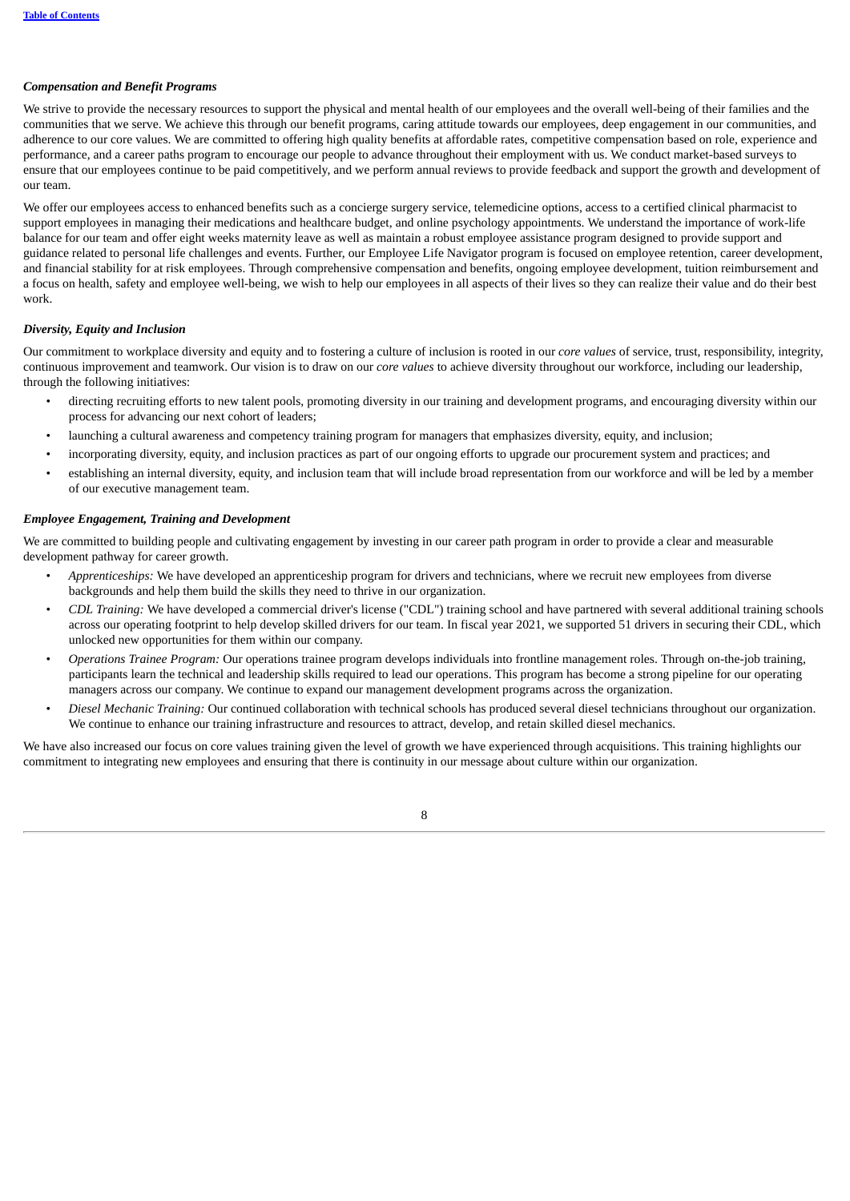#### *Compensation and Benefit Programs*

We strive to provide the necessary resources to support the physical and mental health of our employees and the overall well-being of their families and the communities that we serve. We achieve this through our benefit programs, caring attitude towards our employees, deep engagement in our communities, and adherence to our core values. We are committed to offering high quality benefits at affordable rates, competitive compensation based on role, experience and performance, and a career paths program to encourage our people to advance throughout their employment with us. We conduct market-based surveys to ensure that our employees continue to be paid competitively, and we perform annual reviews to provide feedback and support the growth and development of our team.

We offer our employees access to enhanced benefits such as a concierge surgery service, telemedicine options, access to a certified clinical pharmacist to support employees in managing their medications and healthcare budget, and online psychology appointments. We understand the importance of work-life balance for our team and offer eight weeks maternity leave as well as maintain a robust employee assistance program designed to provide support and guidance related to personal life challenges and events. Further, our Employee Life Navigator program is focused on employee retention, career development, and financial stability for at risk employees. Through comprehensive compensation and benefits, ongoing employee development, tuition reimbursement and a focus on health, safety and employee well-being, we wish to help our employees in all aspects of their lives so they can realize their value and do their best work.

#### *Diversity, Equity and Inclusion*

Our commitment to workplace diversity and equity and to fostering a culture of inclusion is rooted in our *core values* of service, trust, responsibility, integrity, continuous improvement and teamwork. Our vision is to draw on our *core values* to achieve diversity throughout our workforce, including our leadership, through the following initiatives:

- directing recruiting efforts to new talent pools, promoting diversity in our training and development programs, and encouraging diversity within our process for advancing our next cohort of leaders;
- launching a cultural awareness and competency training program for managers that emphasizes diversity, equity, and inclusion;
- incorporating diversity, equity, and inclusion practices as part of our ongoing efforts to upgrade our procurement system and practices; and
- establishing an internal diversity, equity, and inclusion team that will include broad representation from our workforce and will be led by a member of our executive management team.

#### *Employee Engagement, Training and Development*

We are committed to building people and cultivating engagement by investing in our career path program in order to provide a clear and measurable development pathway for career growth.

- *Apprenticeships:* We have developed an apprenticeship program for drivers and technicians, where we recruit new employees from diverse backgrounds and help them build the skills they need to thrive in our organization.
- *CDL Training:* We have developed a commercial driver's license ("CDL") training school and have partnered with several additional training schools across our operating footprint to help develop skilled drivers for our team. In fiscal year 2021, we supported 51 drivers in securing their CDL, which unlocked new opportunities for them within our company.
- *Operations Trainee Program:* Our operations trainee program develops individuals into frontline management roles. Through on-the-job training, participants learn the technical and leadership skills required to lead our operations. This program has become a strong pipeline for our operating managers across our company. We continue to expand our management development programs across the organization.
- *Diesel Mechanic Training:* Our continued collaboration with technical schools has produced several diesel technicians throughout our organization. We continue to enhance our training infrastructure and resources to attract, develop, and retain skilled diesel mechanics.

We have also increased our focus on core values training given the level of growth we have experienced through acquisitions. This training highlights our commitment to integrating new employees and ensuring that there is continuity in our message about culture within our organization.

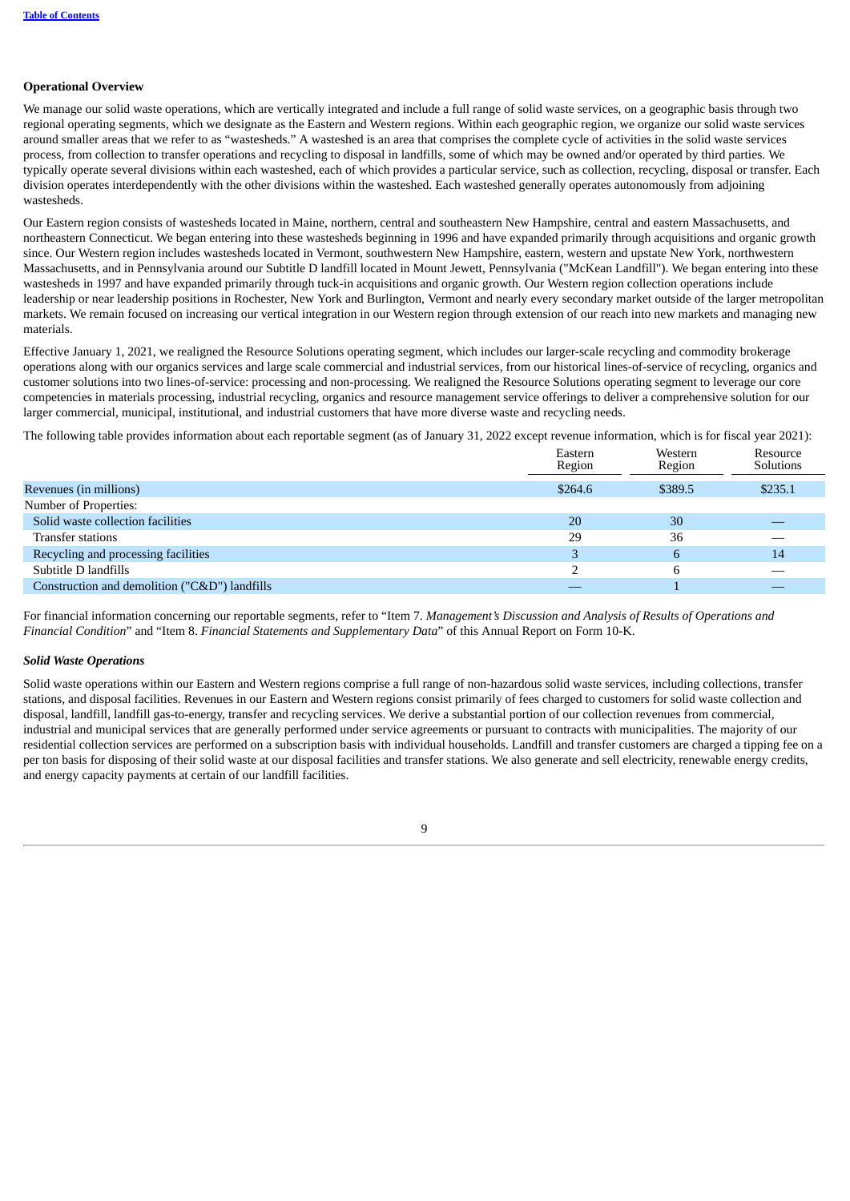## **Operational Overview**

We manage our solid waste operations, which are vertically integrated and include a full range of solid waste services, on a geographic basis through two regional operating segments, which we designate as the Eastern and Western regions. Within each geographic region, we organize our solid waste services around smaller areas that we refer to as "wastesheds." A wasteshed is an area that comprises the complete cycle of activities in the solid waste services process, from collection to transfer operations and recycling to disposal in landfills, some of which may be owned and/or operated by third parties. We typically operate several divisions within each wasteshed, each of which provides a particular service, such as collection, recycling, disposal or transfer. Each division operates interdependently with the other divisions within the wasteshed. Each wasteshed generally operates autonomously from adjoining wastesheds.

Our Eastern region consists of wastesheds located in Maine, northern, central and southeastern New Hampshire, central and eastern Massachusetts, and northeastern Connecticut. We began entering into these wastesheds beginning in 1996 and have expanded primarily through acquisitions and organic growth since. Our Western region includes wastesheds located in Vermont, southwestern New Hampshire, eastern, western and upstate New York, northwestern Massachusetts, and in Pennsylvania around our Subtitle D landfill located in Mount Jewett, Pennsylvania ("McKean Landfill"). We began entering into these wastesheds in 1997 and have expanded primarily through tuck-in acquisitions and organic growth. Our Western region collection operations include leadership or near leadership positions in Rochester, New York and Burlington, Vermont and nearly every secondary market outside of the larger metropolitan markets. We remain focused on increasing our vertical integration in our Western region through extension of our reach into new markets and managing new materials.

Effective January 1, 2021, we realigned the Resource Solutions operating segment, which includes our larger-scale recycling and commodity brokerage operations along with our organics services and large scale commercial and industrial services, from our historical lines-of-service of recycling, organics and customer solutions into two lines-of-service: processing and non-processing. We realigned the Resource Solutions operating segment to leverage our core competencies in materials processing, industrial recycling, organics and resource management service offerings to deliver a comprehensive solution for our larger commercial, municipal, institutional, and industrial customers that have more diverse waste and recycling needs.

The following table provides information about each reportable segment (as of January 31, 2022 except revenue information, which is for fiscal year 2021):

|                                               | Eastern<br>Region | Western<br>Region | Resource<br>Solutions |
|-----------------------------------------------|-------------------|-------------------|-----------------------|
| Revenues (in millions)                        | \$264.6           | \$389.5           | \$235.1               |
| Number of Properties:                         |                   |                   |                       |
| Solid waste collection facilities             | 20                | 30                |                       |
| <b>Transfer stations</b>                      | 29                | 36                |                       |
| Recycling and processing facilities           |                   | 6                 | 14                    |
| Subtitle D landfills                          |                   | b                 |                       |
| Construction and demolition ("C&D") landfills |                   |                   |                       |

For financial information concerning our reportable segments, refer to "Item 7. *Management's Discussion and Analysis of Results of Operations and Financial Condition*" and "Item 8. *Financial Statements and Supplementary Data*" of this Annual Report on Form 10-K.

## *Solid Waste Operations*

Solid waste operations within our Eastern and Western regions comprise a full range of non-hazardous solid waste services, including collections, transfer stations, and disposal facilities. Revenues in our Eastern and Western regions consist primarily of fees charged to customers for solid waste collection and disposal, landfill, landfill gas-to-energy, transfer and recycling services. We derive a substantial portion of our collection revenues from commercial, industrial and municipal services that are generally performed under service agreements or pursuant to contracts with municipalities. The majority of our residential collection services are performed on a subscription basis with individual households. Landfill and transfer customers are charged a tipping fee on a per ton basis for disposing of their solid waste at our disposal facilities and transfer stations. We also generate and sell electricity, renewable energy credits, and energy capacity payments at certain of our landfill facilities.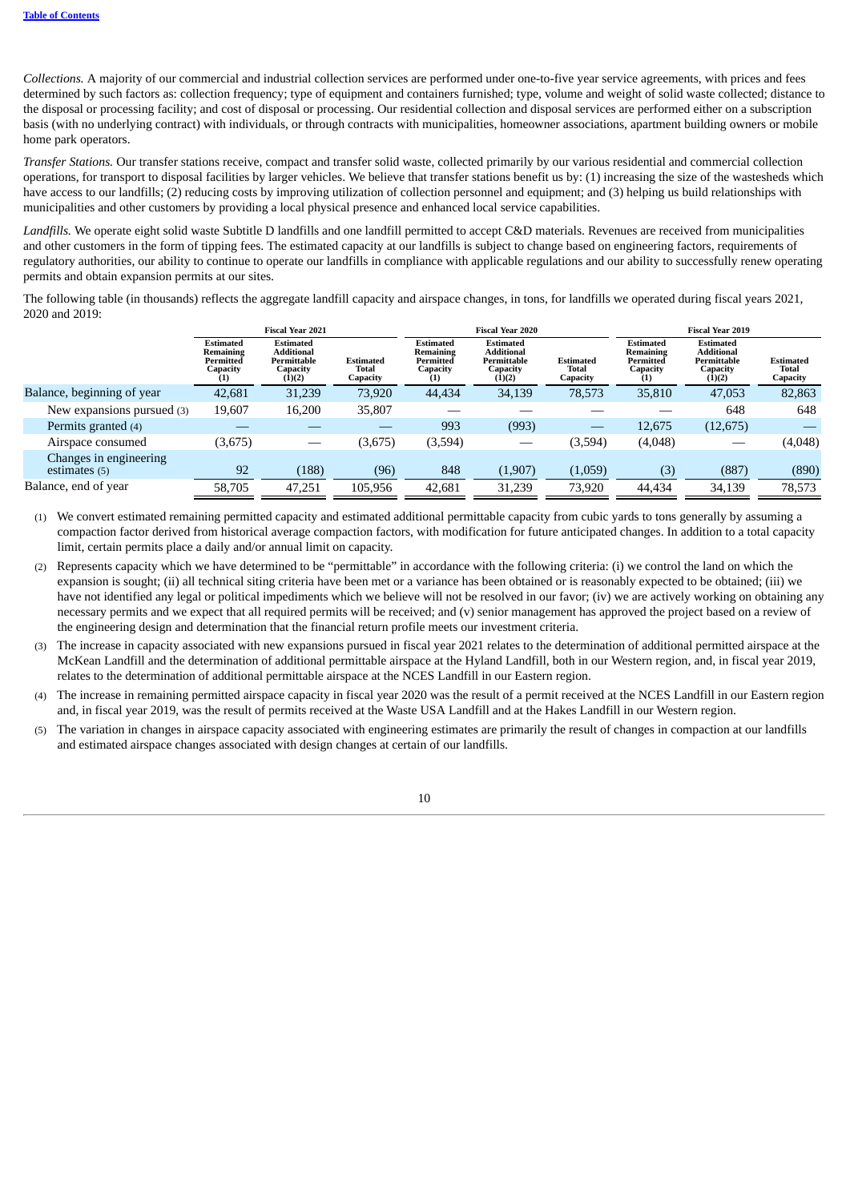*Collections.* A majority of our commercial and industrial collection services are performed under one-to-five year service agreements, with prices and fees determined by such factors as: collection frequency; type of equipment and containers furnished; type, volume and weight of solid waste collected; distance to the disposal or processing facility; and cost of disposal or processing. Our residential collection and disposal services are performed either on a subscription basis (with no underlying contract) with individuals, or through contracts with municipalities, homeowner associations, apartment building owners or mobile home park operators.

*Transfer Stations.* Our transfer stations receive, compact and transfer solid waste, collected primarily by our various residential and commercial collection operations, for transport to disposal facilities by larger vehicles. We believe that transfer stations benefit us by: (1) increasing the size of the wastesheds which have access to our landfills; (2) reducing costs by improving utilization of collection personnel and equipment; and (3) helping us build relationships with municipalities and other customers by providing a local physical presence and enhanced local service capabilities.

Landfills. We operate eight solid waste Subtitle D landfills and one landfill permitted to accept C&D materials. Revenues are received from municipalities and other customers in the form of tipping fees. The estimated capacity at our landfills is subject to change based on engineering factors, requirements of regulatory authorities, our ability to continue to operate our landfills in compliance with applicable regulations and our ability to successfully renew operating permits and obtain expansion permits at our sites.

The following table (in thousands) reflects the aggregate landfill capacity and airspace changes, in tons, for landfills we operated during fiscal years 2021, 2020 and 2019:

|                                         |                                                 | <b>Fiscal Year 2021</b>                                             |                                              |                                                        | <b>Fiscal Year 2020</b>                                                    |                                              | <b>Fiscal Year 2019</b>                                                           |                                                                     |                                       |  |
|-----------------------------------------|-------------------------------------------------|---------------------------------------------------------------------|----------------------------------------------|--------------------------------------------------------|----------------------------------------------------------------------------|----------------------------------------------|-----------------------------------------------------------------------------------|---------------------------------------------------------------------|---------------------------------------|--|
|                                         | Estimated<br>Remaining<br>Permitted<br>Capacity | Estimated<br><b>Additional</b><br>Permittable<br>Capacity<br>(1)(2) | <b>Estimated</b><br>Total<br><b>Capacity</b> | <b>Estimated</b><br>Remaining<br>Permitted<br>Capacity | <b>Estimated</b><br><b>Additional</b><br>Permittable<br>Capacity<br>(1)(2) | <b>Estimated</b><br>Total<br><b>Capacity</b> | <b>Estimated</b><br>Remaining<br>Permitted<br><b>Capacity</b><br>$\left(1\right)$ | <b>Estimated</b><br>Additional<br>Permittable<br>Capacity<br>(1)(2) | <b>Estimated</b><br>Total<br>Capacity |  |
| Balance, beginning of year              | 42,681                                          | 31,239                                                              | 73,920                                       | 44,434                                                 | 34,139                                                                     | 78,573                                       | 35,810                                                                            | 47,053                                                              | 82,863                                |  |
| New expansions pursued (3)              | 19,607                                          | 16,200                                                              | 35,807                                       |                                                        |                                                                            |                                              |                                                                                   | 648                                                                 | 648                                   |  |
| Permits granted (4)                     |                                                 |                                                                     |                                              | 993                                                    | (993)                                                                      | __                                           | 12,675                                                                            | (12, 675)                                                           |                                       |  |
| Airspace consumed                       | (3,675)                                         |                                                                     | (3, 675)                                     | (3,594)                                                |                                                                            | (3,594)                                      | (4,048)                                                                           |                                                                     | (4,048)                               |  |
| Changes in engineering<br>estimates (5) | 92                                              | (188)                                                               | (96)                                         | 848                                                    | (1,907)                                                                    | (1,059)                                      | (3)                                                                               | (887)                                                               | (890)                                 |  |
| Balance, end of year                    | 58,705                                          | 47,251                                                              | 105,956                                      | 42,681                                                 | 31,239                                                                     | 73,920                                       | 44,434                                                                            | 34,139                                                              | 78,573                                |  |

(1) We convert estimated remaining permitted capacity and estimated additional permittable capacity from cubic yards to tons generally by assuming a compaction factor derived from historical average compaction factors, with modification for future anticipated changes. In addition to a total capacity limit, certain permits place a daily and/or annual limit on capacity.

(2) Represents capacity which we have determined to be "permittable" in accordance with the following criteria: (i) we control the land on which the expansion is sought; (ii) all technical siting criteria have been met or a variance has been obtained or is reasonably expected to be obtained; (iii) we have not identified any legal or political impediments which we believe will not be resolved in our favor; (iv) we are actively working on obtaining any necessary permits and we expect that all required permits will be received; and (v) senior management has approved the project based on a review of the engineering design and determination that the financial return profile meets our investment criteria.

(3) The increase in capacity associated with new expansions pursued in fiscal year 2021 relates to the determination of additional permitted airspace at the McKean Landfill and the determination of additional permittable airspace at the Hyland Landfill, both in our Western region, and, in fiscal year 2019, relates to the determination of additional permittable airspace at the NCES Landfill in our Eastern region.

(4) The increase in remaining permitted airspace capacity in fiscal year 2020 was the result of a permit received at the NCES Landfill in our Eastern region and, in fiscal year 2019, was the result of permits received at the Waste USA Landfill and at the Hakes Landfill in our Western region.

(5) The variation in changes in airspace capacity associated with engineering estimates are primarily the result of changes in compaction at our landfills and estimated airspace changes associated with design changes at certain of our landfills.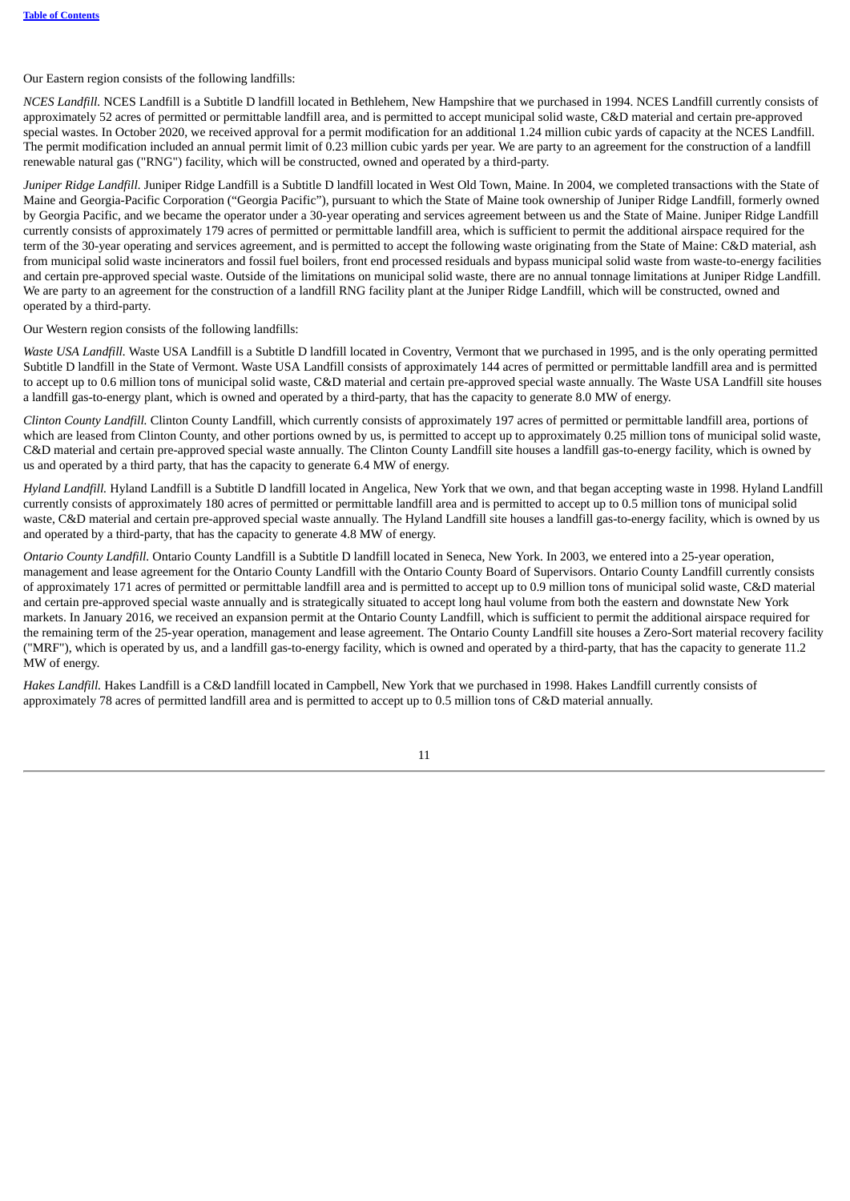Our Eastern region consists of the following landfills:

*NCES Landfill.* NCES Landfill is a Subtitle D landfill located in Bethlehem, New Hampshire that we purchased in 1994. NCES Landfill currently consists of approximately 52 acres of permitted or permittable landfill area, and is permitted to accept municipal solid waste, C&D material and certain pre-approved special wastes. In October 2020, we received approval for a permit modification for an additional 1.24 million cubic yards of capacity at the NCES Landfill. The permit modification included an annual permit limit of 0.23 million cubic yards per year. We are party to an agreement for the construction of a landfill renewable natural gas ("RNG") facility, which will be constructed, owned and operated by a third-party.

*Juniper Ridge Landfill.* Juniper Ridge Landfill is a Subtitle D landfill located in West Old Town, Maine. In 2004, we completed transactions with the State of Maine and Georgia-Pacific Corporation ("Georgia Pacific"), pursuant to which the State of Maine took ownership of Juniper Ridge Landfill, formerly owned by Georgia Pacific, and we became the operator under a 30-year operating and services agreement between us and the State of Maine. Juniper Ridge Landfill currently consists of approximately 179 acres of permitted or permittable landfill area, which is sufficient to permit the additional airspace required for the term of the 30-year operating and services agreement, and is permitted to accept the following waste originating from the State of Maine: C&D material, ash from municipal solid waste incinerators and fossil fuel boilers, front end processed residuals and bypass municipal solid waste from waste-to-energy facilities and certain pre-approved special waste. Outside of the limitations on municipal solid waste, there are no annual tonnage limitations at Juniper Ridge Landfill. We are party to an agreement for the construction of a landfill RNG facility plant at the Juniper Ridge Landfill, which will be constructed, owned and operated by a third-party.

## Our Western region consists of the following landfills:

*Waste USA Landfill.* Waste USA Landfill is a Subtitle D landfill located in Coventry, Vermont that we purchased in 1995, and is the only operating permitted Subtitle D landfill in the State of Vermont. Waste USA Landfill consists of approximately 144 acres of permitted or permittable landfill area and is permitted to accept up to 0.6 million tons of municipal solid waste, C&D material and certain pre-approved special waste annually. The Waste USA Landfill site houses a landfill gas-to-energy plant, which is owned and operated by a third-party, that has the capacity to generate 8.0 MW of energy.

*Clinton County Landfill.* Clinton County Landfill, which currently consists of approximately 197 acres of permitted or permittable landfill area, portions of which are leased from Clinton County, and other portions owned by us, is permitted to accept up to approximately 0.25 million tons of municipal solid waste, C&D material and certain pre-approved special waste annually. The Clinton County Landfill site houses a landfill gas-to-energy facility, which is owned by us and operated by a third party, that has the capacity to generate 6.4 MW of energy.

*Hyland Landfill.* Hyland Landfill is a Subtitle D landfill located in Angelica, New York that we own, and that began accepting waste in 1998. Hyland Landfill currently consists of approximately 180 acres of permitted or permittable landfill area and is permitted to accept up to 0.5 million tons of municipal solid waste, C&D material and certain pre-approved special waste annually. The Hyland Landfill site houses a landfill gas-to-energy facility, which is owned by us and operated by a third-party, that has the capacity to generate 4.8 MW of energy.

*Ontario County Landfill.* Ontario County Landfill is a Subtitle D landfill located in Seneca, New York. In 2003, we entered into a 25-year operation, management and lease agreement for the Ontario County Landfill with the Ontario County Board of Supervisors. Ontario County Landfill currently consists of approximately 171 acres of permitted or permittable landfill area and is permitted to accept up to 0.9 million tons of municipal solid waste, C&D material and certain pre-approved special waste annually and is strategically situated to accept long haul volume from both the eastern and downstate New York markets. In January 2016, we received an expansion permit at the Ontario County Landfill, which is sufficient to permit the additional airspace required for the remaining term of the 25-year operation, management and lease agreement. The Ontario County Landfill site houses a Zero-Sort material recovery facility ("MRF"), which is operated by us, and a landfill gas-to-energy facility, which is owned and operated by a third-party, that has the capacity to generate 11.2 MW of energy.

*Hakes Landfill.* Hakes Landfill is a C&D landfill located in Campbell, New York that we purchased in 1998. Hakes Landfill currently consists of approximately 78 acres of permitted landfill area and is permitted to accept up to 0.5 million tons of C&D material annually.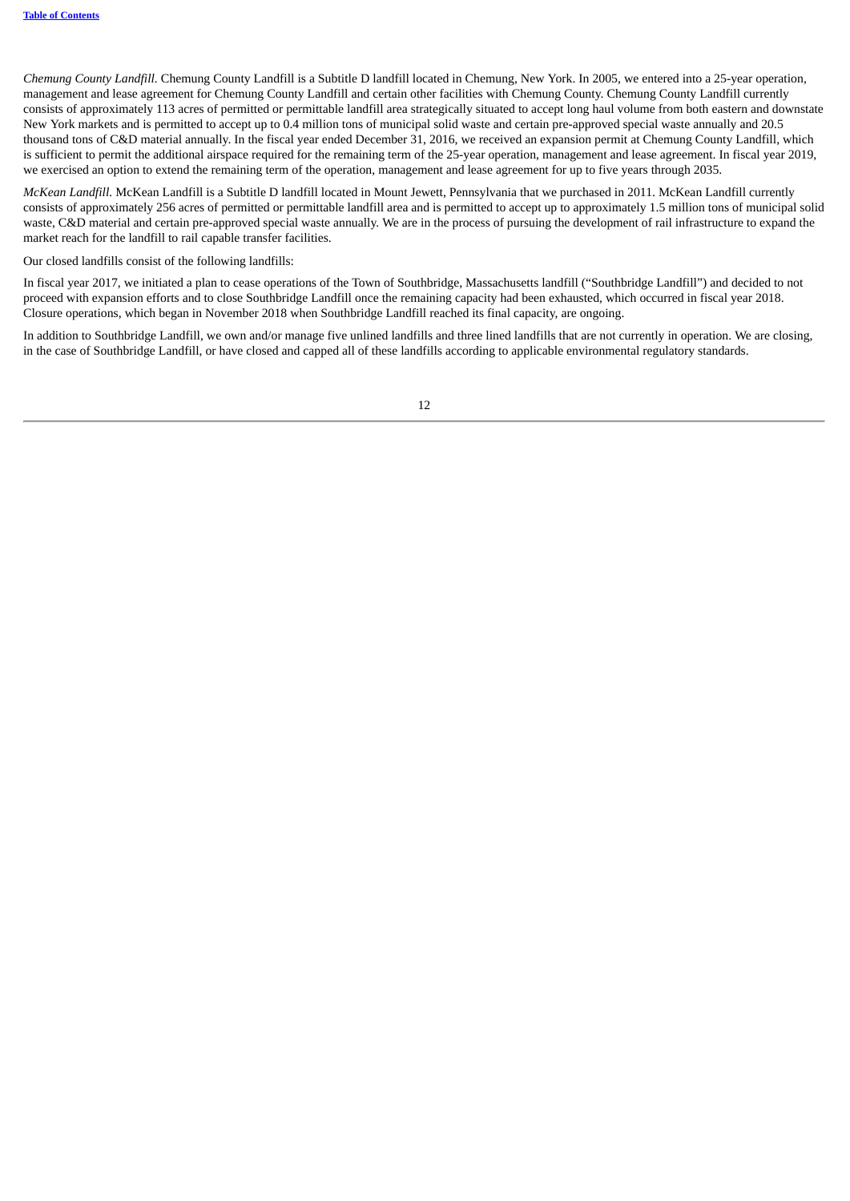*Chemung County Landfill.* Chemung County Landfill is a Subtitle D landfill located in Chemung, New York. In 2005, we entered into a 25-year operation, management and lease agreement for Chemung County Landfill and certain other facilities with Chemung County. Chemung County Landfill currently consists of approximately 113 acres of permitted or permittable landfill area strategically situated to accept long haul volume from both eastern and downstate New York markets and is permitted to accept up to 0.4 million tons of municipal solid waste and certain pre-approved special waste annually and 20.5 thousand tons of C&D material annually. In the fiscal year ended December 31, 2016, we received an expansion permit at Chemung County Landfill, which is sufficient to permit the additional airspace required for the remaining term of the 25-year operation, management and lease agreement. In fiscal year 2019, we exercised an option to extend the remaining term of the operation, management and lease agreement for up to five years through 2035.

*McKean Landfill.* McKean Landfill is a Subtitle D landfill located in Mount Jewett, Pennsylvania that we purchased in 2011. McKean Landfill currently consists of approximately 256 acres of permitted or permittable landfill area and is permitted to accept up to approximately 1.5 million tons of municipal solid waste, C&D material and certain pre-approved special waste annually. We are in the process of pursuing the development of rail infrastructure to expand the market reach for the landfill to rail capable transfer facilities.

Our closed landfills consist of the following landfills:

In fiscal year 2017, we initiated a plan to cease operations of the Town of Southbridge, Massachusetts landfill ("Southbridge Landfill") and decided to not proceed with expansion efforts and to close Southbridge Landfill once the remaining capacity had been exhausted, which occurred in fiscal year 2018. Closure operations, which began in November 2018 when Southbridge Landfill reached its final capacity, are ongoing.

In addition to Southbridge Landfill, we own and/or manage five unlined landfills and three lined landfills that are not currently in operation. We are closing, in the case of Southbridge Landfill, or have closed and capped all of these landfills according to applicable environmental regulatory standards.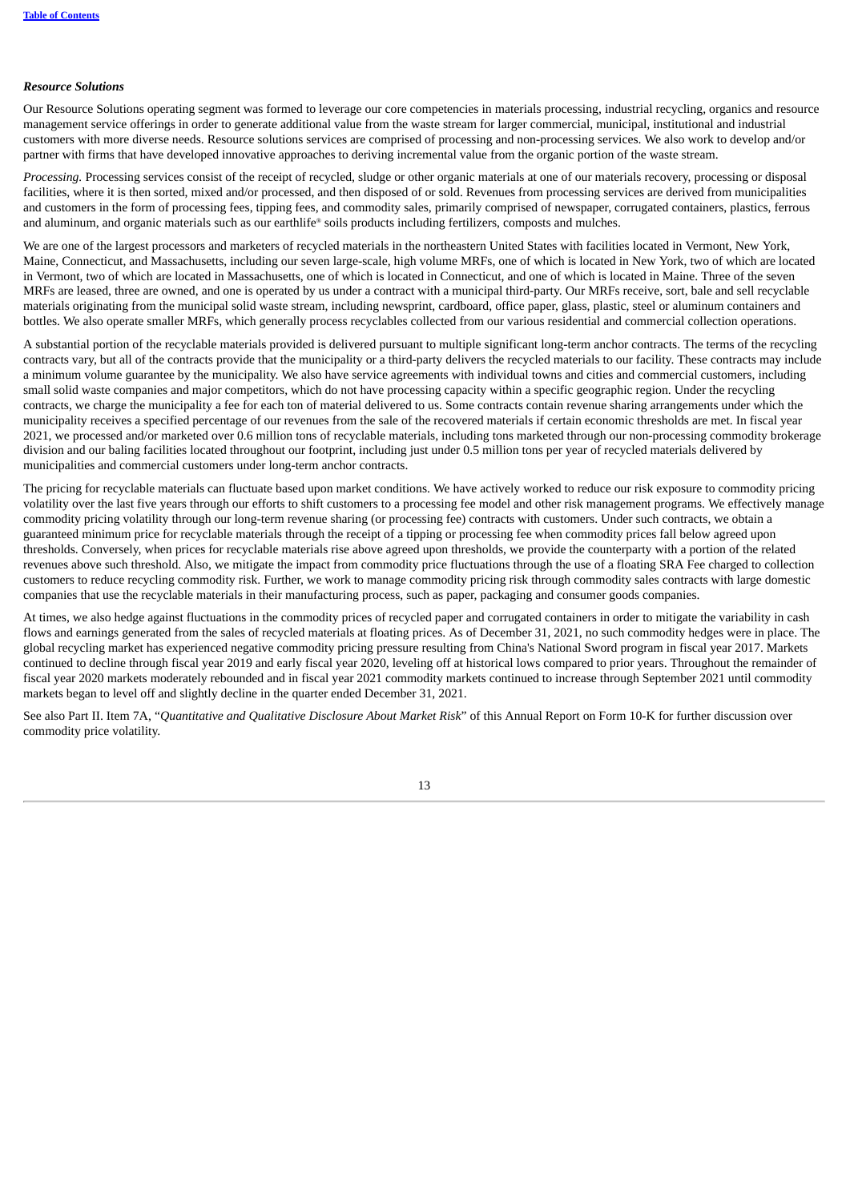#### *Resource Solutions*

Our Resource Solutions operating segment was formed to leverage our core competencies in materials processing, industrial recycling, organics and resource management service offerings in order to generate additional value from the waste stream for larger commercial, municipal, institutional and industrial customers with more diverse needs. Resource solutions services are comprised of processing and non-processing services. We also work to develop and/or partner with firms that have developed innovative approaches to deriving incremental value from the organic portion of the waste stream.

*Processing.* Processing services consist of the receipt of recycled, sludge or other organic materials at one of our materials recovery, processing or disposal facilities, where it is then sorted, mixed and/or processed, and then disposed of or sold. Revenues from processing services are derived from municipalities and customers in the form of processing fees, tipping fees, and commodity sales, primarily comprised of newspaper, corrugated containers, plastics, ferrous and aluminum, and organic materials such as our earthlife® soils products including fertilizers, composts and mulches.

We are one of the largest processors and marketers of recycled materials in the northeastern United States with facilities located in Vermont, New York, Maine, Connecticut, and Massachusetts, including our seven large-scale, high volume MRFs, one of which is located in New York, two of which are located in Vermont, two of which are located in Massachusetts, one of which is located in Connecticut, and one of which is located in Maine. Three of the seven MRFs are leased, three are owned, and one is operated by us under a contract with a municipal third-party. Our MRFs receive, sort, bale and sell recyclable materials originating from the municipal solid waste stream, including newsprint, cardboard, office paper, glass, plastic, steel or aluminum containers and bottles. We also operate smaller MRFs, which generally process recyclables collected from our various residential and commercial collection operations.

A substantial portion of the recyclable materials provided is delivered pursuant to multiple significant long-term anchor contracts. The terms of the recycling contracts vary, but all of the contracts provide that the municipality or a third-party delivers the recycled materials to our facility. These contracts may include a minimum volume guarantee by the municipality. We also have service agreements with individual towns and cities and commercial customers, including small solid waste companies and major competitors, which do not have processing capacity within a specific geographic region. Under the recycling contracts, we charge the municipality a fee for each ton of material delivered to us. Some contracts contain revenue sharing arrangements under which the municipality receives a specified percentage of our revenues from the sale of the recovered materials if certain economic thresholds are met. In fiscal year 2021, we processed and/or marketed over 0.6 million tons of recyclable materials, including tons marketed through our non-processing commodity brokerage division and our baling facilities located throughout our footprint, including just under 0.5 million tons per year of recycled materials delivered by municipalities and commercial customers under long-term anchor contracts.

The pricing for recyclable materials can fluctuate based upon market conditions. We have actively worked to reduce our risk exposure to commodity pricing volatility over the last five years through our efforts to shift customers to a processing fee model and other risk management programs. We effectively manage commodity pricing volatility through our long-term revenue sharing (or processing fee) contracts with customers. Under such contracts, we obtain a guaranteed minimum price for recyclable materials through the receipt of a tipping or processing fee when commodity prices fall below agreed upon thresholds. Conversely, when prices for recyclable materials rise above agreed upon thresholds, we provide the counterparty with a portion of the related revenues above such threshold. Also, we mitigate the impact from commodity price fluctuations through the use of a floating SRA Fee charged to collection customers to reduce recycling commodity risk. Further, we work to manage commodity pricing risk through commodity sales contracts with large domestic companies that use the recyclable materials in their manufacturing process, such as paper, packaging and consumer goods companies.

At times, we also hedge against fluctuations in the commodity prices of recycled paper and corrugated containers in order to mitigate the variability in cash flows and earnings generated from the sales of recycled materials at floating prices. As of December 31, 2021, no such commodity hedges were in place. The global recycling market has experienced negative commodity pricing pressure resulting from China's National Sword program in fiscal year 2017. Markets continued to decline through fiscal year 2019 and early fiscal year 2020, leveling off at historical lows compared to prior years. Throughout the remainder of fiscal year 2020 markets moderately rebounded and in fiscal year 2021 commodity markets continued to increase through September 2021 until commodity markets began to level off and slightly decline in the quarter ended December 31, 2021.

See also Part II. Item 7A, "*Quantitative and Qualitative Disclosure About Market Risk*" of this Annual Report on Form 10-K for further discussion over commodity price volatility.

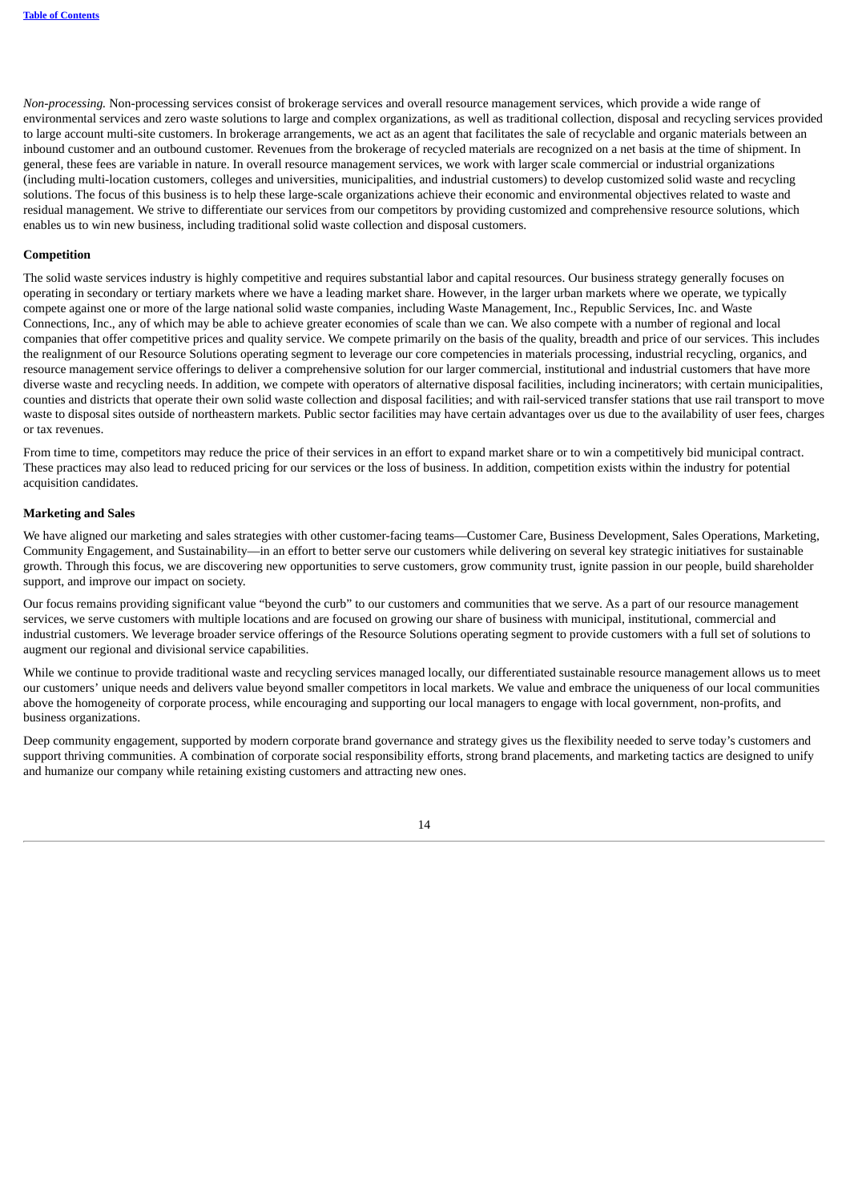*Non-processing.* Non-processing services consist of brokerage services and overall resource management services, which provide a wide range of environmental services and zero waste solutions to large and complex organizations, as well as traditional collection, disposal and recycling services provided to large account multi-site customers. In brokerage arrangements, we act as an agent that facilitates the sale of recyclable and organic materials between an inbound customer and an outbound customer. Revenues from the brokerage of recycled materials are recognized on a net basis at the time of shipment. In general, these fees are variable in nature. In overall resource management services, we work with larger scale commercial or industrial organizations (including multi-location customers, colleges and universities, municipalities, and industrial customers) to develop customized solid waste and recycling solutions. The focus of this business is to help these large-scale organizations achieve their economic and environmental objectives related to waste and residual management. We strive to differentiate our services from our competitors by providing customized and comprehensive resource solutions, which enables us to win new business, including traditional solid waste collection and disposal customers.

## **Competition**

The solid waste services industry is highly competitive and requires substantial labor and capital resources. Our business strategy generally focuses on operating in secondary or tertiary markets where we have a leading market share. However, in the larger urban markets where we operate, we typically compete against one or more of the large national solid waste companies, including Waste Management, Inc., Republic Services, Inc. and Waste Connections, Inc., any of which may be able to achieve greater economies of scale than we can. We also compete with a number of regional and local companies that offer competitive prices and quality service. We compete primarily on the basis of the quality, breadth and price of our services. This includes the realignment of our Resource Solutions operating segment to leverage our core competencies in materials processing, industrial recycling, organics, and resource management service offerings to deliver a comprehensive solution for our larger commercial, institutional and industrial customers that have more diverse waste and recycling needs. In addition, we compete with operators of alternative disposal facilities, including incinerators; with certain municipalities, counties and districts that operate their own solid waste collection and disposal facilities; and with rail-serviced transfer stations that use rail transport to move waste to disposal sites outside of northeastern markets. Public sector facilities may have certain advantages over us due to the availability of user fees, charges or tax revenues.

From time to time, competitors may reduce the price of their services in an effort to expand market share or to win a competitively bid municipal contract. These practices may also lead to reduced pricing for our services or the loss of business. In addition, competition exists within the industry for potential acquisition candidates.

#### **Marketing and Sales**

We have aligned our marketing and sales strategies with other customer-facing teams—Customer Care, Business Development, Sales Operations, Marketing, Community Engagement, and Sustainability—in an effort to better serve our customers while delivering on several key strategic initiatives for sustainable growth. Through this focus, we are discovering new opportunities to serve customers, grow community trust, ignite passion in our people, build shareholder support, and improve our impact on society.

Our focus remains providing significant value "beyond the curb" to our customers and communities that we serve. As a part of our resource management services, we serve customers with multiple locations and are focused on growing our share of business with municipal, institutional, commercial and industrial customers. We leverage broader service offerings of the Resource Solutions operating segment to provide customers with a full set of solutions to augment our regional and divisional service capabilities.

While we continue to provide traditional waste and recycling services managed locally, our differentiated sustainable resource management allows us to meet our customers' unique needs and delivers value beyond smaller competitors in local markets. We value and embrace the uniqueness of our local communities above the homogeneity of corporate process, while encouraging and supporting our local managers to engage with local government, non-profits, and business organizations.

Deep community engagement, supported by modern corporate brand governance and strategy gives us the flexibility needed to serve today's customers and support thriving communities. A combination of corporate social responsibility efforts, strong brand placements, and marketing tactics are designed to unify and humanize our company while retaining existing customers and attracting new ones.

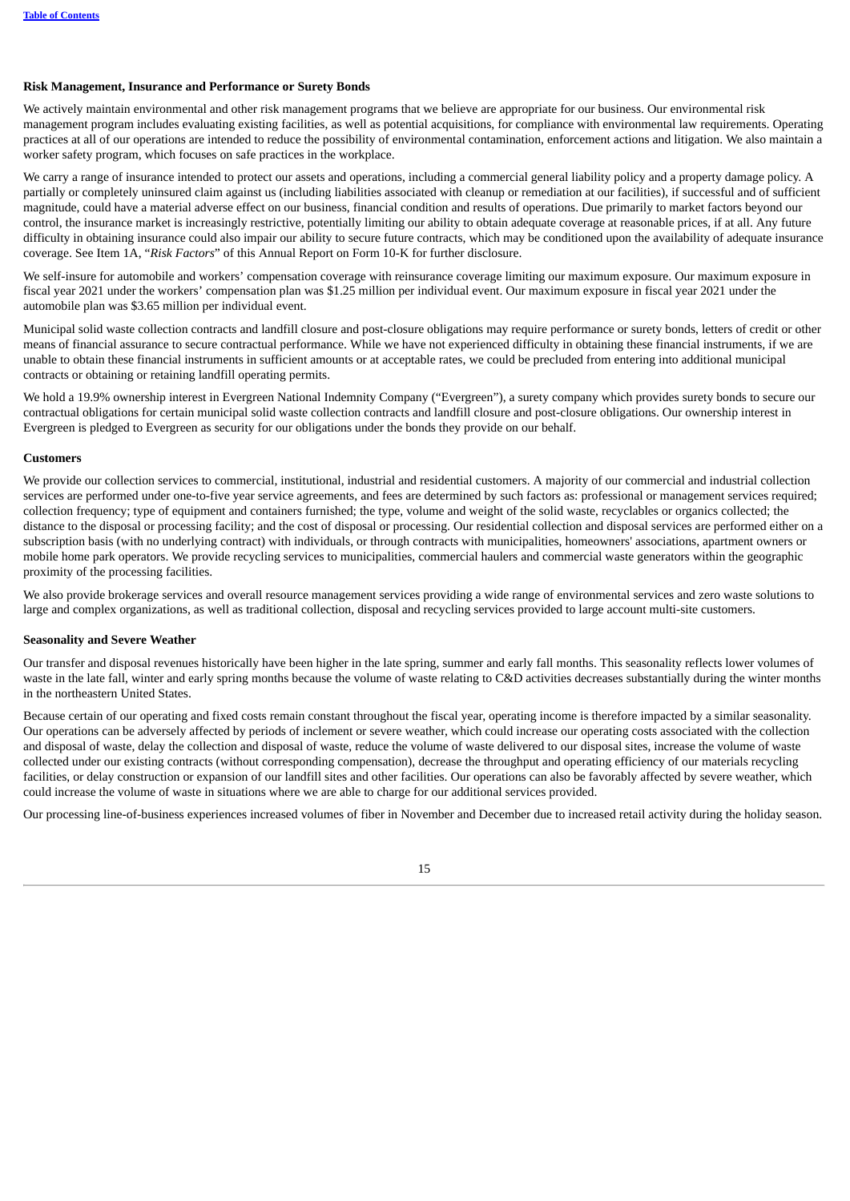## **Risk Management, Insurance and Performance or Surety Bonds**

We actively maintain environmental and other risk management programs that we believe are appropriate for our business. Our environmental risk management program includes evaluating existing facilities, as well as potential acquisitions, for compliance with environmental law requirements. Operating practices at all of our operations are intended to reduce the possibility of environmental contamination, enforcement actions and litigation. We also maintain a worker safety program, which focuses on safe practices in the workplace.

We carry a range of insurance intended to protect our assets and operations, including a commercial general liability policy and a property damage policy. A partially or completely uninsured claim against us (including liabilities associated with cleanup or remediation at our facilities), if successful and of sufficient magnitude, could have a material adverse effect on our business, financial condition and results of operations. Due primarily to market factors beyond our control, the insurance market is increasingly restrictive, potentially limiting our ability to obtain adequate coverage at reasonable prices, if at all. Any future difficulty in obtaining insurance could also impair our ability to secure future contracts, which may be conditioned upon the availability of adequate insurance coverage. See Item 1A, "*Risk Factors*" of this Annual Report on Form 10-K for further disclosure.

We self-insure for automobile and workers' compensation coverage with reinsurance coverage limiting our maximum exposure. Our maximum exposure in fiscal year 2021 under the workers' compensation plan was \$1.25 million per individual event. Our maximum exposure in fiscal year 2021 under the automobile plan was \$3.65 million per individual event.

Municipal solid waste collection contracts and landfill closure and post-closure obligations may require performance or surety bonds, letters of credit or other means of financial assurance to secure contractual performance. While we have not experienced difficulty in obtaining these financial instruments, if we are unable to obtain these financial instruments in sufficient amounts or at acceptable rates, we could be precluded from entering into additional municipal contracts or obtaining or retaining landfill operating permits.

We hold a 19.9% ownership interest in Evergreen National Indemnity Company ("Evergreen"), a surety company which provides surety bonds to secure our contractual obligations for certain municipal solid waste collection contracts and landfill closure and post-closure obligations. Our ownership interest in Evergreen is pledged to Evergreen as security for our obligations under the bonds they provide on our behalf.

## **Customers**

We provide our collection services to commercial, institutional, industrial and residential customers. A majority of our commercial and industrial collection services are performed under one-to-five year service agreements, and fees are determined by such factors as: professional or management services required; collection frequency; type of equipment and containers furnished; the type, volume and weight of the solid waste, recyclables or organics collected; the distance to the disposal or processing facility; and the cost of disposal or processing. Our residential collection and disposal services are performed either on a subscription basis (with no underlying contract) with individuals, or through contracts with municipalities, homeowners' associations, apartment owners or mobile home park operators. We provide recycling services to municipalities, commercial haulers and commercial waste generators within the geographic proximity of the processing facilities.

We also provide brokerage services and overall resource management services providing a wide range of environmental services and zero waste solutions to large and complex organizations, as well as traditional collection, disposal and recycling services provided to large account multi-site customers.

#### **Seasonality and Severe Weather**

Our transfer and disposal revenues historically have been higher in the late spring, summer and early fall months. This seasonality reflects lower volumes of waste in the late fall, winter and early spring months because the volume of waste relating to C&D activities decreases substantially during the winter months in the northeastern United States.

Because certain of our operating and fixed costs remain constant throughout the fiscal year, operating income is therefore impacted by a similar seasonality. Our operations can be adversely affected by periods of inclement or severe weather, which could increase our operating costs associated with the collection and disposal of waste, delay the collection and disposal of waste, reduce the volume of waste delivered to our disposal sites, increase the volume of waste collected under our existing contracts (without corresponding compensation), decrease the throughput and operating efficiency of our materials recycling facilities, or delay construction or expansion of our landfill sites and other facilities. Our operations can also be favorably affected by severe weather, which could increase the volume of waste in situations where we are able to charge for our additional services provided.

Our processing line-of-business experiences increased volumes of fiber in November and December due to increased retail activity during the holiday season.

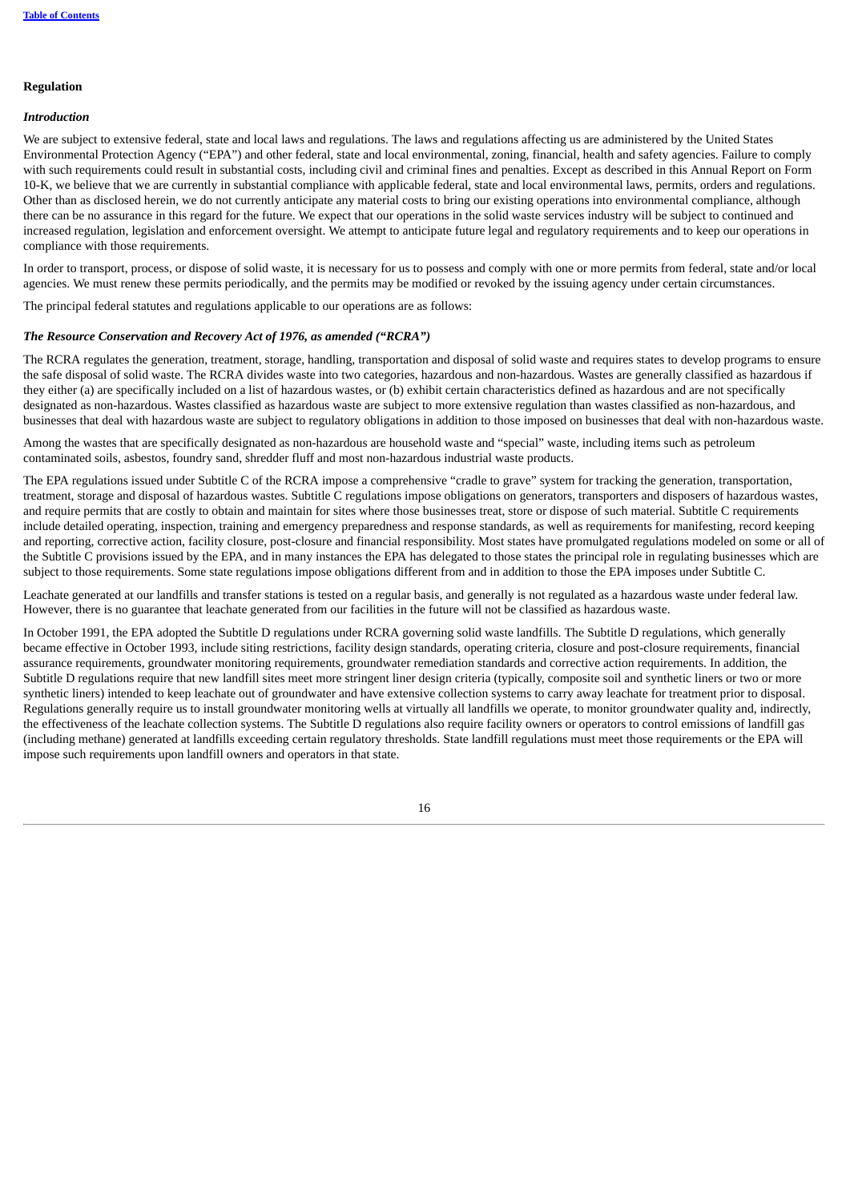#### **Regulation**

#### *Introduction*

We are subject to extensive federal, state and local laws and regulations. The laws and regulations affecting us are administered by the United States Environmental Protection Agency ("EPA") and other federal, state and local environmental, zoning, financial, health and safety agencies. Failure to comply with such requirements could result in substantial costs, including civil and criminal fines and penalties. Except as described in this Annual Report on Form 10-K, we believe that we are currently in substantial compliance with applicable federal, state and local environmental laws, permits, orders and regulations. Other than as disclosed herein, we do not currently anticipate any material costs to bring our existing operations into environmental compliance, although there can be no assurance in this regard for the future. We expect that our operations in the solid waste services industry will be subject to continued and increased regulation, legislation and enforcement oversight. We attempt to anticipate future legal and regulatory requirements and to keep our operations in compliance with those requirements.

In order to transport, process, or dispose of solid waste, it is necessary for us to possess and comply with one or more permits from federal, state and/or local agencies. We must renew these permits periodically, and the permits may be modified or revoked by the issuing agency under certain circumstances.

The principal federal statutes and regulations applicable to our operations are as follows:

## *The Resource Conservation and Recovery Act of 1976, as amended ("RCRA")*

The RCRA regulates the generation, treatment, storage, handling, transportation and disposal of solid waste and requires states to develop programs to ensure the safe disposal of solid waste. The RCRA divides waste into two categories, hazardous and non-hazardous. Wastes are generally classified as hazardous if they either (a) are specifically included on a list of hazardous wastes, or (b) exhibit certain characteristics defined as hazardous and are not specifically designated as non-hazardous. Wastes classified as hazardous waste are subject to more extensive regulation than wastes classified as non-hazardous, and businesses that deal with hazardous waste are subject to regulatory obligations in addition to those imposed on businesses that deal with non-hazardous waste.

Among the wastes that are specifically designated as non-hazardous are household waste and "special" waste, including items such as petroleum contaminated soils, asbestos, foundry sand, shredder fluff and most non-hazardous industrial waste products.

The EPA regulations issued under Subtitle C of the RCRA impose a comprehensive "cradle to grave" system for tracking the generation, transportation, treatment, storage and disposal of hazardous wastes. Subtitle C regulations impose obligations on generators, transporters and disposers of hazardous wastes, and require permits that are costly to obtain and maintain for sites where those businesses treat, store or dispose of such material. Subtitle C requirements include detailed operating, inspection, training and emergency preparedness and response standards, as well as requirements for manifesting, record keeping and reporting, corrective action, facility closure, post-closure and financial responsibility. Most states have promulgated regulations modeled on some or all of the Subtitle C provisions issued by the EPA, and in many instances the EPA has delegated to those states the principal role in regulating businesses which are subject to those requirements. Some state regulations impose obligations different from and in addition to those the EPA imposes under Subtitle C.

Leachate generated at our landfills and transfer stations is tested on a regular basis, and generally is not regulated as a hazardous waste under federal law. However, there is no guarantee that leachate generated from our facilities in the future will not be classified as hazardous waste.

In October 1991, the EPA adopted the Subtitle D regulations under RCRA governing solid waste landfills. The Subtitle D regulations, which generally became effective in October 1993, include siting restrictions, facility design standards, operating criteria, closure and post-closure requirements, financial assurance requirements, groundwater monitoring requirements, groundwater remediation standards and corrective action requirements. In addition, the Subtitle D regulations require that new landfill sites meet more stringent liner design criteria (typically, composite soil and synthetic liners or two or more synthetic liners) intended to keep leachate out of groundwater and have extensive collection systems to carry away leachate for treatment prior to disposal. Regulations generally require us to install groundwater monitoring wells at virtually all landfills we operate, to monitor groundwater quality and, indirectly, the effectiveness of the leachate collection systems. The Subtitle D regulations also require facility owners or operators to control emissions of landfill gas (including methane) generated at landfills exceeding certain regulatory thresholds. State landfill regulations must meet those requirements or the EPA will impose such requirements upon landfill owners and operators in that state.

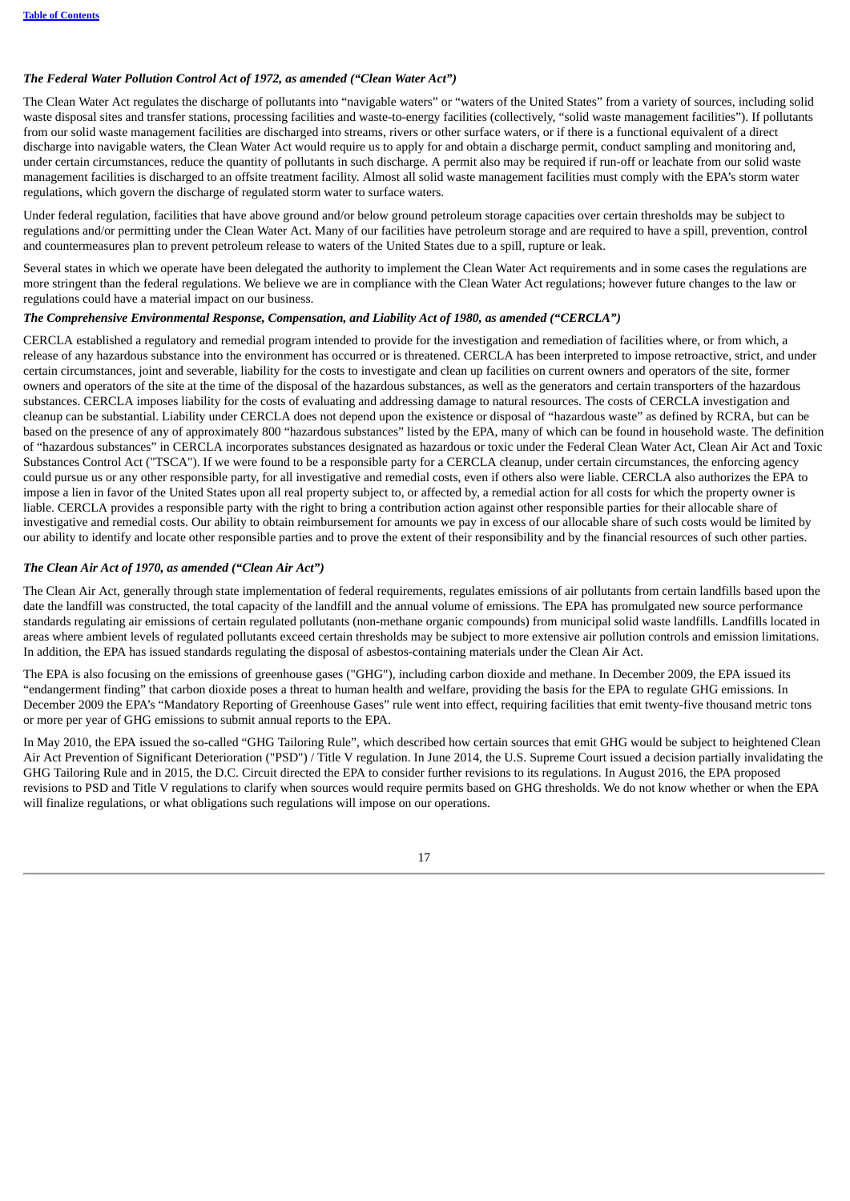## *The Federal Water Pollution Control Act of 1972, as amended ("Clean Water Act")*

The Clean Water Act regulates the discharge of pollutants into "navigable waters" or "waters of the United States" from a variety of sources, including solid waste disposal sites and transfer stations, processing facilities and waste-to-energy facilities (collectively, "solid waste management facilities"). If pollutants from our solid waste management facilities are discharged into streams, rivers or other surface waters, or if there is a functional equivalent of a direct discharge into navigable waters, the Clean Water Act would require us to apply for and obtain a discharge permit, conduct sampling and monitoring and, under certain circumstances, reduce the quantity of pollutants in such discharge. A permit also may be required if run-off or leachate from our solid waste management facilities is discharged to an offsite treatment facility. Almost all solid waste management facilities must comply with the EPA's storm water regulations, which govern the discharge of regulated storm water to surface waters.

Under federal regulation, facilities that have above ground and/or below ground petroleum storage capacities over certain thresholds may be subject to regulations and/or permitting under the Clean Water Act. Many of our facilities have petroleum storage and are required to have a spill, prevention, control and countermeasures plan to prevent petroleum release to waters of the United States due to a spill, rupture or leak.

Several states in which we operate have been delegated the authority to implement the Clean Water Act requirements and in some cases the regulations are more stringent than the federal regulations. We believe we are in compliance with the Clean Water Act regulations; however future changes to the law or regulations could have a material impact on our business.

## *The Comprehensive Environmental Response, Compensation, and Liability Act of 1980, as amended ("CERCLA")*

CERCLA established a regulatory and remedial program intended to provide for the investigation and remediation of facilities where, or from which, a release of any hazardous substance into the environment has occurred or is threatened. CERCLA has been interpreted to impose retroactive, strict, and under certain circumstances, joint and severable, liability for the costs to investigate and clean up facilities on current owners and operators of the site, former owners and operators of the site at the time of the disposal of the hazardous substances, as well as the generators and certain transporters of the hazardous substances. CERCLA imposes liability for the costs of evaluating and addressing damage to natural resources. The costs of CERCLA investigation and cleanup can be substantial. Liability under CERCLA does not depend upon the existence or disposal of "hazardous waste" as defined by RCRA, but can be based on the presence of any of approximately 800 "hazardous substances" listed by the EPA, many of which can be found in household waste. The definition of "hazardous substances" in CERCLA incorporates substances designated as hazardous or toxic under the Federal Clean Water Act, Clean Air Act and Toxic Substances Control Act ("TSCA"). If we were found to be a responsible party for a CERCLA cleanup, under certain circumstances, the enforcing agency could pursue us or any other responsible party, for all investigative and remedial costs, even if others also were liable. CERCLA also authorizes the EPA to impose a lien in favor of the United States upon all real property subject to, or affected by, a remedial action for all costs for which the property owner is liable. CERCLA provides a responsible party with the right to bring a contribution action against other responsible parties for their allocable share of investigative and remedial costs. Our ability to obtain reimbursement for amounts we pay in excess of our allocable share of such costs would be limited by our ability to identify and locate other responsible parties and to prove the extent of their responsibility and by the financial resources of such other parties.

# *The Clean Air Act of 1970, as amended ("Clean Air Act")*

The Clean Air Act, generally through state implementation of federal requirements, regulates emissions of air pollutants from certain landfills based upon the date the landfill was constructed, the total capacity of the landfill and the annual volume of emissions. The EPA has promulgated new source performance standards regulating air emissions of certain regulated pollutants (non-methane organic compounds) from municipal solid waste landfills. Landfills located in areas where ambient levels of regulated pollutants exceed certain thresholds may be subject to more extensive air pollution controls and emission limitations. In addition, the EPA has issued standards regulating the disposal of asbestos-containing materials under the Clean Air Act.

The EPA is also focusing on the emissions of greenhouse gases ("GHG"), including carbon dioxide and methane. In December 2009, the EPA issued its "endangerment finding" that carbon dioxide poses a threat to human health and welfare, providing the basis for the EPA to regulate GHG emissions. In December 2009 the EPA's "Mandatory Reporting of Greenhouse Gases" rule went into effect, requiring facilities that emit twenty-five thousand metric tons or more per year of GHG emissions to submit annual reports to the EPA.

In May 2010, the EPA issued the so-called "GHG Tailoring Rule", which described how certain sources that emit GHG would be subject to heightened Clean Air Act Prevention of Significant Deterioration ("PSD") / Title V regulation. In June 2014, the U.S. Supreme Court issued a decision partially invalidating the GHG Tailoring Rule and in 2015, the D.C. Circuit directed the EPA to consider further revisions to its regulations. In August 2016, the EPA proposed revisions to PSD and Title V regulations to clarify when sources would require permits based on GHG thresholds. We do not know whether or when the EPA will finalize regulations, or what obligations such regulations will impose on our operations.

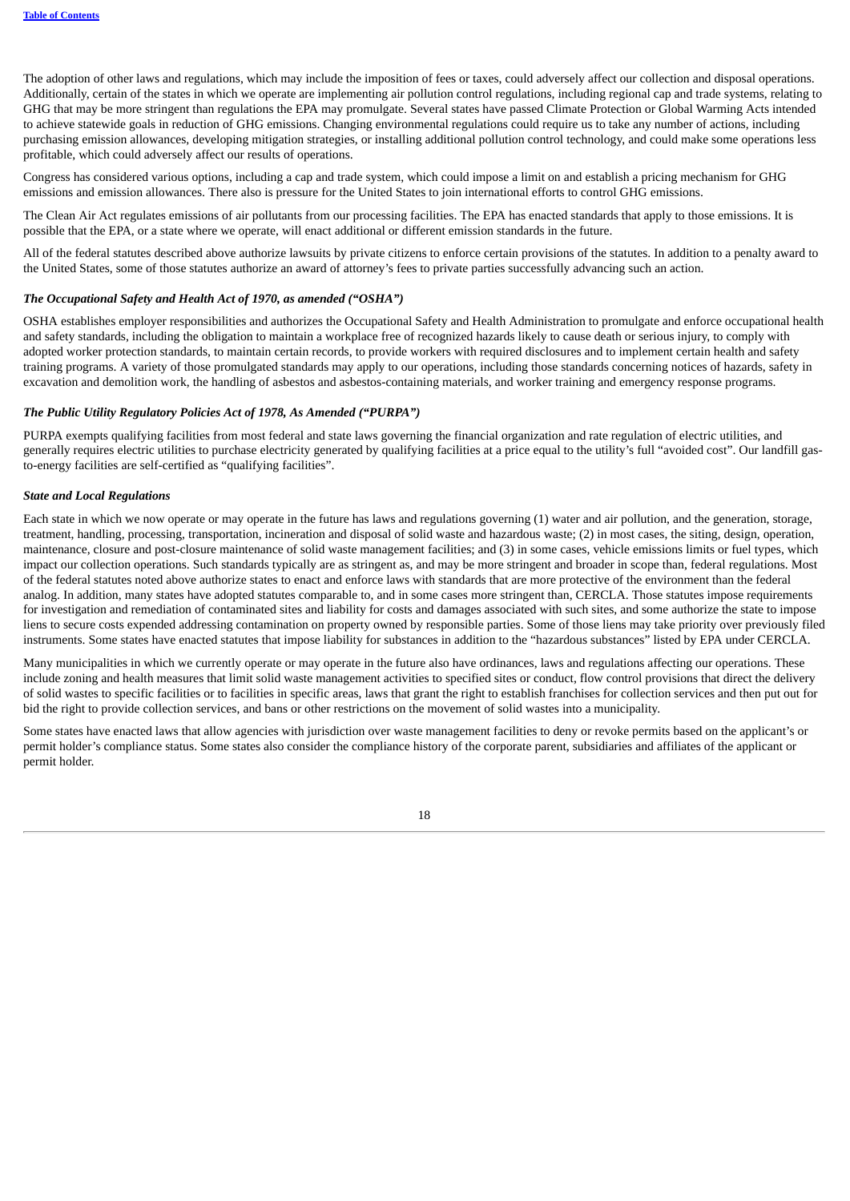The adoption of other laws and regulations, which may include the imposition of fees or taxes, could adversely affect our collection and disposal operations. Additionally, certain of the states in which we operate are implementing air pollution control regulations, including regional cap and trade systems, relating to GHG that may be more stringent than regulations the EPA may promulgate. Several states have passed Climate Protection or Global Warming Acts intended to achieve statewide goals in reduction of GHG emissions. Changing environmental regulations could require us to take any number of actions, including purchasing emission allowances, developing mitigation strategies, or installing additional pollution control technology, and could make some operations less profitable, which could adversely affect our results of operations.

Congress has considered various options, including a cap and trade system, which could impose a limit on and establish a pricing mechanism for GHG emissions and emission allowances. There also is pressure for the United States to join international efforts to control GHG emissions.

The Clean Air Act regulates emissions of air pollutants from our processing facilities. The EPA has enacted standards that apply to those emissions. It is possible that the EPA, or a state where we operate, will enact additional or different emission standards in the future.

All of the federal statutes described above authorize lawsuits by private citizens to enforce certain provisions of the statutes. In addition to a penalty award to the United States, some of those statutes authorize an award of attorney's fees to private parties successfully advancing such an action.

#### *The Occupational Safety and Health Act of 1970, as amended ("OSHA")*

OSHA establishes employer responsibilities and authorizes the Occupational Safety and Health Administration to promulgate and enforce occupational health and safety standards, including the obligation to maintain a workplace free of recognized hazards likely to cause death or serious injury, to comply with adopted worker protection standards, to maintain certain records, to provide workers with required disclosures and to implement certain health and safety training programs. A variety of those promulgated standards may apply to our operations, including those standards concerning notices of hazards, safety in excavation and demolition work, the handling of asbestos and asbestos-containing materials, and worker training and emergency response programs.

# *The Public Utility Regulatory Policies Act of 1978, As Amended ("PURPA")*

PURPA exempts qualifying facilities from most federal and state laws governing the financial organization and rate regulation of electric utilities, and generally requires electric utilities to purchase electricity generated by qualifying facilities at a price equal to the utility's full "avoided cost". Our landfill gasto-energy facilities are self-certified as "qualifying facilities".

## *State and Local Regulations*

Each state in which we now operate or may operate in the future has laws and regulations governing (1) water and air pollution, and the generation, storage, treatment, handling, processing, transportation, incineration and disposal of solid waste and hazardous waste; (2) in most cases, the siting, design, operation, maintenance, closure and post-closure maintenance of solid waste management facilities; and (3) in some cases, vehicle emissions limits or fuel types, which impact our collection operations. Such standards typically are as stringent as, and may be more stringent and broader in scope than, federal regulations. Most of the federal statutes noted above authorize states to enact and enforce laws with standards that are more protective of the environment than the federal analog. In addition, many states have adopted statutes comparable to, and in some cases more stringent than, CERCLA. Those statutes impose requirements for investigation and remediation of contaminated sites and liability for costs and damages associated with such sites, and some authorize the state to impose liens to secure costs expended addressing contamination on property owned by responsible parties. Some of those liens may take priority over previously filed instruments. Some states have enacted statutes that impose liability for substances in addition to the "hazardous substances" listed by EPA under CERCLA.

Many municipalities in which we currently operate or may operate in the future also have ordinances, laws and regulations affecting our operations. These include zoning and health measures that limit solid waste management activities to specified sites or conduct, flow control provisions that direct the delivery of solid wastes to specific facilities or to facilities in specific areas, laws that grant the right to establish franchises for collection services and then put out for bid the right to provide collection services, and bans or other restrictions on the movement of solid wastes into a municipality.

Some states have enacted laws that allow agencies with jurisdiction over waste management facilities to deny or revoke permits based on the applicant's or permit holder's compliance status. Some states also consider the compliance history of the corporate parent, subsidiaries and affiliates of the applicant or permit holder.

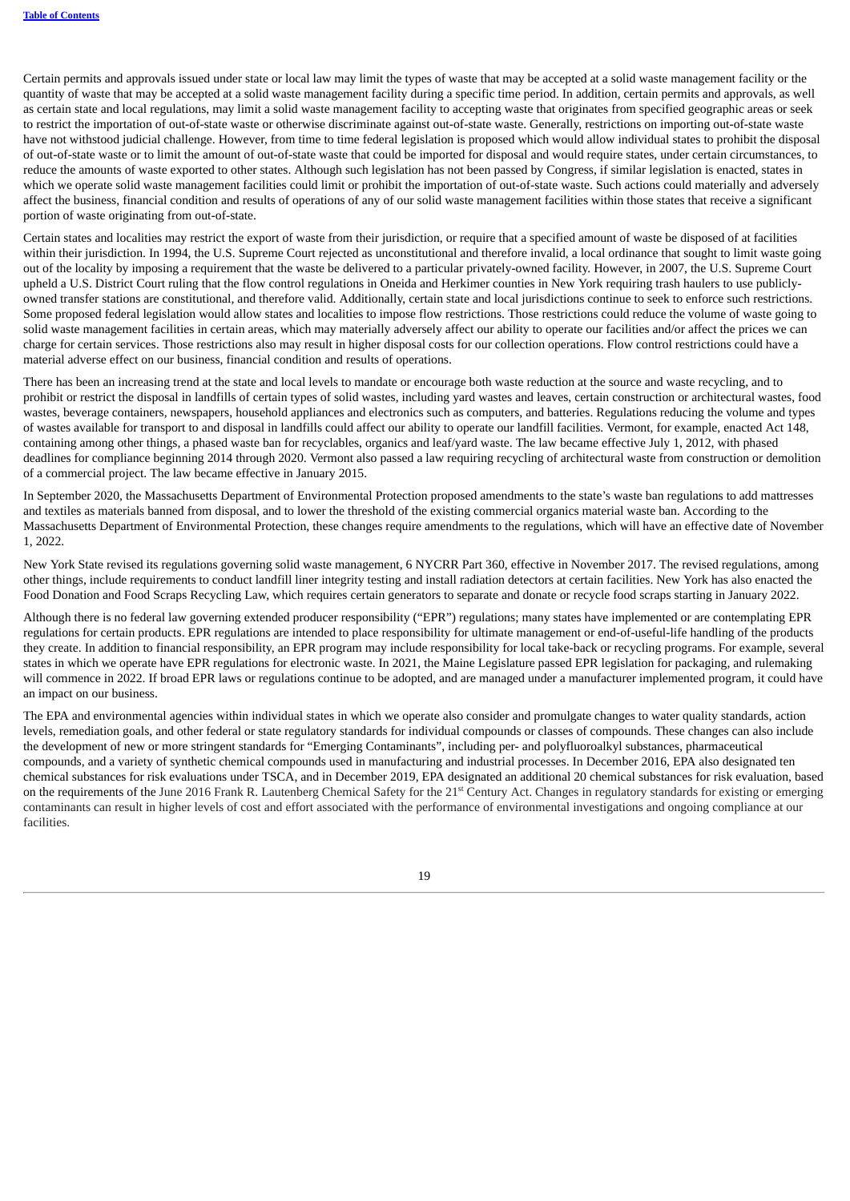Certain permits and approvals issued under state or local law may limit the types of waste that may be accepted at a solid waste management facility or the quantity of waste that may be accepted at a solid waste management facility during a specific time period. In addition, certain permits and approvals, as well as certain state and local regulations, may limit a solid waste management facility to accepting waste that originates from specified geographic areas or seek to restrict the importation of out-of-state waste or otherwise discriminate against out-of-state waste. Generally, restrictions on importing out-of-state waste have not withstood judicial challenge. However, from time to time federal legislation is proposed which would allow individual states to prohibit the disposal of out-of-state waste or to limit the amount of out-of-state waste that could be imported for disposal and would require states, under certain circumstances, to reduce the amounts of waste exported to other states. Although such legislation has not been passed by Congress, if similar legislation is enacted, states in which we operate solid waste management facilities could limit or prohibit the importation of out-of-state waste. Such actions could materially and adversely affect the business, financial condition and results of operations of any of our solid waste management facilities within those states that receive a significant portion of waste originating from out-of-state.

Certain states and localities may restrict the export of waste from their jurisdiction, or require that a specified amount of waste be disposed of at facilities within their jurisdiction. In 1994, the U.S. Supreme Court rejected as unconstitutional and therefore invalid, a local ordinance that sought to limit waste going out of the locality by imposing a requirement that the waste be delivered to a particular privately-owned facility. However, in 2007, the U.S. Supreme Court upheld a U.S. District Court ruling that the flow control regulations in Oneida and Herkimer counties in New York requiring trash haulers to use publiclyowned transfer stations are constitutional, and therefore valid. Additionally, certain state and local jurisdictions continue to seek to enforce such restrictions. Some proposed federal legislation would allow states and localities to impose flow restrictions. Those restrictions could reduce the volume of waste going to solid waste management facilities in certain areas, which may materially adversely affect our ability to operate our facilities and/or affect the prices we can charge for certain services. Those restrictions also may result in higher disposal costs for our collection operations. Flow control restrictions could have a material adverse effect on our business, financial condition and results of operations.

There has been an increasing trend at the state and local levels to mandate or encourage both waste reduction at the source and waste recycling, and to prohibit or restrict the disposal in landfills of certain types of solid wastes, including yard wastes and leaves, certain construction or architectural wastes, food wastes, beverage containers, newspapers, household appliances and electronics such as computers, and batteries. Regulations reducing the volume and types of wastes available for transport to and disposal in landfills could affect our ability to operate our landfill facilities. Vermont, for example, enacted Act 148, containing among other things, a phased waste ban for recyclables, organics and leaf/yard waste. The law became effective July 1, 2012, with phased deadlines for compliance beginning 2014 through 2020. Vermont also passed a law requiring recycling of architectural waste from construction or demolition of a commercial project. The law became effective in January 2015.

In September 2020, the Massachusetts Department of Environmental Protection proposed amendments to the state's waste ban regulations to add mattresses and textiles as materials banned from disposal, and to lower the threshold of the existing commercial organics material waste ban. According to the Massachusetts Department of Environmental Protection, these changes require amendments to the regulations, which will have an effective date of November 1, 2022.

New York State revised its regulations governing solid waste management, 6 NYCRR Part 360, effective in November 2017. The revised regulations, among other things, include requirements to conduct landfill liner integrity testing and install radiation detectors at certain facilities. New York has also enacted the Food Donation and Food Scraps Recycling Law, which requires certain generators to separate and donate or recycle food scraps starting in January 2022.

Although there is no federal law governing extended producer responsibility ("EPR") regulations; many states have implemented or are contemplating EPR regulations for certain products. EPR regulations are intended to place responsibility for ultimate management or end-of-useful-life handling of the products they create. In addition to financial responsibility, an EPR program may include responsibility for local take-back or recycling programs. For example, several states in which we operate have EPR regulations for electronic waste. In 2021, the Maine Legislature passed EPR legislation for packaging, and rulemaking will commence in 2022. If broad EPR laws or regulations continue to be adopted, and are managed under a manufacturer implemented program, it could have an impact on our business.

The EPA and environmental agencies within individual states in which we operate also consider and promulgate changes to water quality standards, action levels, remediation goals, and other federal or state regulatory standards for individual compounds or classes of compounds. These changes can also include the development of new or more stringent standards for "Emerging Contaminants", including per- and polyfluoroalkyl substances, pharmaceutical compounds, and a variety of synthetic chemical compounds used in manufacturing and industrial processes. In December 2016, EPA also designated ten chemical substances for risk evaluations under TSCA, and in December 2019, EPA designated an additional 20 chemical substances for risk evaluation, based on the requirements of the June 2016 Frank R. Lautenberg Chemical Safety for the 21<sup>st</sup> Century Act. Changes in regulatory standards for existing or emerging contaminants can result in higher levels of cost and effort associated with the performance of environmental investigations and ongoing compliance at our facilities.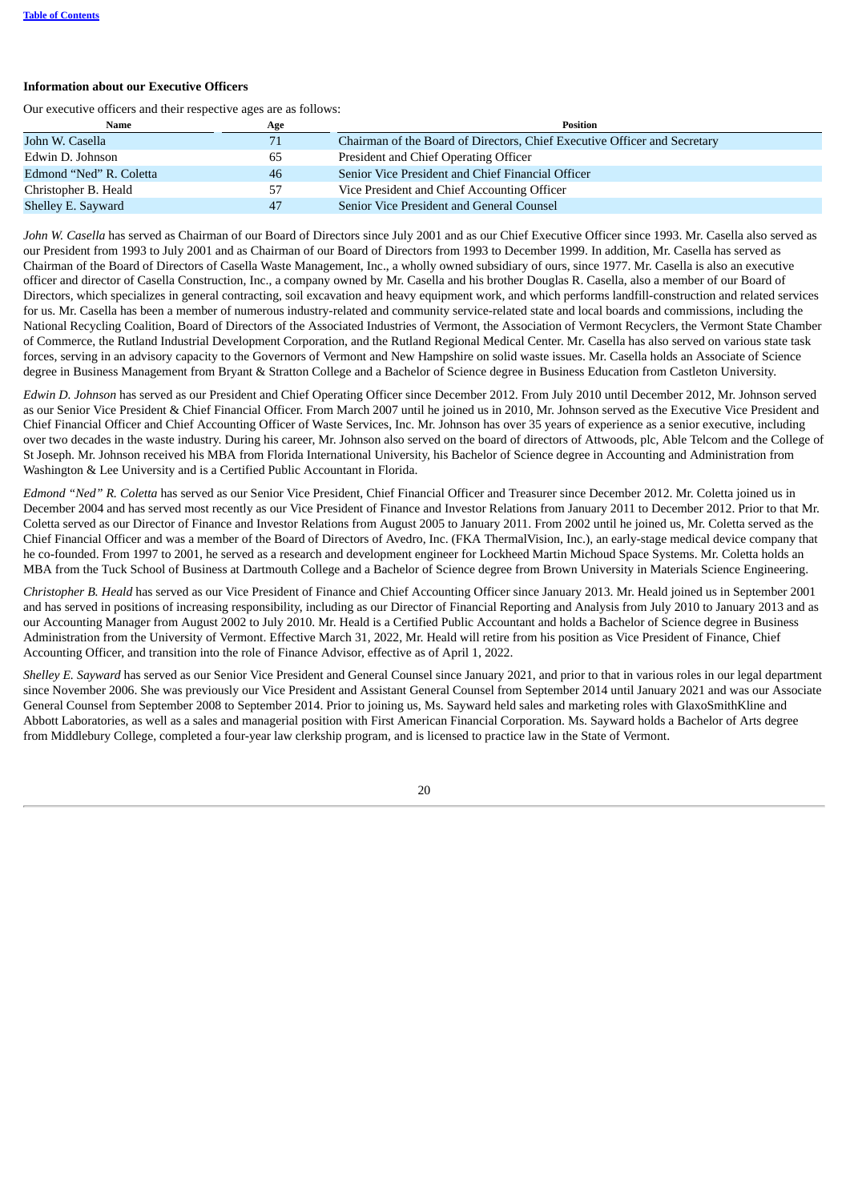## **Information about our Executive Officers**

Our executive officers and their respective ages are as follows:

| Name                    | Age | <b>Position</b>                                                           |
|-------------------------|-----|---------------------------------------------------------------------------|
| John W. Casella         | 71  | Chairman of the Board of Directors, Chief Executive Officer and Secretary |
| Edwin D. Johnson        | 65  | President and Chief Operating Officer                                     |
| Edmond "Ned" R. Coletta | 46  | Senior Vice President and Chief Financial Officer                         |
| Christopher B. Heald    | 57  | Vice President and Chief Accounting Officer                               |
| Shelley E. Sayward      | 47  | Senior Vice President and General Counsel                                 |

*John W. Casella* has served as Chairman of our Board of Directors since July 2001 and as our Chief Executive Officer since 1993. Mr. Casella also served as our President from 1993 to July 2001 and as Chairman of our Board of Directors from 1993 to December 1999. In addition, Mr. Casella has served as Chairman of the Board of Directors of Casella Waste Management, Inc., a wholly owned subsidiary of ours, since 1977. Mr. Casella is also an executive officer and director of Casella Construction, Inc., a company owned by Mr. Casella and his brother Douglas R. Casella, also a member of our Board of Directors, which specializes in general contracting, soil excavation and heavy equipment work, and which performs landfill-construction and related services for us. Mr. Casella has been a member of numerous industry-related and community service-related state and local boards and commissions, including the National Recycling Coalition, Board of Directors of the Associated Industries of Vermont, the Association of Vermont Recyclers, the Vermont State Chamber of Commerce, the Rutland Industrial Development Corporation, and the Rutland Regional Medical Center. Mr. Casella has also served on various state task forces, serving in an advisory capacity to the Governors of Vermont and New Hampshire on solid waste issues. Mr. Casella holds an Associate of Science degree in Business Management from Bryant & Stratton College and a Bachelor of Science degree in Business Education from Castleton University.

*Edwin D. Johnson* has served as our President and Chief Operating Officer since December 2012. From July 2010 until December 2012, Mr. Johnson served as our Senior Vice President & Chief Financial Officer. From March 2007 until he joined us in 2010, Mr. Johnson served as the Executive Vice President and Chief Financial Officer and Chief Accounting Officer of Waste Services, Inc. Mr. Johnson has over 35 years of experience as a senior executive, including over two decades in the waste industry. During his career, Mr. Johnson also served on the board of directors of Attwoods, plc, Able Telcom and the College of St Joseph. Mr. Johnson received his MBA from Florida International University, his Bachelor of Science degree in Accounting and Administration from Washington & Lee University and is a Certified Public Accountant in Florida.

*Edmond "Ned" R. Coletta* has served as our Senior Vice President, Chief Financial Officer and Treasurer since December 2012. Mr. Coletta joined us in December 2004 and has served most recently as our Vice President of Finance and Investor Relations from January 2011 to December 2012. Prior to that Mr. Coletta served as our Director of Finance and Investor Relations from August 2005 to January 2011. From 2002 until he joined us, Mr. Coletta served as the Chief Financial Officer and was a member of the Board of Directors of Avedro, Inc. (FKA ThermalVision, Inc.), an early-stage medical device company that he co-founded. From 1997 to 2001, he served as a research and development engineer for Lockheed Martin Michoud Space Systems. Mr. Coletta holds an MBA from the Tuck School of Business at Dartmouth College and a Bachelor of Science degree from Brown University in Materials Science Engineering.

*Christopher B. Heald* has served as our Vice President of Finance and Chief Accounting Officer since January 2013. Mr. Heald joined us in September 2001 and has served in positions of increasing responsibility, including as our Director of Financial Reporting and Analysis from July 2010 to January 2013 and as our Accounting Manager from August 2002 to July 2010. Mr. Heald is a Certified Public Accountant and holds a Bachelor of Science degree in Business Administration from the University of Vermont. Effective March 31, 2022, Mr. Heald will retire from his position as Vice President of Finance, Chief Accounting Officer, and transition into the role of Finance Advisor, effective as of April 1, 2022.

<span id="page-19-0"></span>*Shelley E. Sayward* has served as our Senior Vice President and General Counsel since January 2021, and prior to that in various roles in our legal department since November 2006. She was previously our Vice President and Assistant General Counsel from September 2014 until January 2021 and was our Associate General Counsel from September 2008 to September 2014. Prior to joining us, Ms. Sayward held sales and marketing roles with GlaxoSmithKline and Abbott Laboratories, as well as a sales and managerial position with First American Financial Corporation. Ms. Sayward holds a Bachelor of Arts degree from Middlebury College, completed a four-year law clerkship program, and is licensed to practice law in the State of Vermont.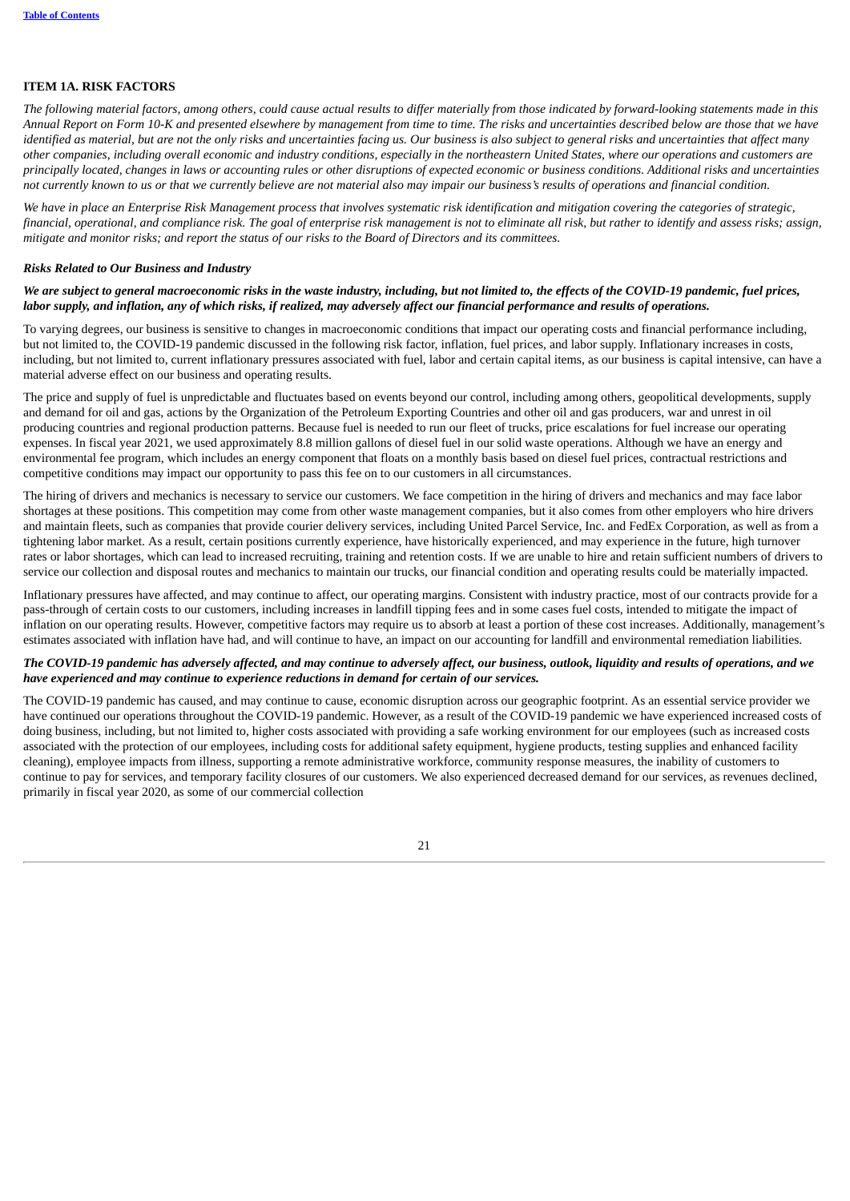# **ITEM 1A. RISK FACTORS**

The following material factors, among others, could cause actual results to differ materially from those indicated by forward-looking statements made in this Annual Report on Form 10-K and presented elsewhere by management from time to time. The risks and uncertainties described below are those that we have identified as material, but are not the only risks and uncertainties facing us. Our business is also subject to general risks and uncertainties that affect many other companies, including overall economic and industry conditions, especially in the northeastern United States, where our operations and customers are principally located, changes in laws or accounting rules or other disruptions of expected economic or business conditions. Additional risks and uncertainties not currently known to us or that we currently believe are not material also may impair our business's results of operations and financial condition.

We have in place an Enterprise Risk Management process that involves systematic risk identification and mitigation covering the categories of strategic, financial, operational, and compliance risk. The goal of enterprise risk management is not to eliminate all risk, but rather to identify and assess risks; assign, mitigate and monitor risks; and report the status of our risks to the Board of Directors and its committees.

#### *Risks Related to Our Business and Industry*

## We are subject to general macroeconomic risks in the waste industry, including, but not limited to, the effects of the COVID-19 pandemic, fuel prices, labor supply, and inflation, any of which risks, if realized, may adversely affect our financial performance and results of operations.

To varying degrees, our business is sensitive to changes in macroeconomic conditions that impact our operating costs and financial performance including, but not limited to, the COVID-19 pandemic discussed in the following risk factor, inflation, fuel prices, and labor supply. Inflationary increases in costs, including, but not limited to, current inflationary pressures associated with fuel, labor and certain capital items, as our business is capital intensive, can have a material adverse effect on our business and operating results.

The price and supply of fuel is unpredictable and fluctuates based on events beyond our control, including among others, geopolitical developments, supply and demand for oil and gas, actions by the Organization of the Petroleum Exporting Countries and other oil and gas producers, war and unrest in oil producing countries and regional production patterns. Because fuel is needed to run our fleet of trucks, price escalations for fuel increase our operating expenses. In fiscal year 2021, we used approximately 8.8 million gallons of diesel fuel in our solid waste operations. Although we have an energy and environmental fee program, which includes an energy component that floats on a monthly basis based on diesel fuel prices, contractual restrictions and competitive conditions may impact our opportunity to pass this fee on to our customers in all circumstances.

The hiring of drivers and mechanics is necessary to service our customers. We face competition in the hiring of drivers and mechanics and may face labor shortages at these positions. This competition may come from other waste management companies, but it also comes from other employers who hire drivers and maintain fleets, such as companies that provide courier delivery services, including United Parcel Service, Inc. and FedEx Corporation, as well as from a tightening labor market. As a result, certain positions currently experience, have historically experienced, and may experience in the future, high turnover rates or labor shortages, which can lead to increased recruiting, training and retention costs. If we are unable to hire and retain sufficient numbers of drivers to service our collection and disposal routes and mechanics to maintain our trucks, our financial condition and operating results could be materially impacted.

Inflationary pressures have affected, and may continue to affect, our operating margins. Consistent with industry practice, most of our contracts provide for a pass-through of certain costs to our customers, including increases in landfill tipping fees and in some cases fuel costs, intended to mitigate the impact of inflation on our operating results. However, competitive factors may require us to absorb at least a portion of these cost increases. Additionally, management's estimates associated with inflation have had, and will continue to have, an impact on our accounting for landfill and environmental remediation liabilities.

# The COVID-19 pandemic has adversely affected, and may continue to adversely affect, our business, outlook, liquidity and results of operations, and we *have experienced and may continue to experience reductions in demand for certain of our services.*

The COVID-19 pandemic has caused, and may continue to cause, economic disruption across our geographic footprint. As an essential service provider we have continued our operations throughout the COVID-19 pandemic. However, as a result of the COVID-19 pandemic we have experienced increased costs of doing business, including, but not limited to, higher costs associated with providing a safe working environment for our employees (such as increased costs associated with the protection of our employees, including costs for additional safety equipment, hygiene products, testing supplies and enhanced facility cleaning), employee impacts from illness, supporting a remote administrative workforce, community response measures, the inability of customers to continue to pay for services, and temporary facility closures of our customers. We also experienced decreased demand for our services, as revenues declined, primarily in fiscal year 2020, as some of our commercial collection

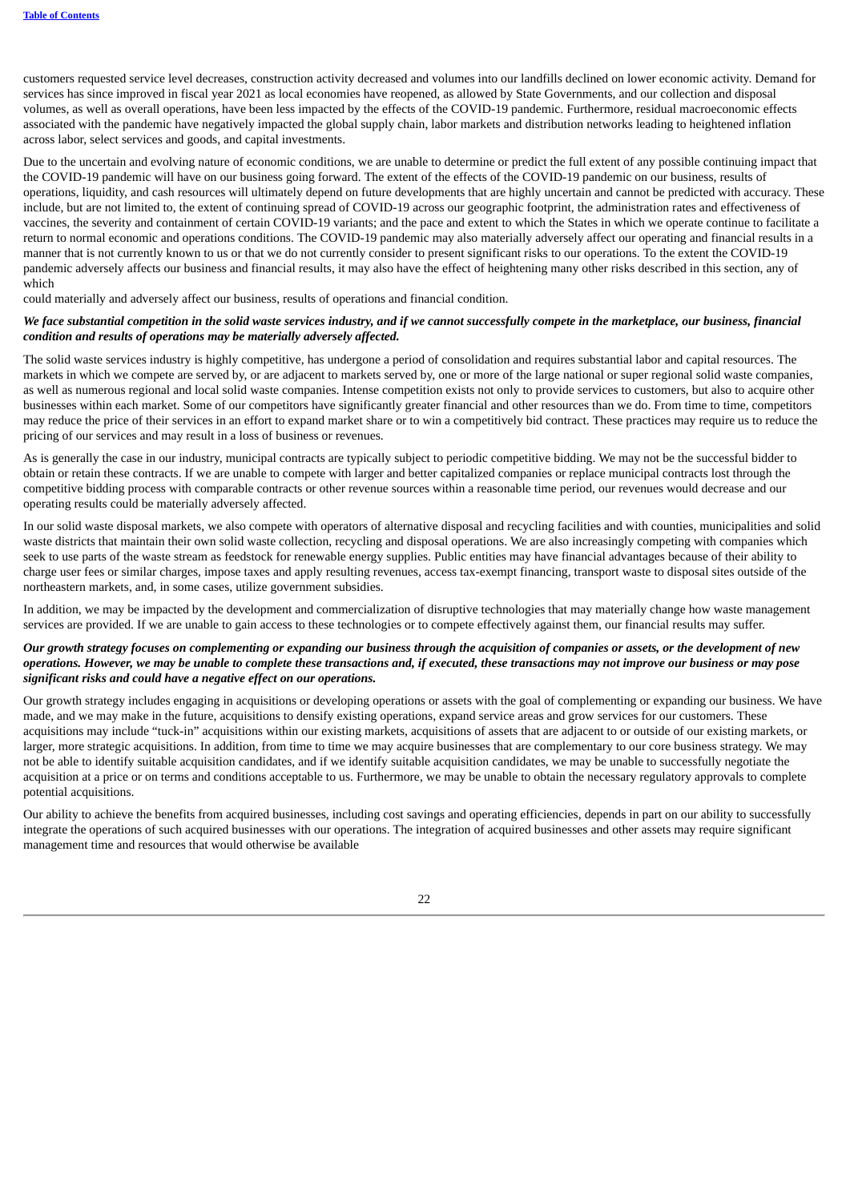customers requested service level decreases, construction activity decreased and volumes into our landfills declined on lower economic activity. Demand for services has since improved in fiscal year 2021 as local economies have reopened, as allowed by State Governments, and our collection and disposal volumes, as well as overall operations, have been less impacted by the effects of the COVID-19 pandemic. Furthermore, residual macroeconomic effects associated with the pandemic have negatively impacted the global supply chain, labor markets and distribution networks leading to heightened inflation across labor, select services and goods, and capital investments.

Due to the uncertain and evolving nature of economic conditions, we are unable to determine or predict the full extent of any possible continuing impact that the COVID-19 pandemic will have on our business going forward. The extent of the effects of the COVID-19 pandemic on our business, results of operations, liquidity, and cash resources will ultimately depend on future developments that are highly uncertain and cannot be predicted with accuracy. These include, but are not limited to, the extent of continuing spread of COVID-19 across our geographic footprint, the administration rates and effectiveness of vaccines, the severity and containment of certain COVID-19 variants; and the pace and extent to which the States in which we operate continue to facilitate a return to normal economic and operations conditions. The COVID-19 pandemic may also materially adversely affect our operating and financial results in a manner that is not currently known to us or that we do not currently consider to present significant risks to our operations. To the extent the COVID-19 pandemic adversely affects our business and financial results, it may also have the effect of heightening many other risks described in this section, any of which

could materially and adversely affect our business, results of operations and financial condition.

## We face substantial competition in the solid waste services industry, and if we cannot successfully compete in the marketplace, our business, financial *condition and results of operations may be materially adversely affected.*

The solid waste services industry is highly competitive, has undergone a period of consolidation and requires substantial labor and capital resources. The markets in which we compete are served by, or are adjacent to markets served by, one or more of the large national or super regional solid waste companies, as well as numerous regional and local solid waste companies. Intense competition exists not only to provide services to customers, but also to acquire other businesses within each market. Some of our competitors have significantly greater financial and other resources than we do. From time to time, competitors may reduce the price of their services in an effort to expand market share or to win a competitively bid contract. These practices may require us to reduce the pricing of our services and may result in a loss of business or revenues.

As is generally the case in our industry, municipal contracts are typically subject to periodic competitive bidding. We may not be the successful bidder to obtain or retain these contracts. If we are unable to compete with larger and better capitalized companies or replace municipal contracts lost through the competitive bidding process with comparable contracts or other revenue sources within a reasonable time period, our revenues would decrease and our operating results could be materially adversely affected.

In our solid waste disposal markets, we also compete with operators of alternative disposal and recycling facilities and with counties, municipalities and solid waste districts that maintain their own solid waste collection, recycling and disposal operations. We are also increasingly competing with companies which seek to use parts of the waste stream as feedstock for renewable energy supplies. Public entities may have financial advantages because of their ability to charge user fees or similar charges, impose taxes and apply resulting revenues, access tax-exempt financing, transport waste to disposal sites outside of the northeastern markets, and, in some cases, utilize government subsidies.

In addition, we may be impacted by the development and commercialization of disruptive technologies that may materially change how waste management services are provided. If we are unable to gain access to these technologies or to compete effectively against them, our financial results may suffer.

# Our growth strategy focuses on complementing or expanding our business through the acquisition of companies or assets, or the development of new operations. However, we may be unable to complete these transactions and, if executed, these transactions may not improve our business or may pose *significant risks and could have a negative effect on our operations.*

Our growth strategy includes engaging in acquisitions or developing operations or assets with the goal of complementing or expanding our business. We have made, and we may make in the future, acquisitions to densify existing operations, expand service areas and grow services for our customers. These acquisitions may include "tuck-in" acquisitions within our existing markets, acquisitions of assets that are adjacent to or outside of our existing markets, or larger, more strategic acquisitions. In addition, from time to time we may acquire businesses that are complementary to our core business strategy. We may not be able to identify suitable acquisition candidates, and if we identify suitable acquisition candidates, we may be unable to successfully negotiate the acquisition at a price or on terms and conditions acceptable to us. Furthermore, we may be unable to obtain the necessary regulatory approvals to complete potential acquisitions.

Our ability to achieve the benefits from acquired businesses, including cost savings and operating efficiencies, depends in part on our ability to successfully integrate the operations of such acquired businesses with our operations. The integration of acquired businesses and other assets may require significant management time and resources that would otherwise be available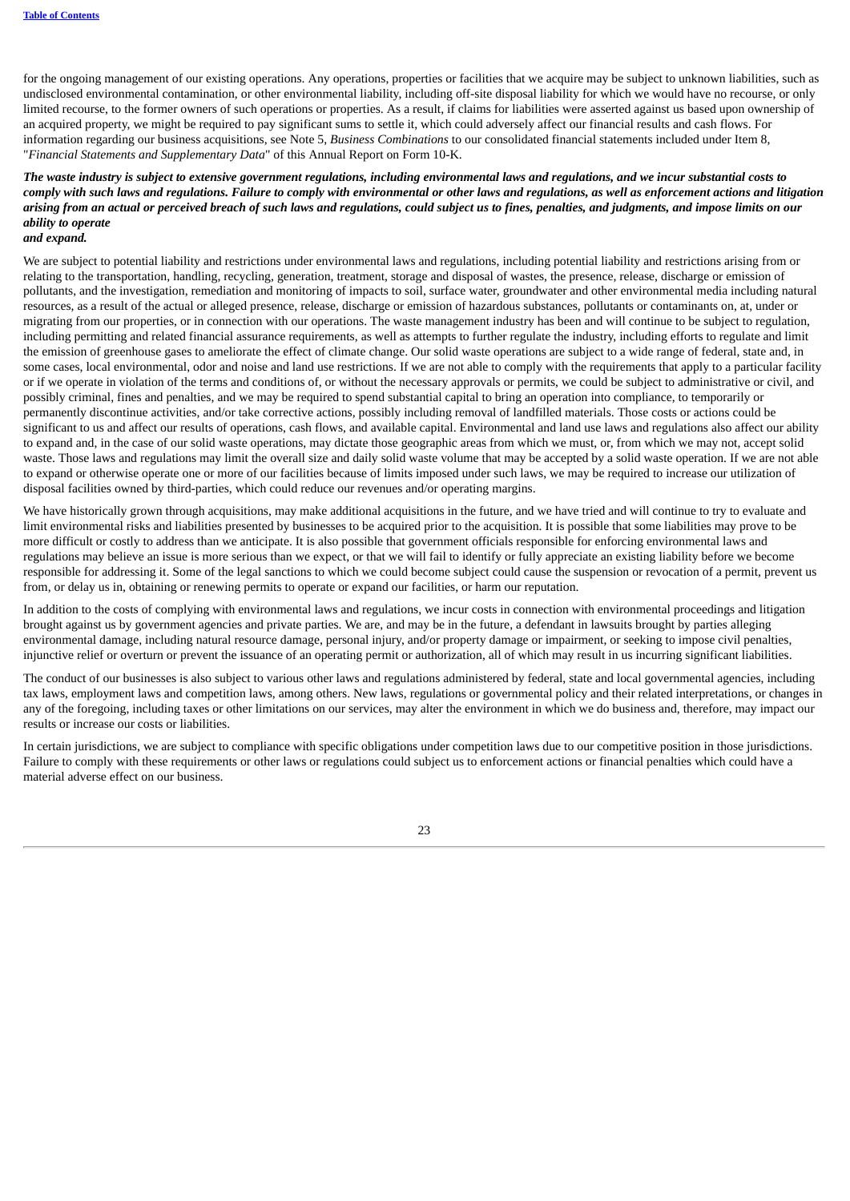for the ongoing management of our existing operations. Any operations, properties or facilities that we acquire may be subject to unknown liabilities, such as undisclosed environmental contamination, or other environmental liability, including off-site disposal liability for which we would have no recourse, or only limited recourse, to the former owners of such operations or properties. As a result, if claims for liabilities were asserted against us based upon ownership of an acquired property, we might be required to pay significant sums to settle it, which could adversely affect our financial results and cash flows. For information regarding our business acquisitions, see Note 5, *Business Combinations* to our consolidated financial statements included under Item 8, "*Financial Statements and Supplementary Data*" of this Annual Report on Form 10-K.

# The waste industry is subject to extensive government regulations, including environmental laws and regulations, and we incur substantial costs to comply with such laws and regulations. Failure to comply with environmental or other laws and regulations, as well as enforcement actions and litigation arising from an actual or perceived breach of such laws and regulations, could subject us to fines, penalties, and judgments, and impose limits on our *ability to operate and expand.*

We are subject to potential liability and restrictions under environmental laws and regulations, including potential liability and restrictions arising from or relating to the transportation, handling, recycling, generation, treatment, storage and disposal of wastes, the presence, release, discharge or emission of pollutants, and the investigation, remediation and monitoring of impacts to soil, surface water, groundwater and other environmental media including natural resources, as a result of the actual or alleged presence, release, discharge or emission of hazardous substances, pollutants or contaminants on, at, under or migrating from our properties, or in connection with our operations. The waste management industry has been and will continue to be subject to regulation, including permitting and related financial assurance requirements, as well as attempts to further regulate the industry, including efforts to regulate and limit the emission of greenhouse gases to ameliorate the effect of climate change. Our solid waste operations are subject to a wide range of federal, state and, in some cases, local environmental, odor and noise and land use restrictions. If we are not able to comply with the requirements that apply to a particular facility or if we operate in violation of the terms and conditions of, or without the necessary approvals or permits, we could be subject to administrative or civil, and possibly criminal, fines and penalties, and we may be required to spend substantial capital to bring an operation into compliance, to temporarily or permanently discontinue activities, and/or take corrective actions, possibly including removal of landfilled materials. Those costs or actions could be significant to us and affect our results of operations, cash flows, and available capital. Environmental and land use laws and regulations also affect our ability to expand and, in the case of our solid waste operations, may dictate those geographic areas from which we must, or, from which we may not, accept solid waste. Those laws and regulations may limit the overall size and daily solid waste volume that may be accepted by a solid waste operation. If we are not able to expand or otherwise operate one or more of our facilities because of limits imposed under such laws, we may be required to increase our utilization of disposal facilities owned by third-parties, which could reduce our revenues and/or operating margins.

We have historically grown through acquisitions, may make additional acquisitions in the future, and we have tried and will continue to try to evaluate and limit environmental risks and liabilities presented by businesses to be acquired prior to the acquisition. It is possible that some liabilities may prove to be more difficult or costly to address than we anticipate. It is also possible that government officials responsible for enforcing environmental laws and regulations may believe an issue is more serious than we expect, or that we will fail to identify or fully appreciate an existing liability before we become responsible for addressing it. Some of the legal sanctions to which we could become subject could cause the suspension or revocation of a permit, prevent us from, or delay us in, obtaining or renewing permits to operate or expand our facilities, or harm our reputation.

In addition to the costs of complying with environmental laws and regulations, we incur costs in connection with environmental proceedings and litigation brought against us by government agencies and private parties. We are, and may be in the future, a defendant in lawsuits brought by parties alleging environmental damage, including natural resource damage, personal injury, and/or property damage or impairment, or seeking to impose civil penalties, injunctive relief or overturn or prevent the issuance of an operating permit or authorization, all of which may result in us incurring significant liabilities.

The conduct of our businesses is also subject to various other laws and regulations administered by federal, state and local governmental agencies, including tax laws, employment laws and competition laws, among others. New laws, regulations or governmental policy and their related interpretations, or changes in any of the foregoing, including taxes or other limitations on our services, may alter the environment in which we do business and, therefore, may impact our results or increase our costs or liabilities.

In certain jurisdictions, we are subject to compliance with specific obligations under competition laws due to our competitive position in those jurisdictions. Failure to comply with these requirements or other laws or regulations could subject us to enforcement actions or financial penalties which could have a material adverse effect on our business.

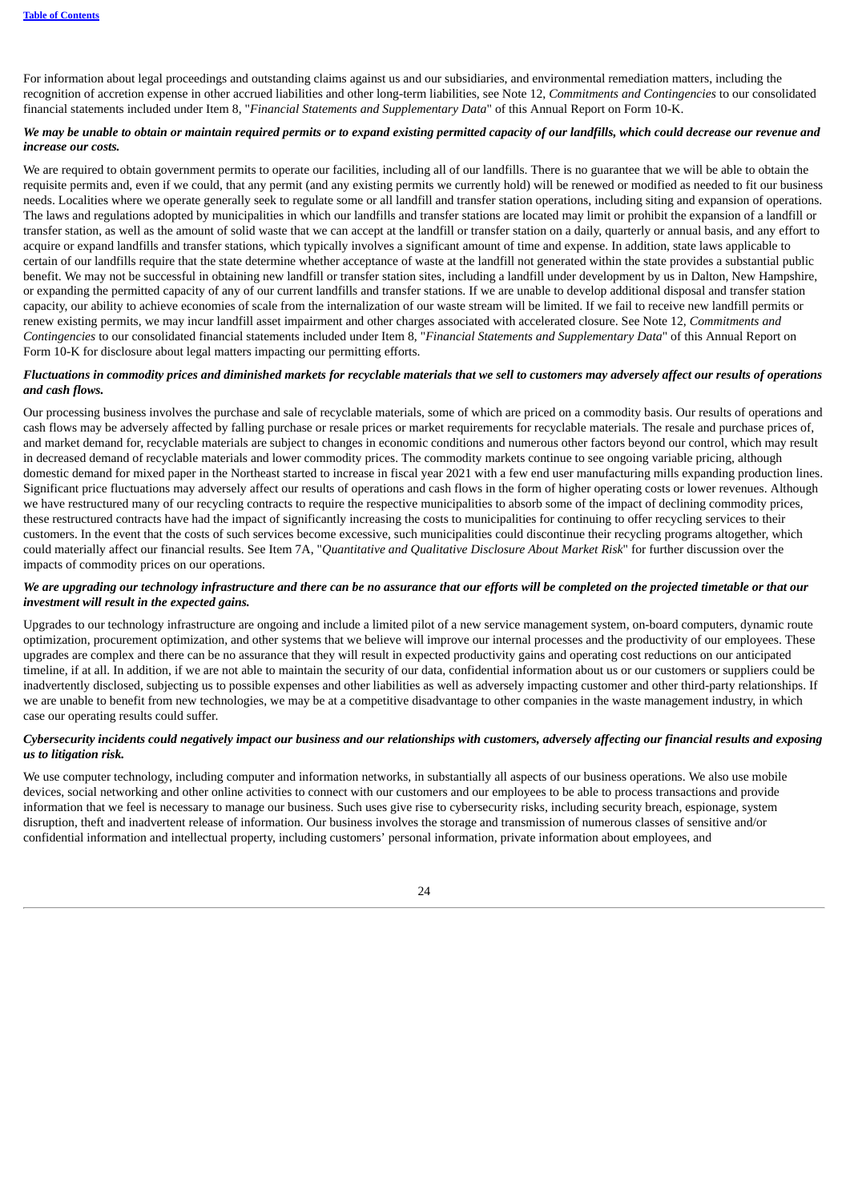For information about legal proceedings and outstanding claims against us and our subsidiaries, and environmental remediation matters, including the recognition of accretion expense in other accrued liabilities and other long-term liabilities, see Note 12, *Commitments and Contingencies* to our consolidated financial statements included under Item 8, "*Financial Statements and Supplementary Data*" of this Annual Report on Form 10-K.

# We may be unable to obtain or maintain required permits or to expand existing permitted capacity of our landfills, which could decrease our revenue and *increase our costs.*

We are required to obtain government permits to operate our facilities, including all of our landfills. There is no guarantee that we will be able to obtain the requisite permits and, even if we could, that any permit (and any existing permits we currently hold) will be renewed or modified as needed to fit our business needs. Localities where we operate generally seek to regulate some or all landfill and transfer station operations, including siting and expansion of operations. The laws and regulations adopted by municipalities in which our landfills and transfer stations are located may limit or prohibit the expansion of a landfill or transfer station, as well as the amount of solid waste that we can accept at the landfill or transfer station on a daily, quarterly or annual basis, and any effort to acquire or expand landfills and transfer stations, which typically involves a significant amount of time and expense. In addition, state laws applicable to certain of our landfills require that the state determine whether acceptance of waste at the landfill not generated within the state provides a substantial public benefit. We may not be successful in obtaining new landfill or transfer station sites, including a landfill under development by us in Dalton, New Hampshire, or expanding the permitted capacity of any of our current landfills and transfer stations. If we are unable to develop additional disposal and transfer station capacity, our ability to achieve economies of scale from the internalization of our waste stream will be limited. If we fail to receive new landfill permits or renew existing permits, we may incur landfill asset impairment and other charges associated with accelerated closure. See Note 12, *Commitments and Contingencies* to our consolidated financial statements included under Item 8, "*Financial Statements and Supplementary Data*" of this Annual Report on Form 10-K for disclosure about legal matters impacting our permitting efforts.

# Fluctuations in commodity prices and diminished markets for recyclable materials that we sell to customers may adversely affect our results of operations *and cash flows.*

Our processing business involves the purchase and sale of recyclable materials, some of which are priced on a commodity basis. Our results of operations and cash flows may be adversely affected by falling purchase or resale prices or market requirements for recyclable materials. The resale and purchase prices of, and market demand for, recyclable materials are subject to changes in economic conditions and numerous other factors beyond our control, which may result in decreased demand of recyclable materials and lower commodity prices. The commodity markets continue to see ongoing variable pricing, although domestic demand for mixed paper in the Northeast started to increase in fiscal year 2021 with a few end user manufacturing mills expanding production lines. Significant price fluctuations may adversely affect our results of operations and cash flows in the form of higher operating costs or lower revenues. Although we have restructured many of our recycling contracts to require the respective municipalities to absorb some of the impact of declining commodity prices, these restructured contracts have had the impact of significantly increasing the costs to municipalities for continuing to offer recycling services to their customers. In the event that the costs of such services become excessive, such municipalities could discontinue their recycling programs altogether, which could materially affect our financial results. See Item 7A, "*Quantitative and Qualitative Disclosure About Market Risk*" for further discussion over the impacts of commodity prices on our operations.

## We are upgrading our technology infrastructure and there can be no assurance that our efforts will be completed on the projected timetable or that our *investment will result in the expected gains.*

Upgrades to our technology infrastructure are ongoing and include a limited pilot of a new service management system, on-board computers, dynamic route optimization, procurement optimization, and other systems that we believe will improve our internal processes and the productivity of our employees. These upgrades are complex and there can be no assurance that they will result in expected productivity gains and operating cost reductions on our anticipated timeline, if at all. In addition, if we are not able to maintain the security of our data, confidential information about us or our customers or suppliers could be inadvertently disclosed, subjecting us to possible expenses and other liabilities as well as adversely impacting customer and other third-party relationships. If we are unable to benefit from new technologies, we may be at a competitive disadvantage to other companies in the waste management industry, in which case our operating results could suffer.

# Cybersecurity incidents could negatively impact our business and our relationships with customers, adversely affecting our financial results and exposing *us to litigation risk.*

We use computer technology, including computer and information networks, in substantially all aspects of our business operations. We also use mobile devices, social networking and other online activities to connect with our customers and our employees to be able to process transactions and provide information that we feel is necessary to manage our business. Such uses give rise to cybersecurity risks, including security breach, espionage, system disruption, theft and inadvertent release of information. Our business involves the storage and transmission of numerous classes of sensitive and/or confidential information and intellectual property, including customers' personal information, private information about employees, and

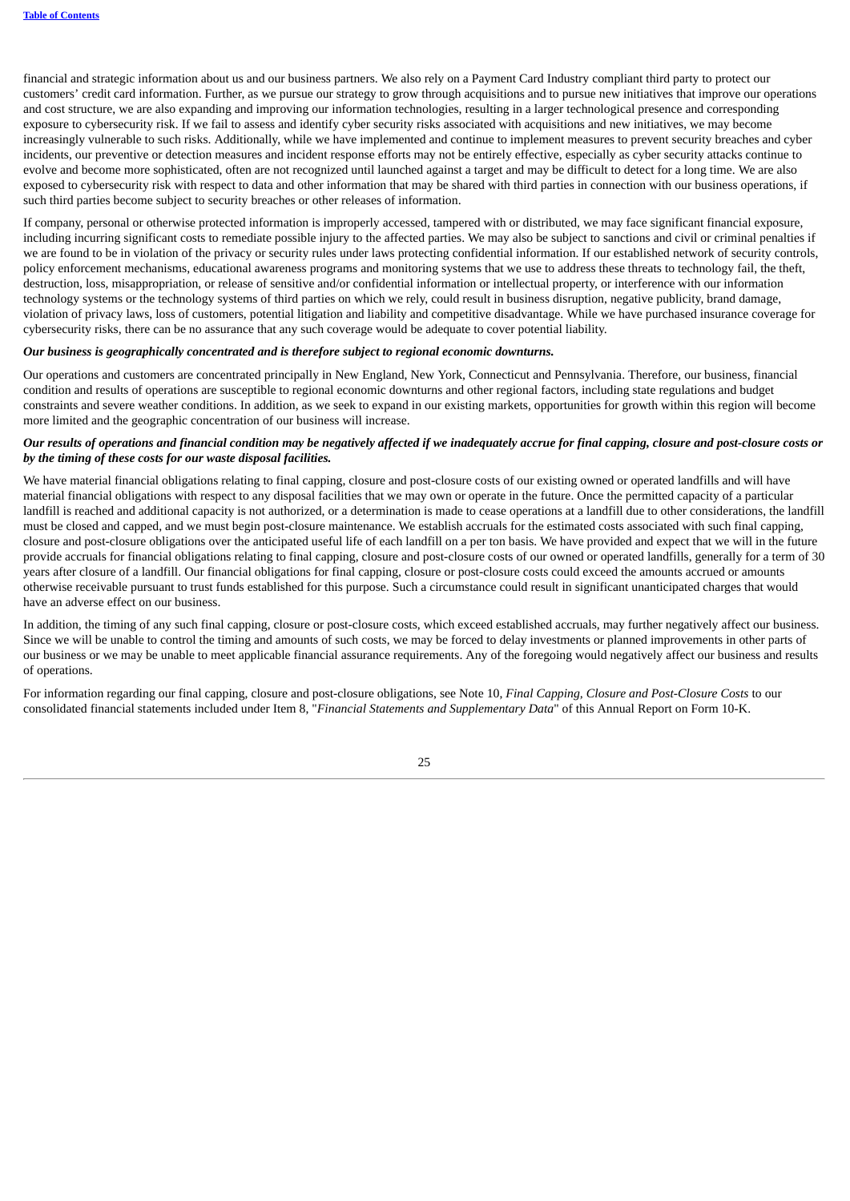financial and strategic information about us and our business partners. We also rely on a Payment Card Industry compliant third party to protect our customers' credit card information. Further, as we pursue our strategy to grow through acquisitions and to pursue new initiatives that improve our operations and cost structure, we are also expanding and improving our information technologies, resulting in a larger technological presence and corresponding exposure to cybersecurity risk. If we fail to assess and identify cyber security risks associated with acquisitions and new initiatives, we may become increasingly vulnerable to such risks. Additionally, while we have implemented and continue to implement measures to prevent security breaches and cyber incidents, our preventive or detection measures and incident response efforts may not be entirely effective, especially as cyber security attacks continue to evolve and become more sophisticated, often are not recognized until launched against a target and may be difficult to detect for a long time. We are also exposed to cybersecurity risk with respect to data and other information that may be shared with third parties in connection with our business operations, if such third parties become subject to security breaches or other releases of information.

If company, personal or otherwise protected information is improperly accessed, tampered with or distributed, we may face significant financial exposure, including incurring significant costs to remediate possible injury to the affected parties. We may also be subject to sanctions and civil or criminal penalties if we are found to be in violation of the privacy or security rules under laws protecting confidential information. If our established network of security controls, policy enforcement mechanisms, educational awareness programs and monitoring systems that we use to address these threats to technology fail, the theft, destruction, loss, misappropriation, or release of sensitive and/or confidential information or intellectual property, or interference with our information technology systems or the technology systems of third parties on which we rely, could result in business disruption, negative publicity, brand damage, violation of privacy laws, loss of customers, potential litigation and liability and competitive disadvantage. While we have purchased insurance coverage for cybersecurity risks, there can be no assurance that any such coverage would be adequate to cover potential liability.

## *Our business is geographically concentrated and is therefore subject to regional economic downturns.*

Our operations and customers are concentrated principally in New England, New York, Connecticut and Pennsylvania. Therefore, our business, financial condition and results of operations are susceptible to regional economic downturns and other regional factors, including state regulations and budget constraints and severe weather conditions. In addition, as we seek to expand in our existing markets, opportunities for growth within this region will become more limited and the geographic concentration of our business will increase.

# Our results of operations and financial condition may be negatively affected if we inadequately accrue for final capping, closure and post-closure costs or *by the timing of these costs for our waste disposal facilities.*

We have material financial obligations relating to final capping, closure and post-closure costs of our existing owned or operated landfills and will have material financial obligations with respect to any disposal facilities that we may own or operate in the future. Once the permitted capacity of a particular landfill is reached and additional capacity is not authorized, or a determination is made to cease operations at a landfill due to other considerations, the landfill must be closed and capped, and we must begin post-closure maintenance. We establish accruals for the estimated costs associated with such final capping, closure and post-closure obligations over the anticipated useful life of each landfill on a per ton basis. We have provided and expect that we will in the future provide accruals for financial obligations relating to final capping, closure and post-closure costs of our owned or operated landfills, generally for a term of 30 years after closure of a landfill. Our financial obligations for final capping, closure or post-closure costs could exceed the amounts accrued or amounts otherwise receivable pursuant to trust funds established for this purpose. Such a circumstance could result in significant unanticipated charges that would have an adverse effect on our business.

In addition, the timing of any such final capping, closure or post-closure costs, which exceed established accruals, may further negatively affect our business. Since we will be unable to control the timing and amounts of such costs, we may be forced to delay investments or planned improvements in other parts of our business or we may be unable to meet applicable financial assurance requirements. Any of the foregoing would negatively affect our business and results of operations.

For information regarding our final capping, closure and post-closure obligations, see Note 10, *Final Capping, Closure and Post-Closure Costs* to our consolidated financial statements included under Item 8, "*Financial Statements and Supplementary Data*" of this Annual Report on Form 10-K.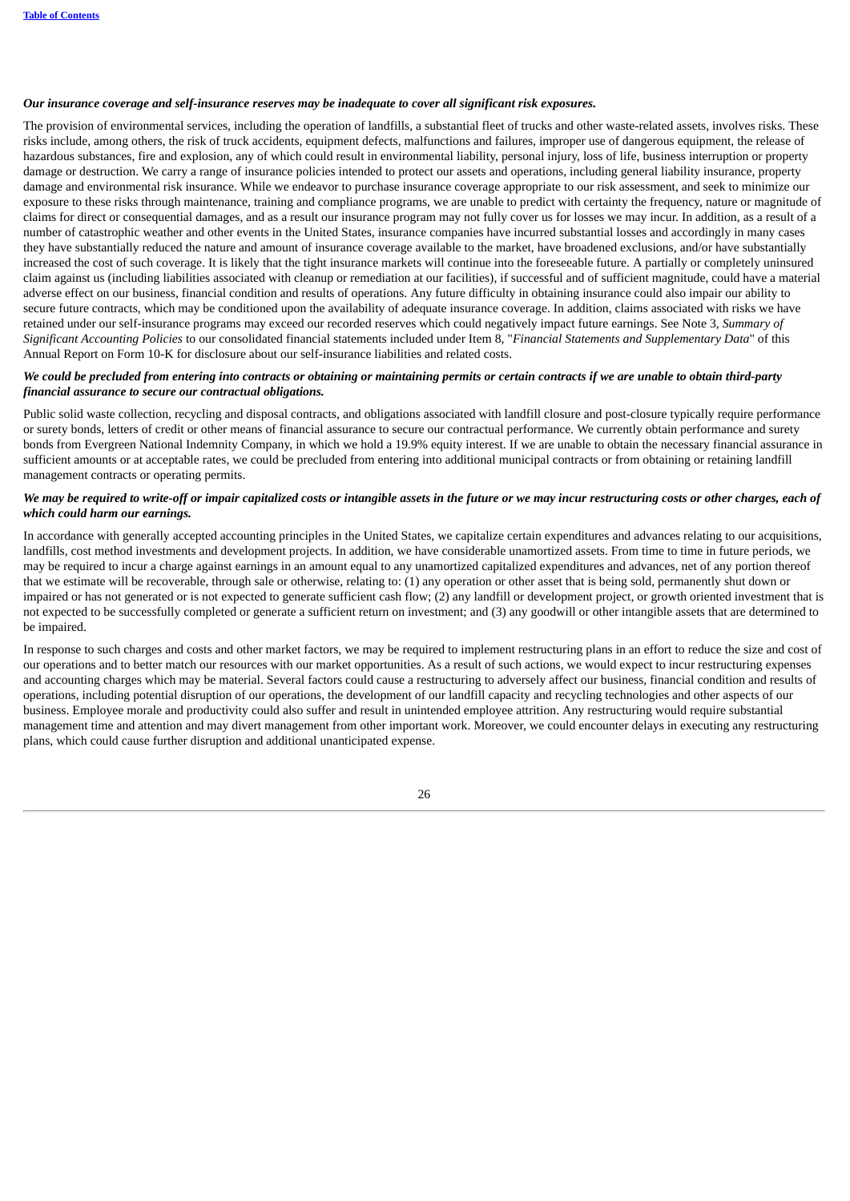## *Our insurance coverage and self-insurance reserves may be inadequate to cover all significant risk exposures.*

The provision of environmental services, including the operation of landfills, a substantial fleet of trucks and other waste-related assets, involves risks. These risks include, among others, the risk of truck accidents, equipment defects, malfunctions and failures, improper use of dangerous equipment, the release of hazardous substances, fire and explosion, any of which could result in environmental liability, personal injury, loss of life, business interruption or property damage or destruction. We carry a range of insurance policies intended to protect our assets and operations, including general liability insurance, property damage and environmental risk insurance. While we endeavor to purchase insurance coverage appropriate to our risk assessment, and seek to minimize our exposure to these risks through maintenance, training and compliance programs, we are unable to predict with certainty the frequency, nature or magnitude of claims for direct or consequential damages, and as a result our insurance program may not fully cover us for losses we may incur. In addition, as a result of a number of catastrophic weather and other events in the United States, insurance companies have incurred substantial losses and accordingly in many cases they have substantially reduced the nature and amount of insurance coverage available to the market, have broadened exclusions, and/or have substantially increased the cost of such coverage. It is likely that the tight insurance markets will continue into the foreseeable future. A partially or completely uninsured claim against us (including liabilities associated with cleanup or remediation at our facilities), if successful and of sufficient magnitude, could have a material adverse effect on our business, financial condition and results of operations. Any future difficulty in obtaining insurance could also impair our ability to secure future contracts, which may be conditioned upon the availability of adequate insurance coverage. In addition, claims associated with risks we have retained under our self-insurance programs may exceed our recorded reserves which could negatively impact future earnings. See Note 3, *Summary of Significant Accounting Policies* to our consolidated financial statements included under Item 8, "*Financial Statements and Supplementary Data*" of this Annual Report on Form 10-K for disclosure about our self-insurance liabilities and related costs.

## We could be precluded from entering into contracts or obtaining or maintaining permits or certain contracts if we are unable to obtain third-party *financial assurance to secure our contractual obligations.*

Public solid waste collection, recycling and disposal contracts, and obligations associated with landfill closure and post-closure typically require performance or surety bonds, letters of credit or other means of financial assurance to secure our contractual performance. We currently obtain performance and surety bonds from Evergreen National Indemnity Company, in which we hold a 19.9% equity interest. If we are unable to obtain the necessary financial assurance in sufficient amounts or at acceptable rates, we could be precluded from entering into additional municipal contracts or from obtaining or retaining landfill management contracts or operating permits.

## We may be required to write-off or impair capitalized costs or intangible assets in the future or we may incur restructuring costs or other charges, each of *which could harm our earnings.*

In accordance with generally accepted accounting principles in the United States, we capitalize certain expenditures and advances relating to our acquisitions, landfills, cost method investments and development projects. In addition, we have considerable unamortized assets. From time to time in future periods, we may be required to incur a charge against earnings in an amount equal to any unamortized capitalized expenditures and advances, net of any portion thereof that we estimate will be recoverable, through sale or otherwise, relating to: (1) any operation or other asset that is being sold, permanently shut down or impaired or has not generated or is not expected to generate sufficient cash flow; (2) any landfill or development project, or growth oriented investment that is not expected to be successfully completed or generate a sufficient return on investment; and (3) any goodwill or other intangible assets that are determined to be impaired.

In response to such charges and costs and other market factors, we may be required to implement restructuring plans in an effort to reduce the size and cost of our operations and to better match our resources with our market opportunities. As a result of such actions, we would expect to incur restructuring expenses and accounting charges which may be material. Several factors could cause a restructuring to adversely affect our business, financial condition and results of operations, including potential disruption of our operations, the development of our landfill capacity and recycling technologies and other aspects of our business. Employee morale and productivity could also suffer and result in unintended employee attrition. Any restructuring would require substantial management time and attention and may divert management from other important work. Moreover, we could encounter delays in executing any restructuring plans, which could cause further disruption and additional unanticipated expense.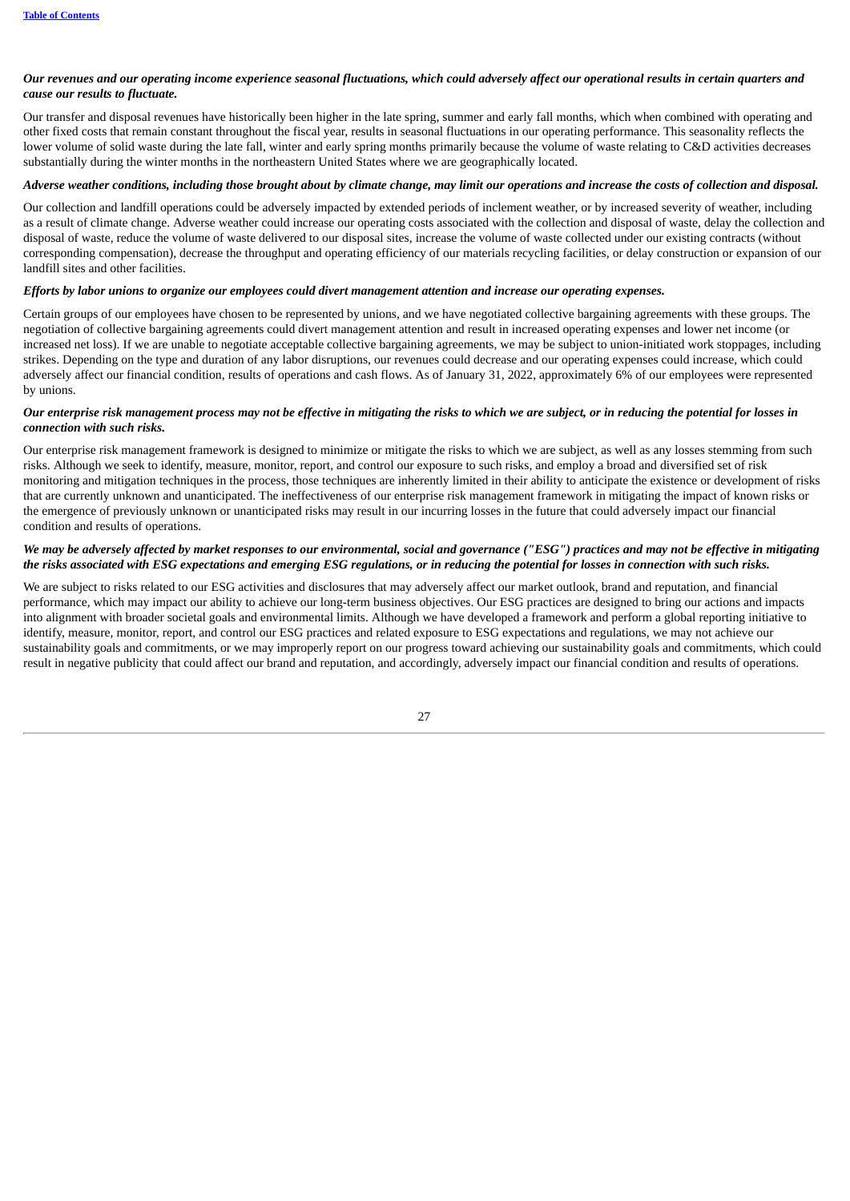## Our revenues and our operating income experience seasonal fluctuations, which could adversely affect our operational results in certain quarters and *cause our results to fluctuate.*

Our transfer and disposal revenues have historically been higher in the late spring, summer and early fall months, which when combined with operating and other fixed costs that remain constant throughout the fiscal year, results in seasonal fluctuations in our operating performance. This seasonality reflects the lower volume of solid waste during the late fall, winter and early spring months primarily because the volume of waste relating to C&D activities decreases substantially during the winter months in the northeastern United States where we are geographically located.

## Adverse weather conditions, including those brought about by climate change, may limit our operations and increase the costs of collection and disposal.

Our collection and landfill operations could be adversely impacted by extended periods of inclement weather, or by increased severity of weather, including as a result of climate change. Adverse weather could increase our operating costs associated with the collection and disposal of waste, delay the collection and disposal of waste, reduce the volume of waste delivered to our disposal sites, increase the volume of waste collected under our existing contracts (without corresponding compensation), decrease the throughput and operating efficiency of our materials recycling facilities, or delay construction or expansion of our landfill sites and other facilities.

## Efforts by labor unions to organize our employees could divert management attention and increase our operating expenses.

Certain groups of our employees have chosen to be represented by unions, and we have negotiated collective bargaining agreements with these groups. The negotiation of collective bargaining agreements could divert management attention and result in increased operating expenses and lower net income (or increased net loss). If we are unable to negotiate acceptable collective bargaining agreements, we may be subject to union-initiated work stoppages, including strikes. Depending on the type and duration of any labor disruptions, our revenues could decrease and our operating expenses could increase, which could adversely affect our financial condition, results of operations and cash flows. As of January 31, 2022, approximately 6% of our employees were represented by unions.

# Our enterprise risk management process may not be effective in mitigating the risks to which we are subject, or in reducing the potential for losses in *connection with such risks.*

Our enterprise risk management framework is designed to minimize or mitigate the risks to which we are subject, as well as any losses stemming from such risks. Although we seek to identify, measure, monitor, report, and control our exposure to such risks, and employ a broad and diversified set of risk monitoring and mitigation techniques in the process, those techniques are inherently limited in their ability to anticipate the existence or development of risks that are currently unknown and unanticipated. The ineffectiveness of our enterprise risk management framework in mitigating the impact of known risks or the emergence of previously unknown or unanticipated risks may result in our incurring losses in the future that could adversely impact our financial condition and results of operations.

# We may be adversely affected by market responses to our environmental, social and governance ("ESG") practices and may not be effective in mitigating the risks associated with ESG expectations and emerging ESG regulations, or in reducing the potential for losses in connection with such risks.

We are subject to risks related to our ESG activities and disclosures that may adversely affect our market outlook, brand and reputation, and financial performance, which may impact our ability to achieve our long-term business objectives. Our ESG practices are designed to bring our actions and impacts into alignment with broader societal goals and environmental limits. Although we have developed a framework and perform a global reporting initiative to identify, measure, monitor, report, and control our ESG practices and related exposure to ESG expectations and regulations, we may not achieve our sustainability goals and commitments, or we may improperly report on our progress toward achieving our sustainability goals and commitments, which could result in negative publicity that could affect our brand and reputation, and accordingly, adversely impact our financial condition and results of operations.

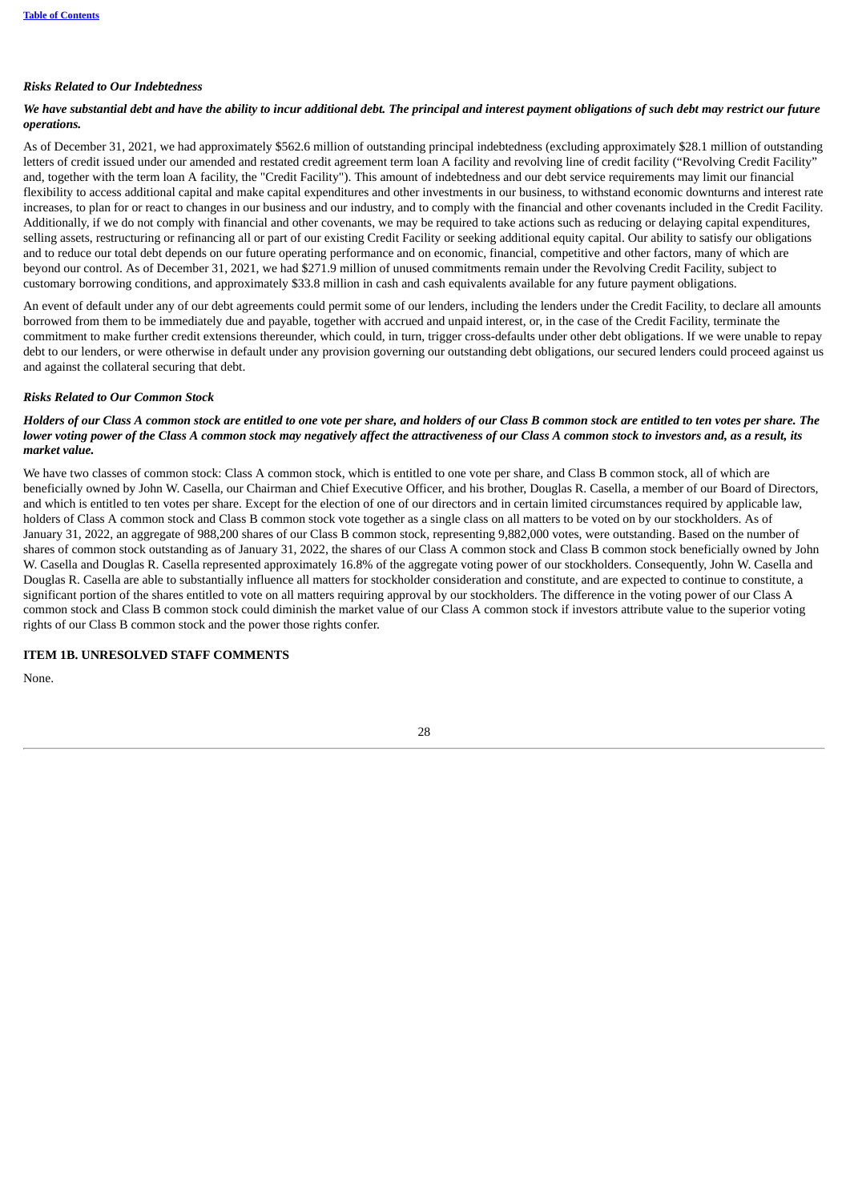#### *Risks Related to Our Indebtedness*

# We have substantial debt and have the ability to incur additional debt. The principal and interest payment obligations of such debt may restrict our future *operations.*

As of December 31, 2021, we had approximately \$562.6 million of outstanding principal indebtedness (excluding approximately \$28.1 million of outstanding letters of credit issued under our amended and restated credit agreement term loan A facility and revolving line of credit facility ("Revolving Credit Facility" and, together with the term loan A facility, the "Credit Facility"). This amount of indebtedness and our debt service requirements may limit our financial flexibility to access additional capital and make capital expenditures and other investments in our business, to withstand economic downturns and interest rate increases, to plan for or react to changes in our business and our industry, and to comply with the financial and other covenants included in the Credit Facility. Additionally, if we do not comply with financial and other covenants, we may be required to take actions such as reducing or delaying capital expenditures, selling assets, restructuring or refinancing all or part of our existing Credit Facility or seeking additional equity capital. Our ability to satisfy our obligations and to reduce our total debt depends on our future operating performance and on economic, financial, competitive and other factors, many of which are beyond our control. As of December 31, 2021, we had \$271.9 million of unused commitments remain under the Revolving Credit Facility, subject to customary borrowing conditions, and approximately \$33.8 million in cash and cash equivalents available for any future payment obligations.

An event of default under any of our debt agreements could permit some of our lenders, including the lenders under the Credit Facility, to declare all amounts borrowed from them to be immediately due and payable, together with accrued and unpaid interest, or, in the case of the Credit Facility, terminate the commitment to make further credit extensions thereunder, which could, in turn, trigger cross-defaults under other debt obligations. If we were unable to repay debt to our lenders, or were otherwise in default under any provision governing our outstanding debt obligations, our secured lenders could proceed against us and against the collateral securing that debt.

### *Risks Related to Our Common Stock*

# Holders of our Class A common stock are entitled to one vote per share, and holders of our Class B common stock are entitled to ten votes per share. The lower voting power of the Class A common stock may negatively affect the attractiveness of our Class A common stock to investors and, as a result, its *market value.*

We have two classes of common stock: Class A common stock, which is entitled to one vote per share, and Class B common stock, all of which are beneficially owned by John W. Casella, our Chairman and Chief Executive Officer, and his brother, Douglas R. Casella, a member of our Board of Directors, and which is entitled to ten votes per share. Except for the election of one of our directors and in certain limited circumstances required by applicable law, holders of Class A common stock and Class B common stock vote together as a single class on all matters to be voted on by our stockholders. As of January 31, 2022, an aggregate of 988,200 shares of our Class B common stock, representing 9,882,000 votes, were outstanding. Based on the number of shares of common stock outstanding as of January 31, 2022, the shares of our Class A common stock and Class B common stock beneficially owned by John W. Casella and Douglas R. Casella represented approximately 16.8% of the aggregate voting power of our stockholders. Consequently, John W. Casella and Douglas R. Casella are able to substantially influence all matters for stockholder consideration and constitute, and are expected to continue to constitute, a significant portion of the shares entitled to vote on all matters requiring approval by our stockholders. The difference in the voting power of our Class A common stock and Class B common stock could diminish the market value of our Class A common stock if investors attribute value to the superior voting rights of our Class B common stock and the power those rights confer.

#### <span id="page-27-0"></span>**ITEM 1B. UNRESOLVED STAFF COMMENTS**

<span id="page-27-1"></span>None.

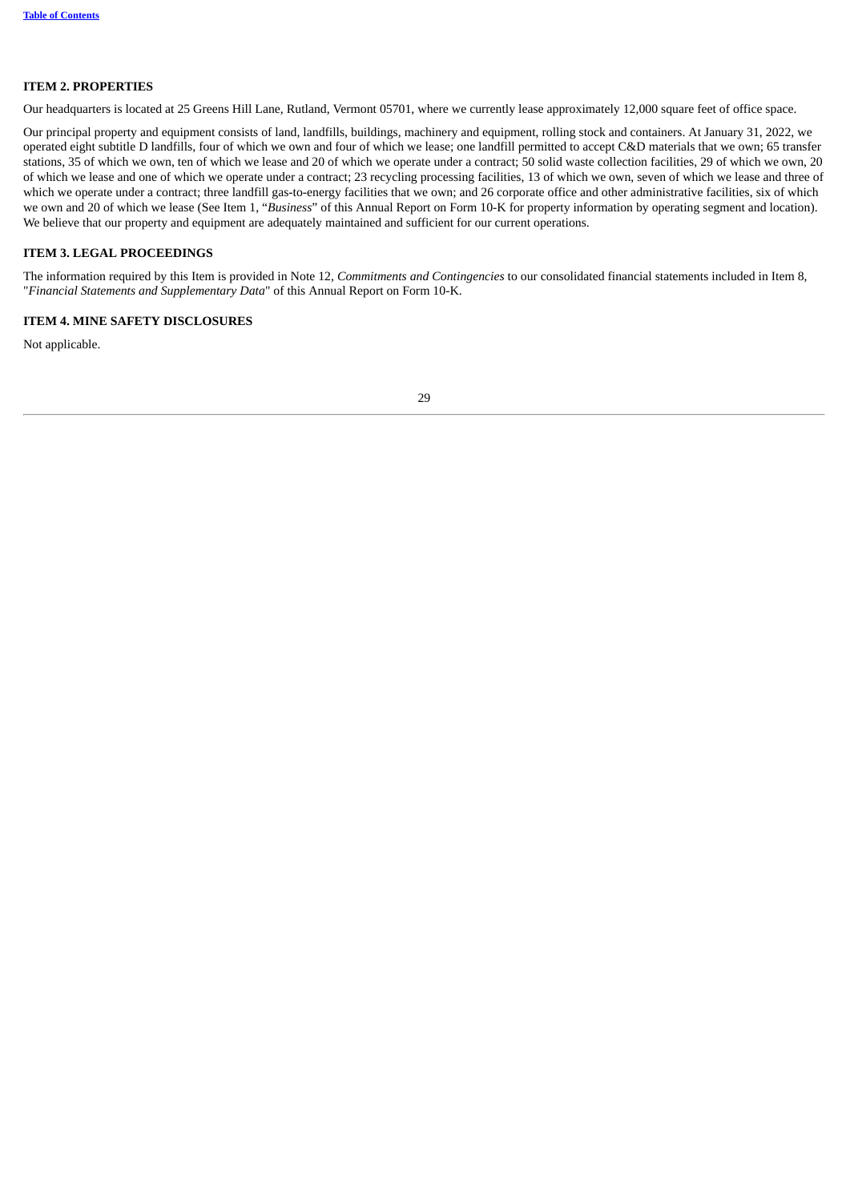# **ITEM 2. PROPERTIES**

Our headquarters is located at 25 Greens Hill Lane, Rutland, Vermont 05701, where we currently lease approximately 12,000 square feet of office space.

Our principal property and equipment consists of land, landfills, buildings, machinery and equipment, rolling stock and containers. At January 31, 2022, we operated eight subtitle D landfills, four of which we own and four of which we lease; one landfill permitted to accept C&D materials that we own; 65 transfer stations, 35 of which we own, ten of which we lease and 20 of which we operate under a contract; 50 solid waste collection facilities, 29 of which we own, 20 of which we lease and one of which we operate under a contract; 23 recycling processing facilities, 13 of which we own, seven of which we lease and three of which we operate under a contract; three landfill gas-to-energy facilities that we own; and 26 corporate office and other administrative facilities, six of which we own and 20 of which we lease (See Item 1, "*Business*" of this Annual Report on Form 10-K for property information by operating segment and location). We believe that our property and equipment are adequately maintained and sufficient for our current operations.

# <span id="page-28-0"></span>**ITEM 3. LEGAL PROCEEDINGS**

The information required by this Item is provided in Note 12, *Commitments and Contingencies* to our consolidated financial statements included in Item 8, "*Financial Statements and Supplementary Data*" of this Annual Report on Form 10-K.

# <span id="page-28-1"></span>**ITEM 4. MINE SAFETY DISCLOSURES**

<span id="page-28-2"></span>Not applicable.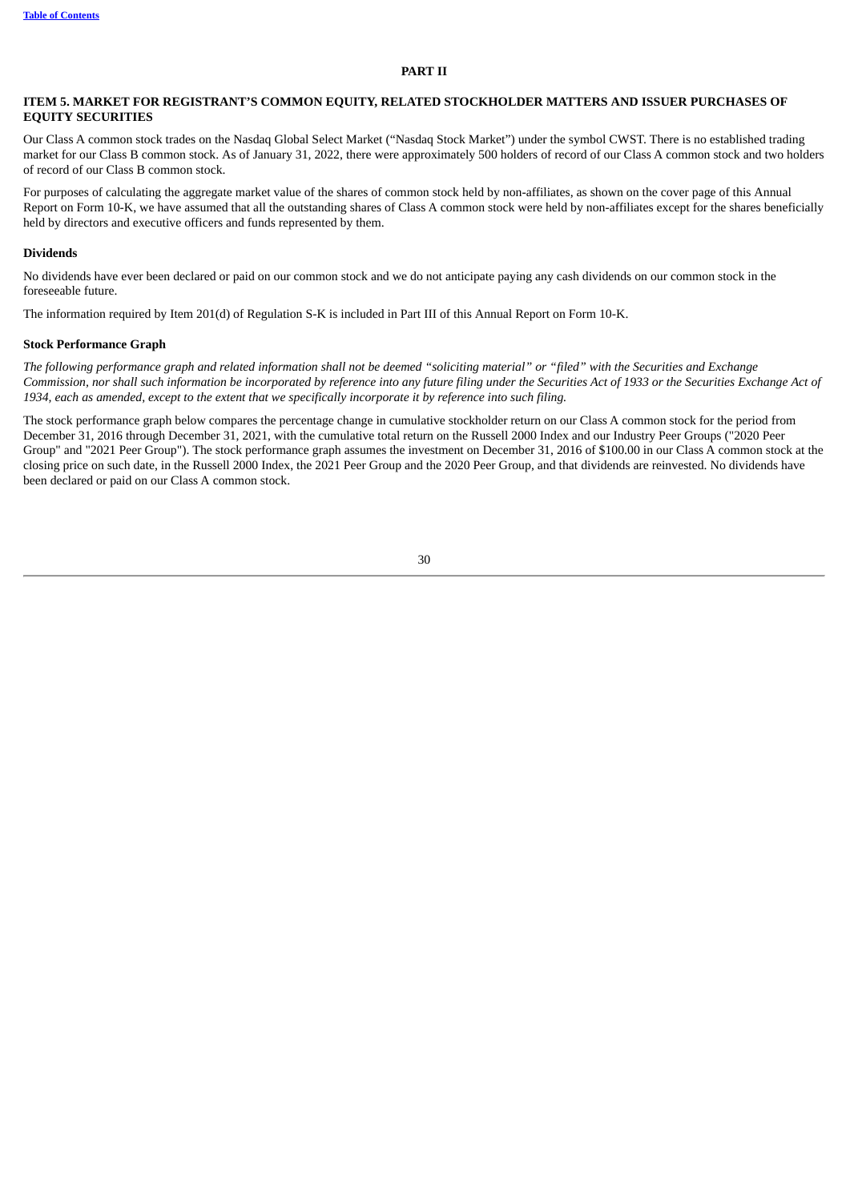#### **PART II**

# <span id="page-29-0"></span>**ITEM 5. MARKET FOR REGISTRANT'S COMMON EQUITY, RELATED STOCKHOLDER MATTERS AND ISSUER PURCHASES OF EQUITY SECURITIES**

Our Class A common stock trades on the Nasdaq Global Select Market ("Nasdaq Stock Market") under the symbol CWST. There is no established trading market for our Class B common stock. As of January 31, 2022, there were approximately 500 holders of record of our Class A common stock and two holders of record of our Class B common stock.

For purposes of calculating the aggregate market value of the shares of common stock held by non-affiliates, as shown on the cover page of this Annual Report on Form 10-K, we have assumed that all the outstanding shares of Class A common stock were held by non-affiliates except for the shares beneficially held by directors and executive officers and funds represented by them.

## **Dividends**

No dividends have ever been declared or paid on our common stock and we do not anticipate paying any cash dividends on our common stock in the foreseeable future.

The information required by Item 201(d) of Regulation S-K is included in Part III of this Annual Report on Form 10-K.

#### **Stock Performance Graph**

The following performance graph and related information shall not be deemed "soliciting material" or "filed" with the Securities and Exchange Commission, nor shall such information be incorporated by reference into any future filing under the Securities Act of 1933 or the Securities Exchange Act of 1934, each as amended, except to the extent that we specifically incorporate it by reference into such filing.

The stock performance graph below compares the percentage change in cumulative stockholder return on our Class A common stock for the period from December 31, 2016 through December 31, 2021, with the cumulative total return on the Russell 2000 Index and our Industry Peer Groups ("2020 Peer Group" and "2021 Peer Group"). The stock performance graph assumes the investment on December 31, 2016 of \$100.00 in our Class A common stock at the closing price on such date, in the Russell 2000 Index, the 2021 Peer Group and the 2020 Peer Group, and that dividends are reinvested. No dividends have been declared or paid on our Class A common stock.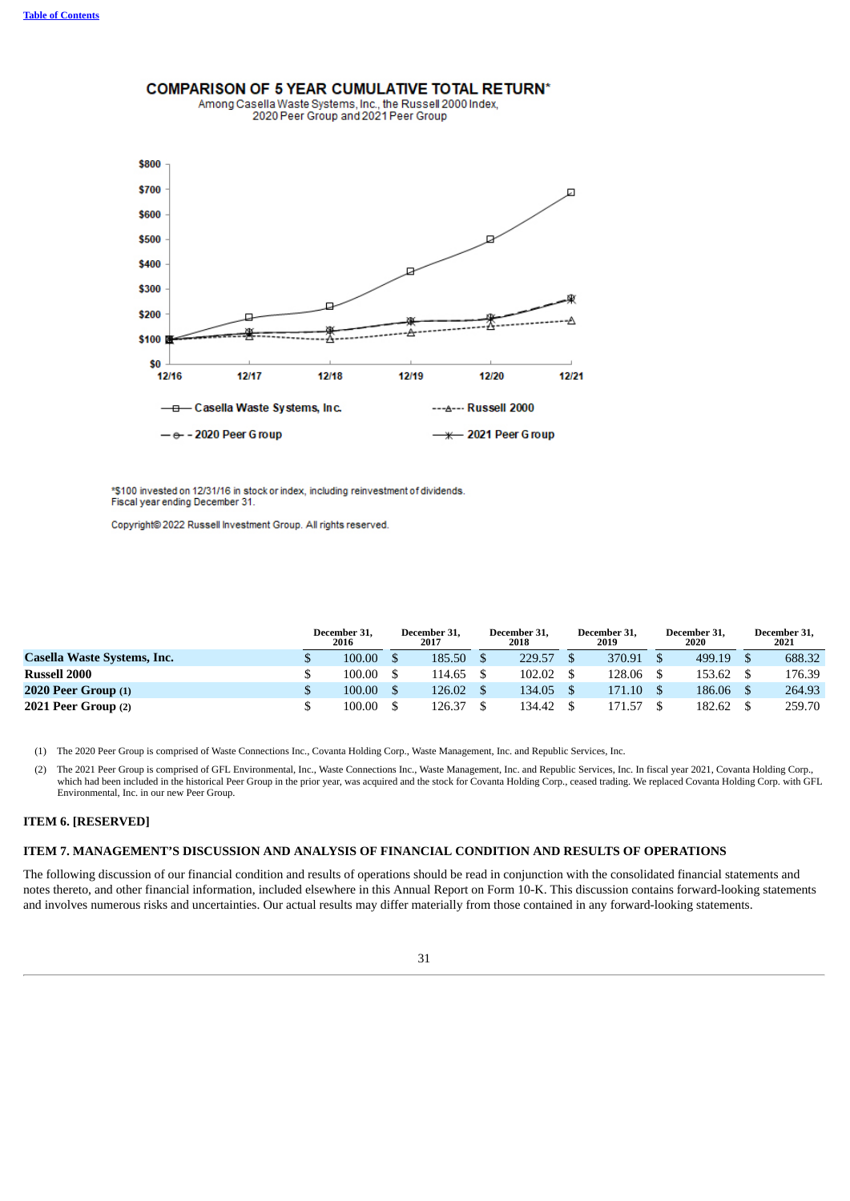

\*\$100 invested on 12/31/16 in stock or index, including reinvestment of dividends. Fiscal year ending December 31.

Copyright@ 2022 Russell Investment Group. All rights reserved.

|                             | December 31.<br>2016 |        | December 31.<br>2017 |           | December 31,<br>2018 |        | December 31,<br>2019 |        | December 31,<br>2020 |        | December 31,<br>2021 |        |
|-----------------------------|----------------------|--------|----------------------|-----------|----------------------|--------|----------------------|--------|----------------------|--------|----------------------|--------|
| Casella Waste Systems, Inc. |                      | 100.00 |                      | 185.50    |                      | 229.57 |                      | 370.91 |                      | 499.19 |                      | 688.32 |
| <b>Russell 2000</b>         |                      | 100.00 |                      | 114.65 \$ |                      | 102.02 |                      | 128.06 |                      | 153.62 |                      | 176.39 |
| 2020 Peer Group $(1)$       |                      | 100.00 |                      | 126.02    |                      | 134.05 |                      | 171.10 |                      | 186.06 |                      | 264.93 |
| 2021 Peer Group (2)         |                      | 100.00 |                      | 126.37    |                      | 34.42  |                      | 171.57 |                      | 182.62 |                      | 259.70 |

(1) The 2020 Peer Group is comprised of Waste Connections Inc., Covanta Holding Corp., Waste Management, Inc. and Republic Services, Inc.

(2) The 2021 Peer Group is comprised of GFL Environmental, Inc., Waste Connections Inc., Waste Management, Inc. and Republic Services, Inc. In fiscal year 2021, Covanta Holding Corp., which had been included in the historical Peer Group in the prior year, was acquired and the stock for Covanta Holding Corp., ceased trading. We replaced Covanta Holding Corp. with GFL Environmental, Inc. in our new Peer Group.

## <span id="page-30-1"></span><span id="page-30-0"></span>**ITEM 6. [RESERVED]**

# **ITEM 7. MANAGEMENT'S DISCUSSION AND ANALYSIS OF FINANCIAL CONDITION AND RESULTS OF OPERATIONS**

The following discussion of our financial condition and results of operations should be read in conjunction with the consolidated financial statements and notes thereto, and other financial information, included elsewhere in this Annual Report on Form 10-K. This discussion contains forward-looking statements and involves numerous risks and uncertainties. Our actual results may differ materially from those contained in any forward-looking statements.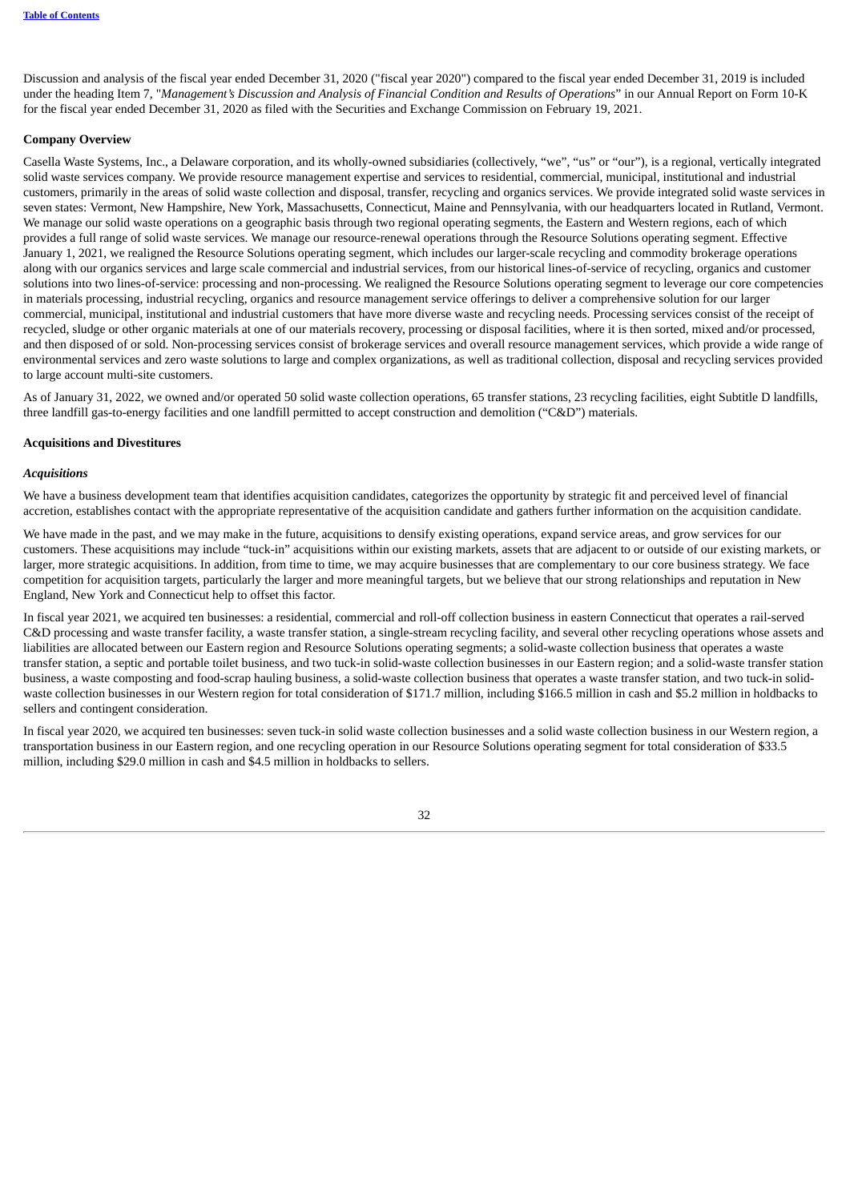Discussion and analysis of the fiscal year ended December 31, 2020 ("fiscal year 2020") compared to the fiscal year ended December 31, 2019 is included under the heading Item 7, "*Management's Discussion and Analysis of Financial Condition and Results of Operations*" in our Annual Report on Form 10-K for the fiscal year ended December 31, 2020 as filed with the Securities and Exchange Commission on February 19, 2021.

## **Company Overview**

Casella Waste Systems, Inc., a Delaware corporation, and its wholly-owned subsidiaries (collectively, "we", "us" or "our"), is a regional, vertically integrated solid waste services company. We provide resource management expertise and services to residential, commercial, municipal, institutional and industrial customers, primarily in the areas of solid waste collection and disposal, transfer, recycling and organics services. We provide integrated solid waste services in seven states: Vermont, New Hampshire, New York, Massachusetts, Connecticut, Maine and Pennsylvania, with our headquarters located in Rutland, Vermont. We manage our solid waste operations on a geographic basis through two regional operating segments, the Eastern and Western regions, each of which provides a full range of solid waste services. We manage our resource-renewal operations through the Resource Solutions operating segment. Effective January 1, 2021, we realigned the Resource Solutions operating segment, which includes our larger-scale recycling and commodity brokerage operations along with our organics services and large scale commercial and industrial services, from our historical lines-of-service of recycling, organics and customer solutions into two lines-of-service: processing and non-processing. We realigned the Resource Solutions operating segment to leverage our core competencies in materials processing, industrial recycling, organics and resource management service offerings to deliver a comprehensive solution for our larger commercial, municipal, institutional and industrial customers that have more diverse waste and recycling needs. Processing services consist of the receipt of recycled, sludge or other organic materials at one of our materials recovery, processing or disposal facilities, where it is then sorted, mixed and/or processed, and then disposed of or sold. Non-processing services consist of brokerage services and overall resource management services, which provide a wide range of environmental services and zero waste solutions to large and complex organizations, as well as traditional collection, disposal and recycling services provided to large account multi-site customers.

As of January 31, 2022, we owned and/or operated 50 solid waste collection operations, 65 transfer stations, 23 recycling facilities, eight Subtitle D landfills, three landfill gas-to-energy facilities and one landfill permitted to accept construction and demolition ("C&D") materials.

## **Acquisitions and Divestitures**

## *Acquisitions*

We have a business development team that identifies acquisition candidates, categorizes the opportunity by strategic fit and perceived level of financial accretion, establishes contact with the appropriate representative of the acquisition candidate and gathers further information on the acquisition candidate.

We have made in the past, and we may make in the future, acquisitions to densify existing operations, expand service areas, and grow services for our customers. These acquisitions may include "tuck-in" acquisitions within our existing markets, assets that are adjacent to or outside of our existing markets, or larger, more strategic acquisitions. In addition, from time to time, we may acquire businesses that are complementary to our core business strategy. We face competition for acquisition targets, particularly the larger and more meaningful targets, but we believe that our strong relationships and reputation in New England, New York and Connecticut help to offset this factor.

In fiscal year 2021, we acquired ten businesses: a residential, commercial and roll-off collection business in eastern Connecticut that operates a rail-served C&D processing and waste transfer facility, a waste transfer station, a single-stream recycling facility, and several other recycling operations whose assets and liabilities are allocated between our Eastern region and Resource Solutions operating segments; a solid-waste collection business that operates a waste transfer station, a septic and portable toilet business, and two tuck-in solid-waste collection businesses in our Eastern region; and a solid-waste transfer station business, a waste composting and food-scrap hauling business, a solid-waste collection business that operates a waste transfer station, and two tuck-in solidwaste collection businesses in our Western region for total consideration of \$171.7 million, including \$166.5 million in cash and \$5.2 million in holdbacks to sellers and contingent consideration.

In fiscal year 2020, we acquired ten businesses: seven tuck-in solid waste collection businesses and a solid waste collection business in our Western region, a transportation business in our Eastern region, and one recycling operation in our Resource Solutions operating segment for total consideration of \$33.5 million, including \$29.0 million in cash and \$4.5 million in holdbacks to sellers.

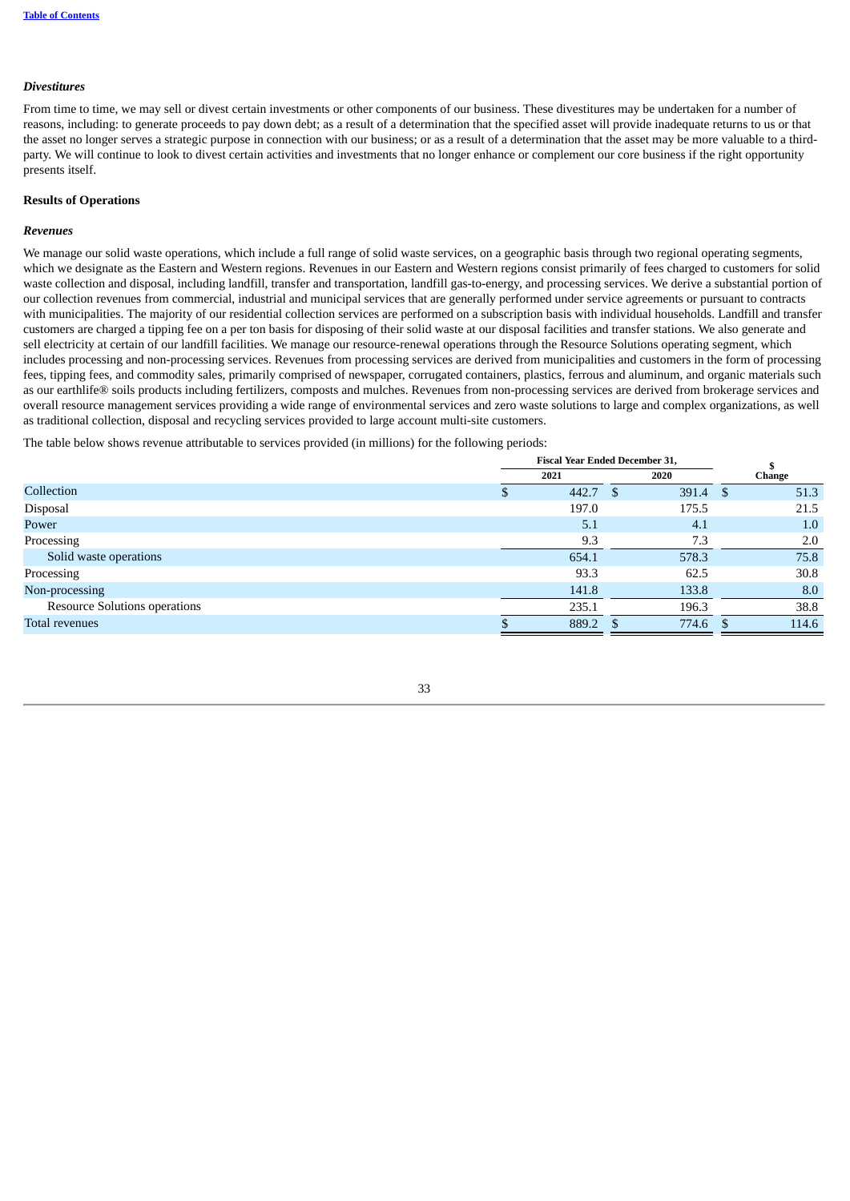#### *Divestitures*

From time to time, we may sell or divest certain investments or other components of our business. These divestitures may be undertaken for a number of reasons, including: to generate proceeds to pay down debt; as a result of a determination that the specified asset will provide inadequate returns to us or that the asset no longer serves a strategic purpose in connection with our business; or as a result of a determination that the asset may be more valuable to a thirdparty. We will continue to look to divest certain activities and investments that no longer enhance or complement our core business if the right opportunity presents itself.

## **Results of Operations**

#### *Revenues*

We manage our solid waste operations, which include a full range of solid waste services, on a geographic basis through two regional operating segments, which we designate as the Eastern and Western regions. Revenues in our Eastern and Western regions consist primarily of fees charged to customers for solid waste collection and disposal, including landfill, transfer and transportation, landfill gas-to-energy, and processing services. We derive a substantial portion of our collection revenues from commercial, industrial and municipal services that are generally performed under service agreements or pursuant to contracts with municipalities. The majority of our residential collection services are performed on a subscription basis with individual households. Landfill and transfer customers are charged a tipping fee on a per ton basis for disposing of their solid waste at our disposal facilities and transfer stations. We also generate and sell electricity at certain of our landfill facilities. We manage our resource-renewal operations through the Resource Solutions operating segment, which includes processing and non-processing services. Revenues from processing services are derived from municipalities and customers in the form of processing fees, tipping fees, and commodity sales, primarily comprised of newspaper, corrugated containers, plastics, ferrous and aluminum, and organic materials such as our earthlife® soils products including fertilizers, composts and mulches. Revenues from non-processing services are derived from brokerage services and overall resource management services providing a wide range of environmental services and zero waste solutions to large and complex organizations, as well as traditional collection, disposal and recycling services provided to large account multi-site customers.

The table below shows revenue attributable to services provided (in millions) for the following periods:

|                               | <b>Fiscal Year Ended December 31,</b> |   |       |      |        |  |
|-------------------------------|---------------------------------------|---|-------|------|--------|--|
|                               | 2021                                  |   |       |      | Change |  |
| Collection                    | 442.7                                 | S | 391.4 | - \$ | 51.3   |  |
| Disposal                      | 197.0                                 |   | 175.5 |      | 21.5   |  |
| Power                         | 5.1                                   |   | 4.1   |      | 1.0    |  |
| Processing                    | 9.3                                   |   | 7.3   |      | 2.0    |  |
| Solid waste operations        | 654.1                                 |   | 578.3 |      | 75.8   |  |
| Processing                    | 93.3                                  |   | 62.5  |      | 30.8   |  |
| Non-processing                | 141.8                                 |   | 133.8 |      | 8.0    |  |
| Resource Solutions operations | 235.1                                 |   | 196.3 |      | 38.8   |  |
| Total revenues                | 889.2                                 |   | 774.6 |      | 114.6  |  |
|                               |                                       |   |       |      |        |  |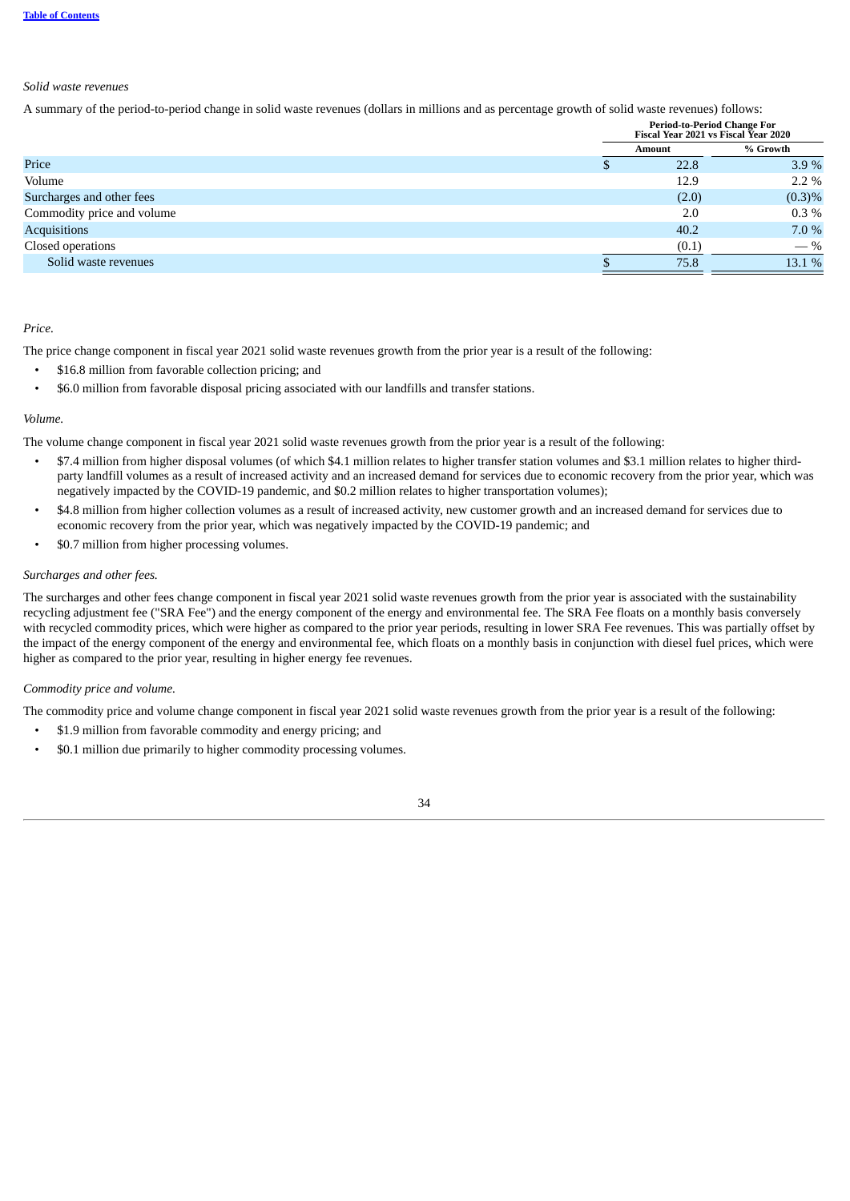## *Solid waste revenues*

A summary of the period-to-period change in solid waste revenues (dollars in millions and as percentage growth of solid waste revenues) follows:

| <b>Period-to-Period Change For</b><br>Fiscal Year 2021 vs Fiscal Year 2020 |        |          |  |  |
|----------------------------------------------------------------------------|--------|----------|--|--|
|                                                                            | Amount | % Growth |  |  |
|                                                                            | 22.8   | 3.9%     |  |  |
|                                                                            | 12.9   | $2.2\%$  |  |  |
|                                                                            | (2.0)  | (0.3)%   |  |  |
|                                                                            | 2.0    | $0.3\%$  |  |  |
|                                                                            | 40.2   | 7.0 %    |  |  |
|                                                                            | (0.1)  | $-$ %    |  |  |
|                                                                            | 75.8   | 13.1 %   |  |  |
|                                                                            |        |          |  |  |

# *Price.*

The price change component in fiscal year 2021 solid waste revenues growth from the prior year is a result of the following:

- \$16.8 million from favorable collection pricing; and
- \$6.0 million from favorable disposal pricing associated with our landfills and transfer stations.

## *Volume.*

The volume change component in fiscal year 2021 solid waste revenues growth from the prior year is a result of the following:

- \$7.4 million from higher disposal volumes (of which \$4.1 million relates to higher transfer station volumes and \$3.1 million relates to higher thirdparty landfill volumes as a result of increased activity and an increased demand for services due to economic recovery from the prior year, which was negatively impacted by the COVID-19 pandemic, and \$0.2 million relates to higher transportation volumes);
- \$4.8 million from higher collection volumes as a result of increased activity, new customer growth and an increased demand for services due to economic recovery from the prior year, which was negatively impacted by the COVID-19 pandemic; and
- \$0.7 million from higher processing volumes.

## *Surcharges and other fees.*

The surcharges and other fees change component in fiscal year 2021 solid waste revenues growth from the prior year is associated with the sustainability recycling adjustment fee ("SRA Fee") and the energy component of the energy and environmental fee. The SRA Fee floats on a monthly basis conversely with recycled commodity prices, which were higher as compared to the prior year periods, resulting in lower SRA Fee revenues. This was partially offset by the impact of the energy component of the energy and environmental fee, which floats on a monthly basis in conjunction with diesel fuel prices, which were higher as compared to the prior year, resulting in higher energy fee revenues.

## *Commodity price and volume.*

The commodity price and volume change component in fiscal year 2021 solid waste revenues growth from the prior year is a result of the following:

- \$1.9 million from favorable commodity and energy pricing; and
- \$0.1 million due primarily to higher commodity processing volumes.

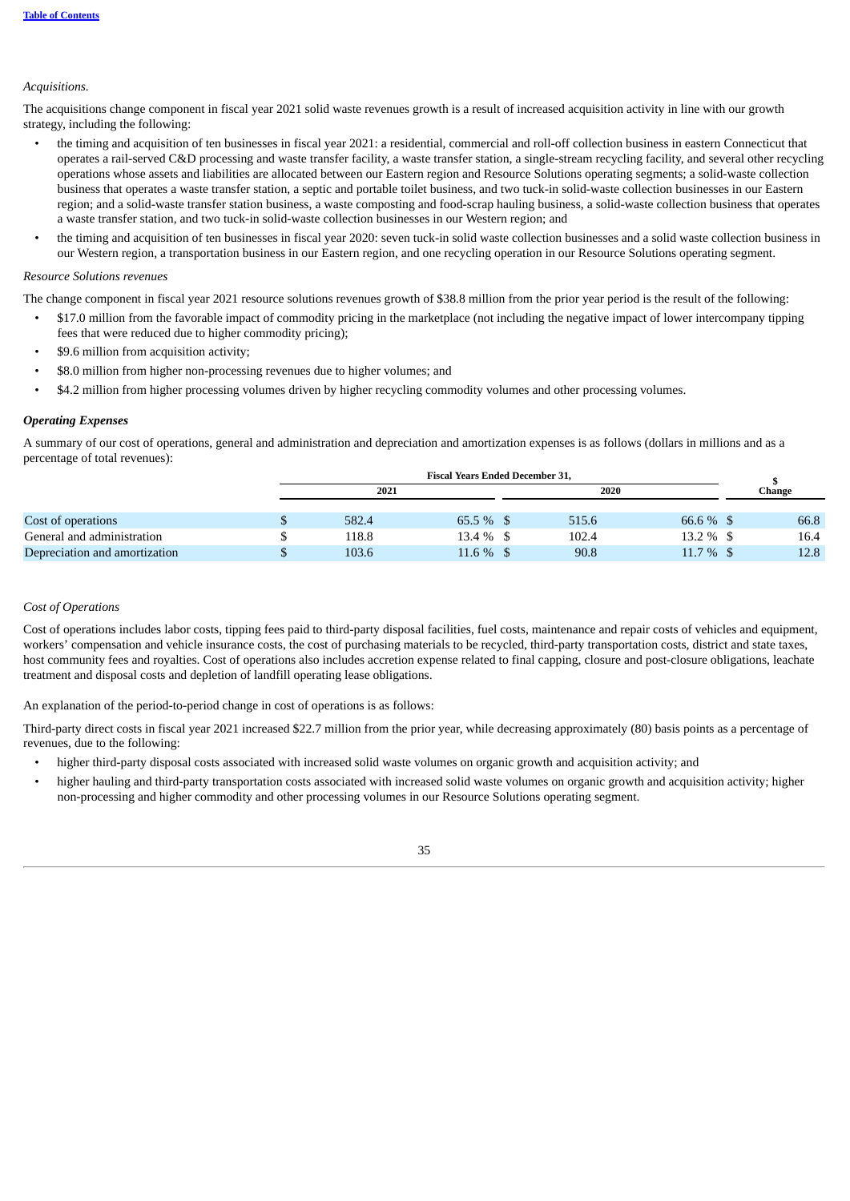#### *Acquisitions.*

The acquisitions change component in fiscal year 2021 solid waste revenues growth is a result of increased acquisition activity in line with our growth strategy, including the following:

- the timing and acquisition of ten businesses in fiscal year 2021: a residential, commercial and roll-off collection business in eastern Connecticut that operates a rail-served C&D processing and waste transfer facility, a waste transfer station, a single-stream recycling facility, and several other recycling operations whose assets and liabilities are allocated between our Eastern region and Resource Solutions operating segments; a solid-waste collection business that operates a waste transfer station, a septic and portable toilet business, and two tuck-in solid-waste collection businesses in our Eastern region; and a solid-waste transfer station business, a waste composting and food-scrap hauling business, a solid-waste collection business that operates a waste transfer station, and two tuck-in solid-waste collection businesses in our Western region; and
- the timing and acquisition of ten businesses in fiscal year 2020: seven tuck-in solid waste collection businesses and a solid waste collection business in our Western region, a transportation business in our Eastern region, and one recycling operation in our Resource Solutions operating segment.

#### *Resource Solutions revenues*

The change component in fiscal year 2021 resource solutions revenues growth of \$38.8 million from the prior year period is the result of the following:

- \$17.0 million from the favorable impact of commodity pricing in the marketplace (not including the negative impact of lower intercompany tipping fees that were reduced due to higher commodity pricing);
- \$9.6 million from acquisition activity;
- \$8.0 million from higher non-processing revenues due to higher volumes; and
- \$4.2 million from higher processing volumes driven by higher recycling commodity volumes and other processing volumes.

## *Operating Expenses*

A summary of our cost of operations, general and administration and depreciation and amortization expenses is as follows (dollars in millions and as a percentage of total revenues):

|                               | <b>Fiscal Years Ended December 31.</b> |             |       |              |      |  |
|-------------------------------|----------------------------------------|-------------|-------|--------------|------|--|
|                               | 2021                                   |             | 2020  | Change       |      |  |
|                               |                                        |             |       |              |      |  |
| Cost of operations            | 582.4                                  | 65.5 $%$ \$ | 515.6 | 66.6 % \$    | 66.8 |  |
| General and administration    | 118.8                                  | $13.4\%$ \$ | 102.4 | $13.2 \%$ \$ | 16.4 |  |
| Depreciation and amortization | 103.6                                  | $11.6\%$ \$ | 90.8  | $11.7\%$ \$  | 12.8 |  |

## *Cost of Operations*

Cost of operations includes labor costs, tipping fees paid to third-party disposal facilities, fuel costs, maintenance and repair costs of vehicles and equipment, workers' compensation and vehicle insurance costs, the cost of purchasing materials to be recycled, third-party transportation costs, district and state taxes, host community fees and royalties. Cost of operations also includes accretion expense related to final capping, closure and post-closure obligations, leachate treatment and disposal costs and depletion of landfill operating lease obligations.

An explanation of the period-to-period change in cost of operations is as follows:

Third-party direct costs in fiscal year 2021 increased \$22.7 million from the prior year, while decreasing approximately (80) basis points as a percentage of revenues, due to the following:

- higher third-party disposal costs associated with increased solid waste volumes on organic growth and acquisition activity; and
- higher hauling and third-party transportation costs associated with increased solid waste volumes on organic growth and acquisition activity; higher non-processing and higher commodity and other processing volumes in our Resource Solutions operating segment.

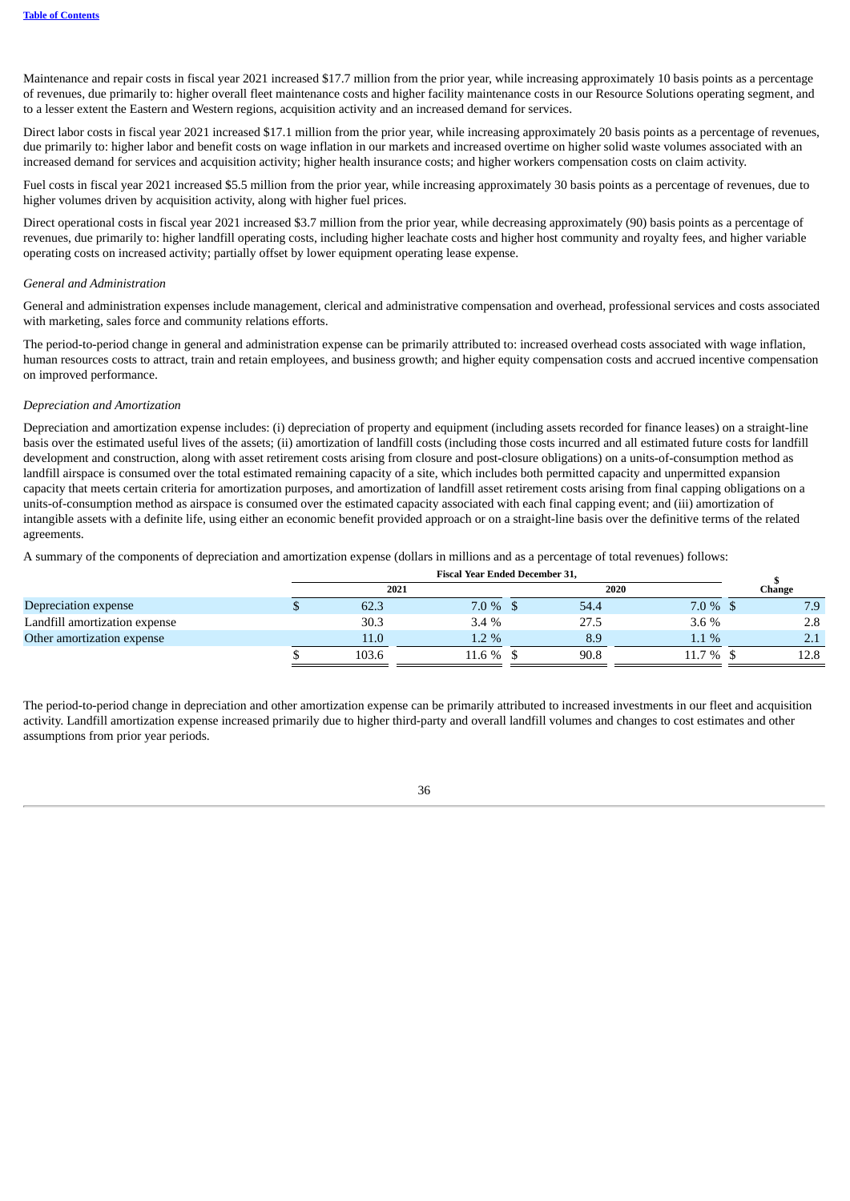Maintenance and repair costs in fiscal year 2021 increased \$17.7 million from the prior year, while increasing approximately 10 basis points as a percentage of revenues, due primarily to: higher overall fleet maintenance costs and higher facility maintenance costs in our Resource Solutions operating segment, and to a lesser extent the Eastern and Western regions, acquisition activity and an increased demand for services.

Direct labor costs in fiscal year 2021 increased \$17.1 million from the prior year, while increasing approximately 20 basis points as a percentage of revenues, due primarily to: higher labor and benefit costs on wage inflation in our markets and increased overtime on higher solid waste volumes associated with an increased demand for services and acquisition activity; higher health insurance costs; and higher workers compensation costs on claim activity.

Fuel costs in fiscal year 2021 increased \$5.5 million from the prior year, while increasing approximately 30 basis points as a percentage of revenues, due to higher volumes driven by acquisition activity, along with higher fuel prices.

Direct operational costs in fiscal year 2021 increased \$3.7 million from the prior year, while decreasing approximately (90) basis points as a percentage of revenues, due primarily to: higher landfill operating costs, including higher leachate costs and higher host community and royalty fees, and higher variable operating costs on increased activity; partially offset by lower equipment operating lease expense.

#### *General and Administration*

General and administration expenses include management, clerical and administrative compensation and overhead, professional services and costs associated with marketing, sales force and community relations efforts.

The period-to-period change in general and administration expense can be primarily attributed to: increased overhead costs associated with wage inflation, human resources costs to attract, train and retain employees, and business growth; and higher equity compensation costs and accrued incentive compensation on improved performance.

## *Depreciation and Amortization*

Depreciation and amortization expense includes: (i) depreciation of property and equipment (including assets recorded for finance leases) on a straight-line basis over the estimated useful lives of the assets; (ii) amortization of landfill costs (including those costs incurred and all estimated future costs for landfill development and construction, along with asset retirement costs arising from closure and post-closure obligations) on a units-of-consumption method as landfill airspace is consumed over the total estimated remaining capacity of a site, which includes both permitted capacity and unpermitted expansion capacity that meets certain criteria for amortization purposes, and amortization of landfill asset retirement costs arising from final capping obligations on a units-of-consumption method as airspace is consumed over the estimated capacity associated with each final capping event; and (iii) amortization of intangible assets with a definite life, using either an economic benefit provided approach or on a straight-line basis over the definitive terms of the related agreements.

A summary of the components of depreciation and amortization expense (dollars in millions and as a percentage of total revenues) follows:

|                               | <b>Fiscal Year Ended December 31.</b> |       |            |  |      |            |  |        |
|-------------------------------|---------------------------------------|-------|------------|--|------|------------|--|--------|
|                               |                                       |       | 2021       |  |      | 2020       |  | Change |
| Depreciation expense          |                                       | 62.3  | $7.0\%$ \$ |  | 54.4 | $7.0\%$ \$ |  | 7.9    |
| Landfill amortization expense |                                       | 30.3  | 3.4%       |  | 27.5 | $3.6\%$    |  | 2.8    |
| Other amortization expense    |                                       | 11.0  | $1.2\%$    |  | 8.9  | 1.1 %      |  | 2.1    |
|                               |                                       | 103.6 | 11.6 %     |  | 90.8 | 11.7 %     |  | 12.8   |

The period-to-period change in depreciation and other amortization expense can be primarily attributed to increased investments in our fleet and acquisition activity. Landfill amortization expense increased primarily due to higher third-party and overall landfill volumes and changes to cost estimates and other assumptions from prior year periods.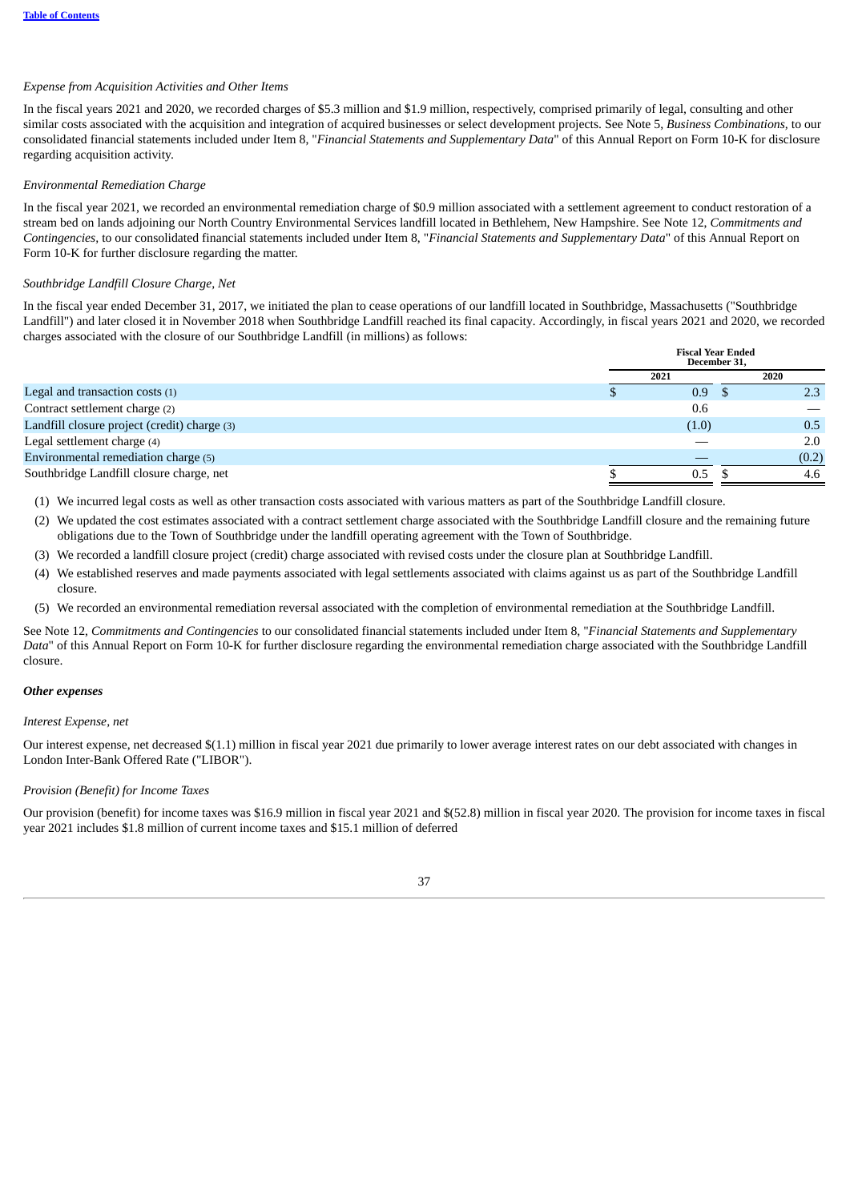## *Expense from Acquisition Activities and Other Items*

In the fiscal years 2021 and 2020, we recorded charges of \$5.3 million and \$1.9 million, respectively, comprised primarily of legal, consulting and other similar costs associated with the acquisition and integration of acquired businesses or select development projects. See Note 5, *Business Combinations,* to our consolidated financial statements included under Item 8, "*Financial Statements and Supplementary Data*" of this Annual Report on Form 10-K for disclosure regarding acquisition activity.

## *Environmental Remediation Charge*

In the fiscal year 2021, we recorded an environmental remediation charge of \$0.9 million associated with a settlement agreement to conduct restoration of a stream bed on lands adjoining our North Country Environmental Services landfill located in Bethlehem, New Hampshire. See Note 12, *Commitments and Contingencies,* to our consolidated financial statements included under Item 8, "*Financial Statements and Supplementary Data*" of this Annual Report on Form 10-K for further disclosure regarding the matter.

## *Southbridge Landfill Closure Charge, Net*

In the fiscal year ended December 31, 2017, we initiated the plan to cease operations of our landfill located in Southbridge, Massachusetts ("Southbridge Landfill") and later closed it in November 2018 when Southbridge Landfill reached its final capacity*.* Accordingly, in fiscal years 2021 and 2020, we recorded charges associated with the closure of our Southbridge Landfill (in millions) as follows:

|                                              | <b>Fiscal Year Ended</b><br>December 31, |  |       |
|----------------------------------------------|------------------------------------------|--|-------|
|                                              | 2021                                     |  | 2020  |
| Legal and transaction costs (1)              | 0.9                                      |  | 2.3   |
| Contract settlement charge (2)               | 0.6                                      |  |       |
| Landfill closure project (credit) charge (3) | (1.0)                                    |  | 0.5   |
| Legal settlement charge (4)                  |                                          |  | 2.0   |
| Environmental remediation charge (5)         |                                          |  | (0.2) |
| Southbridge Landfill closure charge, net     | 0.5                                      |  | 4.6   |

- (1) We incurred legal costs as well as other transaction costs associated with various matters as part of the Southbridge Landfill closure.
- (2) We updated the cost estimates associated with a contract settlement charge associated with the Southbridge Landfill closure and the remaining future obligations due to the Town of Southbridge under the landfill operating agreement with the Town of Southbridge.
- (3) We recorded a landfill closure project (credit) charge associated with revised costs under the closure plan at Southbridge Landfill.
- (4) We established reserves and made payments associated with legal settlements associated with claims against us as part of the Southbridge Landfill closure.
- (5) We recorded an environmental remediation reversal associated with the completion of environmental remediation at the Southbridge Landfill.

See Note 12, *Commitments and Contingencies* to our consolidated financial statements included under Item 8, "*Financial Statements and Supplementary Data*" of this Annual Report on Form 10-K for further disclosure regarding the environmental remediation charge associated with the Southbridge Landfill closure.

## *Other expenses*

## *Interest Expense, net*

Our interest expense, net decreased \$(1.1) million in fiscal year 2021 due primarily to lower average interest rates on our debt associated with changes in London Inter-Bank Offered Rate ("LIBOR").

## *Provision (Benefit) for Income Taxes*

Our provision (benefit) for income taxes was \$16.9 million in fiscal year 2021 and \$(52.8) million in fiscal year 2020. The provision for income taxes in fiscal year 2021 includes \$1.8 million of current income taxes and \$15.1 million of deferred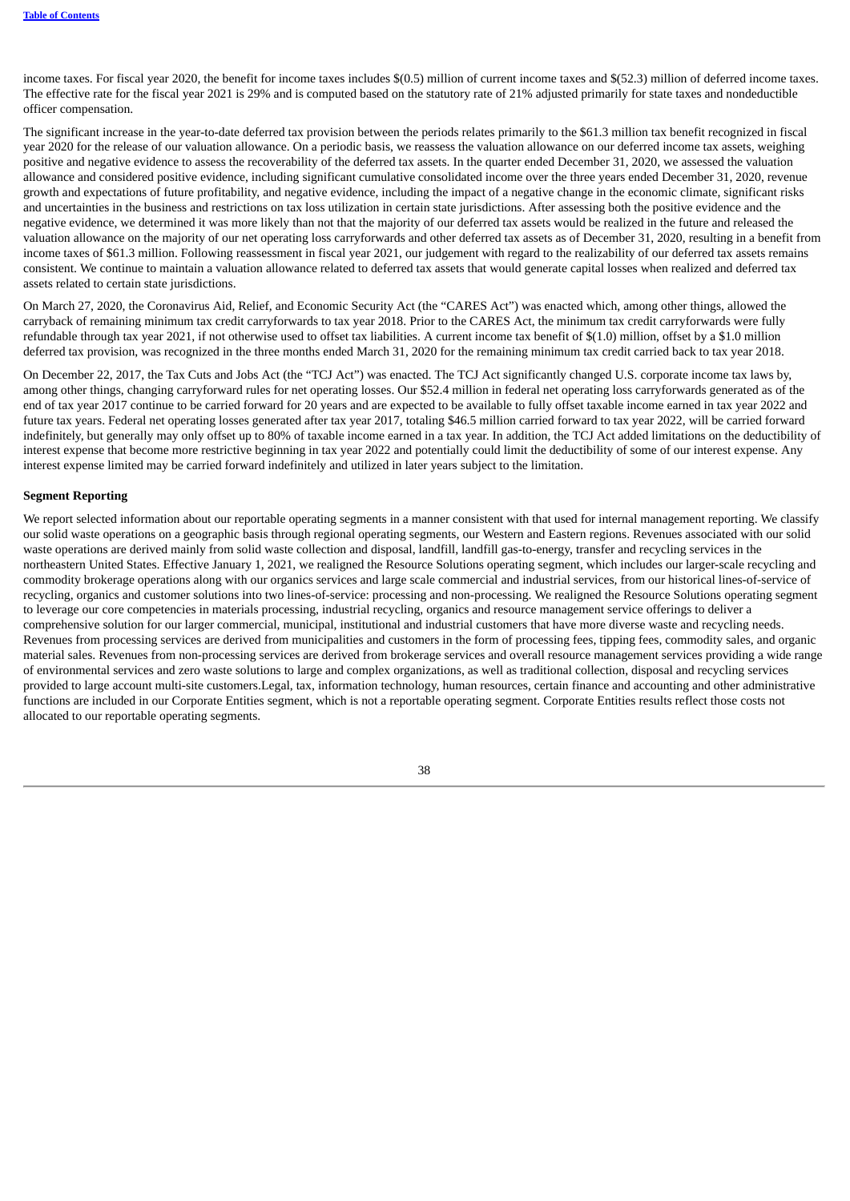income taxes. For fiscal year 2020, the benefit for income taxes includes \$(0.5) million of current income taxes and \$(52.3) million of deferred income taxes. The effective rate for the fiscal year 2021 is 29% and is computed based on the statutory rate of 21% adjusted primarily for state taxes and nondeductible officer compensation.

The significant increase in the year-to-date deferred tax provision between the periods relates primarily to the \$61.3 million tax benefit recognized in fiscal year 2020 for the release of our valuation allowance. On a periodic basis, we reassess the valuation allowance on our deferred income tax assets, weighing positive and negative evidence to assess the recoverability of the deferred tax assets. In the quarter ended December 31, 2020, we assessed the valuation allowance and considered positive evidence, including significant cumulative consolidated income over the three years ended December 31, 2020, revenue growth and expectations of future profitability, and negative evidence, including the impact of a negative change in the economic climate, significant risks and uncertainties in the business and restrictions on tax loss utilization in certain state jurisdictions. After assessing both the positive evidence and the negative evidence, we determined it was more likely than not that the majority of our deferred tax assets would be realized in the future and released the valuation allowance on the majority of our net operating loss carryforwards and other deferred tax assets as of December 31, 2020, resulting in a benefit from income taxes of \$61.3 million. Following reassessment in fiscal year 2021, our judgement with regard to the realizability of our deferred tax assets remains consistent. We continue to maintain a valuation allowance related to deferred tax assets that would generate capital losses when realized and deferred tax assets related to certain state jurisdictions.

On March 27, 2020, the Coronavirus Aid, Relief, and Economic Security Act (the "CARES Act") was enacted which, among other things, allowed the carryback of remaining minimum tax credit carryforwards to tax year 2018. Prior to the CARES Act, the minimum tax credit carryforwards were fully refundable through tax year 2021, if not otherwise used to offset tax liabilities. A current income tax benefit of \$(1.0) million, offset by a \$1.0 million deferred tax provision, was recognized in the three months ended March 31, 2020 for the remaining minimum tax credit carried back to tax year 2018.

On December 22, 2017, the Tax Cuts and Jobs Act (the "TCJ Act") was enacted. The TCJ Act significantly changed U.S. corporate income tax laws by, among other things, changing carryforward rules for net operating losses. Our \$52.4 million in federal net operating loss carryforwards generated as of the end of tax year 2017 continue to be carried forward for 20 years and are expected to be available to fully offset taxable income earned in tax year 2022 and future tax years. Federal net operating losses generated after tax year 2017, totaling \$46.5 million carried forward to tax year 2022, will be carried forward indefinitely, but generally may only offset up to 80% of taxable income earned in a tax year. In addition, the TCJ Act added limitations on the deductibility of interest expense that become more restrictive beginning in tax year 2022 and potentially could limit the deductibility of some of our interest expense. Any interest expense limited may be carried forward indefinitely and utilized in later years subject to the limitation.

## **Segment Reporting**

We report selected information about our reportable operating segments in a manner consistent with that used for internal management reporting. We classify our solid waste operations on a geographic basis through regional operating segments, our Western and Eastern regions. Revenues associated with our solid waste operations are derived mainly from solid waste collection and disposal, landfill, landfill gas-to-energy, transfer and recycling services in the northeastern United States. Effective January 1, 2021, we realigned the Resource Solutions operating segment, which includes our larger-scale recycling and commodity brokerage operations along with our organics services and large scale commercial and industrial services, from our historical lines-of-service of recycling, organics and customer solutions into two lines-of-service: processing and non-processing. We realigned the Resource Solutions operating segment to leverage our core competencies in materials processing, industrial recycling, organics and resource management service offerings to deliver a comprehensive solution for our larger commercial, municipal, institutional and industrial customers that have more diverse waste and recycling needs. Revenues from processing services are derived from municipalities and customers in the form of processing fees, tipping fees, commodity sales, and organic material sales. Revenues from non-processing services are derived from brokerage services and overall resource management services providing a wide range of environmental services and zero waste solutions to large and complex organizations, as well as traditional collection, disposal and recycling services provided to large account multi-site customers.Legal, tax, information technology, human resources, certain finance and accounting and other administrative functions are included in our Corporate Entities segment, which is not a reportable operating segment. Corporate Entities results reflect those costs not allocated to our reportable operating segments.

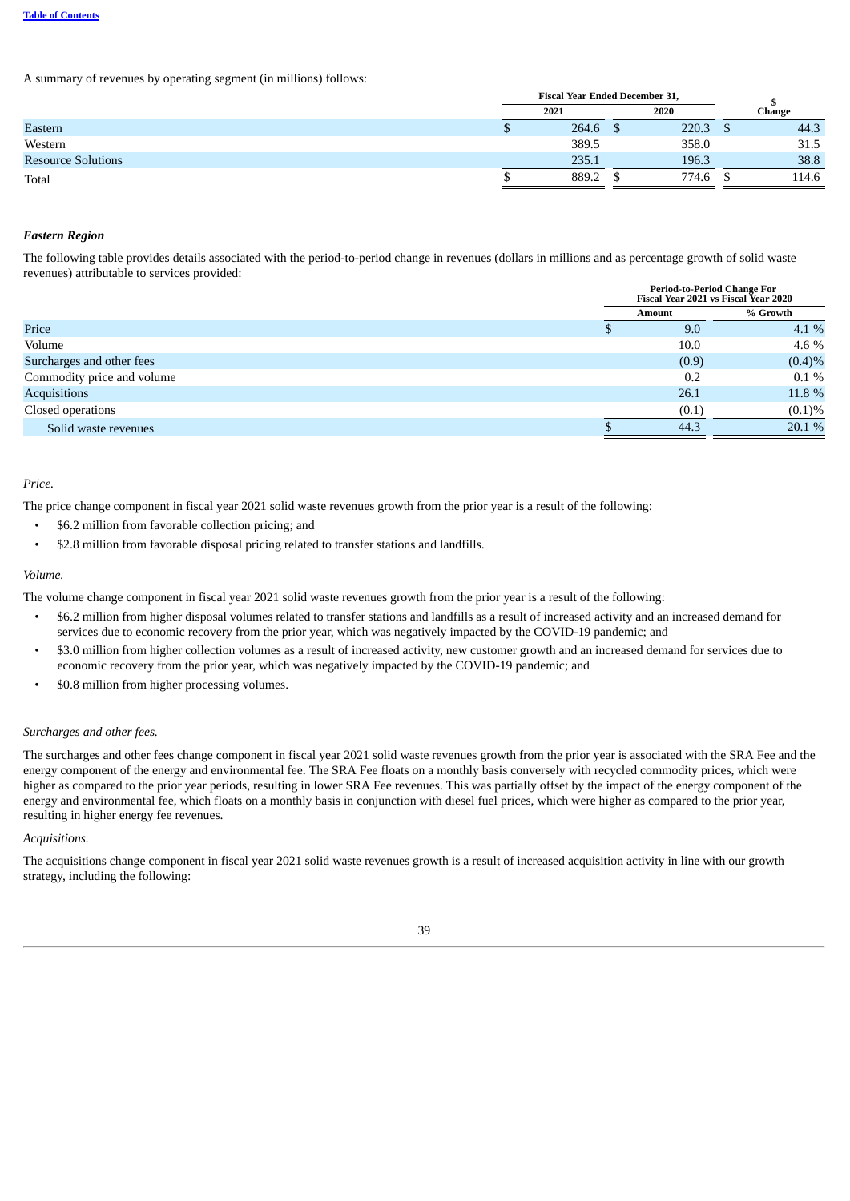A summary of revenues by operating segment (in millions) follows:

|                           | <b>Fiscal Year Ended December 31,</b> |       |  |       |  |        |
|---------------------------|---------------------------------------|-------|--|-------|--|--------|
|                           |                                       | 2021  |  | 2020  |  | Change |
| Eastern                   |                                       | 264.6 |  | 220.3 |  | 44.3   |
| Western                   |                                       | 389.5 |  | 358.0 |  | 31.5   |
| <b>Resource Solutions</b> |                                       | 235.1 |  | 196.3 |  | 38.8   |
| Total                     |                                       | 889.2 |  | 774.6 |  | 114.6  |
|                           |                                       |       |  |       |  |        |

## *Eastern Region*

The following table provides details associated with the period-to-period change in revenues (dollars in millions and as percentage growth of solid waste revenues) attributable to services provided:

|                            | <b>Period-to-Period Change For</b><br>Fiscal Year 2021 vs Fiscal Year 2020 |          |           |  |
|----------------------------|----------------------------------------------------------------------------|----------|-----------|--|
|                            |                                                                            | % Growth |           |  |
| Price                      |                                                                            | 9.0      | 4.1 %     |  |
| Volume                     |                                                                            | 10.0     | 4.6 $%$   |  |
| Surcharges and other fees  |                                                                            | (0.9)    | $(0.4)\%$ |  |
| Commodity price and volume |                                                                            | 0.2      | $0.1\%$   |  |
| <b>Acquisitions</b>        |                                                                            | 26.1     | 11.8 %    |  |
| Closed operations          |                                                                            | (0.1)    | (0.1)%    |  |
| Solid waste revenues       |                                                                            | 44.3     | 20.1 %    |  |

## *Price.*

The price change component in fiscal year 2021 solid waste revenues growth from the prior year is a result of the following:

- \$6.2 million from favorable collection pricing; and
- \$2.8 million from favorable disposal pricing related to transfer stations and landfills.

## *Volume.*

The volume change component in fiscal year 2021 solid waste revenues growth from the prior year is a result of the following:

- \$6.2 million from higher disposal volumes related to transfer stations and landfills as a result of increased activity and an increased demand for services due to economic recovery from the prior year, which was negatively impacted by the COVID-19 pandemic; and
- \$3.0 million from higher collection volumes as a result of increased activity, new customer growth and an increased demand for services due to economic recovery from the prior year, which was negatively impacted by the COVID-19 pandemic; and
- \$0.8 million from higher processing volumes.

## *Surcharges and other fees.*

The surcharges and other fees change component in fiscal year 2021 solid waste revenues growth from the prior year is associated with the SRA Fee and the energy component of the energy and environmental fee. The SRA Fee floats on a monthly basis conversely with recycled commodity prices, which were higher as compared to the prior year periods, resulting in lower SRA Fee revenues. This was partially offset by the impact of the energy component of the energy and environmental fee, which floats on a monthly basis in conjunction with diesel fuel prices, which were higher as compared to the prior year, resulting in higher energy fee revenues.

## *Acquisitions.*

The acquisitions change component in fiscal year 2021 solid waste revenues growth is a result of increased acquisition activity in line with our growth strategy, including the following:

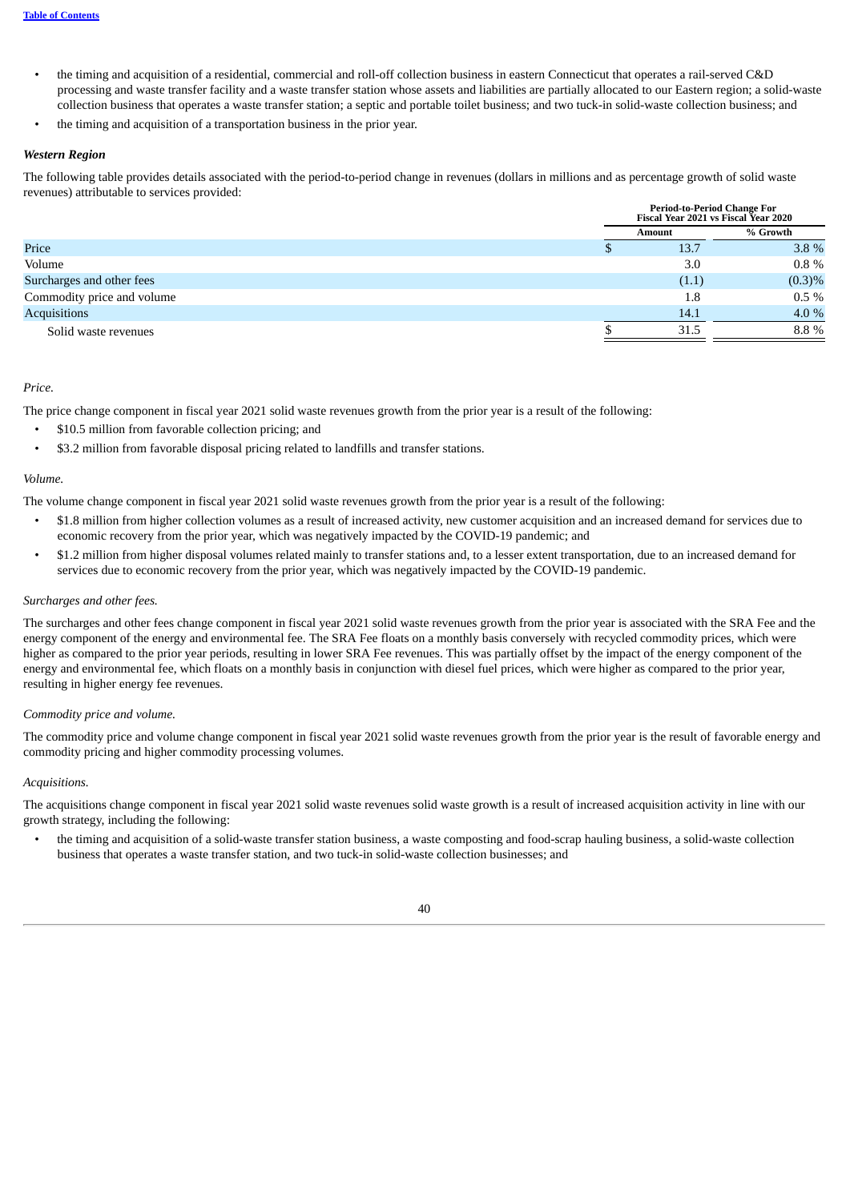- the timing and acquisition of a residential, commercial and roll-off collection business in eastern Connecticut that operates a rail-served C&D processing and waste transfer facility and a waste transfer station whose assets and liabilities are partially allocated to our Eastern region; a solid-waste collection business that operates a waste transfer station; a septic and portable toilet business; and two tuck-in solid-waste collection business; and
- the timing and acquisition of a transportation business in the prior year.

## *Western Region*

The following table provides details associated with the period-to-period change in revenues (dollars in millions and as percentage growth of solid waste revenues) attributable to services provided: **Period-to-Period Change For**

|                            | -Period-to-Period Unange For<br>Fiscal Year 2021 vs Fiscal Year 2020 |          |  |  |
|----------------------------|----------------------------------------------------------------------|----------|--|--|
|                            | Amount                                                               | % Growth |  |  |
| Price                      | 13.7                                                                 | $3.8\%$  |  |  |
| Volume                     | 3.0                                                                  | $0.8 \%$ |  |  |
| Surcharges and other fees  | (1.1)                                                                | (0.3)%   |  |  |
| Commodity price and volume | 1.8                                                                  | $0.5\%$  |  |  |
| <b>Acquisitions</b>        | 14.1                                                                 | 4.0 %    |  |  |
| Solid waste revenues       | 31.5                                                                 | 8.8%     |  |  |

#### *Price.*

The price change component in fiscal year 2021 solid waste revenues growth from the prior year is a result of the following:

- \$10.5 million from favorable collection pricing; and
- \$3.2 million from favorable disposal pricing related to landfills and transfer stations.

### *Volume.*

The volume change component in fiscal year 2021 solid waste revenues growth from the prior year is a result of the following:

- \$1.8 million from higher collection volumes as a result of increased activity, new customer acquisition and an increased demand for services due to economic recovery from the prior year, which was negatively impacted by the COVID-19 pandemic; and
- \$1.2 million from higher disposal volumes related mainly to transfer stations and, to a lesser extent transportation, due to an increased demand for services due to economic recovery from the prior year, which was negatively impacted by the COVID-19 pandemic.

## *Surcharges and other fees.*

The surcharges and other fees change component in fiscal year 2021 solid waste revenues growth from the prior year is associated with the SRA Fee and the energy component of the energy and environmental fee. The SRA Fee floats on a monthly basis conversely with recycled commodity prices, which were higher as compared to the prior year periods, resulting in lower SRA Fee revenues. This was partially offset by the impact of the energy component of the energy and environmental fee, which floats on a monthly basis in conjunction with diesel fuel prices, which were higher as compared to the prior year, resulting in higher energy fee revenues.

#### *Commodity price and volume.*

The commodity price and volume change component in fiscal year 2021 solid waste revenues growth from the prior year is the result of favorable energy and commodity pricing and higher commodity processing volumes.

#### *Acquisitions.*

The acquisitions change component in fiscal year 2021 solid waste revenues solid waste growth is a result of increased acquisition activity in line with our growth strategy, including the following:

• the timing and acquisition of a solid-waste transfer station business, a waste composting and food-scrap hauling business, a solid-waste collection business that operates a waste transfer station, and two tuck-in solid-waste collection businesses; and

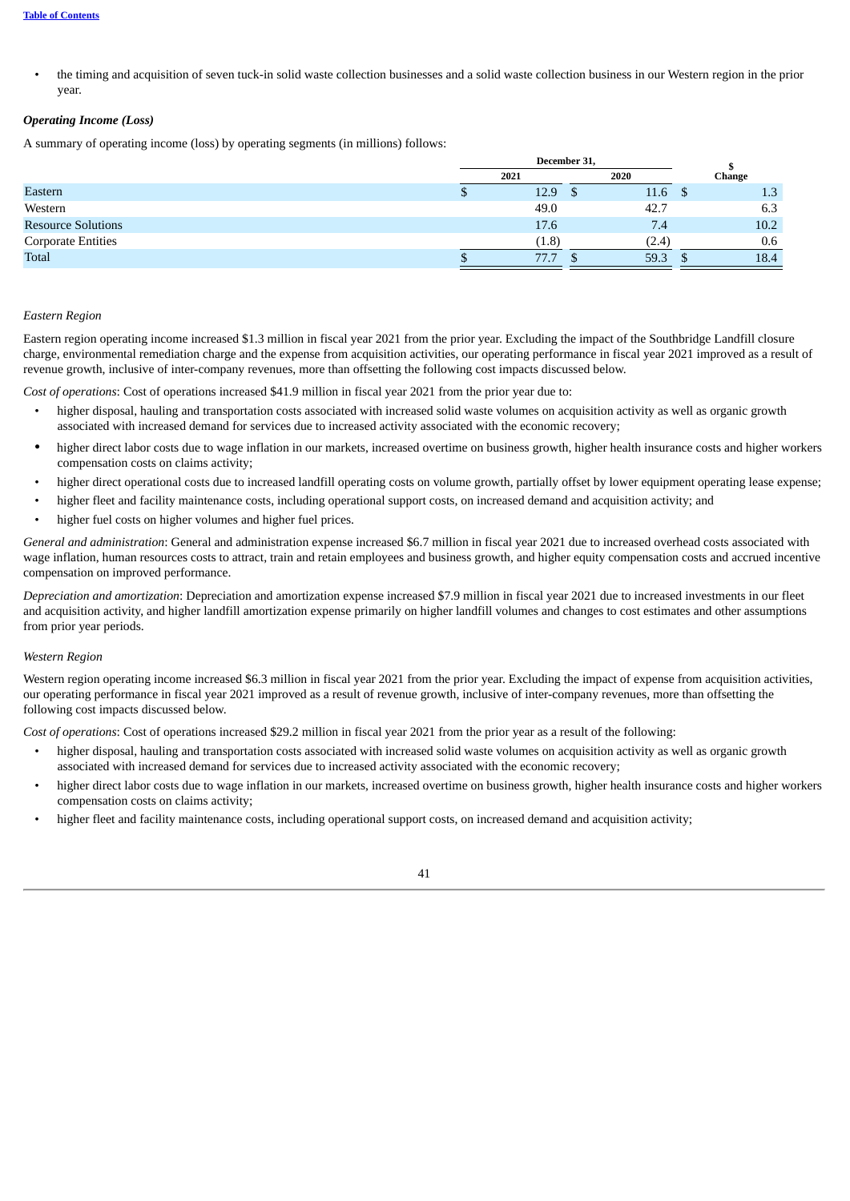• the timing and acquisition of seven tuck-in solid waste collection businesses and a solid waste collection business in our Western region in the prior year.

# *Operating Income (Loss)*

A summary of operating income (loss) by operating segments (in millions) follows:

|                           | December 31, |       |  |       |  |        |
|---------------------------|--------------|-------|--|-------|--|--------|
|                           |              | 2021  |  | 2020  |  | Change |
| Eastern                   |              | 12.9  |  | 11.6  |  | 1.3    |
| Western                   |              | 49.0  |  | 42.7  |  | 6.3    |
| <b>Resource Solutions</b> |              | 17.6  |  | 7.4   |  | 10.2   |
| <b>Corporate Entities</b> |              | (1.8) |  | (2.4) |  | 0.6    |
| <b>Total</b>              |              | 77.7  |  | 59.3  |  | 18.4   |

## *Eastern Region*

Eastern region operating income increased \$1.3 million in fiscal year 2021 from the prior year. Excluding the impact of the Southbridge Landfill closure charge, environmental remediation charge and the expense from acquisition activities, our operating performance in fiscal year 2021 improved as a result of revenue growth, inclusive of inter-company revenues, more than offsetting the following cost impacts discussed below.

*Cost of operations*: Cost of operations increased \$41.9 million in fiscal year 2021 from the prior year due to:

- higher disposal, hauling and transportation costs associated with increased solid waste volumes on acquisition activity as well as organic growth associated with increased demand for services due to increased activity associated with the economic recovery;
- higher direct labor costs due to wage inflation in our markets, increased overtime on business growth, higher health insurance costs and higher workers compensation costs on claims activity;
- higher direct operational costs due to increased landfill operating costs on volume growth, partially offset by lower equipment operating lease expense;
- higher fleet and facility maintenance costs, including operational support costs, on increased demand and acquisition activity; and
- higher fuel costs on higher volumes and higher fuel prices.

*General and administration*: General and administration expense increased \$6.7 million in fiscal year 2021 due to increased overhead costs associated with wage inflation, human resources costs to attract, train and retain employees and business growth, and higher equity compensation costs and accrued incentive compensation on improved performance.

*Depreciation and amortization*: Depreciation and amortization expense increased \$7.9 million in fiscal year 2021 due to increased investments in our fleet and acquisition activity, and higher landfill amortization expense primarily on higher landfill volumes and changes to cost estimates and other assumptions from prior year periods.

## *Western Region*

Western region operating income increased \$6.3 million in fiscal year 2021 from the prior year. Excluding the impact of expense from acquisition activities, our operating performance in fiscal year 2021 improved as a result of revenue growth, inclusive of inter-company revenues, more than offsetting the following cost impacts discussed below.

*Cost of operations*: Cost of operations increased \$29.2 million in fiscal year 2021 from the prior year as a result of the following:

- higher disposal, hauling and transportation costs associated with increased solid waste volumes on acquisition activity as well as organic growth associated with increased demand for services due to increased activity associated with the economic recovery;
- higher direct labor costs due to wage inflation in our markets, increased overtime on business growth, higher health insurance costs and higher workers compensation costs on claims activity;
- higher fleet and facility maintenance costs, including operational support costs, on increased demand and acquisition activity;

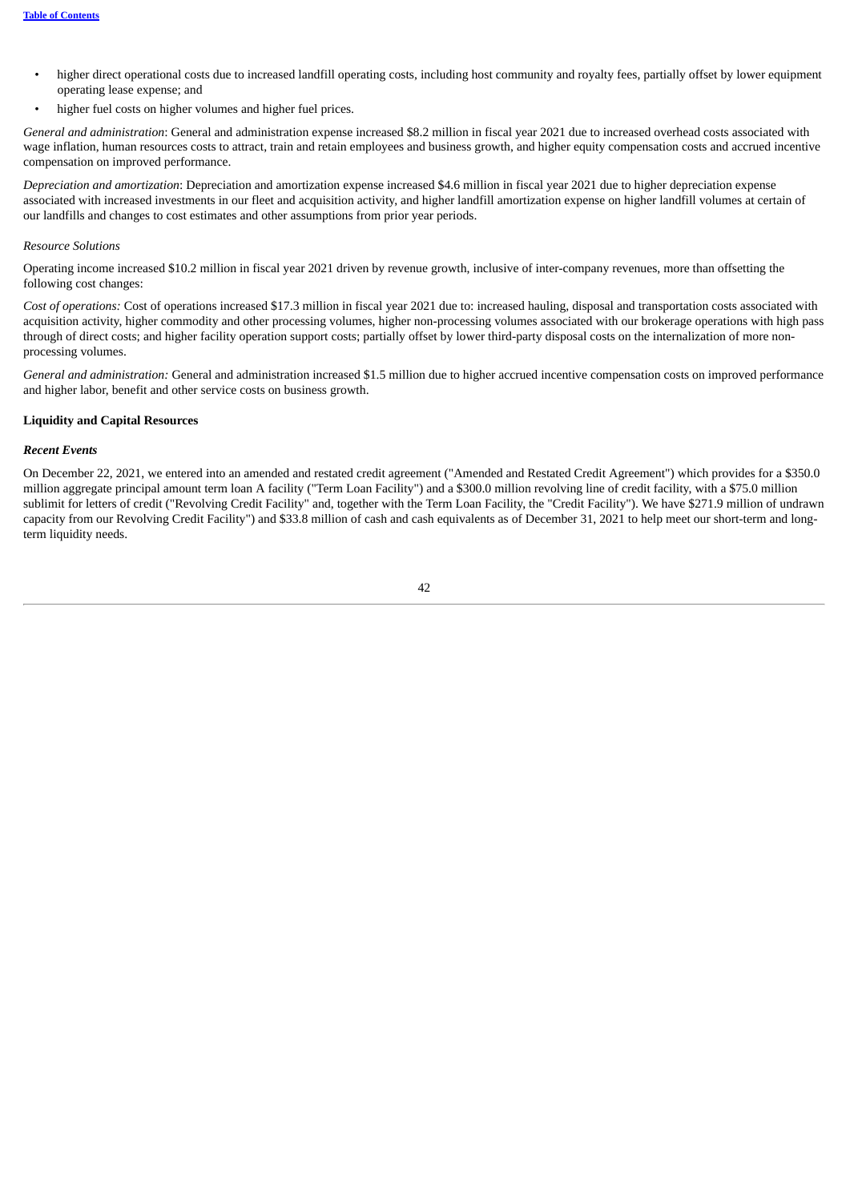- higher direct operational costs due to increased landfill operating costs, including host community and royalty fees, partially offset by lower equipment operating lease expense; and
- higher fuel costs on higher volumes and higher fuel prices.

*General and administration*: General and administration expense increased \$8.2 million in fiscal year 2021 due to increased overhead costs associated with wage inflation, human resources costs to attract, train and retain employees and business growth, and higher equity compensation costs and accrued incentive compensation on improved performance.

*Depreciation and amortization*: Depreciation and amortization expense increased \$4.6 million in fiscal year 2021 due to higher depreciation expense associated with increased investments in our fleet and acquisition activity, and higher landfill amortization expense on higher landfill volumes at certain of our landfills and changes to cost estimates and other assumptions from prior year periods.

#### *Resource Solutions*

Operating income increased \$10.2 million in fiscal year 2021 driven by revenue growth, inclusive of inter-company revenues, more than offsetting the following cost changes:

*Cost of operations:* Cost of operations increased \$17.3 million in fiscal year 2021 due to: increased hauling, disposal and transportation costs associated with acquisition activity, higher commodity and other processing volumes, higher non-processing volumes associated with our brokerage operations with high pass through of direct costs; and higher facility operation support costs; partially offset by lower third-party disposal costs on the internalization of more nonprocessing volumes.

*General and administration:* General and administration increased \$1.5 million due to higher accrued incentive compensation costs on improved performance and higher labor, benefit and other service costs on business growth.

### **Liquidity and Capital Resources**

### *Recent Events*

On December 22, 2021, we entered into an amended and restated credit agreement ("Amended and Restated Credit Agreement") which provides for a \$350.0 million aggregate principal amount term loan A facility ("Term Loan Facility") and a \$300.0 million revolving line of credit facility, with a \$75.0 million sublimit for letters of credit ("Revolving Credit Facility" and, together with the Term Loan Facility, the "Credit Facility"). We have \$271.9 million of undrawn capacity from our Revolving Credit Facility") and \$33.8 million of cash and cash equivalents as of December 31, 2021 to help meet our short-term and longterm liquidity needs.

42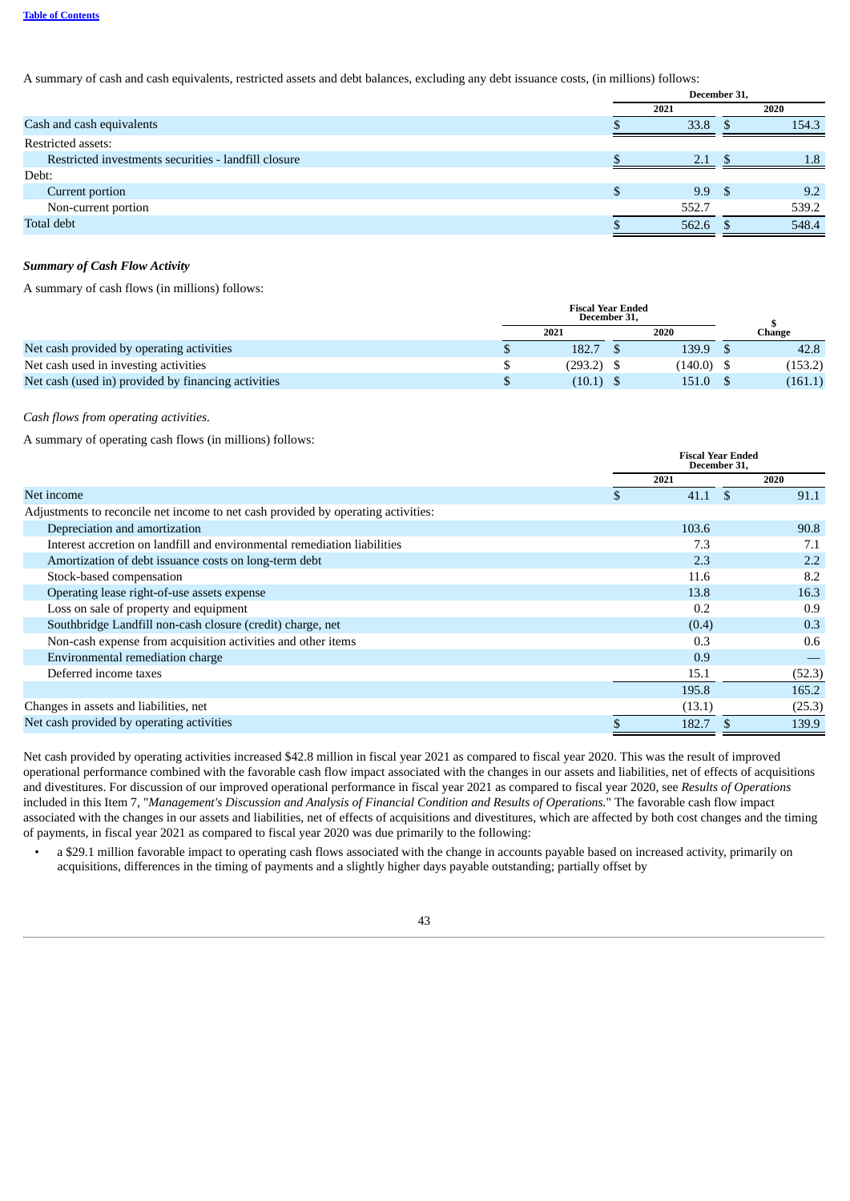A summary of cash and cash equivalents, restricted assets and debt balances, excluding any debt issuance costs, (in millions) follows:

|                                                      | December 31, |       |      |       |
|------------------------------------------------------|--------------|-------|------|-------|
|                                                      |              | 2021  |      | 2020  |
| Cash and cash equivalents                            |              | 33.8  |      | 154.3 |
| Restricted assets:                                   |              |       |      |       |
| Restricted investments securities - landfill closure |              | 2.1   |      | 1.8   |
| Debt:                                                |              |       |      |       |
| Current portion                                      |              | 9.9   | - \$ | 9.2   |
| Non-current portion                                  |              | 552.7 |      | 539.2 |
| Total debt                                           |              | 562.6 |      | 548.4 |
|                                                      |              |       |      |       |

## *Summary of Cash Flow Activity*

A summary of cash flows (in millions) follows:

| <b>Fiscal Year Ended</b><br>December 31, |  |       |              |
|------------------------------------------|--|-------|--------------|
|                                          |  | 2020  | Change       |
| 182.7                                    |  | 139.9 | 42.8         |
| (293.2)                                  |  |       | (153.2)      |
| (10.1)                                   |  | 151.0 | (161.1)      |
|                                          |  |       | $(140.0)$ \$ |

*Cash flows from operating activities.*

A summary of operating cash flows (in millions) follows:

|                                                                                   | <b>Fiscal Year Ended</b><br>December 31, |  |        |
|-----------------------------------------------------------------------------------|------------------------------------------|--|--------|
|                                                                                   | 2021                                     |  | 2020   |
| Net income                                                                        | 41.1                                     |  | 91.1   |
| Adjustments to reconcile net income to net cash provided by operating activities: |                                          |  |        |
| Depreciation and amortization                                                     | 103.6                                    |  | 90.8   |
| Interest accretion on landfill and environmental remediation liabilities          | 7.3                                      |  | 7.1    |
| Amortization of debt issuance costs on long-term debt                             | 2.3                                      |  | 2.2    |
| Stock-based compensation                                                          | 11.6                                     |  | 8.2    |
| Operating lease right-of-use assets expense                                       | 13.8                                     |  | 16.3   |
| Loss on sale of property and equipment                                            | 0.2                                      |  | 0.9    |
| Southbridge Landfill non-cash closure (credit) charge, net                        | (0.4)                                    |  | 0.3    |
| Non-cash expense from acquisition activities and other items                      | 0.3                                      |  | 0.6    |
| Environmental remediation charge                                                  | 0.9                                      |  |        |
| Deferred income taxes                                                             | 15.1                                     |  | (52.3) |
|                                                                                   | 195.8                                    |  | 165.2  |
| Changes in assets and liabilities, net                                            | (13.1)                                   |  | (25.3) |
| Net cash provided by operating activities                                         | 182.7                                    |  | 139.9  |

Net cash provided by operating activities increased \$42.8 million in fiscal year 2021 as compared to fiscal year 2020. This was the result of improved operational performance combined with the favorable cash flow impact associated with the changes in our assets and liabilities, net of effects of acquisitions and divestitures. For discussion of our improved operational performance in fiscal year 2021 as compared to fiscal year 2020, see *Results of Operations* included in this Item 7, "*Management's Discussion and Analysis of Financial Condition and Results of Operations.*" The favorable cash flow impact associated with the changes in our assets and liabilities, net of effects of acquisitions and divestitures, which are affected by both cost changes and the timing of payments, in fiscal year 2021 as compared to fiscal year 2020 was due primarily to the following:

• a \$29.1 million favorable impact to operating cash flows associated with the change in accounts payable based on increased activity, primarily on acquisitions, differences in the timing of payments and a slightly higher days payable outstanding; partially offset by

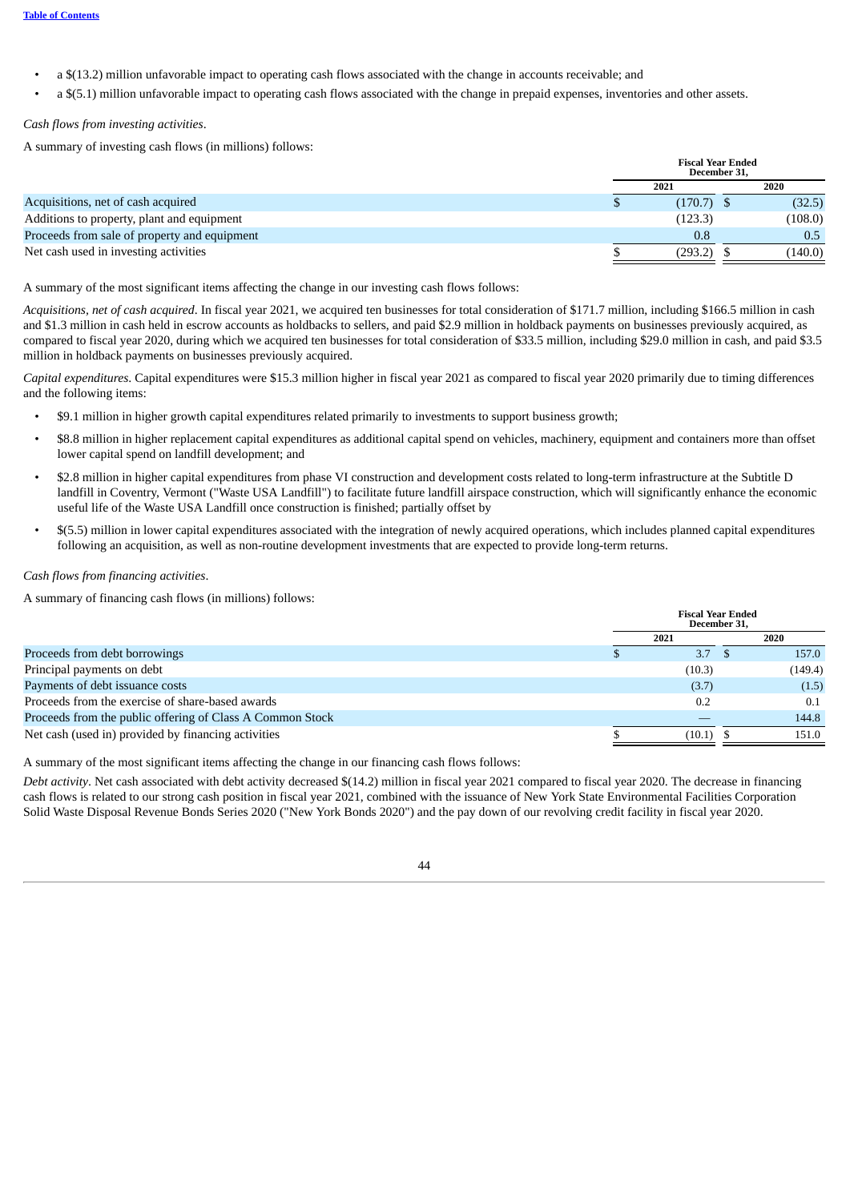- a \$(13.2) million unfavorable impact to operating cash flows associated with the change in accounts receivable; and
- a \$(5.1) million unfavorable impact to operating cash flows associated with the change in prepaid expenses, inventories and other assets.

### *Cash flows from investing activities*.

A summary of investing cash flows (in millions) follows:

|                                              | <b>Fiscal Year Ended</b><br>December 31, |         |
|----------------------------------------------|------------------------------------------|---------|
|                                              | 2021                                     | 2020    |
| Acquisitions, net of cash acquired           | $(170.7)$ \$                             | (32.5)  |
| Additions to property, plant and equipment   | (123.3)                                  | (108.0) |
| Proceeds from sale of property and equipment | 0.8                                      | 0.5     |
| Net cash used in investing activities        | (293.2)                                  | (140.0) |
|                                              |                                          |         |

A summary of the most significant items affecting the change in our investing cash flows follows:

*Acquisitions, net of cash acquired*. In fiscal year 2021, we acquired ten businesses for total consideration of \$171.7 million, including \$166.5 million in cash and \$1.3 million in cash held in escrow accounts as holdbacks to sellers, and paid \$2.9 million in holdback payments on businesses previously acquired, as compared to fiscal year 2020, during which we acquired ten businesses for total consideration of \$33.5 million, including \$29.0 million in cash, and paid \$3.5 million in holdback payments on businesses previously acquired.

*Capital expenditures*. Capital expenditures were \$15.3 million higher in fiscal year 2021 as compared to fiscal year 2020 primarily due to timing differences and the following items:

- \$9.1 million in higher growth capital expenditures related primarily to investments to support business growth;
- \$8.8 million in higher replacement capital expenditures as additional capital spend on vehicles, machinery, equipment and containers more than offset lower capital spend on landfill development; and
- \$2.8 million in higher capital expenditures from phase VI construction and development costs related to long-term infrastructure at the Subtitle D landfill in Coventry, Vermont ("Waste USA Landfill") to facilitate future landfill airspace construction, which will significantly enhance the economic useful life of the Waste USA Landfill once construction is finished; partially offset by
- \$(5.5) million in lower capital expenditures associated with the integration of newly acquired operations, which includes planned capital expenditures following an acquisition, as well as non-routine development investments that are expected to provide long-term returns.

**Fiscal Year Ended**

*Cash flows from financing activities*.

A summary of financing cash flows (in millions) follows:

|                                                           |      | riscai rear Ended<br>December 31. |  |         |
|-----------------------------------------------------------|------|-----------------------------------|--|---------|
|                                                           | 2021 |                                   |  | 2020    |
| Proceeds from debt borrowings                             |      | 3.7                               |  | 157.0   |
| Principal payments on debt                                |      | (10.3)                            |  | (149.4) |
| Payments of debt issuance costs                           |      | (3.7)                             |  | (1.5)   |
| Proceeds from the exercise of share-based awards          |      | 0.2                               |  | 0.1     |
| Proceeds from the public offering of Class A Common Stock |      |                                   |  | 144.8   |
| Net cash (used in) provided by financing activities       |      | (10.1)                            |  | 151.0   |
|                                                           |      |                                   |  |         |

A summary of the most significant items affecting the change in our financing cash flows follows:

*Debt activity*. Net cash associated with debt activity decreased \$(14.2) million in fiscal year 2021 compared to fiscal year 2020. The decrease in financing cash flows is related to our strong cash position in fiscal year 2021, combined with the issuance of New York State Environmental Facilities Corporation Solid Waste Disposal Revenue Bonds Series 2020 ("New York Bonds 2020") and the pay down of our revolving credit facility in fiscal year 2020.

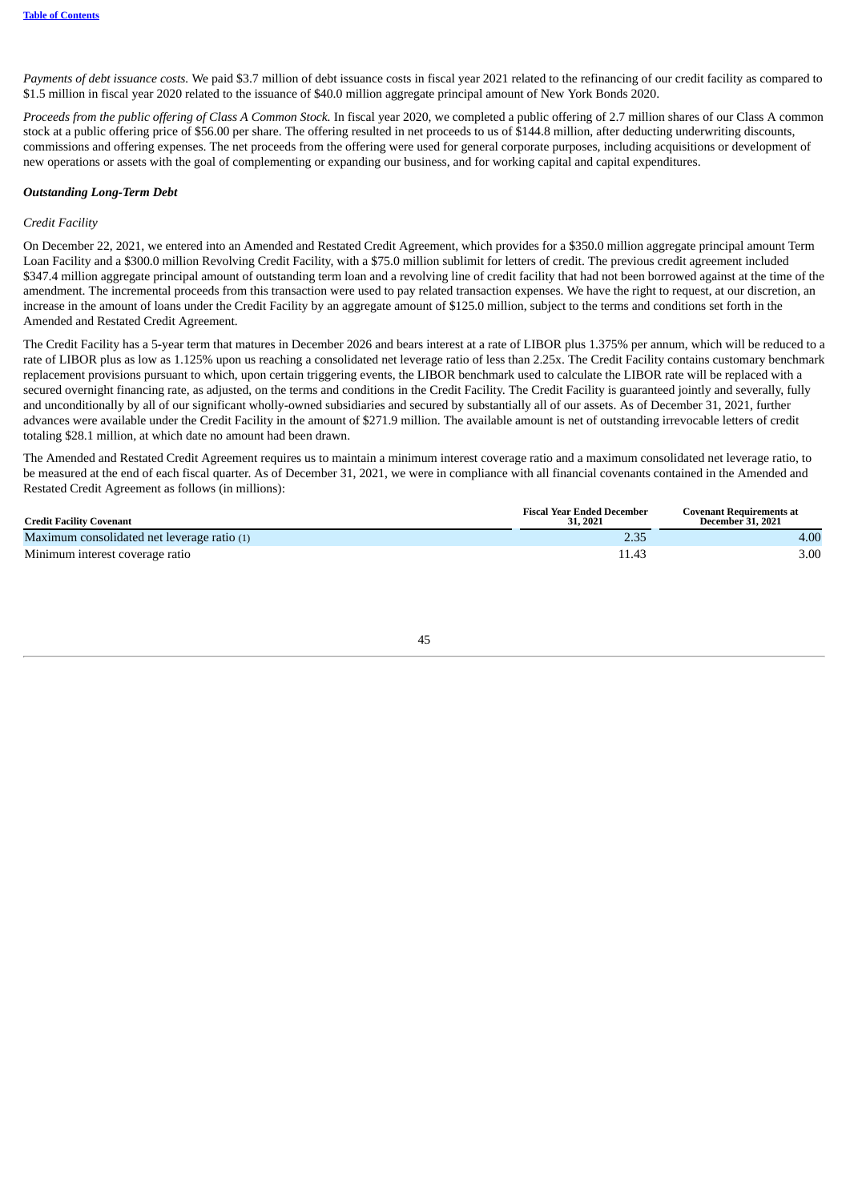*Payments of debt issuance costs.* We paid \$3.7 million of debt issuance costs in fiscal year 2021 related to the refinancing of our credit facility as compared to \$1.5 million in fiscal year 2020 related to the issuance of \$40.0 million aggregate principal amount of New York Bonds 2020.

*Proceeds from the public offering of Class A Common Stock.* In fiscal year 2020, we completed a public offering of 2.7 million shares of our Class A common stock at a public offering price of \$56.00 per share. The offering resulted in net proceeds to us of \$144.8 million, after deducting underwriting discounts, commissions and offering expenses. The net proceeds from the offering were used for general corporate purposes, including acquisitions or development of new operations or assets with the goal of complementing or expanding our business, and for working capital and capital expenditures.

## *Outstanding Long-Term Debt*

### *Credit Facility*

On December 22, 2021, we entered into an Amended and Restated Credit Agreement, which provides for a \$350.0 million aggregate principal amount Term Loan Facility and a \$300.0 million Revolving Credit Facility, with a \$75.0 million sublimit for letters of credit. The previous credit agreement included \$347.4 million aggregate principal amount of outstanding term loan and a revolving line of credit facility that had not been borrowed against at the time of the amendment. The incremental proceeds from this transaction were used to pay related transaction expenses. We have the right to request, at our discretion, an increase in the amount of loans under the Credit Facility by an aggregate amount of \$125.0 million, subject to the terms and conditions set forth in the Amended and Restated Credit Agreement.

The Credit Facility has a 5-year term that matures in December 2026 and bears interest at a rate of LIBOR plus 1.375% per annum, which will be reduced to a rate of LIBOR plus as low as 1.125% upon us reaching a consolidated net leverage ratio of less than 2.25x. The Credit Facility contains customary benchmark replacement provisions pursuant to which, upon certain triggering events, the LIBOR benchmark used to calculate the LIBOR rate will be replaced with a secured overnight financing rate, as adjusted, on the terms and conditions in the Credit Facility. The Credit Facility is guaranteed jointly and severally, fully and unconditionally by all of our significant wholly-owned subsidiaries and secured by substantially all of our assets. As of December 31, 2021, further advances were available under the Credit Facility in the amount of \$271.9 million. The available amount is net of outstanding irrevocable letters of credit totaling \$28.1 million, at which date no amount had been drawn.

The Amended and Restated Credit Agreement requires us to maintain a minimum interest coverage ratio and a maximum consolidated net leverage ratio, to be measured at the end of each fiscal quarter. As of December 31, 2021, we were in compliance with all financial covenants contained in the Amended and Restated Credit Agreement as follows (in millions):

| <b>Credit Facility Covenant</b>             | <b>Fiscal Year Ended December</b><br>31, 2021 | <b>Covenant Requirements at</b><br><b>December 31, 2021</b> |
|---------------------------------------------|-----------------------------------------------|-------------------------------------------------------------|
| Maximum consolidated net leverage ratio (1) | 2.35                                          | 4.00                                                        |
| Minimum interest coverage ratio             | 11.43                                         | 3.00                                                        |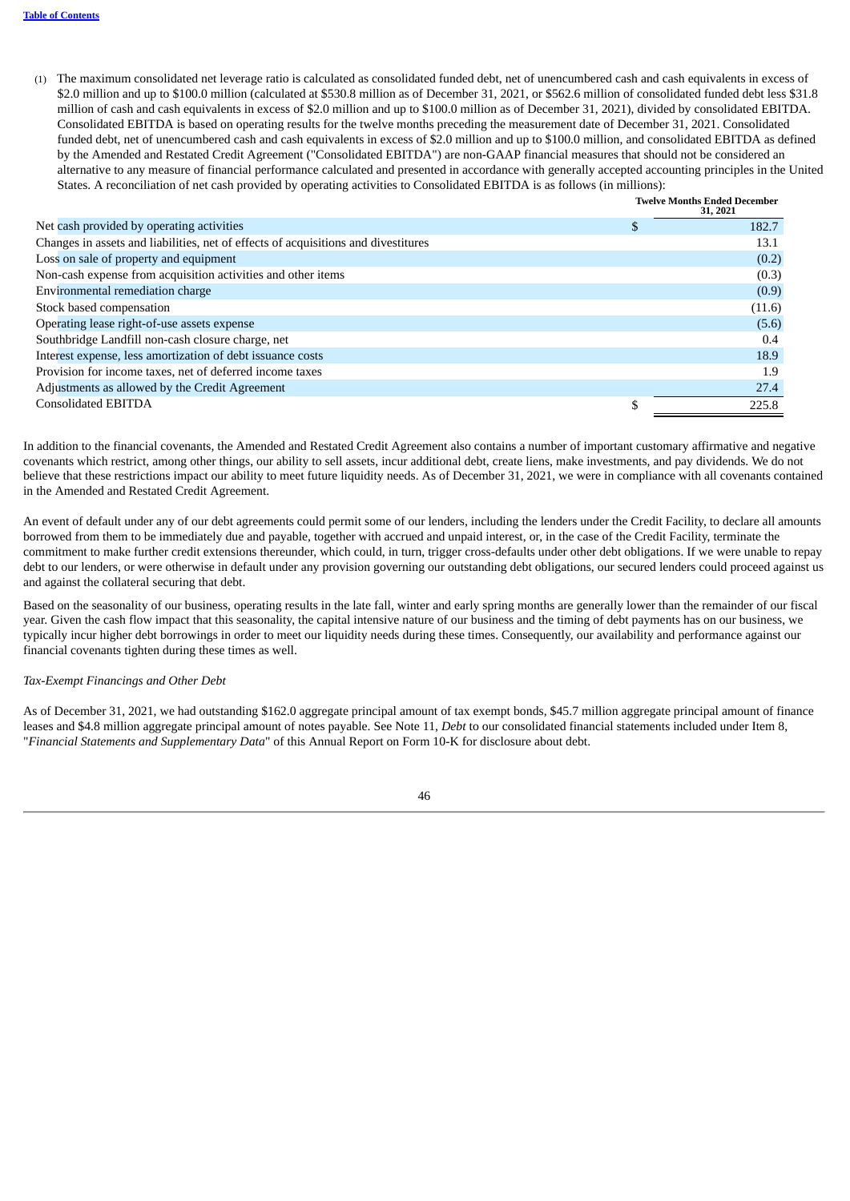The maximum consolidated net leverage ratio is calculated as consolidated funded debt, net of unencumbered cash and cash equivalents in excess of \$2.0 million and up to \$100.0 million (calculated at \$530.8 million as of December 31, 2021, or \$562.6 million of consolidated funded debt less \$31.8 million of cash and cash equivalents in excess of \$2.0 million and up to \$100.0 million as of December 31, 2021), divided by consolidated EBITDA. Consolidated EBITDA is based on operating results for the twelve months preceding the measurement date of December 31, 2021. Consolidated funded debt, net of unencumbered cash and cash equivalents in excess of \$2.0 million and up to \$100.0 million, and consolidated EBITDA as defined by the Amended and Restated Credit Agreement ("Consolidated EBITDA") are non-GAAP financial measures that should not be considered an alternative to any measure of financial performance calculated and presented in accordance with generally accepted accounting principles in the United States. A reconciliation of net cash provided by operating activities to Consolidated EBITDA is as follows (in millions):

|                                                                                    | <b>Twelve Months Ended December</b><br>31, 2021 |
|------------------------------------------------------------------------------------|-------------------------------------------------|
| Net cash provided by operating activities                                          | \$<br>182.7                                     |
| Changes in assets and liabilities, net of effects of acquisitions and divestitures | 13.1                                            |
| Loss on sale of property and equipment                                             | (0.2)                                           |
| Non-cash expense from acquisition activities and other items                       | (0.3)                                           |
| Environmental remediation charge                                                   | (0.9)                                           |
| Stock based compensation                                                           | (11.6)                                          |
| Operating lease right-of-use assets expense                                        | (5.6)                                           |
| Southbridge Landfill non-cash closure charge, net                                  | 0.4                                             |
| Interest expense, less amortization of debt issuance costs                         | 18.9                                            |
| Provision for income taxes, net of deferred income taxes                           | 1.9                                             |
| Adjustments as allowed by the Credit Agreement                                     | 27.4                                            |
| Consolidated EBITDA                                                                | \$<br>225.8                                     |

In addition to the financial covenants, the Amended and Restated Credit Agreement also contains a number of important customary affirmative and negative covenants which restrict, among other things, our ability to sell assets, incur additional debt, create liens, make investments, and pay dividends. We do not believe that these restrictions impact our ability to meet future liquidity needs. As of December 31, 2021, we were in compliance with all covenants contained in the Amended and Restated Credit Agreement.

An event of default under any of our debt agreements could permit some of our lenders, including the lenders under the Credit Facility, to declare all amounts borrowed from them to be immediately due and payable, together with accrued and unpaid interest, or, in the case of the Credit Facility, terminate the commitment to make further credit extensions thereunder, which could, in turn, trigger cross-defaults under other debt obligations. If we were unable to repay debt to our lenders, or were otherwise in default under any provision governing our outstanding debt obligations, our secured lenders could proceed against us and against the collateral securing that debt.

Based on the seasonality of our business, operating results in the late fall, winter and early spring months are generally lower than the remainder of our fiscal year. Given the cash flow impact that this seasonality, the capital intensive nature of our business and the timing of debt payments has on our business, we typically incur higher debt borrowings in order to meet our liquidity needs during these times. Consequently, our availability and performance against our financial covenants tighten during these times as well.

## *Tax-Exempt Financings and Other Debt*

As of December 31, 2021, we had outstanding \$162.0 aggregate principal amount of tax exempt bonds, \$45.7 million aggregate principal amount of finance leases and \$4.8 million aggregate principal amount of notes payable. See Note 11, *Debt* to our consolidated financial statements included under Item 8, "*Financial Statements and Supplementary Data*" of this Annual Report on Form 10-K for disclosure about debt.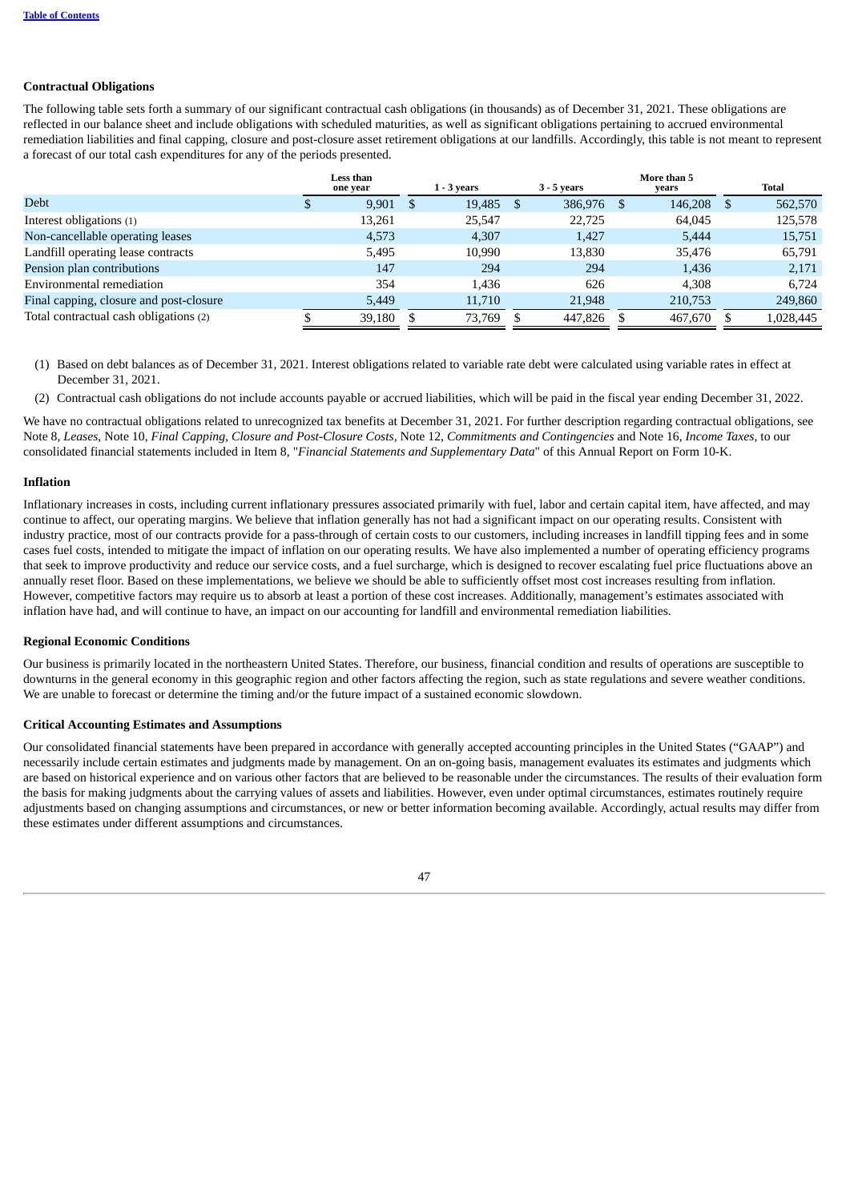## **Contractual Obligations**

The following table sets forth a summary of our significant contractual cash obligations (in thousands) as of December 31, 2021. These obligations are reflected in our balance sheet and include obligations with scheduled maturities, as well as significant obligations pertaining to accrued environmental remediation liabilities and final capping, closure and post-closure asset retirement obligations at our landfills. Accordingly, this table is not meant to represent a forecast of our total cash expenditures for any of the periods presented.

|                                         | Less than<br>one vear |     | $1 - 3$ years |               | $3 - 5$ years | More than 5<br>years | Total     |
|-----------------------------------------|-----------------------|-----|---------------|---------------|---------------|----------------------|-----------|
| <b>Debt</b>                             | 9,901                 | - S | 19,485        | <sup>\$</sup> | 386,976       | 146,208              | 562,570   |
| Interest obligations (1)                | 13,261                |     | 25,547        |               | 22,725        | 64,045               | 125,578   |
| Non-cancellable operating leases        | 4.573                 |     | 4,307         |               | 1.427         | 5.444                | 15,751    |
| Landfill operating lease contracts      | 5.495                 |     | 10,990        |               | 13,830        | 35.476               | 65,791    |
| Pension plan contributions              | 147                   |     | 294           |               | 294           | 1,436                | 2,171     |
| Environmental remediation               | 354                   |     | 1.436         |               | 626           | 4.308                | 6.724     |
| Final capping, closure and post-closure | 5.449                 |     | 11,710        |               | 21,948        | 210,753              | 249,860   |
| Total contractual cash obligations (2)  | 39,180                |     | 73.769        |               | 447.826       | 467,670              | 1,028,445 |

- (1) Based on debt balances as of December 31, 2021. Interest obligations related to variable rate debt were calculated using variable rates in effect at December 31, 2021.
- (2) Contractual cash obligations do not include accounts payable or accrued liabilities, which will be paid in the fiscal year ending December 31, 2022.

We have no contractual obligations related to unrecognized tax benefits at December 31, 2021. For further description regarding contractual obligations, see Note 8, Leases, Note 10, Final Capping, Closure and Post-Closure Costs, Note 12, Commitments and Contingencies and Note 16, Income Taxes, to our consolidated financial statements included in Item 8, "*Financial Statements and Supplementary Data*" of this Annual Report on Form 10-K.

#### **Inflation**

Inflationary increases in costs, including current inflationary pressures associated primarily with fuel, labor and certain capital item, have affected, and may continue to affect, our operating margins. We believe that inflation generally has not had a significant impact on our operating results. Consistent with industry practice, most of our contracts provide for a pass-through of certain costs to our customers, including increases in landfill tipping fees and in some cases fuel costs, intended to mitigate the impact of inflation on our operating results. We have also implemented a number of operating efficiency programs that seek to improve productivity and reduce our service costs, and a fuel surcharge, which is designed to recover escalating fuel price fluctuations above an annually reset floor. Based on these implementations, we believe we should be able to sufficiently offset most cost increases resulting from inflation. However, competitive factors may require us to absorb at least a portion of these cost increases. Additionally, management's estimates associated with inflation have had, and will continue to have, an impact on our accounting for landfill and environmental remediation liabilities.

## **Regional Economic Conditions**

Our business is primarily located in the northeastern United States. Therefore, our business, financial condition and results of operations are susceptible to downturns in the general economy in this geographic region and other factors affecting the region, such as state regulations and severe weather conditions. We are unable to forecast or determine the timing and/or the future impact of a sustained economic slowdown.

## **Critical Accounting Estimates and Assumptions**

Our consolidated financial statements have been prepared in accordance with generally accepted accounting principles in the United States ("GAAP") and necessarily include certain estimates and judgments made by management. On an on-going basis, management evaluates its estimates and judgments which are based on historical experience and on various other factors that are believed to be reasonable under the circumstances. The results of their evaluation form the basis for making judgments about the carrying values of assets and liabilities. However, even under optimal circumstances, estimates routinely require adjustments based on changing assumptions and circumstances, or new or better information becoming available. Accordingly, actual results may differ from these estimates under different assumptions and circumstances.

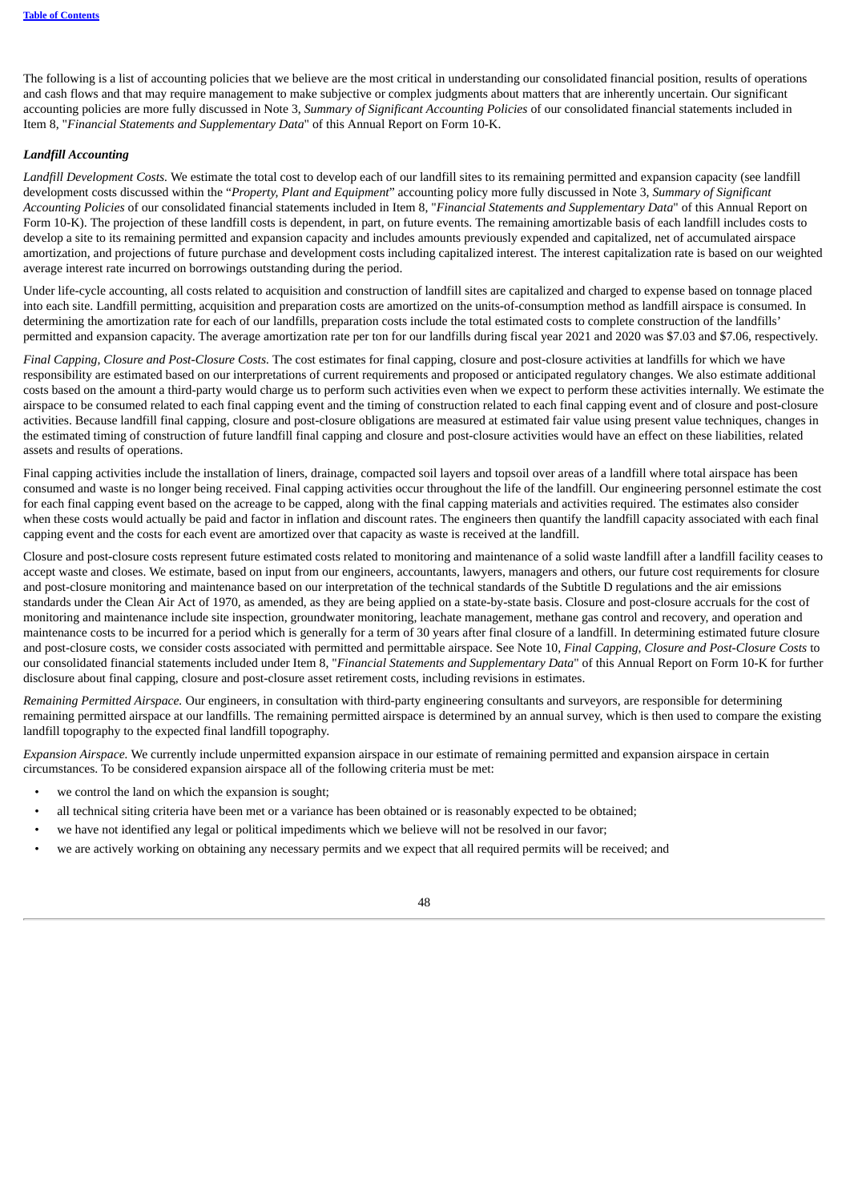The following is a list of accounting policies that we believe are the most critical in understanding our consolidated financial position, results of operations and cash flows and that may require management to make subjective or complex judgments about matters that are inherently uncertain. Our significant accounting policies are more fully discussed in Note 3, *Summary of Significant Accounting Policies* of our consolidated financial statements included in Item 8, "*Financial Statements and Supplementary Data*" of this Annual Report on Form 10-K.

## *Landfill Accounting*

*Landfill Development Costs.* We estimate the total cost to develop each of our landfill sites to its remaining permitted and expansion capacity (see landfill development costs discussed within the "*Property, Plant and Equipment*" accounting policy more fully discussed in Note 3, *Summary of Significant Accounting Policies* of our consolidated financial statements included in Item 8, "*Financial Statements and Supplementary Data*" of this Annual Report on Form 10-K). The projection of these landfill costs is dependent, in part, on future events. The remaining amortizable basis of each landfill includes costs to develop a site to its remaining permitted and expansion capacity and includes amounts previously expended and capitalized, net of accumulated airspace amortization, and projections of future purchase and development costs including capitalized interest. The interest capitalization rate is based on our weighted average interest rate incurred on borrowings outstanding during the period.

Under life-cycle accounting, all costs related to acquisition and construction of landfill sites are capitalized and charged to expense based on tonnage placed into each site. Landfill permitting, acquisition and preparation costs are amortized on the units-of-consumption method as landfill airspace is consumed. In determining the amortization rate for each of our landfills, preparation costs include the total estimated costs to complete construction of the landfills' permitted and expansion capacity. The average amortization rate per ton for our landfills during fiscal year 2021 and 2020 was \$7.03 and \$7.06, respectively.

*Final Capping, Closure and Post-Closure Costs.* The cost estimates for final capping, closure and post-closure activities at landfills for which we have responsibility are estimated based on our interpretations of current requirements and proposed or anticipated regulatory changes. We also estimate additional costs based on the amount a third-party would charge us to perform such activities even when we expect to perform these activities internally. We estimate the airspace to be consumed related to each final capping event and the timing of construction related to each final capping event and of closure and post-closure activities. Because landfill final capping, closure and post-closure obligations are measured at estimated fair value using present value techniques, changes in the estimated timing of construction of future landfill final capping and closure and post-closure activities would have an effect on these liabilities, related assets and results of operations.

Final capping activities include the installation of liners, drainage, compacted soil layers and topsoil over areas of a landfill where total airspace has been consumed and waste is no longer being received. Final capping activities occur throughout the life of the landfill. Our engineering personnel estimate the cost for each final capping event based on the acreage to be capped, along with the final capping materials and activities required. The estimates also consider when these costs would actually be paid and factor in inflation and discount rates. The engineers then quantify the landfill capacity associated with each final capping event and the costs for each event are amortized over that capacity as waste is received at the landfill.

Closure and post-closure costs represent future estimated costs related to monitoring and maintenance of a solid waste landfill after a landfill facility ceases to accept waste and closes. We estimate, based on input from our engineers, accountants, lawyers, managers and others, our future cost requirements for closure and post-closure monitoring and maintenance based on our interpretation of the technical standards of the Subtitle D regulations and the air emissions standards under the Clean Air Act of 1970, as amended, as they are being applied on a state-by-state basis. Closure and post-closure accruals for the cost of monitoring and maintenance include site inspection, groundwater monitoring, leachate management, methane gas control and recovery, and operation and maintenance costs to be incurred for a period which is generally for a term of 30 years after final closure of a landfill. In determining estimated future closure and post-closure costs, we consider costs associated with permitted and permittable airspace. See Note 10, *Final Capping, Closure and Post-Closure Costs* to our consolidated financial statements included under Item 8, "*Financial Statements and Supplementary Data*" of this Annual Report on Form 10-K for further disclosure about final capping, closure and post-closure asset retirement costs, including revisions in estimates.

*Remaining Permitted Airspace.* Our engineers, in consultation with third-party engineering consultants and surveyors, are responsible for determining remaining permitted airspace at our landfills. The remaining permitted airspace is determined by an annual survey, which is then used to compare the existing landfill topography to the expected final landfill topography.

*Expansion Airspace.* We currently include unpermitted expansion airspace in our estimate of remaining permitted and expansion airspace in certain circumstances. To be considered expansion airspace all of the following criteria must be met:

- we control the land on which the expansion is sought;
- all technical siting criteria have been met or a variance has been obtained or is reasonably expected to be obtained;
- we have not identified any legal or political impediments which we believe will not be resolved in our favor;
- we are actively working on obtaining any necessary permits and we expect that all required permits will be received; and

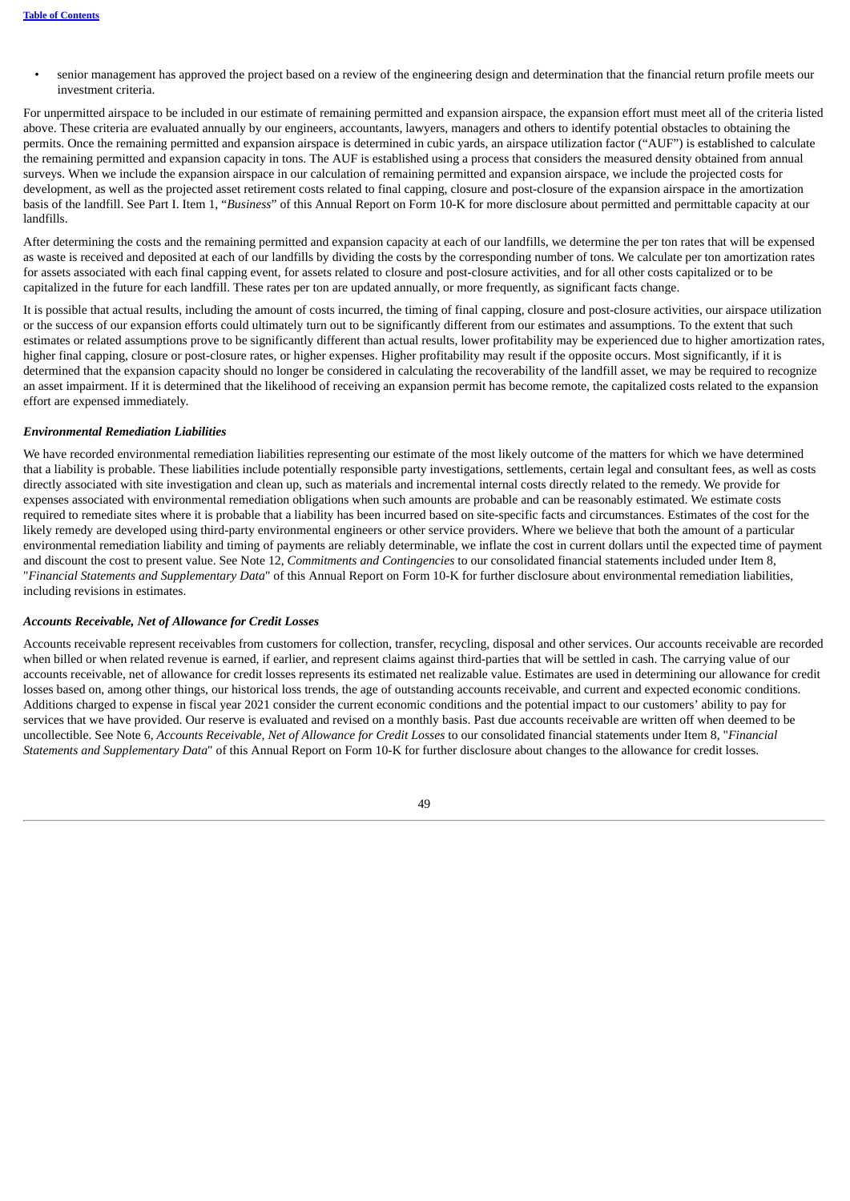• senior management has approved the project based on a review of the engineering design and determination that the financial return profile meets our investment criteria.

For unpermitted airspace to be included in our estimate of remaining permitted and expansion airspace, the expansion effort must meet all of the criteria listed above. These criteria are evaluated annually by our engineers, accountants, lawyers, managers and others to identify potential obstacles to obtaining the permits. Once the remaining permitted and expansion airspace is determined in cubic yards, an airspace utilization factor ("AUF") is established to calculate the remaining permitted and expansion capacity in tons. The AUF is established using a process that considers the measured density obtained from annual surveys. When we include the expansion airspace in our calculation of remaining permitted and expansion airspace, we include the projected costs for development, as well as the projected asset retirement costs related to final capping, closure and post-closure of the expansion airspace in the amortization basis of the landfill. See Part I. Item 1, "*Business*" of this Annual Report on Form 10-K for more disclosure about permitted and permittable capacity at our landfills.

After determining the costs and the remaining permitted and expansion capacity at each of our landfills, we determine the per ton rates that will be expensed as waste is received and deposited at each of our landfills by dividing the costs by the corresponding number of tons. We calculate per ton amortization rates for assets associated with each final capping event, for assets related to closure and post-closure activities, and for all other costs capitalized or to be capitalized in the future for each landfill. These rates per ton are updated annually, or more frequently, as significant facts change.

It is possible that actual results, including the amount of costs incurred, the timing of final capping, closure and post-closure activities, our airspace utilization or the success of our expansion efforts could ultimately turn out to be significantly different from our estimates and assumptions. To the extent that such estimates or related assumptions prove to be significantly different than actual results, lower profitability may be experienced due to higher amortization rates, higher final capping, closure or post-closure rates, or higher expenses. Higher profitability may result if the opposite occurs. Most significantly, if it is determined that the expansion capacity should no longer be considered in calculating the recoverability of the landfill asset, we may be required to recognize an asset impairment. If it is determined that the likelihood of receiving an expansion permit has become remote, the capitalized costs related to the expansion effort are expensed immediately.

## *Environmental Remediation Liabilities*

We have recorded environmental remediation liabilities representing our estimate of the most likely outcome of the matters for which we have determined that a liability is probable. These liabilities include potentially responsible party investigations, settlements, certain legal and consultant fees, as well as costs directly associated with site investigation and clean up, such as materials and incremental internal costs directly related to the remedy. We provide for expenses associated with environmental remediation obligations when such amounts are probable and can be reasonably estimated. We estimate costs required to remediate sites where it is probable that a liability has been incurred based on site-specific facts and circumstances. Estimates of the cost for the likely remedy are developed using third-party environmental engineers or other service providers. Where we believe that both the amount of a particular environmental remediation liability and timing of payments are reliably determinable, we inflate the cost in current dollars until the expected time of payment and discount the cost to present value. See Note 12, *Commitments and Contingencies* to our consolidated financial statements included under Item 8, "*Financial Statements and Supplementary Data*" of this Annual Report on Form 10-K for further disclosure about environmental remediation liabilities, including revisions in estimates.

## *Accounts Receivable, Net of Allowance for Credit Losses*

Accounts receivable represent receivables from customers for collection, transfer, recycling, disposal and other services. Our accounts receivable are recorded when billed or when related revenue is earned, if earlier, and represent claims against third-parties that will be settled in cash. The carrying value of our accounts receivable, net of allowance for credit losses represents its estimated net realizable value. Estimates are used in determining our allowance for credit losses based on, among other things, our historical loss trends, the age of outstanding accounts receivable, and current and expected economic conditions. Additions charged to expense in fiscal year 2021 consider the current economic conditions and the potential impact to our customers' ability to pay for services that we have provided. Our reserve is evaluated and revised on a monthly basis. Past due accounts receivable are written off when deemed to be uncollectible. See Note 6, *Accounts Receivable, Net of Allowance for Credit Losses* to our consolidated financial statements under Item 8, "*Financial Statements and Supplementary Data*" of this Annual Report on Form 10-K for further disclosure about changes to the allowance for credit losses.

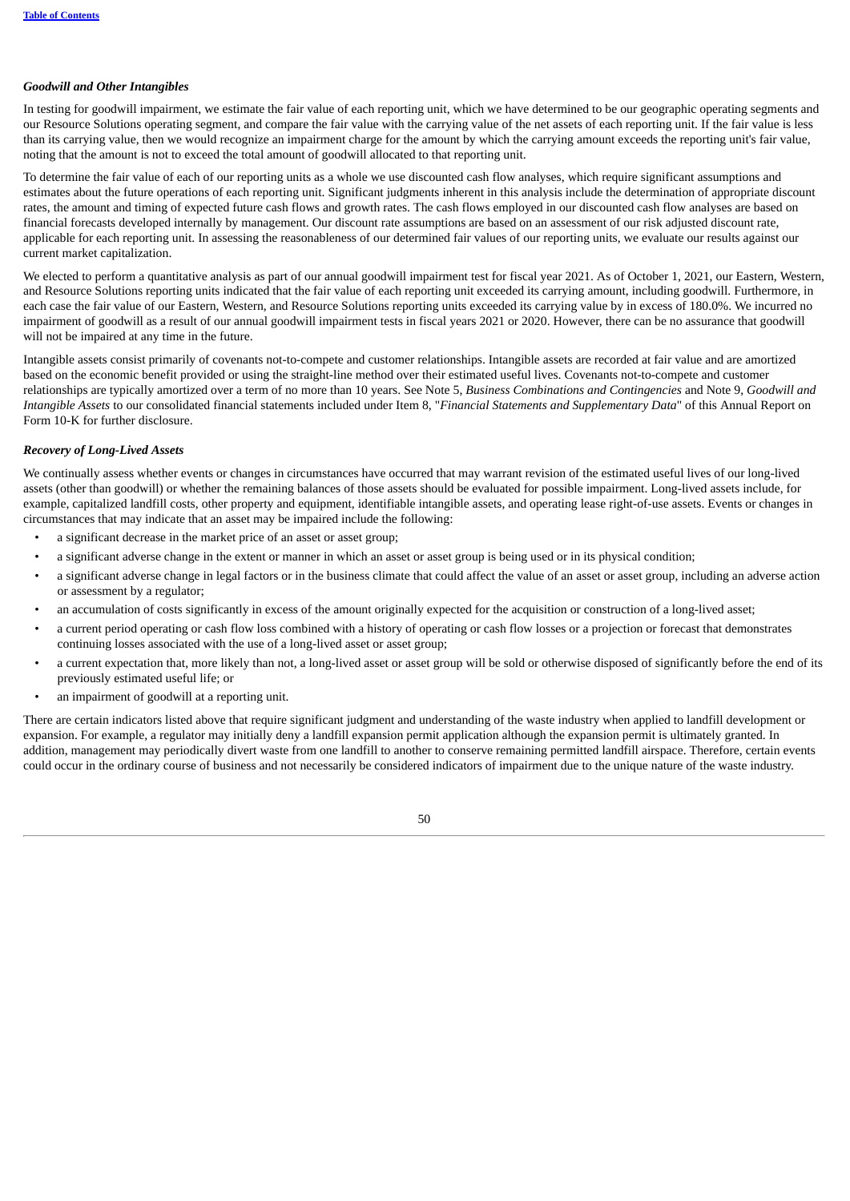## *Goodwill and Other Intangibles*

In testing for goodwill impairment, we estimate the fair value of each reporting unit, which we have determined to be our geographic operating segments and our Resource Solutions operating segment, and compare the fair value with the carrying value of the net assets of each reporting unit. If the fair value is less than its carrying value, then we would recognize an impairment charge for the amount by which the carrying amount exceeds the reporting unit's fair value, noting that the amount is not to exceed the total amount of goodwill allocated to that reporting unit.

To determine the fair value of each of our reporting units as a whole we use discounted cash flow analyses, which require significant assumptions and estimates about the future operations of each reporting unit. Significant judgments inherent in this analysis include the determination of appropriate discount rates, the amount and timing of expected future cash flows and growth rates. The cash flows employed in our discounted cash flow analyses are based on financial forecasts developed internally by management. Our discount rate assumptions are based on an assessment of our risk adjusted discount rate, applicable for each reporting unit. In assessing the reasonableness of our determined fair values of our reporting units, we evaluate our results against our current market capitalization.

We elected to perform a quantitative analysis as part of our annual goodwill impairment test for fiscal year 2021. As of October 1, 2021, our Eastern, Western, and Resource Solutions reporting units indicated that the fair value of each reporting unit exceeded its carrying amount, including goodwill. Furthermore, in each case the fair value of our Eastern, Western, and Resource Solutions reporting units exceeded its carrying value by in excess of 180.0%. We incurred no impairment of goodwill as a result of our annual goodwill impairment tests in fiscal years 2021 or 2020. However, there can be no assurance that goodwill will not be impaired at any time in the future.

Intangible assets consist primarily of covenants not-to-compete and customer relationships. Intangible assets are recorded at fair value and are amortized based on the economic benefit provided or using the straight-line method over their estimated useful lives. Covenants not-to-compete and customer relationships are typically amortized over a term of no more than 10 years. See Note 5, *Business Combinations and Contingencies* and Note 9, *Goodwill and Intangible Assets* to our consolidated financial statements included under Item 8, "*Financial Statements and Supplementary Data*" of this Annual Report on Form 10-K for further disclosure.

## *Recovery of Long-Lived Assets*

We continually assess whether events or changes in circumstances have occurred that may warrant revision of the estimated useful lives of our long-lived assets (other than goodwill) or whether the remaining balances of those assets should be evaluated for possible impairment. Long-lived assets include, for example, capitalized landfill costs, other property and equipment, identifiable intangible assets, and operating lease right-of-use assets. Events or changes in circumstances that may indicate that an asset may be impaired include the following:

- a significant decrease in the market price of an asset or asset group;
- a significant adverse change in the extent or manner in which an asset or asset group is being used or in its physical condition;
- a significant adverse change in legal factors or in the business climate that could affect the value of an asset or asset group, including an adverse action or assessment by a regulator;
- an accumulation of costs significantly in excess of the amount originally expected for the acquisition or construction of a long-lived asset;
- a current period operating or cash flow loss combined with a history of operating or cash flow losses or a projection or forecast that demonstrates continuing losses associated with the use of a long-lived asset or asset group;
- a current expectation that, more likely than not, a long-lived asset or asset group will be sold or otherwise disposed of significantly before the end of its previously estimated useful life; or
- an impairment of goodwill at a reporting unit.

There are certain indicators listed above that require significant judgment and understanding of the waste industry when applied to landfill development or expansion. For example, a regulator may initially deny a landfill expansion permit application although the expansion permit is ultimately granted. In addition, management may periodically divert waste from one landfill to another to conserve remaining permitted landfill airspace. Therefore, certain events could occur in the ordinary course of business and not necessarily be considered indicators of impairment due to the unique nature of the waste industry.

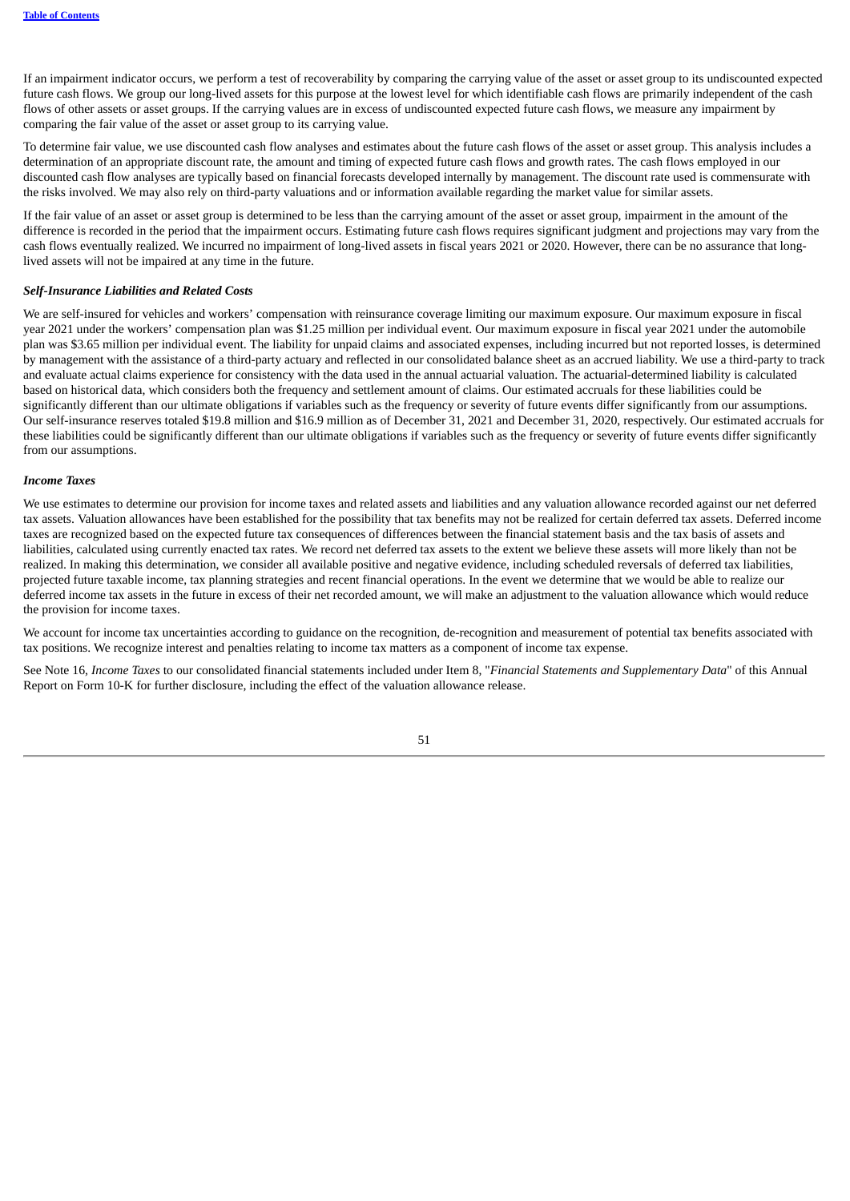If an impairment indicator occurs, we perform a test of recoverability by comparing the carrying value of the asset or asset group to its undiscounted expected future cash flows. We group our long-lived assets for this purpose at the lowest level for which identifiable cash flows are primarily independent of the cash flows of other assets or asset groups. If the carrying values are in excess of undiscounted expected future cash flows, we measure any impairment by comparing the fair value of the asset or asset group to its carrying value.

To determine fair value, we use discounted cash flow analyses and estimates about the future cash flows of the asset or asset group. This analysis includes a determination of an appropriate discount rate, the amount and timing of expected future cash flows and growth rates. The cash flows employed in our discounted cash flow analyses are typically based on financial forecasts developed internally by management. The discount rate used is commensurate with the risks involved. We may also rely on third-party valuations and or information available regarding the market value for similar assets.

If the fair value of an asset or asset group is determined to be less than the carrying amount of the asset or asset group, impairment in the amount of the difference is recorded in the period that the impairment occurs. Estimating future cash flows requires significant judgment and projections may vary from the cash flows eventually realized. We incurred no impairment of long-lived assets in fiscal years 2021 or 2020. However, there can be no assurance that longlived assets will not be impaired at any time in the future.

#### *Self-Insurance Liabilities and Related Costs*

We are self-insured for vehicles and workers' compensation with reinsurance coverage limiting our maximum exposure. Our maximum exposure in fiscal year 2021 under the workers' compensation plan was \$1.25 million per individual event. Our maximum exposure in fiscal year 2021 under the automobile plan was \$3.65 million per individual event. The liability for unpaid claims and associated expenses, including incurred but not reported losses, is determined by management with the assistance of a third-party actuary and reflected in our consolidated balance sheet as an accrued liability. We use a third-party to track and evaluate actual claims experience for consistency with the data used in the annual actuarial valuation. The actuarial-determined liability is calculated based on historical data, which considers both the frequency and settlement amount of claims. Our estimated accruals for these liabilities could be significantly different than our ultimate obligations if variables such as the frequency or severity of future events differ significantly from our assumptions. Our self-insurance reserves totaled \$19.8 million and \$16.9 million as of December 31, 2021 and December 31, 2020, respectively. Our estimated accruals for these liabilities could be significantly different than our ultimate obligations if variables such as the frequency or severity of future events differ significantly from our assumptions.

## *Income Taxes*

We use estimates to determine our provision for income taxes and related assets and liabilities and any valuation allowance recorded against our net deferred tax assets. Valuation allowances have been established for the possibility that tax benefits may not be realized for certain deferred tax assets. Deferred income taxes are recognized based on the expected future tax consequences of differences between the financial statement basis and the tax basis of assets and liabilities, calculated using currently enacted tax rates. We record net deferred tax assets to the extent we believe these assets will more likely than not be realized. In making this determination, we consider all available positive and negative evidence, including scheduled reversals of deferred tax liabilities, projected future taxable income, tax planning strategies and recent financial operations. In the event we determine that we would be able to realize our deferred income tax assets in the future in excess of their net recorded amount, we will make an adjustment to the valuation allowance which would reduce the provision for income taxes.

We account for income tax uncertainties according to guidance on the recognition, de-recognition and measurement of potential tax benefits associated with tax positions. We recognize interest and penalties relating to income tax matters as a component of income tax expense.

See Note 16, *Income Taxes* to our consolidated financial statements included under Item 8, "*Financial Statements and Supplementary Data*" of this Annual Report on Form 10-K for further disclosure, including the effect of the valuation allowance release.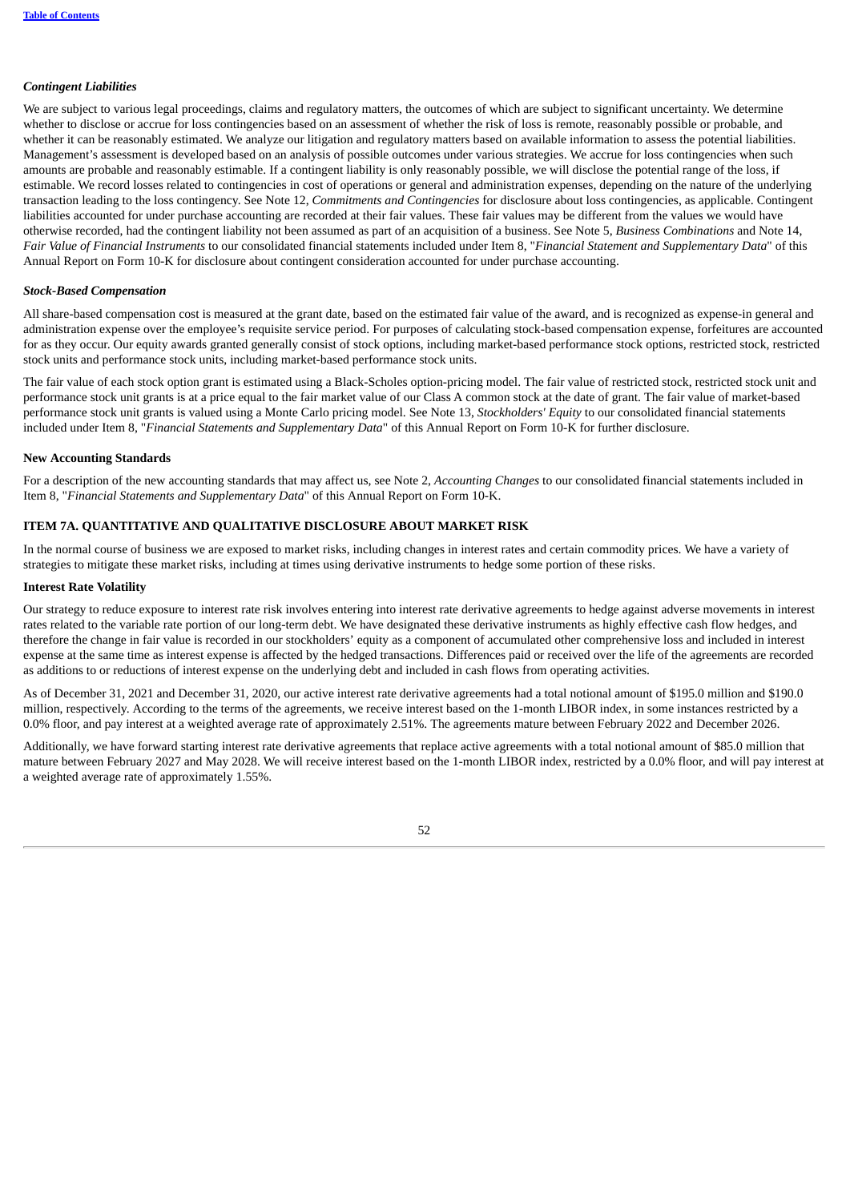### *Contingent Liabilities*

We are subject to various legal proceedings, claims and regulatory matters, the outcomes of which are subject to significant uncertainty. We determine whether to disclose or accrue for loss contingencies based on an assessment of whether the risk of loss is remote, reasonably possible or probable, and whether it can be reasonably estimated. We analyze our litigation and regulatory matters based on available information to assess the potential liabilities. Management's assessment is developed based on an analysis of possible outcomes under various strategies. We accrue for loss contingencies when such amounts are probable and reasonably estimable. If a contingent liability is only reasonably possible, we will disclose the potential range of the loss, if estimable. We record losses related to contingencies in cost of operations or general and administration expenses, depending on the nature of the underlying transaction leading to the loss contingency. See Note 12, *Commitments and Contingencies* for disclosure about loss contingencies, as applicable. Contingent liabilities accounted for under purchase accounting are recorded at their fair values. These fair values may be different from the values we would have otherwise recorded, had the contingent liability not been assumed as part of an acquisition of a business. See Note 5, *Business Combinations* and Note 14, *Fair Value of Financial Instruments* to our consolidated financial statements included under Item 8, "*Financial Statement and Supplementary Data*" of this Annual Report on Form 10-K for disclosure about contingent consideration accounted for under purchase accounting.

### *Stock-Based Compensation*

All share-based compensation cost is measured at the grant date, based on the estimated fair value of the award, and is recognized as expense-in general and administration expense over the employee's requisite service period. For purposes of calculating stock-based compensation expense, forfeitures are accounted for as they occur. Our equity awards granted generally consist of stock options, including market-based performance stock options, restricted stock, restricted stock units and performance stock units, including market-based performance stock units.

The fair value of each stock option grant is estimated using a Black-Scholes option-pricing model. The fair value of restricted stock, restricted stock unit and performance stock unit grants is at a price equal to the fair market value of our Class A common stock at the date of grant. The fair value of market-based performance stock unit grants is valued using a Monte Carlo pricing model. See Note 13, *Stockholders' Equity* to our consolidated financial statements included under Item 8, "*Financial Statements and Supplementary Data*" of this Annual Report on Form 10-K for further disclosure.

## **New Accounting Standards**

For a description of the new accounting standards that may affect us, see Note 2, *Accounting Changes* to our consolidated financial statements included in Item 8, "*Financial Statements and Supplementary Data*" of this Annual Report on Form 10-K.

## **ITEM 7A. QUANTITATIVE AND QUALITATIVE DISCLOSURE ABOUT MARKET RISK**

In the normal course of business we are exposed to market risks, including changes in interest rates and certain commodity prices. We have a variety of strategies to mitigate these market risks, including at times using derivative instruments to hedge some portion of these risks.

#### **Interest Rate Volatility**

Our strategy to reduce exposure to interest rate risk involves entering into interest rate derivative agreements to hedge against adverse movements in interest rates related to the variable rate portion of our long-term debt. We have designated these derivative instruments as highly effective cash flow hedges, and therefore the change in fair value is recorded in our stockholders' equity as a component of accumulated other comprehensive loss and included in interest expense at the same time as interest expense is affected by the hedged transactions. Differences paid or received over the life of the agreements are recorded as additions to or reductions of interest expense on the underlying debt and included in cash flows from operating activities.

As of December 31, 2021 and December 31, 2020, our active interest rate derivative agreements had a total notional amount of \$195.0 million and \$190.0 million, respectively. According to the terms of the agreements, we receive interest based on the 1-month LIBOR index, in some instances restricted by a 0.0% floor, and pay interest at a weighted average rate of approximately 2.51%. The agreements mature between February 2022 and December 2026.

Additionally, we have forward starting interest rate derivative agreements that replace active agreements with a total notional amount of \$85.0 million that mature between February 2027 and May 2028. We will receive interest based on the 1-month LIBOR index, restricted by a 0.0% floor, and will pay interest at a weighted average rate of approximately 1.55%.

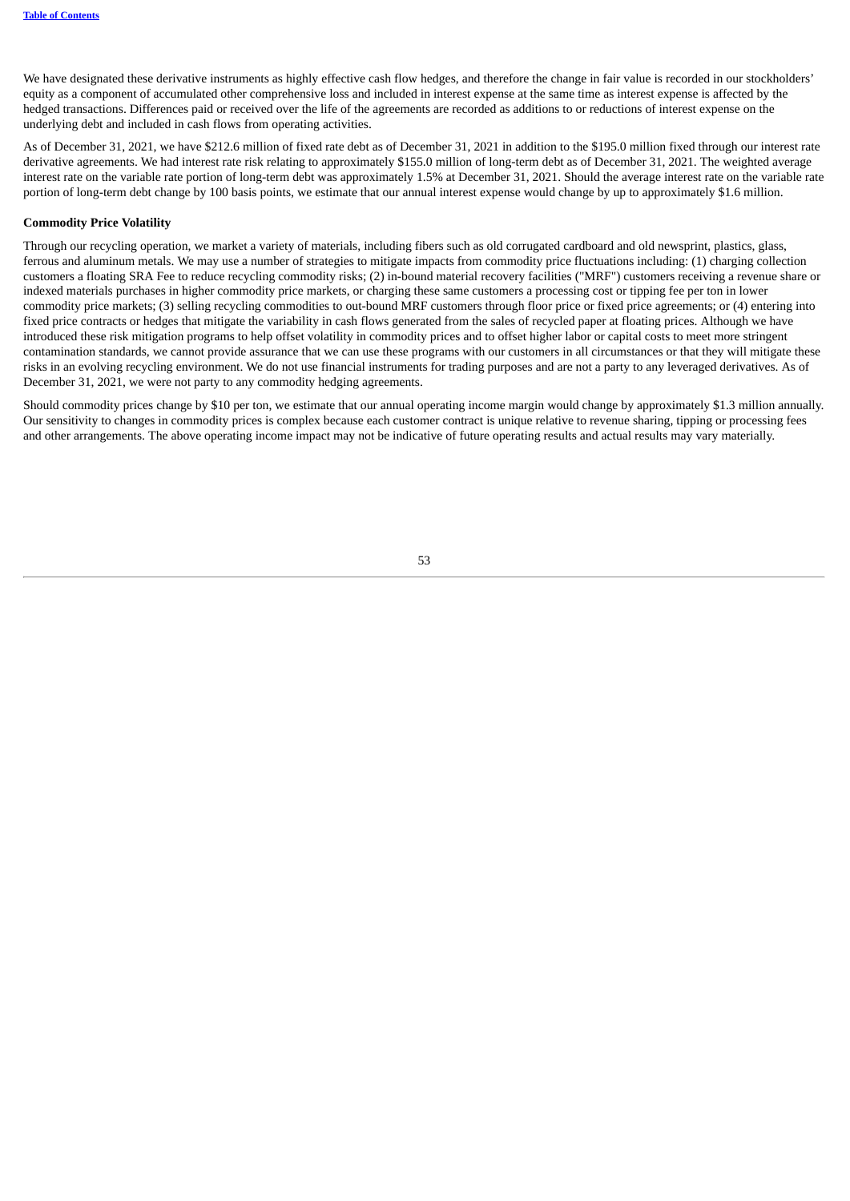We have designated these derivative instruments as highly effective cash flow hedges, and therefore the change in fair value is recorded in our stockholders' equity as a component of accumulated other comprehensive loss and included in interest expense at the same time as interest expense is affected by the hedged transactions. Differences paid or received over the life of the agreements are recorded as additions to or reductions of interest expense on the underlying debt and included in cash flows from operating activities.

As of December 31, 2021, we have \$212.6 million of fixed rate debt as of December 31, 2021 in addition to the \$195.0 million fixed through our interest rate derivative agreements. We had interest rate risk relating to approximately \$155.0 million of long-term debt as of December 31, 2021. The weighted average interest rate on the variable rate portion of long-term debt was approximately 1.5% at December 31, 2021. Should the average interest rate on the variable rate portion of long-term debt change by 100 basis points, we estimate that our annual interest expense would change by up to approximately \$1.6 million.

### **Commodity Price Volatility**

Through our recycling operation, we market a variety of materials, including fibers such as old corrugated cardboard and old newsprint, plastics, glass, ferrous and aluminum metals. We may use a number of strategies to mitigate impacts from commodity price fluctuations including: (1) charging collection customers a floating SRA Fee to reduce recycling commodity risks; (2) in-bound material recovery facilities ("MRF") customers receiving a revenue share or indexed materials purchases in higher commodity price markets, or charging these same customers a processing cost or tipping fee per ton in lower commodity price markets; (3) selling recycling commodities to out-bound MRF customers through floor price or fixed price agreements; or (4) entering into fixed price contracts or hedges that mitigate the variability in cash flows generated from the sales of recycled paper at floating prices. Although we have introduced these risk mitigation programs to help offset volatility in commodity prices and to offset higher labor or capital costs to meet more stringent contamination standards, we cannot provide assurance that we can use these programs with our customers in all circumstances or that they will mitigate these risks in an evolving recycling environment. We do not use financial instruments for trading purposes and are not a party to any leveraged derivatives. As of December 31, 2021, we were not party to any commodity hedging agreements.

Should commodity prices change by \$10 per ton, we estimate that our annual operating income margin would change by approximately \$1.3 million annually. Our sensitivity to changes in commodity prices is complex because each customer contract is unique relative to revenue sharing, tipping or processing fees and other arrangements. The above operating income impact may not be indicative of future operating results and actual results may vary materially.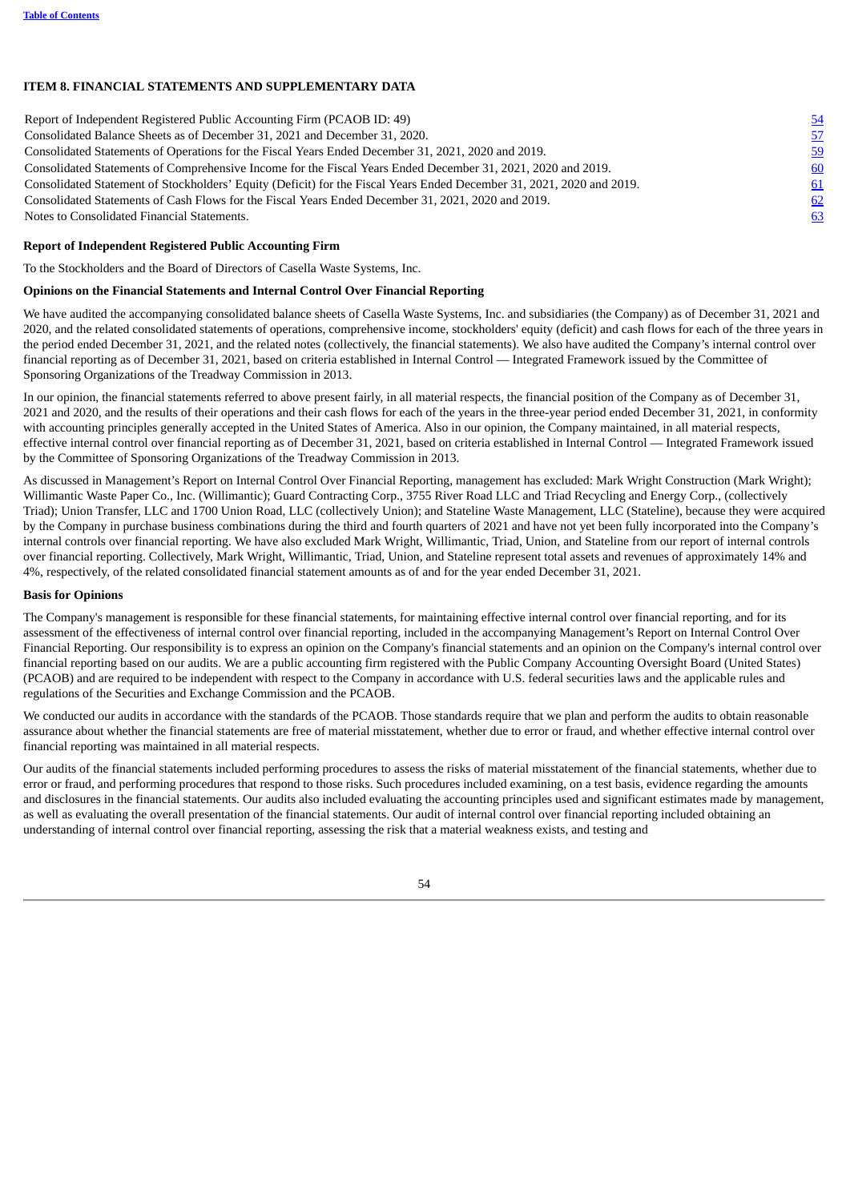## **ITEM 8. FINANCIAL STATEMENTS AND SUPPLEMENTARY DATA**

Report of Independent Registered Public Accounting Firm (PCAOB ID: 49)<br>
Consolidated Balance Sheets as of December 31, 2021 and December 31, 2020.<br>
Consolidated Statements of Operations for the Fiscal Years Ended December Consolidated Balance Sheets as of December 31, 2021 and December 31, 2020. Consolidated Statements of Operations for the Fiscal Years Ended December 31, 2021, 2020 and 2019. Consolidated Statements of Comprehensive Income for the Fiscal Years Ended December 31, 2021, 2020 and 2019. Consolidated Statement of Stockholders' Equity (Deficit) for the Fiscal Years Ended December 31, 2021, 2020 and 2019. Consolidated Statements of Cash Flows for the Fiscal Years Ended December 31, 2021, 2020 and 2019. Notes to Consolidated Financial Statements. [63](#page-61-0)

## <span id="page-53-0"></span>**Report of Independent Registered Public Accounting Firm**

To the Stockholders and the Board of Directors of Casella Waste Systems, Inc.

## **Opinions on the Financial Statements and Internal Control Over Financial Reporting**

We have audited the accompanying consolidated balance sheets of Casella Waste Systems, Inc. and subsidiaries (the Company) as of December 31, 2021 and 2020, and the related consolidated statements of operations, comprehensive income, stockholders' equity (deficit) and cash flows for each of the three years in the period ended December 31, 2021, and the related notes (collectively, the financial statements). We also have audited the Company's internal control over financial reporting as of December 31, 2021, based on criteria established in Internal Control — Integrated Framework issued by the Committee of Sponsoring Organizations of the Treadway Commission in 2013.

In our opinion, the financial statements referred to above present fairly, in all material respects, the financial position of the Company as of December 31, 2021 and 2020, and the results of their operations and their cash flows for each of the years in the three-year period ended December 31, 2021, in conformity with accounting principles generally accepted in the United States of America. Also in our opinion, the Company maintained, in all material respects, effective internal control over financial reporting as of December 31, 2021, based on criteria established in Internal Control — Integrated Framework issued by the Committee of Sponsoring Organizations of the Treadway Commission in 2013.

As discussed in Management's Report on Internal Control Over Financial Reporting, management has excluded: Mark Wright Construction (Mark Wright); Willimantic Waste Paper Co., Inc. (Willimantic); Guard Contracting Corp., 3755 River Road LLC and Triad Recycling and Energy Corp., (collectively Triad); Union Transfer, LLC and 1700 Union Road, LLC (collectively Union); and Stateline Waste Management, LLC (Stateline), because they were acquired by the Company in purchase business combinations during the third and fourth quarters of 2021 and have not yet been fully incorporated into the Company's internal controls over financial reporting. We have also excluded Mark Wright, Willimantic, Triad, Union, and Stateline from our report of internal controls over financial reporting. Collectively, Mark Wright, Willimantic, Triad, Union, and Stateline represent total assets and revenues of approximately 14% and 4%, respectively, of the related consolidated financial statement amounts as of and for the year ended December 31, 2021.

#### **Basis for Opinions**

The Company's management is responsible for these financial statements, for maintaining effective internal control over financial reporting, and for its assessment of the effectiveness of internal control over financial reporting, included in the accompanying Management's Report on Internal Control Over Financial Reporting. Our responsibility is to express an opinion on the Company's financial statements and an opinion on the Company's internal control over financial reporting based on our audits. We are a public accounting firm registered with the Public Company Accounting Oversight Board (United States) (PCAOB) and are required to be independent with respect to the Company in accordance with U.S. federal securities laws and the applicable rules and regulations of the Securities and Exchange Commission and the PCAOB.

We conducted our audits in accordance with the standards of the PCAOB. Those standards require that we plan and perform the audits to obtain reasonable assurance about whether the financial statements are free of material misstatement, whether due to error or fraud, and whether effective internal control over financial reporting was maintained in all material respects.

Our audits of the financial statements included performing procedures to assess the risks of material misstatement of the financial statements, whether due to error or fraud, and performing procedures that respond to those risks. Such procedures included examining, on a test basis, evidence regarding the amounts and disclosures in the financial statements. Our audits also included evaluating the accounting principles used and significant estimates made by management, as well as evaluating the overall presentation of the financial statements. Our audit of internal control over financial reporting included obtaining an understanding of internal control over financial reporting, assessing the risk that a material weakness exists, and testing and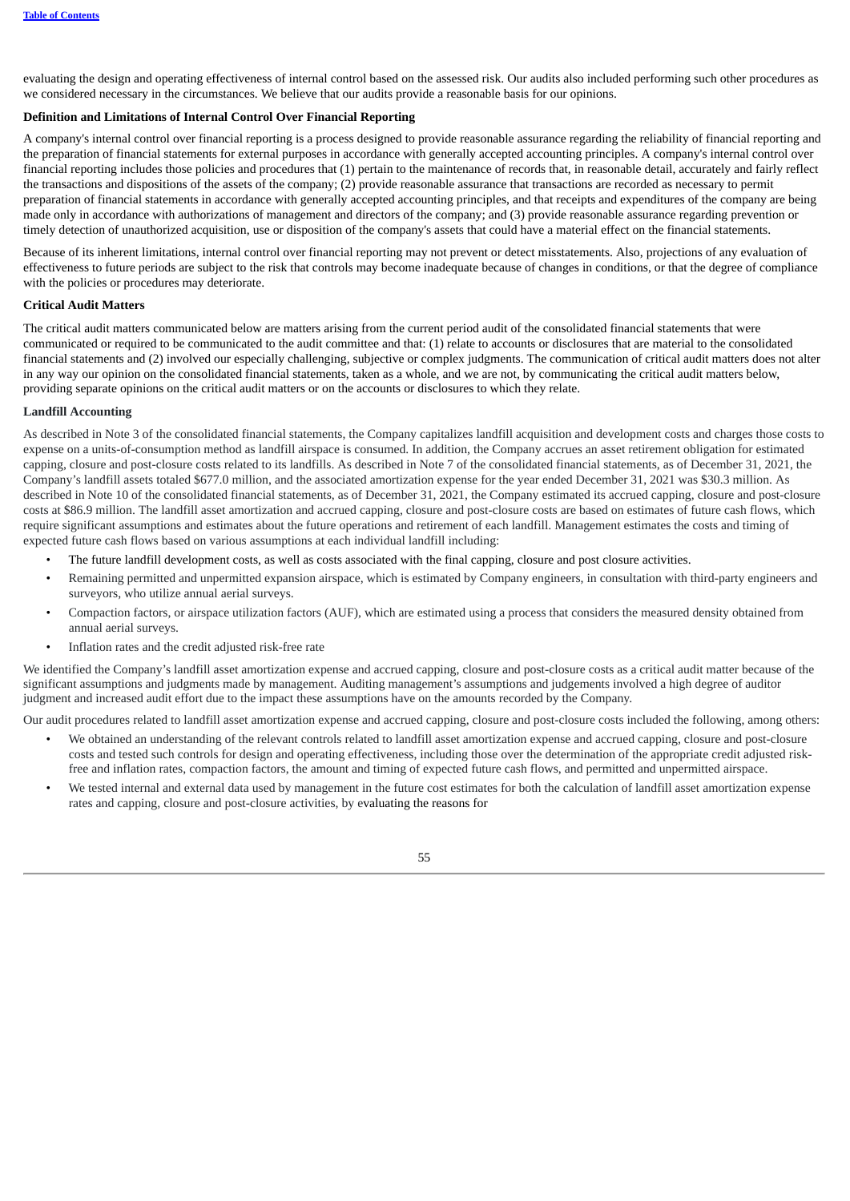evaluating the design and operating effectiveness of internal control based on the assessed risk. Our audits also included performing such other procedures as we considered necessary in the circumstances. We believe that our audits provide a reasonable basis for our opinions.

# **Definition and Limitations of Internal Control Over Financial Reporting**

A company's internal control over financial reporting is a process designed to provide reasonable assurance regarding the reliability of financial reporting and the preparation of financial statements for external purposes in accordance with generally accepted accounting principles. A company's internal control over financial reporting includes those policies and procedures that (1) pertain to the maintenance of records that, in reasonable detail, accurately and fairly reflect the transactions and dispositions of the assets of the company; (2) provide reasonable assurance that transactions are recorded as necessary to permit preparation of financial statements in accordance with generally accepted accounting principles, and that receipts and expenditures of the company are being made only in accordance with authorizations of management and directors of the company; and (3) provide reasonable assurance regarding prevention or timely detection of unauthorized acquisition, use or disposition of the company's assets that could have a material effect on the financial statements.

Because of its inherent limitations, internal control over financial reporting may not prevent or detect misstatements. Also, projections of any evaluation of effectiveness to future periods are subject to the risk that controls may become inadequate because of changes in conditions, or that the degree of compliance with the policies or procedures may deteriorate.

## **Critical Audit Matters**

The critical audit matters communicated below are matters arising from the current period audit of the consolidated financial statements that were communicated or required to be communicated to the audit committee and that: (1) relate to accounts or disclosures that are material to the consolidated financial statements and (2) involved our especially challenging, subjective or complex judgments. The communication of critical audit matters does not alter in any way our opinion on the consolidated financial statements, taken as a whole, and we are not, by communicating the critical audit matters below, providing separate opinions on the critical audit matters or on the accounts or disclosures to which they relate.

## **Landfill Accounting**

As described in Note 3 of the consolidated financial statements, the Company capitalizes landfill acquisition and development costs and charges those costs to expense on a units-of-consumption method as landfill airspace is consumed. In addition, the Company accrues an asset retirement obligation for estimated capping, closure and post-closure costs related to its landfills. As described in Note 7 of the consolidated financial statements, as of December 31, 2021, the Company's landfill assets totaled \$677.0 million, and the associated amortization expense for the year ended December 31, 2021 was \$30.3 million. As described in Note 10 of the consolidated financial statements, as of December 31, 2021, the Company estimated its accrued capping, closure and post-closure costs at \$86.9 million. The landfill asset amortization and accrued capping, closure and post-closure costs are based on estimates of future cash flows, which require significant assumptions and estimates about the future operations and retirement of each landfill. Management estimates the costs and timing of expected future cash flows based on various assumptions at each individual landfill including:

- The future landfill development costs, as well as costs associated with the final capping, closure and post closure activities.
- Remaining permitted and unpermitted expansion airspace, which is estimated by Company engineers, in consultation with third-party engineers and surveyors, who utilize annual aerial surveys.
- Compaction factors, or airspace utilization factors (AUF), which are estimated using a process that considers the measured density obtained from annual aerial surveys.
- Inflation rates and the credit adjusted risk-free rate

We identified the Company's landfill asset amortization expense and accrued capping, closure and post-closure costs as a critical audit matter because of the significant assumptions and judgments made by management. Auditing management's assumptions and judgements involved a high degree of auditor judgment and increased audit effort due to the impact these assumptions have on the amounts recorded by the Company.

Our audit procedures related to landfill asset amortization expense and accrued capping, closure and post-closure costs included the following, among others:

- We obtained an understanding of the relevant controls related to landfill asset amortization expense and accrued capping, closure and post-closure costs and tested such controls for design and operating effectiveness, including those over the determination of the appropriate credit adjusted riskfree and inflation rates, compaction factors, the amount and timing of expected future cash flows, and permitted and unpermitted airspace.
- We tested internal and external data used by management in the future cost estimates for both the calculation of landfill asset amortization expense rates and capping, closure and post-closure activities, by evaluating the reasons for

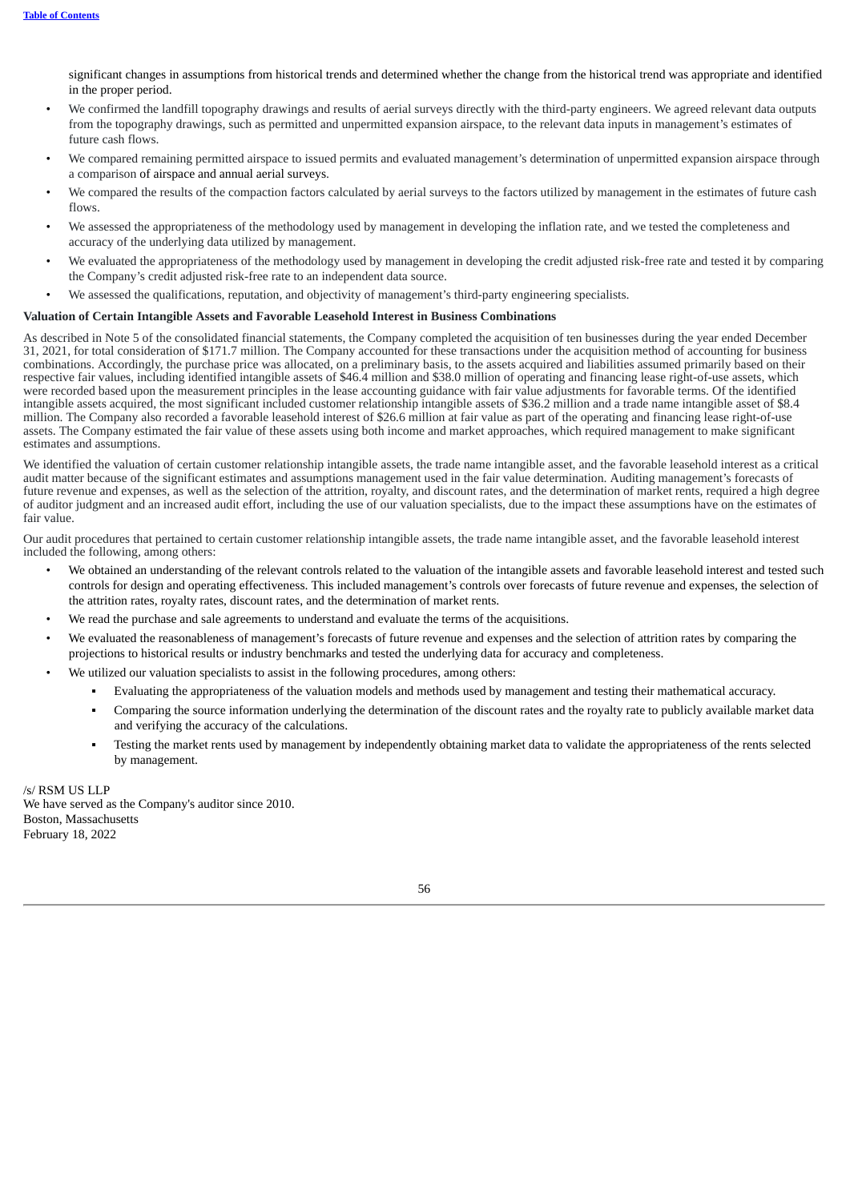significant changes in assumptions from historical trends and determined whether the change from the historical trend was appropriate and identified in the proper period.

- We confirmed the landfill topography drawings and results of aerial surveys directly with the third-party engineers. We agreed relevant data outputs from the topography drawings, such as permitted and unpermitted expansion airspace, to the relevant data inputs in management's estimates of future cash flows.
- We compared remaining permitted airspace to issued permits and evaluated management's determination of unpermitted expansion airspace through a comparison of airspace and annual aerial surveys.
- We compared the results of the compaction factors calculated by aerial surveys to the factors utilized by management in the estimates of future cash flows.
- We assessed the appropriateness of the methodology used by management in developing the inflation rate, and we tested the completeness and accuracy of the underlying data utilized by management.
- We evaluated the appropriateness of the methodology used by management in developing the credit adjusted risk-free rate and tested it by comparing the Company's credit adjusted risk-free rate to an independent data source.
- We assessed the qualifications, reputation, and objectivity of management's third-party engineering specialists.

## **Valuation of Certain Intangible Assets and Favorable Leasehold Interest in Business Combinations**

As described in Note 5 of the consolidated financial statements, the Company completed the acquisition of ten businesses during the year ended December 31, 2021, for total consideration of \$171.7 million. The Company accounted for these transactions under the acquisition method of accounting for business combinations. Accordingly, the purchase price was allocated, on a preliminary basis, to the assets acquired and liabilities assumed primarily based on their respective fair values, including identified intangible assets of \$46.4 million and \$38.0 million of operating and financing lease right-of-use assets, which were recorded based upon the measurement principles in the lease accounting guidance with fair value adjustments for favorable terms. Of the identified intangible assets acquired, the most significant included customer relationship intangible assets of \$36.2 million and a trade name intangible asset of \$8.4 million. The Company also recorded a favorable leasehold interest of \$26.6 million at fair value as part of the operating and financing lease right-of-use assets. The Company estimated the fair value of these assets using both income and market approaches, which required management to make significant estimates and assumptions.

We identified the valuation of certain customer relationship intangible assets, the trade name intangible asset, and the favorable leasehold interest as a critical audit matter because of the significant estimates and assumptions management used in the fair value determination. Auditing management's forecasts of future revenue and expenses, as well as the selection of the attrition, royalty, and discount rates, and the determination of market rents, required a high degree of auditor judgment and an increased audit effort, including the use of our valuation specialists, due to the impact these assumptions have on the estimates of fair value.

Our audit procedures that pertained to certain customer relationship intangible assets, the trade name intangible asset, and the favorable leasehold interest included the following, among others:

- We obtained an understanding of the relevant controls related to the valuation of the intangible assets and favorable leasehold interest and tested such controls for design and operating effectiveness. This included management's controls over forecasts of future revenue and expenses, the selection of the attrition rates, royalty rates, discount rates, and the determination of market rents.
- We read the purchase and sale agreements to understand and evaluate the terms of the acquisitions.
- We evaluated the reasonableness of management's forecasts of future revenue and expenses and the selection of attrition rates by comparing the projections to historical results or industry benchmarks and tested the underlying data for accuracy and completeness.
	- We utilized our valuation specialists to assist in the following procedures, among others:
		- Evaluating the appropriateness of the valuation models and methods used by management and testing their mathematical accuracy.
		- Comparing the source information underlying the determination of the discount rates and the royalty rate to publicly available market data and verifying the accuracy of the calculations.
		- Testing the market rents used by management by independently obtaining market data to validate the appropriateness of the rents selected by management.

<span id="page-55-0"></span>/s/ RSM US LLP We have served as the Company's auditor since 2010. Boston, Massachusetts February 18, 2022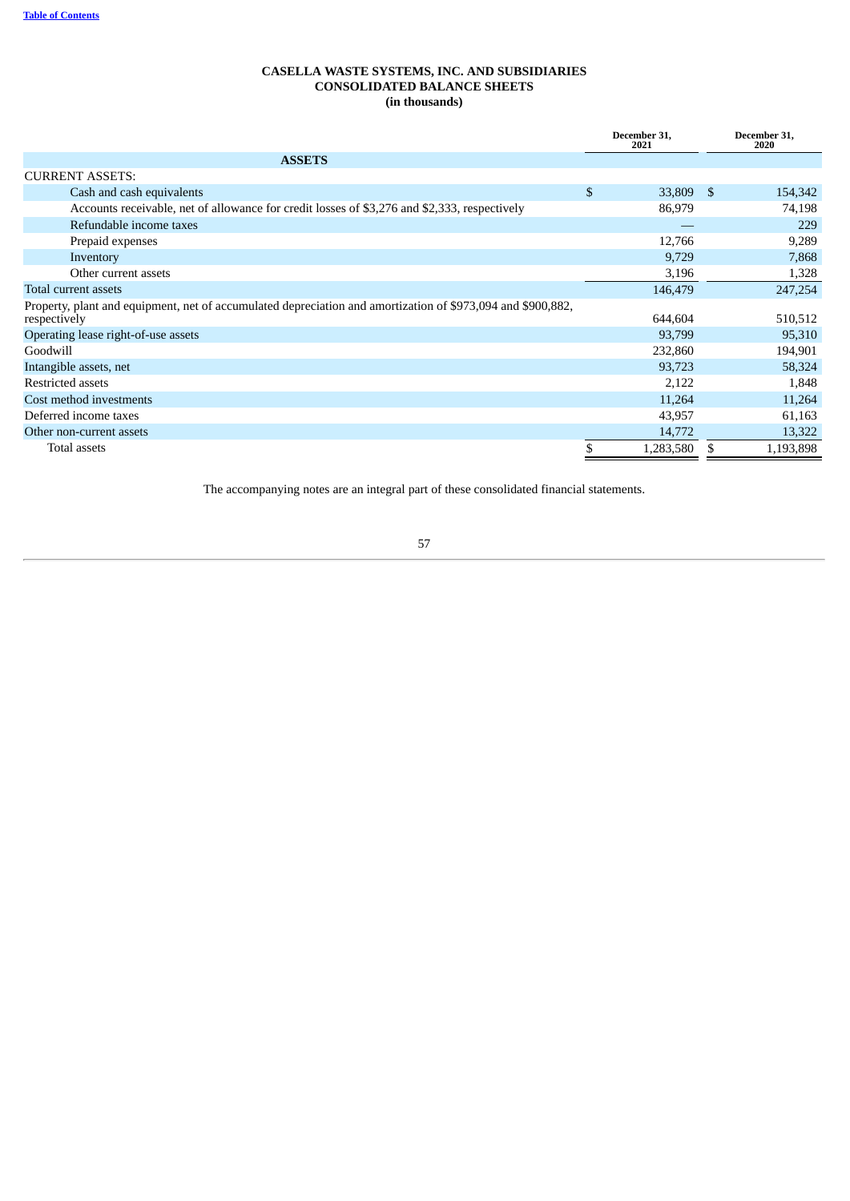# **CASELLA WASTE SYSTEMS, INC. AND SUBSIDIARIES CONSOLIDATED BALANCE SHEETS (in thousands)**

|                                                                                                             |                | December 31,<br>2021 |   | December 31,<br>2020 |
|-------------------------------------------------------------------------------------------------------------|----------------|----------------------|---|----------------------|
| <b>ASSETS</b>                                                                                               |                |                      |   |                      |
| <b>CURRENT ASSETS:</b>                                                                                      |                |                      |   |                      |
| Cash and cash equivalents                                                                                   | $\mathfrak{S}$ | 33,809 \$            |   | 154,342              |
| Accounts receivable, net of allowance for credit losses of \$3,276 and \$2,333, respectively                |                | 86,979               |   | 74,198               |
| Refundable income taxes                                                                                     |                |                      |   | 229                  |
| Prepaid expenses                                                                                            |                | 12,766               |   | 9,289                |
| Inventory                                                                                                   |                | 9,729                |   | 7,868                |
| Other current assets                                                                                        |                | 3,196                |   | 1,328                |
| Total current assets                                                                                        |                | 146,479              |   | 247,254              |
| Property, plant and equipment, net of accumulated depreciation and amortization of \$973,094 and \$900,882, |                |                      |   |                      |
| respectively                                                                                                |                | 644,604              |   | 510,512              |
| Operating lease right-of-use assets                                                                         |                | 93,799               |   | 95,310               |
| Goodwill                                                                                                    |                | 232,860              |   | 194,901              |
| Intangible assets, net                                                                                      |                | 93,723               |   | 58,324               |
| Restricted assets                                                                                           |                | 2,122                |   | 1,848                |
| Cost method investments                                                                                     |                | 11,264               |   | 11,264               |
| Deferred income taxes                                                                                       |                | 43,957               |   | 61,163               |
| Other non-current assets                                                                                    |                | 14,772               |   | 13,322               |
| Total assets                                                                                                | \$             | 1,283,580            | Ъ | 1,193,898            |

The accompanying notes are an integral part of these consolidated financial statements.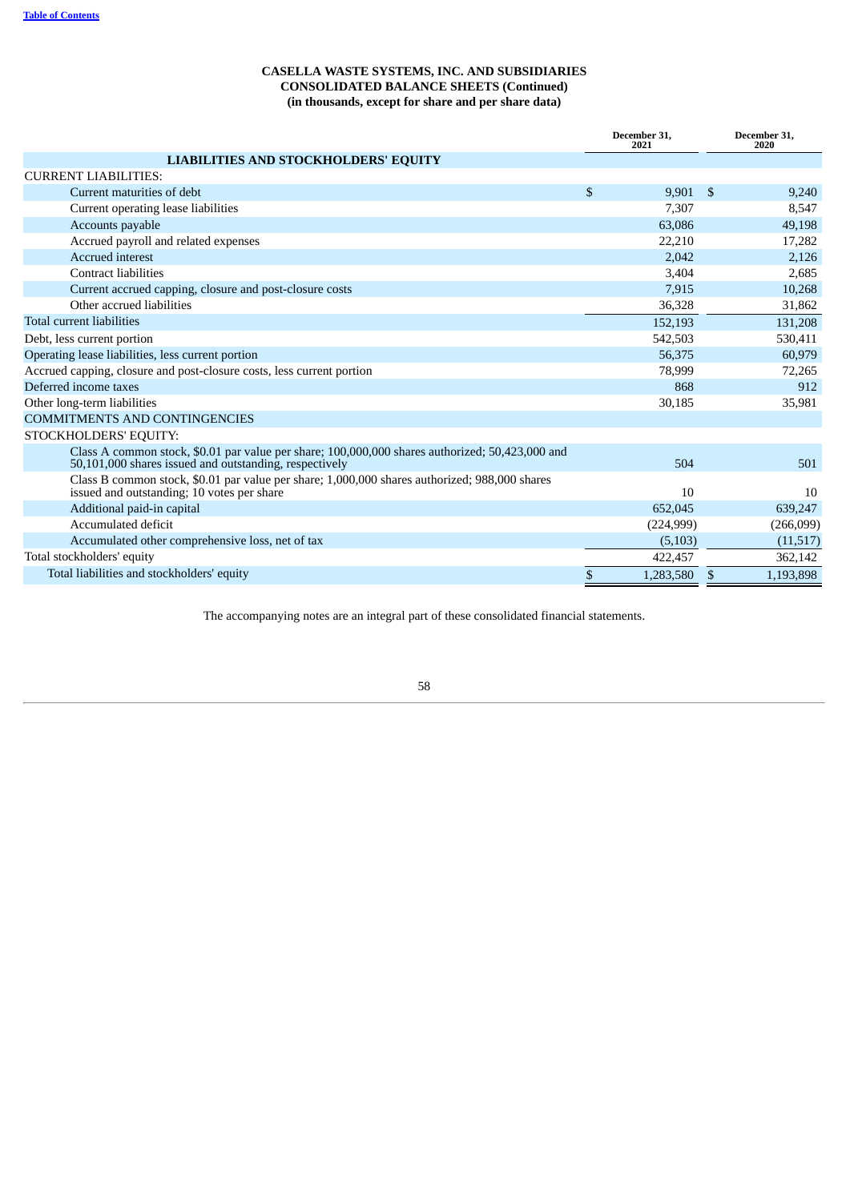# **CASELLA WASTE SYSTEMS, INC. AND SUBSIDIARIES CONSOLIDATED BALANCE SHEETS (Continued) (in thousands, except for share and per share data)**

|                                                                                                                                                           | December 31.<br>2021 |                | December 31.<br>2020 |
|-----------------------------------------------------------------------------------------------------------------------------------------------------------|----------------------|----------------|----------------------|
| <b>LIABILITIES AND STOCKHOLDERS' EQUITY</b>                                                                                                               |                      |                |                      |
| <b>CURRENT LIABILITIES:</b>                                                                                                                               |                      |                |                      |
| Current maturities of debt                                                                                                                                | \$<br>9.901          | $\mathfrak{S}$ | 9,240                |
| Current operating lease liabilities                                                                                                                       | 7,307                |                | 8,547                |
| Accounts payable                                                                                                                                          | 63,086               |                | 49,198               |
| Accrued payroll and related expenses                                                                                                                      | 22,210               |                | 17,282               |
| Accrued interest                                                                                                                                          | 2,042                |                | 2,126                |
| <b>Contract liabilities</b>                                                                                                                               | 3,404                |                | 2,685                |
| Current accrued capping, closure and post-closure costs                                                                                                   | 7,915                |                | 10,268               |
| Other accrued liabilities                                                                                                                                 | 36,328               |                | 31,862               |
| Total current liabilities                                                                                                                                 | 152,193              |                | 131,208              |
| Debt, less current portion                                                                                                                                | 542,503              |                | 530,411              |
| Operating lease liabilities, less current portion                                                                                                         | 56,375               |                | 60,979               |
| Accrued capping, closure and post-closure costs, less current portion                                                                                     | 78,999               |                | 72,265               |
| Deferred income taxes                                                                                                                                     | 868                  |                | 912                  |
| Other long-term liabilities                                                                                                                               | 30,185               |                | 35,981               |
| <b>COMMITMENTS AND CONTINGENCIES</b>                                                                                                                      |                      |                |                      |
| STOCKHOLDERS' EQUITY:                                                                                                                                     |                      |                |                      |
| Class A common stock, \$0.01 par value per share; 100,000,000 shares authorized; 50,423,000 and<br>50,101,000 shares issued and outstanding, respectively | 504                  |                | 501                  |
| Class B common stock, \$0.01 par value per share; 1,000,000 shares authorized; 988,000 shares<br>issued and outstanding; 10 votes per share               | 10                   |                | 10                   |
| Additional paid-in capital                                                                                                                                | 652.045              |                | 639,247              |
| Accumulated deficit                                                                                                                                       | (224,999)            |                | (266,099)            |
| Accumulated other comprehensive loss, net of tax                                                                                                          | (5, 103)             |                | (11, 517)            |
| Total stockholders' equity                                                                                                                                | 422,457              |                | 362,142              |
| Total liabilities and stockholders' equity                                                                                                                | \$<br>1,283,580      | \$             | 1,193,898            |

<span id="page-57-0"></span>The accompanying notes are an integral part of these consolidated financial statements.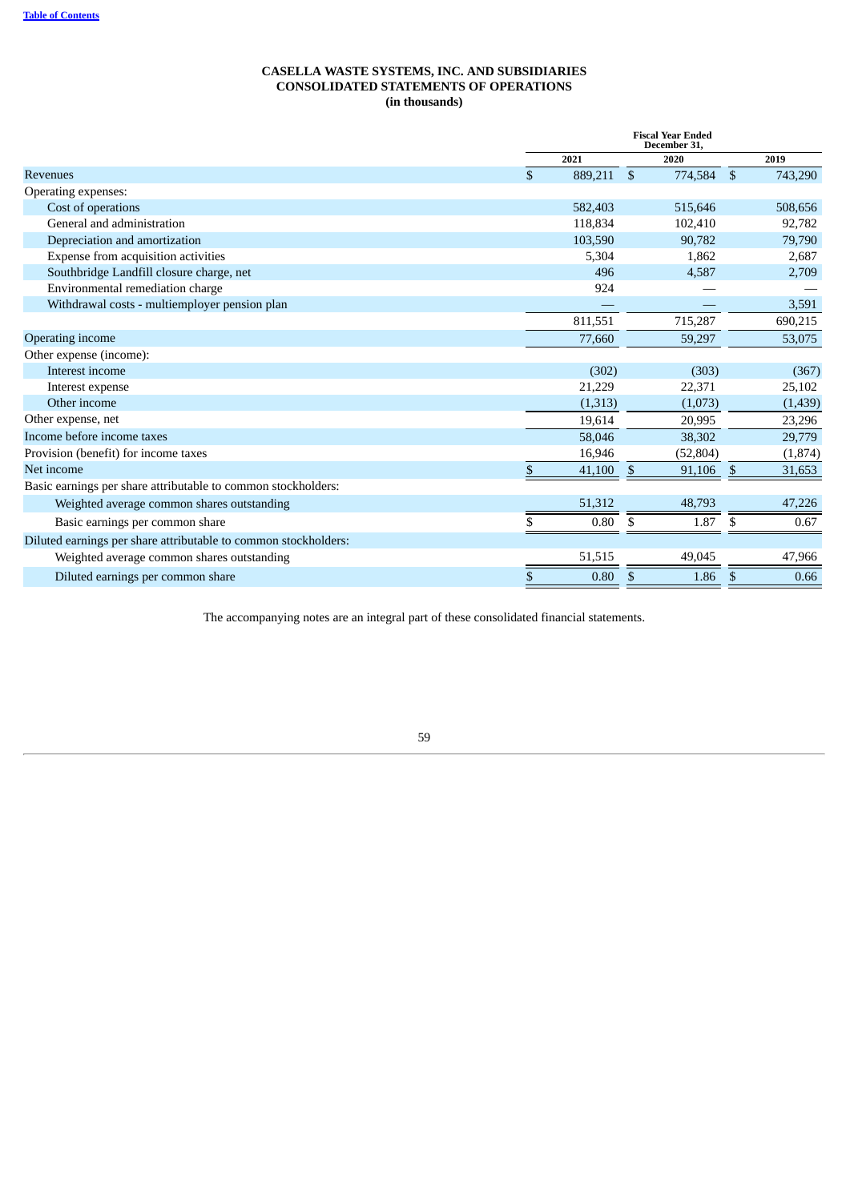## **CASELLA WASTE SYSTEMS, INC. AND SUBSIDIARIES CONSOLIDATED STATEMENTS OF OPERATIONS (in thousands)**

|                                                                 | <b>Fiscal Year Ended</b><br>December 31, |         |                            |    |         |
|-----------------------------------------------------------------|------------------------------------------|---------|----------------------------|----|---------|
|                                                                 |                                          | 2021    | 2020                       |    | 2019    |
| Revenues                                                        | \$                                       | 889,211 | $\mathbf{s}$<br>774,584 \$ |    | 743,290 |
| Operating expenses:                                             |                                          |         |                            |    |         |
| Cost of operations                                              |                                          | 582,403 | 515,646                    |    | 508,656 |
| General and administration                                      |                                          | 118.834 | 102,410                    |    | 92,782  |
| Depreciation and amortization                                   |                                          | 103,590 | 90,782                     |    | 79,790  |
| Expense from acquisition activities                             |                                          | 5,304   | 1,862                      |    | 2,687   |
| Southbridge Landfill closure charge, net                        |                                          | 496     | 4,587                      |    | 2,709   |
| Environmental remediation charge                                |                                          | 924     |                            |    |         |
| Withdrawal costs - multiemployer pension plan                   |                                          |         |                            |    | 3,591   |
|                                                                 |                                          | 811,551 | 715,287                    |    | 690,215 |
| Operating income                                                |                                          | 77,660  | 59,297                     |    | 53,075  |
| Other expense (income):                                         |                                          |         |                            |    |         |
| Interest income                                                 |                                          | (302)   | (303)                      |    | (367)   |
| Interest expense                                                |                                          | 21,229  | 22,371                     |    | 25,102  |
| Other income                                                    |                                          | (1,313) | (1,073)                    |    | (1,439) |
| Other expense, net                                              |                                          | 19,614  | 20,995                     |    | 23,296  |
| Income before income taxes                                      |                                          | 58,046  | 38,302                     |    | 29,779  |
| Provision (benefit) for income taxes                            |                                          | 16,946  | (52, 804)                  |    | (1,874) |
| Net income                                                      | \$                                       | 41,100  | 91,106<br>\$               | S  | 31,653  |
| Basic earnings per share attributable to common stockholders:   |                                          |         |                            |    |         |
| Weighted average common shares outstanding                      |                                          | 51,312  | 48,793                     |    | 47,226  |
| Basic earnings per common share                                 | \$                                       | 0.80    | 1.87<br>\$                 | \$ | 0.67    |
| Diluted earnings per share attributable to common stockholders: |                                          |         |                            |    |         |
| Weighted average common shares outstanding                      |                                          | 51,515  | 49,045                     |    | 47,966  |
| Diluted earnings per common share                               | \$                                       | 0.80    | 1.86<br>\$                 | \$ | 0.66    |

<span id="page-58-0"></span>The accompanying notes are an integral part of these consolidated financial statements.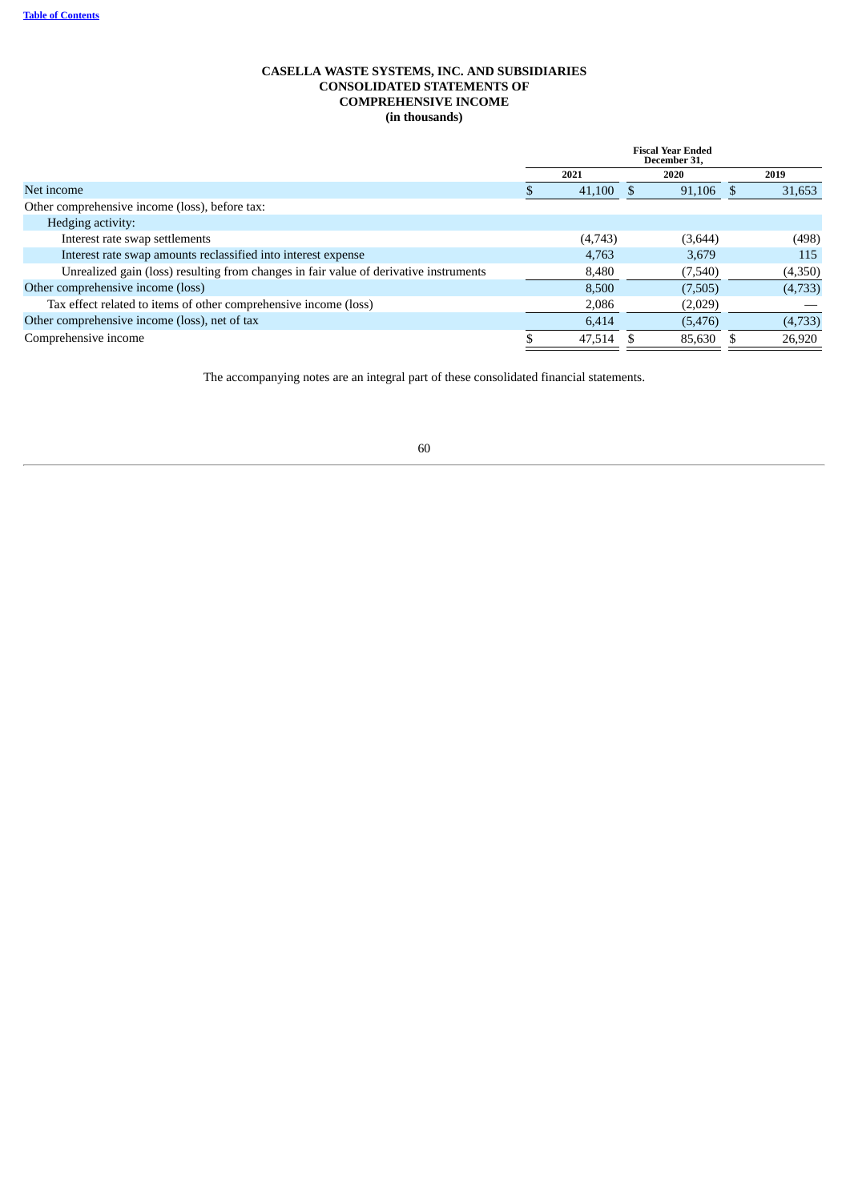## **CASELLA WASTE SYSTEMS, INC. AND SUBSIDIARIES CONSOLIDATED STATEMENTS OF COMPREHENSIVE INCOME (in thousands)**

|                                                                                       | <b>Fiscal Year Ended</b><br>December 31. |         |          |  |   |         |
|---------------------------------------------------------------------------------------|------------------------------------------|---------|----------|--|---|---------|
|                                                                                       |                                          | 2021    | 2020     |  |   | 2019    |
| Net income                                                                            |                                          | 41,100  | 91,106   |  | Ъ | 31,653  |
| Other comprehensive income (loss), before tax:                                        |                                          |         |          |  |   |         |
| Hedging activity:                                                                     |                                          |         |          |  |   |         |
| Interest rate swap settlements                                                        |                                          | (4,743) | (3,644)  |  |   | (498)   |
| Interest rate swap amounts reclassified into interest expense                         |                                          | 4,763   | 3,679    |  |   | 115     |
| Unrealized gain (loss) resulting from changes in fair value of derivative instruments |                                          | 8,480   | (7,540)  |  |   | (4,350) |
| Other comprehensive income (loss)                                                     |                                          | 8,500   | (7,505)  |  |   | (4,733) |
| Tax effect related to items of other comprehensive income (loss)                      |                                          | 2,086   | (2,029)  |  |   |         |
| Other comprehensive income (loss), net of tax                                         |                                          | 6.414   | (5, 476) |  |   | (4,733) |
| Comprehensive income                                                                  |                                          | 47.514  | 85,630   |  |   | 26,920  |

<span id="page-59-0"></span>The accompanying notes are an integral part of these consolidated financial statements.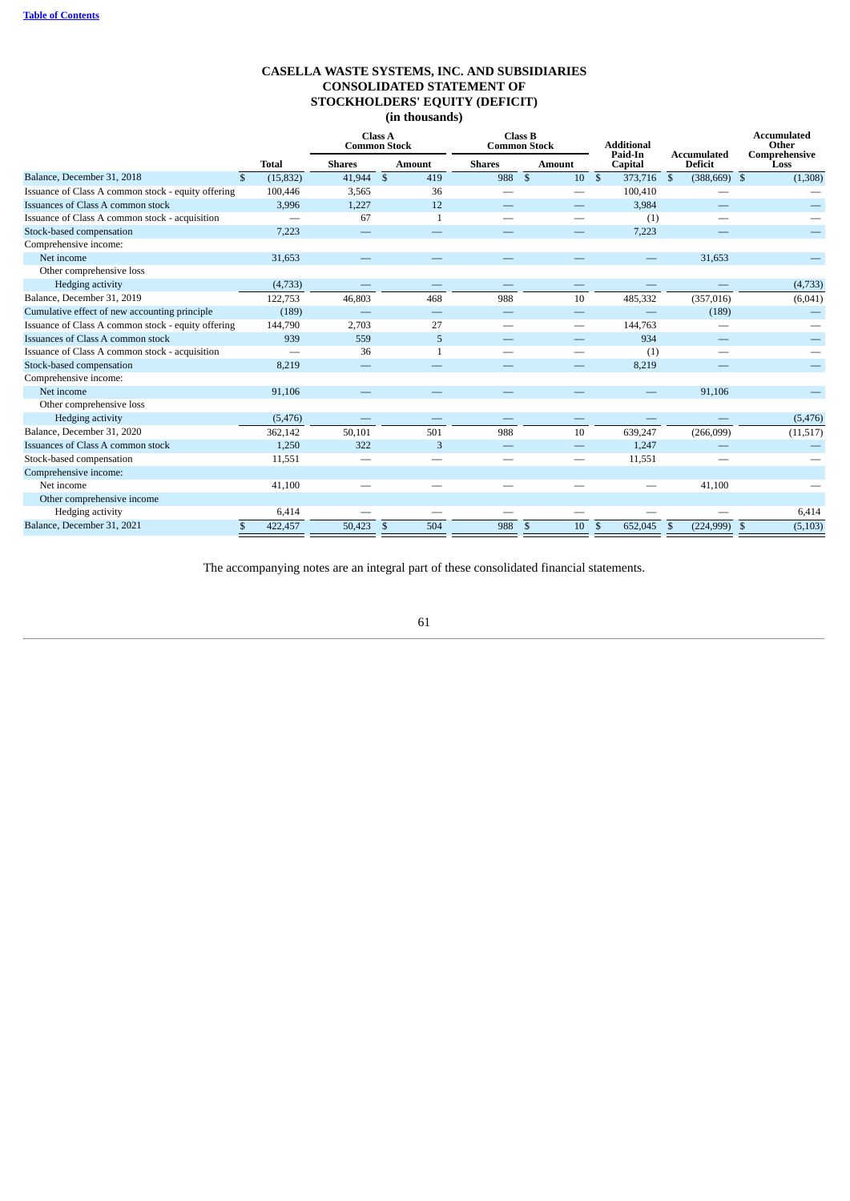## **CASELLA WASTE SYSTEMS, INC. AND SUBSIDIARIES CONSOLIDATED STATEMENT OF STOCKHOLDERS' EQUITY (DEFICIT) (in thousands)**

|                                                    |              |               | <b>Class A</b><br><b>Common Stock</b> |               | <b>Class B</b><br><b>Common Stock</b> | <b>Additional</b>          |                                      | <b>Accumulated</b><br>Other |
|----------------------------------------------------|--------------|---------------|---------------------------------------|---------------|---------------------------------------|----------------------------|--------------------------------------|-----------------------------|
|                                                    | <b>Total</b> | <b>Shares</b> | <b>Amount</b>                         | <b>Shares</b> | <b>Amount</b>                         | Paid-In<br>Capital         | <b>Accumulated</b><br><b>Deficit</b> | Comprehensive<br>Loss       |
| Balance, December 31, 2018<br>$\mathbb{S}$         | (15, 832)    | 41,944 \$     | 419                                   | 988           | $\mathbb{S}$<br>10                    | 373,716 \$<br>$\mathbb{S}$ | $(388, 669)$ \$                      | (1,308)                     |
| Issuance of Class A common stock - equity offering | 100,446      | 3,565         | 36                                    |               |                                       | 100,410                    |                                      |                             |
| Issuances of Class A common stock                  | 3,996        | 1,227         | 12                                    |               |                                       | 3,984                      | $\overline{\phantom{0}}$             |                             |
| Issuance of Class A common stock - acquisition     |              | 67            | $\mathbf{1}$                          |               |                                       | (1)                        |                                      |                             |
| Stock-based compensation                           | 7,223        |               |                                       |               |                                       | 7,223                      |                                      |                             |
| Comprehensive income:                              |              |               |                                       |               |                                       |                            |                                      |                             |
| Net income                                         | 31,653       |               |                                       |               |                                       |                            | 31,653                               |                             |
| Other comprehensive loss                           |              |               |                                       |               |                                       |                            |                                      |                             |
| Hedging activity                                   | (4,733)      |               |                                       |               |                                       |                            |                                      | (4,733)                     |
| Balance, December 31, 2019                         | 122,753      | 46,803        | 468                                   | 988           | 10                                    | 485,332                    | (357,016)                            | (6,041)                     |
| Cumulative effect of new accounting principle      | (189)        |               | --                                    |               |                                       |                            | (189)                                |                             |
| Issuance of Class A common stock - equity offering | 144,790      | 2,703         | 27                                    |               | $\overline{\phantom{0}}$              | 144,763                    |                                      |                             |
| Issuances of Class A common stock                  | 939          | 559           | 5                                     |               |                                       | 934                        |                                      |                             |
| Issuance of Class A common stock - acquisition     |              | 36            | $\overline{1}$                        |               |                                       | (1)                        |                                      |                             |
| Stock-based compensation                           | 8,219        |               |                                       |               |                                       | 8,219                      |                                      |                             |
| Comprehensive income:                              |              |               |                                       |               |                                       |                            |                                      |                             |
| Net income                                         | 91,106       |               |                                       |               |                                       |                            | 91,106                               |                             |
| Other comprehensive loss                           |              |               |                                       |               |                                       |                            |                                      |                             |
| Hedging activity                                   | (5, 476)     |               |                                       |               |                                       |                            |                                      | (5, 476)                    |
| Balance, December 31, 2020                         | 362,142      | 50,101        | 501                                   | 988           | 10                                    | 639,247                    | (266,099)                            | (11,517)                    |
| Issuances of Class A common stock                  | 1,250        | 322           | 3                                     |               |                                       | 1,247                      |                                      |                             |
| Stock-based compensation                           | 11,551       |               |                                       |               | —                                     | 11,551                     |                                      |                             |
| Comprehensive income:                              |              |               |                                       |               |                                       |                            |                                      |                             |
| Net income                                         | 41,100       |               |                                       |               |                                       |                            | 41,100                               |                             |
| Other comprehensive income                         |              |               |                                       |               |                                       |                            |                                      |                             |
| Hedging activity                                   | 6,414        |               |                                       |               |                                       |                            |                                      | 6,414                       |
| Balance, December 31, 2021<br>$\mathbb{S}$         | 422,457      | 50,423        | $\mathbb{S}$<br>504                   | 988           | $\mathbb{S}$<br>10                    | $\mathfrak{S}$<br>652.045  | $\mathfrak{S}$<br>$(224,999)$ \$     | (5, 103)                    |

<span id="page-60-0"></span>The accompanying notes are an integral part of these consolidated financial statements.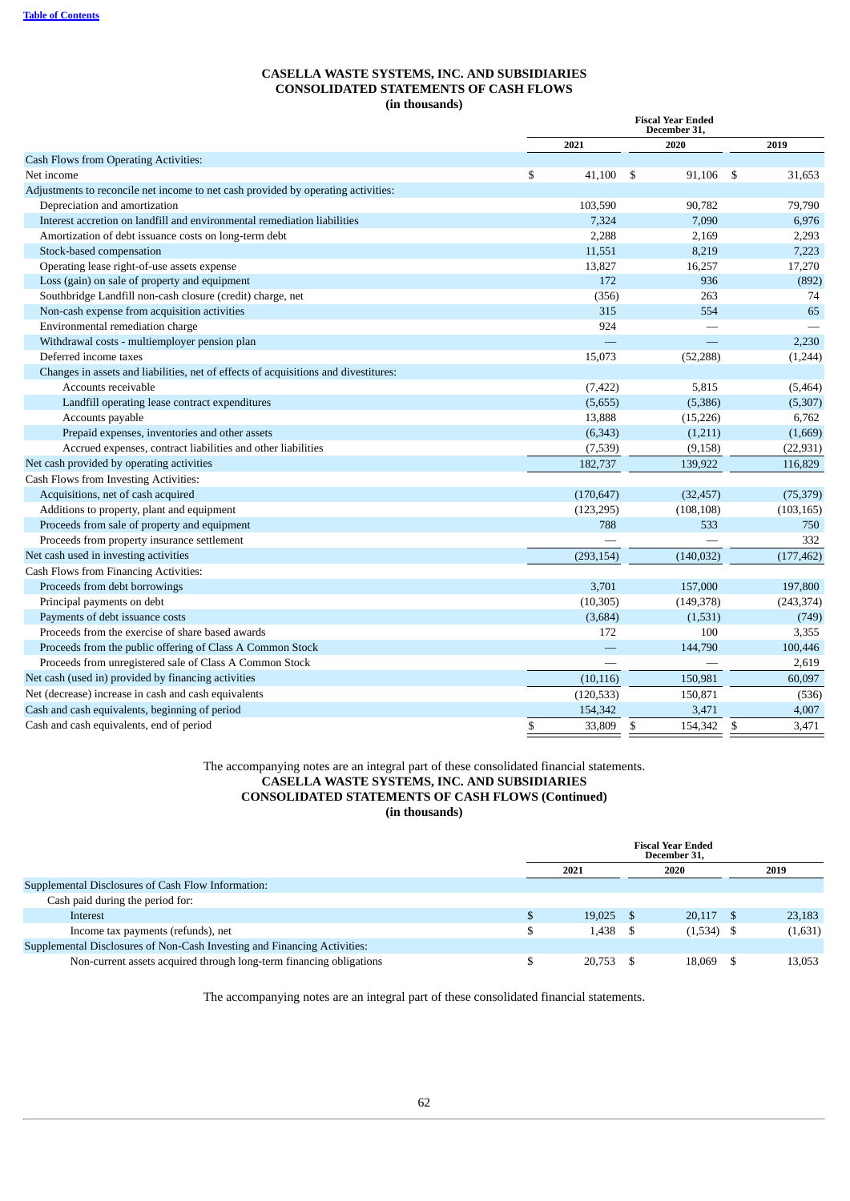## **CASELLA WASTE SYSTEMS, INC. AND SUBSIDIARIES CONSOLIDATED STATEMENTS OF CASH FLOWS (in thousands)**

|                                                                                     | <b>Fiscal Year Ended</b><br>December 31, |            |                |    |            |
|-------------------------------------------------------------------------------------|------------------------------------------|------------|----------------|----|------------|
|                                                                                     |                                          | 2021       | 2020           |    | 2019       |
| <b>Cash Flows from Operating Activities:</b>                                        |                                          |            |                |    |            |
| Net income                                                                          | \$                                       | 41,100     | - \$<br>91,106 | \$ | 31,653     |
| Adjustments to reconcile net income to net cash provided by operating activities:   |                                          |            |                |    |            |
| Depreciation and amortization                                                       |                                          | 103,590    | 90,782         |    | 79,790     |
| Interest accretion on landfill and environmental remediation liabilities            |                                          | 7,324      | 7,090          |    | 6,976      |
| Amortization of debt issuance costs on long-term debt                               |                                          | 2,288      | 2,169          |    | 2,293      |
| Stock-based compensation                                                            |                                          | 11,551     | 8,219          |    | 7,223      |
| Operating lease right-of-use assets expense                                         |                                          | 13,827     | 16,257         |    | 17,270     |
| Loss (gain) on sale of property and equipment                                       |                                          | 172        | 936            |    | (892)      |
| Southbridge Landfill non-cash closure (credit) charge, net                          |                                          | (356)      | 263            |    | 74         |
| Non-cash expense from acquisition activities                                        |                                          | 315        | 554            |    | 65         |
| Environmental remediation charge                                                    |                                          | 924        |                |    |            |
| Withdrawal costs - multiemployer pension plan                                       |                                          |            | $\equiv$       |    | 2,230      |
| Deferred income taxes                                                               |                                          | 15,073     | (52, 288)      |    | (1,244)    |
| Changes in assets and liabilities, net of effects of acquisitions and divestitures: |                                          |            |                |    |            |
| Accounts receivable                                                                 |                                          | (7, 422)   | 5,815          |    | (5,464)    |
| Landfill operating lease contract expenditures                                      |                                          | (5,655)    | (5,386)        |    | (5,307)    |
| Accounts payable                                                                    |                                          | 13,888     | (15, 226)      |    | 6,762      |
| Prepaid expenses, inventories and other assets                                      |                                          | (6,343)    | (1,211)        |    | (1,669)    |
| Accrued expenses, contract liabilities and other liabilities                        |                                          | (7,539)    | (9, 158)       |    | (22, 931)  |
| Net cash provided by operating activities                                           |                                          | 182,737    | 139,922        |    | 116,829    |
| Cash Flows from Investing Activities:                                               |                                          |            |                |    |            |
| Acquisitions, net of cash acquired                                                  |                                          | (170, 647) | (32, 457)      |    | (75, 379)  |
| Additions to property, plant and equipment                                          |                                          | (123, 295) | (108, 108)     |    | (103, 165) |
| Proceeds from sale of property and equipment                                        |                                          | 788        | 533            |    | 750        |
| Proceeds from property insurance settlement                                         |                                          |            |                |    | 332        |
| Net cash used in investing activities                                               |                                          | (293, 154) | (140, 032)     |    | (177, 462) |
| Cash Flows from Financing Activities:                                               |                                          |            |                |    |            |
| Proceeds from debt borrowings                                                       |                                          | 3,701      | 157,000        |    | 197,800    |
| Principal payments on debt                                                          |                                          | (10, 305)  | (149, 378)     |    | (243, 374) |
| Payments of debt issuance costs                                                     |                                          | (3,684)    | (1,531)        |    | (749)      |
| Proceeds from the exercise of share based awards                                    |                                          | 172        | 100            |    | 3,355      |
| Proceeds from the public offering of Class A Common Stock                           |                                          |            | 144,790        |    | 100,446    |
| Proceeds from unregistered sale of Class A Common Stock                             |                                          |            |                |    | 2,619      |
| Net cash (used in) provided by financing activities                                 |                                          | (10, 116)  | 150,981        |    | 60,097     |
| Net (decrease) increase in cash and cash equivalents                                |                                          | (120, 533) | 150,871        |    | (536)      |
| Cash and cash equivalents, beginning of period                                      |                                          | 154,342    | 3,471          |    | 4,007      |
| Cash and cash equivalents, end of period                                            | \$                                       | 33,809     | \$<br>154,342  | \$ | 3,471      |

The accompanying notes are an integral part of these consolidated financial statements. **CASELLA WASTE SYSTEMS, INC. AND SUBSIDIARIES CONSOLIDATED STATEMENTS OF CASH FLOWS (Continued)**

**(in thousands)**

|                                                                          | <b>Fiscal Year Ended</b><br>December 31. |  |              |  |         |  |
|--------------------------------------------------------------------------|------------------------------------------|--|--------------|--|---------|--|
|                                                                          | 2021                                     |  | 2020         |  | 2019    |  |
| Supplemental Disclosures of Cash Flow Information:                       |                                          |  |              |  |         |  |
| Cash paid during the period for:                                         |                                          |  |              |  |         |  |
| Interest                                                                 | $19,025$ \$                              |  | 20.117       |  | 23,183  |  |
| Income tax payments (refunds), net                                       | 1,438                                    |  | $(1,534)$ \$ |  | (1,631) |  |
| Supplemental Disclosures of Non-Cash Investing and Financing Activities: |                                          |  |              |  |         |  |
| Non-current assets acquired through long-term financing obligations      | 20.753 \$                                |  | 18.069       |  | 13.053  |  |

<span id="page-61-0"></span>The accompanying notes are an integral part of these consolidated financial statements.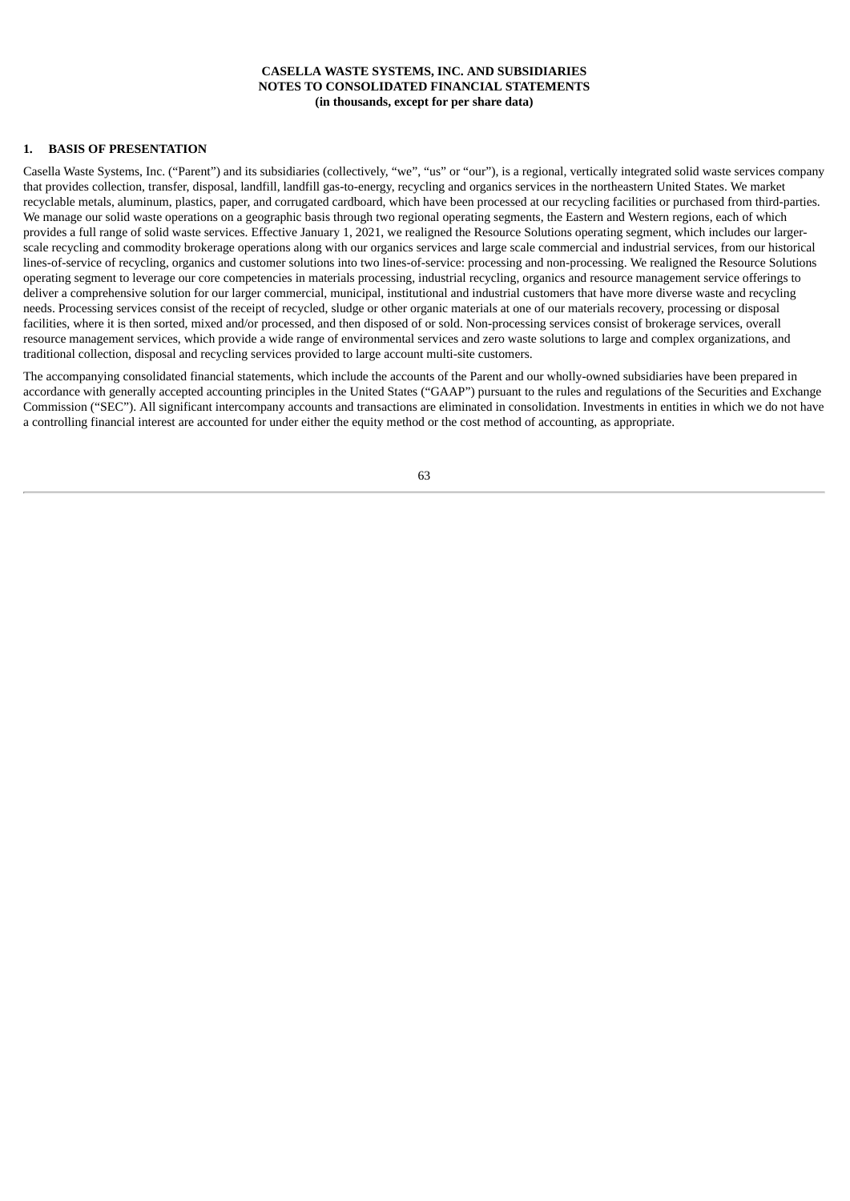## **CASELLA WASTE SYSTEMS, INC. AND SUBSIDIARIES NOTES TO CONSOLIDATED FINANCIAL STATEMENTS (in thousands, except for per share data)**

# **1. BASIS OF PRESENTATION**

Casella Waste Systems, Inc. ("Parent") and its subsidiaries (collectively, "we", "us" or "our"), is a regional, vertically integrated solid waste services company that provides collection, transfer, disposal, landfill, landfill gas-to-energy, recycling and organics services in the northeastern United States. We market recyclable metals, aluminum, plastics, paper, and corrugated cardboard, which have been processed at our recycling facilities or purchased from third-parties. We manage our solid waste operations on a geographic basis through two regional operating segments, the Eastern and Western regions, each of which provides a full range of solid waste services. Effective January 1, 2021, we realigned the Resource Solutions operating segment, which includes our largerscale recycling and commodity brokerage operations along with our organics services and large scale commercial and industrial services, from our historical lines-of-service of recycling, organics and customer solutions into two lines-of-service: processing and non-processing. We realigned the Resource Solutions operating segment to leverage our core competencies in materials processing, industrial recycling, organics and resource management service offerings to deliver a comprehensive solution for our larger commercial, municipal, institutional and industrial customers that have more diverse waste and recycling needs. Processing services consist of the receipt of recycled, sludge or other organic materials at one of our materials recovery, processing or disposal facilities, where it is then sorted, mixed and/or processed, and then disposed of or sold. Non-processing services consist of brokerage services, overall resource management services, which provide a wide range of environmental services and zero waste solutions to large and complex organizations, and traditional collection, disposal and recycling services provided to large account multi-site customers.

The accompanying consolidated financial statements, which include the accounts of the Parent and our wholly-owned subsidiaries have been prepared in accordance with generally accepted accounting principles in the United States ("GAAP") pursuant to the rules and regulations of the Securities and Exchange Commission ("SEC"). All significant intercompany accounts and transactions are eliminated in consolidation. Investments in entities in which we do not have a controlling financial interest are accounted for under either the equity method or the cost method of accounting, as appropriate.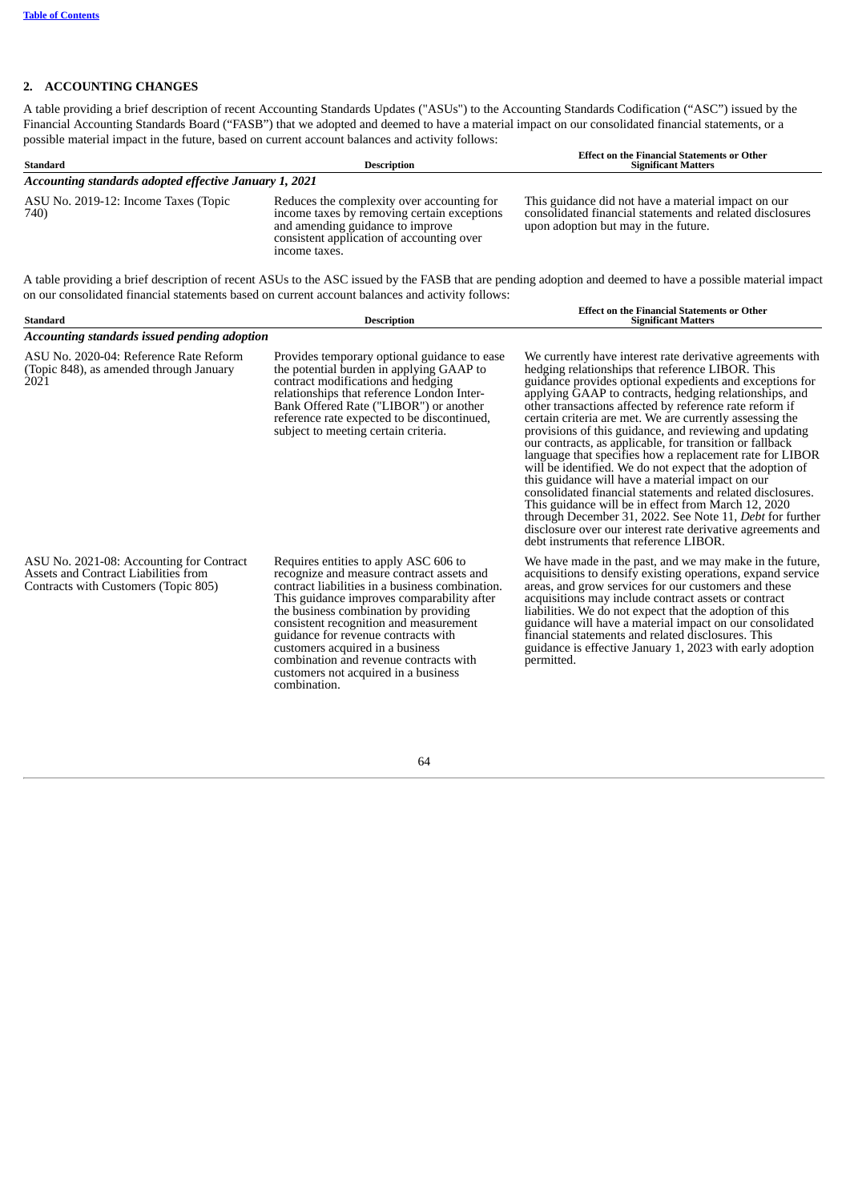# **2. ACCOUNTING CHANGES**

A table providing a brief description of recent Accounting Standards Updates ("ASUs") to the Accounting Standards Codification ("ASC") issued by the Financial Accounting Standards Board ("FASB") that we adopted and deemed to have a material impact on our consolidated financial statements, or a possible material impact in the future, based on current account balances and activity follows:

| Standard                                               | <b>Description</b>                                                                                                                                                                          | <b>Effect on the Financial Statements or Other</b><br><b>Significant Matters</b>                                                                         |
|--------------------------------------------------------|---------------------------------------------------------------------------------------------------------------------------------------------------------------------------------------------|----------------------------------------------------------------------------------------------------------------------------------------------------------|
| Accounting standards adopted effective January 1, 2021 |                                                                                                                                                                                             |                                                                                                                                                          |
| ASU No. 2019-12: Income Taxes (Topic<br>740)           | Reduces the complexity over accounting for<br>income taxes by removing certain exceptions<br>and amending guidance to improve<br>consistent application of accounting over<br>income taxes. | This guidance did not have a material impact on our<br>consolidated financial statements and related disclosures<br>upon adoption but may in the future. |

A table providing a brief description of recent ASUs to the ASC issued by the FASB that are pending adoption and deemed to have a possible material impact on our consolidated financial statements based on current account balances and activity follows: **Effect on the Financial Statements or Other**

| <b>Standard</b>                                                                                                          | <b>Description</b>                                                                                                                                                                                                                                                                                                                                                                                                                                  | Enect on the Financial Statements of Other<br><b>Significant Matters</b>                                                                                                                                                                                                                                                                                                                                                                                                                                                                                                                                                                                                                                                                                                                                                                                                                                                                                  |
|--------------------------------------------------------------------------------------------------------------------------|-----------------------------------------------------------------------------------------------------------------------------------------------------------------------------------------------------------------------------------------------------------------------------------------------------------------------------------------------------------------------------------------------------------------------------------------------------|-----------------------------------------------------------------------------------------------------------------------------------------------------------------------------------------------------------------------------------------------------------------------------------------------------------------------------------------------------------------------------------------------------------------------------------------------------------------------------------------------------------------------------------------------------------------------------------------------------------------------------------------------------------------------------------------------------------------------------------------------------------------------------------------------------------------------------------------------------------------------------------------------------------------------------------------------------------|
| Accounting standards issued pending adoption                                                                             |                                                                                                                                                                                                                                                                                                                                                                                                                                                     |                                                                                                                                                                                                                                                                                                                                                                                                                                                                                                                                                                                                                                                                                                                                                                                                                                                                                                                                                           |
| ASU No. 2020-04: Reference Rate Reform<br>(Topic 848), as amended through January<br>2021                                | Provides temporary optional guidance to ease<br>the potential burden in applying GAAP to<br>contract modifications and hedging<br>relationships that reference London Inter-<br>Bank Offered Rate ("LIBOR") or another<br>reference rate expected to be discontinued,<br>subject to meeting certain criteria.                                                                                                                                       | We currently have interest rate derivative agreements with<br>hedging relationships that reference LIBOR. This<br>guidance provides optional expedients and exceptions for<br>applying GAAP to contracts, hedging relationships, and<br>other transactions affected by reference rate reform if<br>certain criteria are met. We are currently assessing the<br>provisions of this guidance, and reviewing and updating<br>our contracts, as applicable, for transition or fallback<br>language that specifies how a replacement rate for LIBOR<br>will be identified. We do not expect that the adoption of<br>this guidance will have a material impact on our<br>consolidated financial statements and related disclosures.<br>This guidance will be in effect from March 12, 2020<br>through December 31, 2022. See Note 11, Debt for further<br>disclosure over our interest rate derivative agreements and<br>debt instruments that reference LIBOR. |
| ASU No. 2021-08: Accounting for Contract<br>Assets and Contract Liabilities from<br>Contracts with Customers (Topic 805) | Requires entities to apply ASC 606 to<br>recognize and measure contract assets and<br>contract liabilities in a business combination.<br>This guidance improves comparability after<br>the business combination by providing<br>consistent recognition and measurement<br>guidance for revenue contracts with<br>customers acquired in a business<br>combination and revenue contracts with<br>customers not acquired in a business<br>combination. | We have made in the past, and we may make in the future,<br>acquisitions to densify existing operations, expand service<br>areas, and grow services for our customers and these<br>acquisitions may include contract assets or contract<br>liabilities. We do not expect that the adoption of this<br>guidance will have a material impact on our consolidated<br>financial statements and related disclosures. This<br>guidance is effective January 1, 2023 with early adoption<br>permitted.                                                                                                                                                                                                                                                                                                                                                                                                                                                           |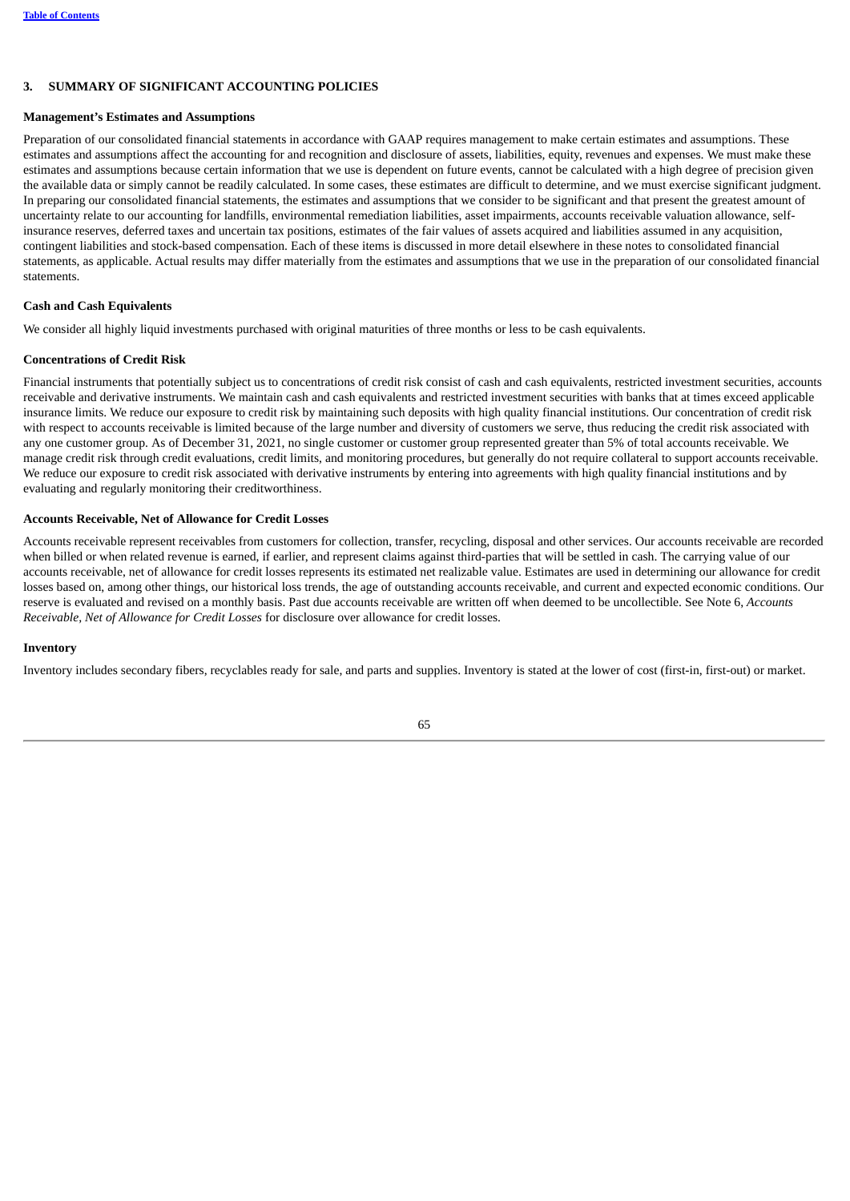## **3. SUMMARY OF SIGNIFICANT ACCOUNTING POLICIES**

## **Management's Estimates and Assumptions**

Preparation of our consolidated financial statements in accordance with GAAP requires management to make certain estimates and assumptions. These estimates and assumptions affect the accounting for and recognition and disclosure of assets, liabilities, equity, revenues and expenses. We must make these estimates and assumptions because certain information that we use is dependent on future events, cannot be calculated with a high degree of precision given the available data or simply cannot be readily calculated. In some cases, these estimates are difficult to determine, and we must exercise significant judgment. In preparing our consolidated financial statements, the estimates and assumptions that we consider to be significant and that present the greatest amount of uncertainty relate to our accounting for landfills, environmental remediation liabilities, asset impairments, accounts receivable valuation allowance, selfinsurance reserves, deferred taxes and uncertain tax positions, estimates of the fair values of assets acquired and liabilities assumed in any acquisition, contingent liabilities and stock-based compensation. Each of these items is discussed in more detail elsewhere in these notes to consolidated financial statements, as applicable. Actual results may differ materially from the estimates and assumptions that we use in the preparation of our consolidated financial statements.

### **Cash and Cash Equivalents**

We consider all highly liquid investments purchased with original maturities of three months or less to be cash equivalents.

#### **Concentrations of Credit Risk**

Financial instruments that potentially subject us to concentrations of credit risk consist of cash and cash equivalents, restricted investment securities, accounts receivable and derivative instruments. We maintain cash and cash equivalents and restricted investment securities with banks that at times exceed applicable insurance limits. We reduce our exposure to credit risk by maintaining such deposits with high quality financial institutions. Our concentration of credit risk with respect to accounts receivable is limited because of the large number and diversity of customers we serve, thus reducing the credit risk associated with any one customer group. As of December 31, 2021, no single customer or customer group represented greater than 5% of total accounts receivable. We manage credit risk through credit evaluations, credit limits, and monitoring procedures, but generally do not require collateral to support accounts receivable. We reduce our exposure to credit risk associated with derivative instruments by entering into agreements with high quality financial institutions and by evaluating and regularly monitoring their creditworthiness.

#### **Accounts Receivable, Net of Allowance for Credit Losses**

Accounts receivable represent receivables from customers for collection, transfer, recycling, disposal and other services. Our accounts receivable are recorded when billed or when related revenue is earned, if earlier, and represent claims against third-parties that will be settled in cash. The carrying value of our accounts receivable, net of allowance for credit losses represents its estimated net realizable value. Estimates are used in determining our allowance for credit losses based on, among other things, our historical loss trends, the age of outstanding accounts receivable, and current and expected economic conditions. Our reserve is evaluated and revised on a monthly basis. Past due accounts receivable are written off when deemed to be uncollectible. See Note 6, *Accounts Receivable, Net of Allowance for Credit Losses* for disclosure over allowance for credit losses.

#### **Inventory**

Inventory includes secondary fibers, recyclables ready for sale, and parts and supplies. Inventory is stated at the lower of cost (first-in, first-out) or market.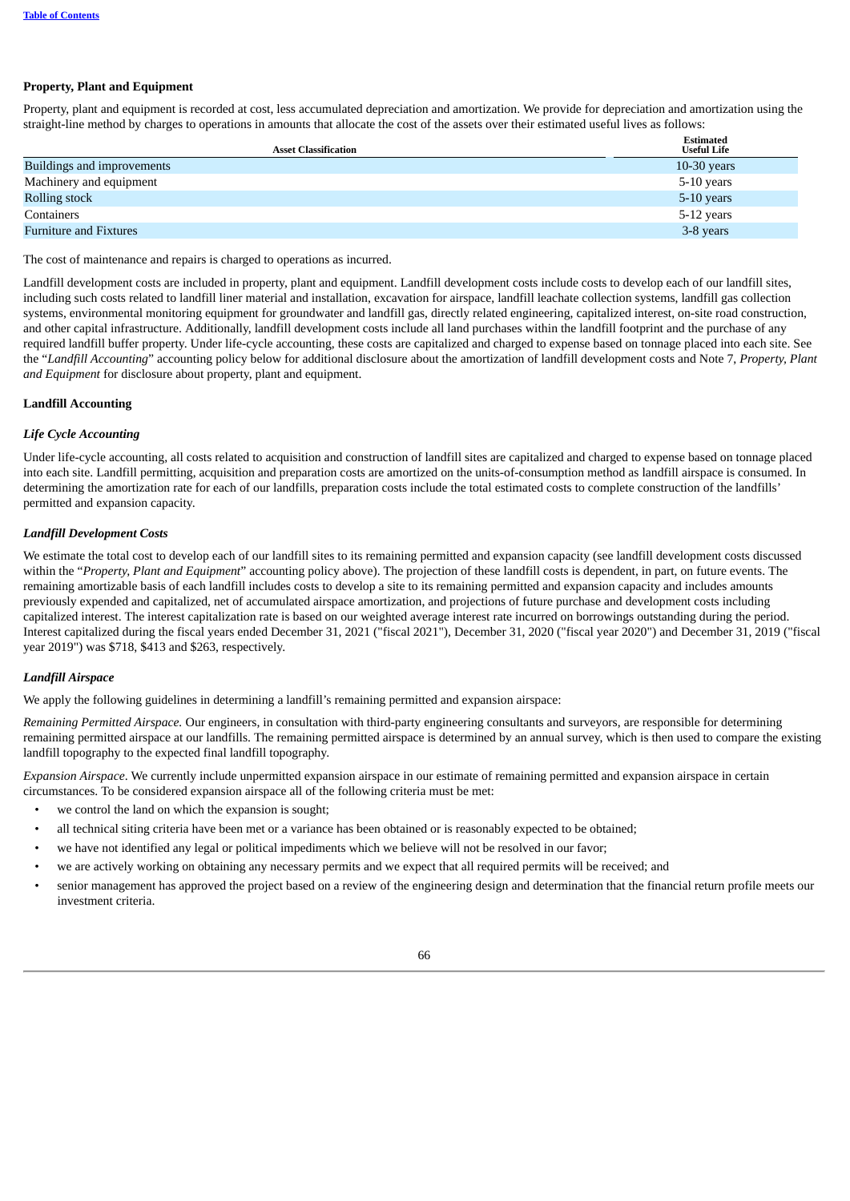## **Property, Plant and Equipment**

Property, plant and equipment is recorded at cost, less accumulated depreciation and amortization. We provide for depreciation and amortization using the straight-line method by charges to operations in amounts that allocate the cost of the assets over their estimated useful lives as follows:

| <b>Asset Classification</b>   | <b>Estimated</b><br><b>Useful Life</b> |
|-------------------------------|----------------------------------------|
| Buildings and improvements    | $10-30$ years                          |
| Machinery and equipment       | 5-10 years                             |
| Rolling stock                 | 5-10 years                             |
| Containers                    | 5-12 years                             |
| <b>Furniture and Fixtures</b> | 3-8 years                              |

The cost of maintenance and repairs is charged to operations as incurred.

Landfill development costs are included in property, plant and equipment. Landfill development costs include costs to develop each of our landfill sites, including such costs related to landfill liner material and installation, excavation for airspace, landfill leachate collection systems, landfill gas collection systems, environmental monitoring equipment for groundwater and landfill gas, directly related engineering, capitalized interest, on-site road construction, and other capital infrastructure. Additionally, landfill development costs include all land purchases within the landfill footprint and the purchase of any required landfill buffer property. Under life-cycle accounting, these costs are capitalized and charged to expense based on tonnage placed into each site. See the "*Landfill Accounting*" accounting policy below for additional disclosure about the amortization of landfill development costs and Note 7, *Property, Plant and Equipment* for disclosure about property, plant and equipment.

## **Landfill Accounting**

## *Life Cycle Accounting*

Under life-cycle accounting, all costs related to acquisition and construction of landfill sites are capitalized and charged to expense based on tonnage placed into each site. Landfill permitting, acquisition and preparation costs are amortized on the units-of-consumption method as landfill airspace is consumed. In determining the amortization rate for each of our landfills, preparation costs include the total estimated costs to complete construction of the landfills' permitted and expansion capacity.

### *Landfill Development Costs*

We estimate the total cost to develop each of our landfill sites to its remaining permitted and expansion capacity (see landfill development costs discussed within the "*Property, Plant and Equipment*" accounting policy above). The projection of these landfill costs is dependent, in part, on future events. The remaining amortizable basis of each landfill includes costs to develop a site to its remaining permitted and expansion capacity and includes amounts previously expended and capitalized, net of accumulated airspace amortization, and projections of future purchase and development costs including capitalized interest. The interest capitalization rate is based on our weighted average interest rate incurred on borrowings outstanding during the period. Interest capitalized during the fiscal years ended December 31, 2021 ("fiscal 2021"), December 31, 2020 ("fiscal year 2020") and December 31, 2019 ("fiscal year 2019") was \$718, \$413 and \$263, respectively.

## *Landfill Airspace*

We apply the following guidelines in determining a landfill's remaining permitted and expansion airspace:

*Remaining Permitted Airspace.* Our engineers, in consultation with third-party engineering consultants and surveyors, are responsible for determining remaining permitted airspace at our landfills. The remaining permitted airspace is determined by an annual survey, which is then used to compare the existing landfill topography to the expected final landfill topography.

*Expansion Airspace*. We currently include unpermitted expansion airspace in our estimate of remaining permitted and expansion airspace in certain circumstances. To be considered expansion airspace all of the following criteria must be met:

- we control the land on which the expansion is sought:
- all technical siting criteria have been met or a variance has been obtained or is reasonably expected to be obtained;
- we have not identified any legal or political impediments which we believe will not be resolved in our favor;
- we are actively working on obtaining any necessary permits and we expect that all required permits will be received; and
- senior management has approved the project based on a review of the engineering design and determination that the financial return profile meets our investment criteria.

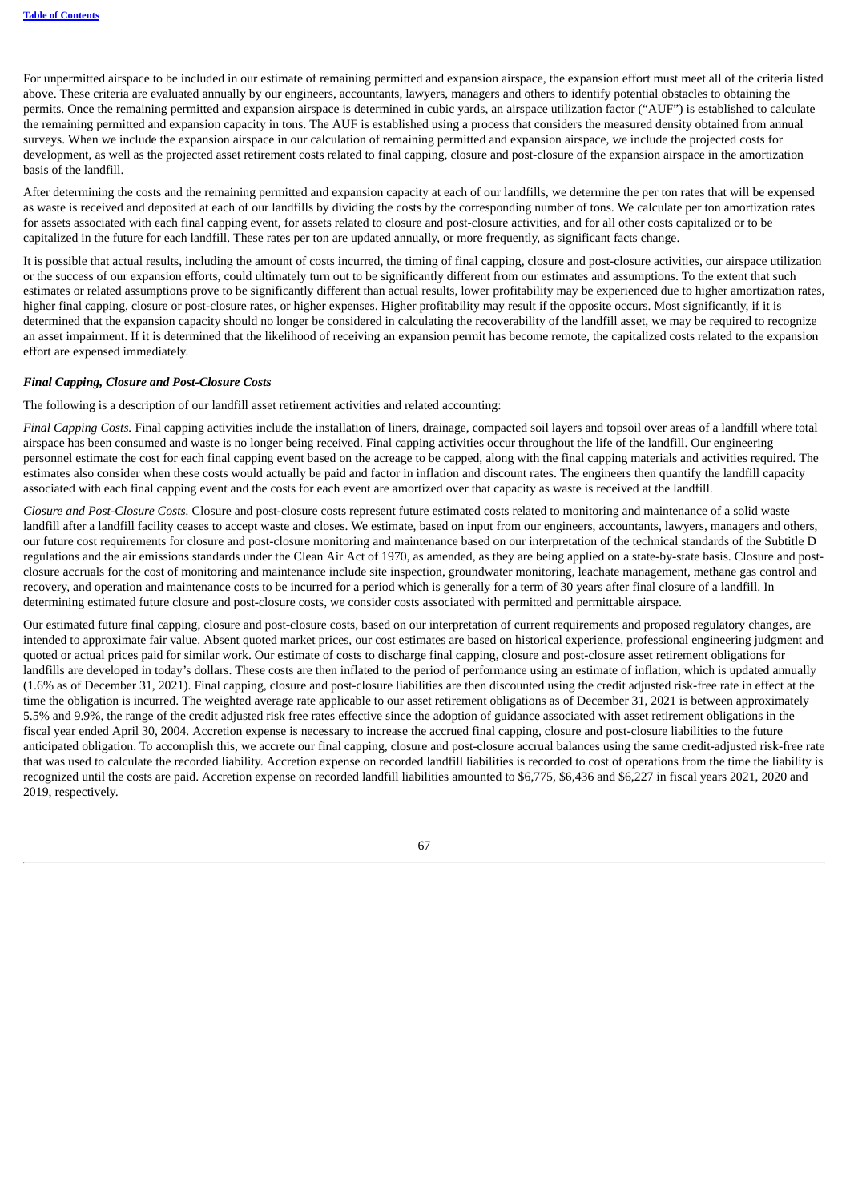For unpermitted airspace to be included in our estimate of remaining permitted and expansion airspace, the expansion effort must meet all of the criteria listed above. These criteria are evaluated annually by our engineers, accountants, lawyers, managers and others to identify potential obstacles to obtaining the permits. Once the remaining permitted and expansion airspace is determined in cubic yards, an airspace utilization factor ("AUF") is established to calculate the remaining permitted and expansion capacity in tons. The AUF is established using a process that considers the measured density obtained from annual surveys. When we include the expansion airspace in our calculation of remaining permitted and expansion airspace, we include the projected costs for development, as well as the projected asset retirement costs related to final capping, closure and post-closure of the expansion airspace in the amortization basis of the landfill.

After determining the costs and the remaining permitted and expansion capacity at each of our landfills, we determine the per ton rates that will be expensed as waste is received and deposited at each of our landfills by dividing the costs by the corresponding number of tons. We calculate per ton amortization rates for assets associated with each final capping event, for assets related to closure and post-closure activities, and for all other costs capitalized or to be capitalized in the future for each landfill. These rates per ton are updated annually, or more frequently, as significant facts change.

It is possible that actual results, including the amount of costs incurred, the timing of final capping, closure and post-closure activities, our airspace utilization or the success of our expansion efforts, could ultimately turn out to be significantly different from our estimates and assumptions. To the extent that such estimates or related assumptions prove to be significantly different than actual results, lower profitability may be experienced due to higher amortization rates, higher final capping, closure or post-closure rates, or higher expenses. Higher profitability may result if the opposite occurs. Most significantly, if it is determined that the expansion capacity should no longer be considered in calculating the recoverability of the landfill asset, we may be required to recognize an asset impairment. If it is determined that the likelihood of receiving an expansion permit has become remote, the capitalized costs related to the expansion effort are expensed immediately.

## *Final Capping, Closure and Post-Closure Costs*

The following is a description of our landfill asset retirement activities and related accounting:

*Final Capping Costs.* Final capping activities include the installation of liners, drainage, compacted soil layers and topsoil over areas of a landfill where total airspace has been consumed and waste is no longer being received. Final capping activities occur throughout the life of the landfill. Our engineering personnel estimate the cost for each final capping event based on the acreage to be capped, along with the final capping materials and activities required. The estimates also consider when these costs would actually be paid and factor in inflation and discount rates. The engineers then quantify the landfill capacity associated with each final capping event and the costs for each event are amortized over that capacity as waste is received at the landfill.

*Closure and Post-Closure Costs.* Closure and post-closure costs represent future estimated costs related to monitoring and maintenance of a solid waste landfill after a landfill facility ceases to accept waste and closes. We estimate, based on input from our engineers, accountants, lawyers, managers and others, our future cost requirements for closure and post-closure monitoring and maintenance based on our interpretation of the technical standards of the Subtitle D regulations and the air emissions standards under the Clean Air Act of 1970, as amended, as they are being applied on a state-by-state basis. Closure and postclosure accruals for the cost of monitoring and maintenance include site inspection, groundwater monitoring, leachate management, methane gas control and recovery, and operation and maintenance costs to be incurred for a period which is generally for a term of 30 years after final closure of a landfill. In determining estimated future closure and post-closure costs, we consider costs associated with permitted and permittable airspace.

Our estimated future final capping, closure and post-closure costs, based on our interpretation of current requirements and proposed regulatory changes, are intended to approximate fair value. Absent quoted market prices, our cost estimates are based on historical experience, professional engineering judgment and quoted or actual prices paid for similar work. Our estimate of costs to discharge final capping, closure and post-closure asset retirement obligations for landfills are developed in today's dollars. These costs are then inflated to the period of performance using an estimate of inflation, which is updated annually (1.6% as of December 31, 2021). Final capping, closure and post-closure liabilities are then discounted using the credit adjusted risk-free rate in effect at the time the obligation is incurred. The weighted average rate applicable to our asset retirement obligations as of December 31, 2021 is between approximately 5.5% and 9.9%, the range of the credit adjusted risk free rates effective since the adoption of guidance associated with asset retirement obligations in the fiscal year ended April 30, 2004. Accretion expense is necessary to increase the accrued final capping, closure and post-closure liabilities to the future anticipated obligation. To accomplish this, we accrete our final capping, closure and post-closure accrual balances using the same credit-adjusted risk-free rate that was used to calculate the recorded liability. Accretion expense on recorded landfill liabilities is recorded to cost of operations from the time the liability is recognized until the costs are paid. Accretion expense on recorded landfill liabilities amounted to \$6,775, \$6,436 and \$6,227 in fiscal years 2021, 2020 and 2019, respectively.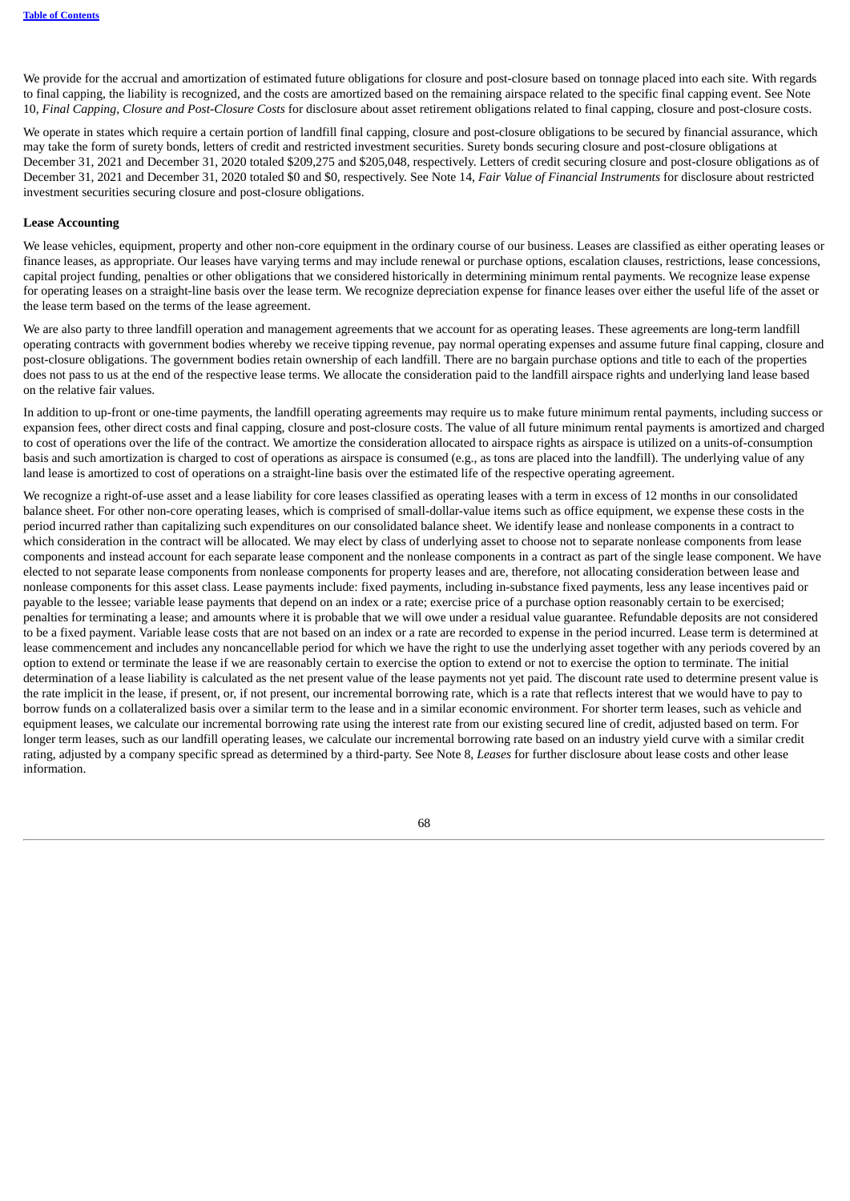We provide for the accrual and amortization of estimated future obligations for closure and post-closure based on tonnage placed into each site. With regards to final capping, the liability is recognized, and the costs are amortized based on the remaining airspace related to the specific final capping event. See Note 10, *Final Capping, Closure and Post-Closure Costs* for disclosure about asset retirement obligations related to final capping, closure and post-closure costs.

We operate in states which require a certain portion of landfill final capping, closure and post-closure obligations to be secured by financial assurance, which may take the form of surety bonds, letters of credit and restricted investment securities. Surety bonds securing closure and post-closure obligations at December 31, 2021 and December 31, 2020 totaled \$209,275 and \$205,048, respectively. Letters of credit securing closure and post-closure obligations as of December 31, 2021 and December 31, 2020 totaled \$0 and \$0, respectively. See Note 14, *Fair Value of Financial Instruments* for disclosure about restricted investment securities securing closure and post-closure obligations.

### **Lease Accounting**

We lease vehicles, equipment, property and other non-core equipment in the ordinary course of our business. Leases are classified as either operating leases or finance leases, as appropriate. Our leases have varying terms and may include renewal or purchase options, escalation clauses, restrictions, lease concessions, capital project funding, penalties or other obligations that we considered historically in determining minimum rental payments. We recognize lease expense for operating leases on a straight-line basis over the lease term. We recognize depreciation expense for finance leases over either the useful life of the asset or the lease term based on the terms of the lease agreement.

We are also party to three landfill operation and management agreements that we account for as operating leases. These agreements are long-term landfill operating contracts with government bodies whereby we receive tipping revenue, pay normal operating expenses and assume future final capping, closure and post-closure obligations. The government bodies retain ownership of each landfill. There are no bargain purchase options and title to each of the properties does not pass to us at the end of the respective lease terms. We allocate the consideration paid to the landfill airspace rights and underlying land lease based on the relative fair values.

In addition to up-front or one-time payments, the landfill operating agreements may require us to make future minimum rental payments, including success or expansion fees, other direct costs and final capping, closure and post-closure costs. The value of all future minimum rental payments is amortized and charged to cost of operations over the life of the contract. We amortize the consideration allocated to airspace rights as airspace is utilized on a units-of-consumption basis and such amortization is charged to cost of operations as airspace is consumed (e.g., as tons are placed into the landfill). The underlying value of any land lease is amortized to cost of operations on a straight-line basis over the estimated life of the respective operating agreement.

We recognize a right-of-use asset and a lease liability for core leases classified as operating leases with a term in excess of 12 months in our consolidated balance sheet. For other non-core operating leases, which is comprised of small-dollar-value items such as office equipment, we expense these costs in the period incurred rather than capitalizing such expenditures on our consolidated balance sheet. We identify lease and nonlease components in a contract to which consideration in the contract will be allocated. We may elect by class of underlying asset to choose not to separate nonlease components from lease components and instead account for each separate lease component and the nonlease components in a contract as part of the single lease component. We have elected to not separate lease components from nonlease components for property leases and are, therefore, not allocating consideration between lease and nonlease components for this asset class. Lease payments include: fixed payments, including in-substance fixed payments, less any lease incentives paid or payable to the lessee; variable lease payments that depend on an index or a rate; exercise price of a purchase option reasonably certain to be exercised; penalties for terminating a lease; and amounts where it is probable that we will owe under a residual value guarantee. Refundable deposits are not considered to be a fixed payment. Variable lease costs that are not based on an index or a rate are recorded to expense in the period incurred. Lease term is determined at lease commencement and includes any noncancellable period for which we have the right to use the underlying asset together with any periods covered by an option to extend or terminate the lease if we are reasonably certain to exercise the option to extend or not to exercise the option to terminate. The initial determination of a lease liability is calculated as the net present value of the lease payments not yet paid. The discount rate used to determine present value is the rate implicit in the lease, if present, or, if not present, our incremental borrowing rate, which is a rate that reflects interest that we would have to pay to borrow funds on a collateralized basis over a similar term to the lease and in a similar economic environment. For shorter term leases, such as vehicle and equipment leases, we calculate our incremental borrowing rate using the interest rate from our existing secured line of credit, adjusted based on term. For longer term leases, such as our landfill operating leases, we calculate our incremental borrowing rate based on an industry yield curve with a similar credit rating, adjusted by a company specific spread as determined by a third-party. See Note 8, *Leases* for further disclosure about lease costs and other lease information.

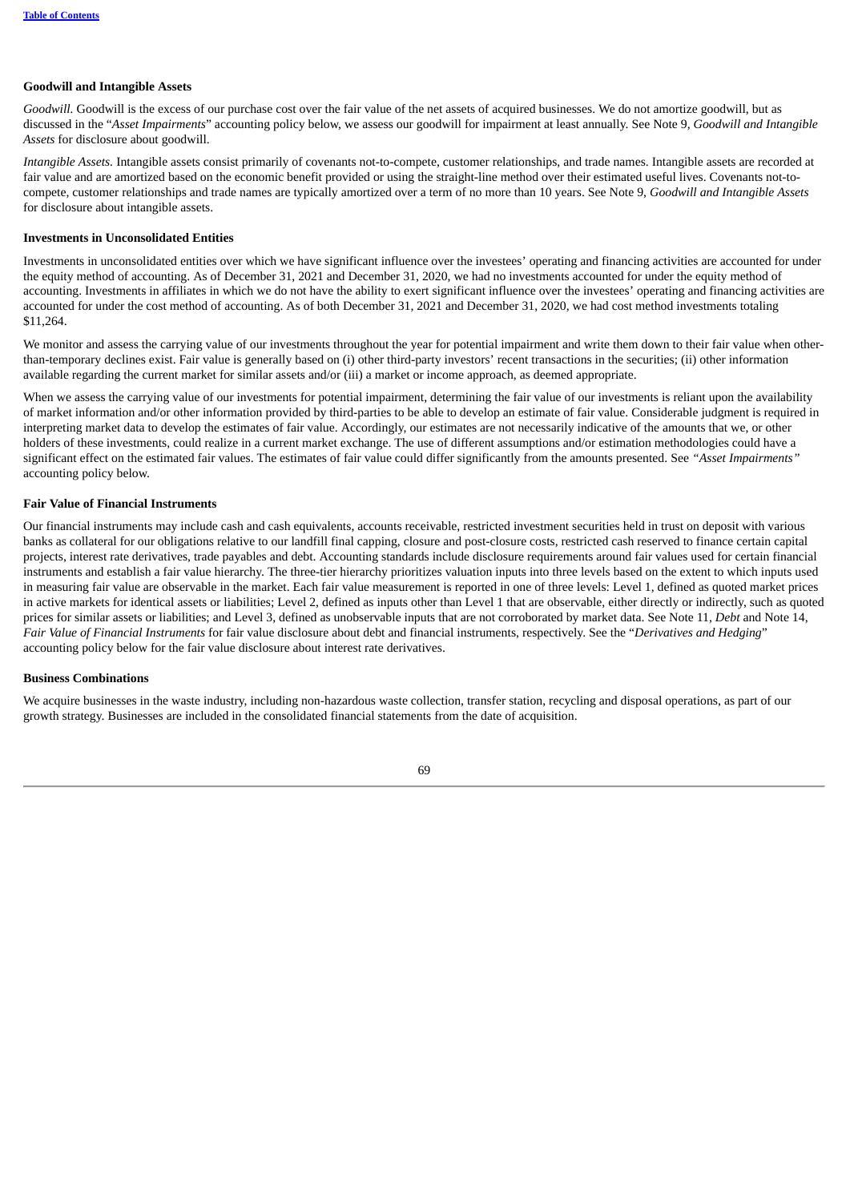## **Goodwill and Intangible Assets**

*Goodwill*. Goodwill is the excess of our purchase cost over the fair value of the net assets of acquired businesses. We do not amortize goodwill, but as discussed in the "*Asset Impairments*" accounting policy below, we assess our goodwill for impairment at least annually. See Note 9, *Goodwill and Intangible Assets* for disclosure about goodwill.

*Intangible Assets.* Intangible assets consist primarily of covenants not-to-compete, customer relationships, and trade names. Intangible assets are recorded at fair value and are amortized based on the economic benefit provided or using the straight-line method over their estimated useful lives. Covenants not-tocompete, customer relationships and trade names are typically amortized over a term of no more than 10 years. See Note 9, *Goodwill and Intangible Assets* for disclosure about intangible assets.

## **Investments in Unconsolidated Entities**

Investments in unconsolidated entities over which we have significant influence over the investees' operating and financing activities are accounted for under the equity method of accounting. As of December 31, 2021 and December 31, 2020, we had no investments accounted for under the equity method of accounting. Investments in affiliates in which we do not have the ability to exert significant influence over the investees' operating and financing activities are accounted for under the cost method of accounting. As of both December 31, 2021 and December 31, 2020, we had cost method investments totaling \$11,264.

We monitor and assess the carrying value of our investments throughout the year for potential impairment and write them down to their fair value when otherthan-temporary declines exist. Fair value is generally based on (i) other third-party investors' recent transactions in the securities; (ii) other information available regarding the current market for similar assets and/or (iii) a market or income approach, as deemed appropriate.

When we assess the carrying value of our investments for potential impairment, determining the fair value of our investments is reliant upon the availability of market information and/or other information provided by third-parties to be able to develop an estimate of fair value. Considerable judgment is required in interpreting market data to develop the estimates of fair value. Accordingly, our estimates are not necessarily indicative of the amounts that we, or other holders of these investments, could realize in a current market exchange. The use of different assumptions and/or estimation methodologies could have a significant effect on the estimated fair values. The estimates of fair value could differ significantly from the amounts presented. See *"Asset Impairments"* accounting policy below.

#### **Fair Value of Financial Instruments**

Our financial instruments may include cash and cash equivalents, accounts receivable, restricted investment securities held in trust on deposit with various banks as collateral for our obligations relative to our landfill final capping, closure and post-closure costs, restricted cash reserved to finance certain capital projects, interest rate derivatives, trade payables and debt. Accounting standards include disclosure requirements around fair values used for certain financial instruments and establish a fair value hierarchy. The three-tier hierarchy prioritizes valuation inputs into three levels based on the extent to which inputs used in measuring fair value are observable in the market. Each fair value measurement is reported in one of three levels: Level 1, defined as quoted market prices in active markets for identical assets or liabilities; Level 2, defined as inputs other than Level 1 that are observable, either directly or indirectly, such as quoted prices for similar assets or liabilities; and Level 3, defined as unobservable inputs that are not corroborated by market data. See Note 11, *Debt* and Note 14, *Fair Value of Financial Instruments* for fair value disclosure about debt and financial instruments, respectively. See the "*Derivatives and Hedging*" accounting policy below for the fair value disclosure about interest rate derivatives.

## **Business Combinations**

We acquire businesses in the waste industry, including non-hazardous waste collection, transfer station, recycling and disposal operations, as part of our growth strategy. Businesses are included in the consolidated financial statements from the date of acquisition.

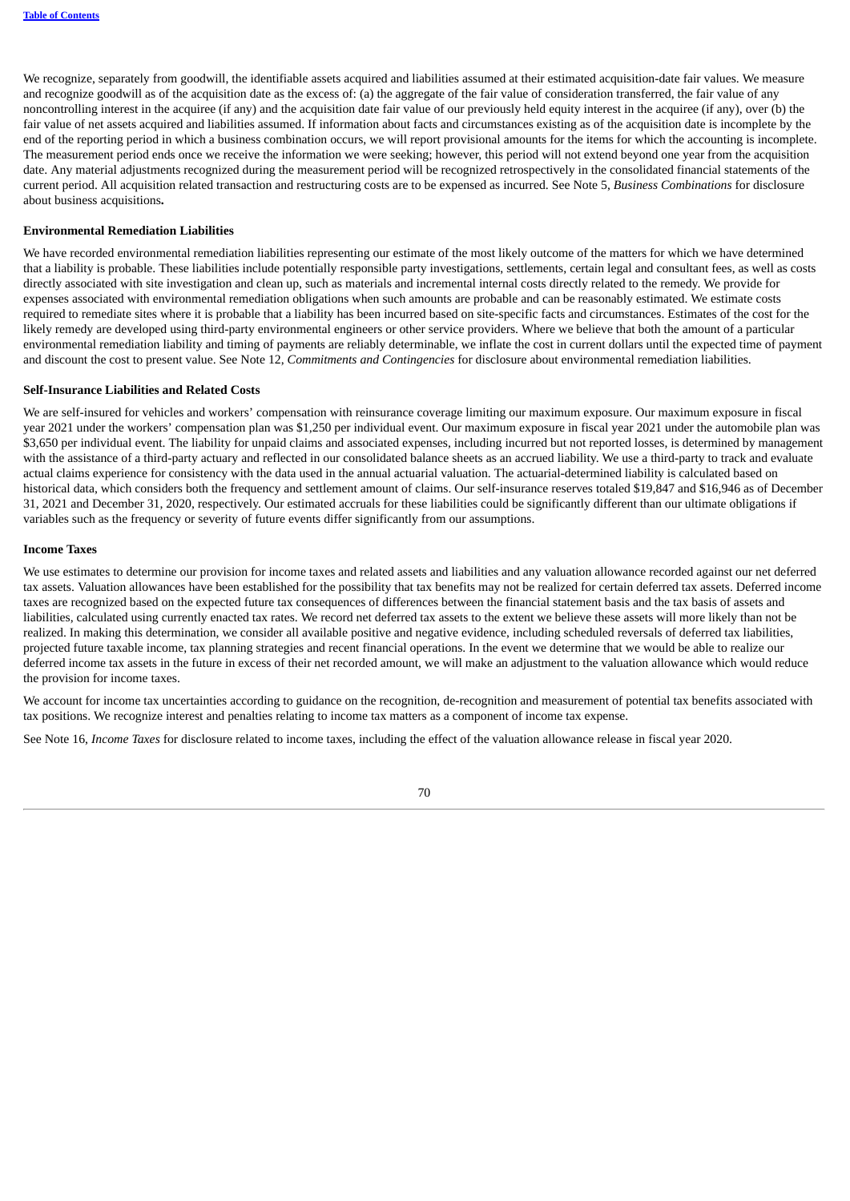We recognize, separately from goodwill, the identifiable assets acquired and liabilities assumed at their estimated acquisition-date fair values. We measure and recognize goodwill as of the acquisition date as the excess of: (a) the aggregate of the fair value of consideration transferred, the fair value of any noncontrolling interest in the acquiree (if any) and the acquisition date fair value of our previously held equity interest in the acquiree (if any), over (b) the fair value of net assets acquired and liabilities assumed. If information about facts and circumstances existing as of the acquisition date is incomplete by the end of the reporting period in which a business combination occurs, we will report provisional amounts for the items for which the accounting is incomplete. The measurement period ends once we receive the information we were seeking; however, this period will not extend beyond one year from the acquisition date. Any material adjustments recognized during the measurement period will be recognized retrospectively in the consolidated financial statements of the current period. All acquisition related transaction and restructuring costs are to be expensed as incurred. See Note 5, *Business Combinations* for disclosure about business acquisitions**.**

#### **Environmental Remediation Liabilities**

We have recorded environmental remediation liabilities representing our estimate of the most likely outcome of the matters for which we have determined that a liability is probable. These liabilities include potentially responsible party investigations, settlements, certain legal and consultant fees, as well as costs directly associated with site investigation and clean up, such as materials and incremental internal costs directly related to the remedy. We provide for expenses associated with environmental remediation obligations when such amounts are probable and can be reasonably estimated. We estimate costs required to remediate sites where it is probable that a liability has been incurred based on site-specific facts and circumstances. Estimates of the cost for the likely remedy are developed using third-party environmental engineers or other service providers. Where we believe that both the amount of a particular environmental remediation liability and timing of payments are reliably determinable, we inflate the cost in current dollars until the expected time of payment and discount the cost to present value. See Note 12, *Commitments and Contingencies* for disclosure about environmental remediation liabilities.

## **Self-Insurance Liabilities and Related Costs**

We are self-insured for vehicles and workers' compensation with reinsurance coverage limiting our maximum exposure. Our maximum exposure in fiscal year 2021 under the workers' compensation plan was \$1,250 per individual event. Our maximum exposure in fiscal year 2021 under the automobile plan was \$3,650 per individual event. The liability for unpaid claims and associated expenses, including incurred but not reported losses, is determined by management with the assistance of a third-party actuary and reflected in our consolidated balance sheets as an accrued liability. We use a third-party to track and evaluate actual claims experience for consistency with the data used in the annual actuarial valuation. The actuarial-determined liability is calculated based on historical data, which considers both the frequency and settlement amount of claims. Our self-insurance reserves totaled \$19,847 and \$16,946 as of December 31, 2021 and December 31, 2020, respectively. Our estimated accruals for these liabilities could be significantly different than our ultimate obligations if variables such as the frequency or severity of future events differ significantly from our assumptions.

### **Income Taxes**

We use estimates to determine our provision for income taxes and related assets and liabilities and any valuation allowance recorded against our net deferred tax assets. Valuation allowances have been established for the possibility that tax benefits may not be realized for certain deferred tax assets. Deferred income taxes are recognized based on the expected future tax consequences of differences between the financial statement basis and the tax basis of assets and liabilities, calculated using currently enacted tax rates. We record net deferred tax assets to the extent we believe these assets will more likely than not be realized. In making this determination, we consider all available positive and negative evidence, including scheduled reversals of deferred tax liabilities, projected future taxable income, tax planning strategies and recent financial operations. In the event we determine that we would be able to realize our deferred income tax assets in the future in excess of their net recorded amount, we will make an adjustment to the valuation allowance which would reduce the provision for income taxes.

We account for income tax uncertainties according to guidance on the recognition, de-recognition and measurement of potential tax benefits associated with tax positions. We recognize interest and penalties relating to income tax matters as a component of income tax expense.

See Note 16, *Income Taxes* for disclosure related to income taxes, including the effect of the valuation allowance release in fiscal year 2020.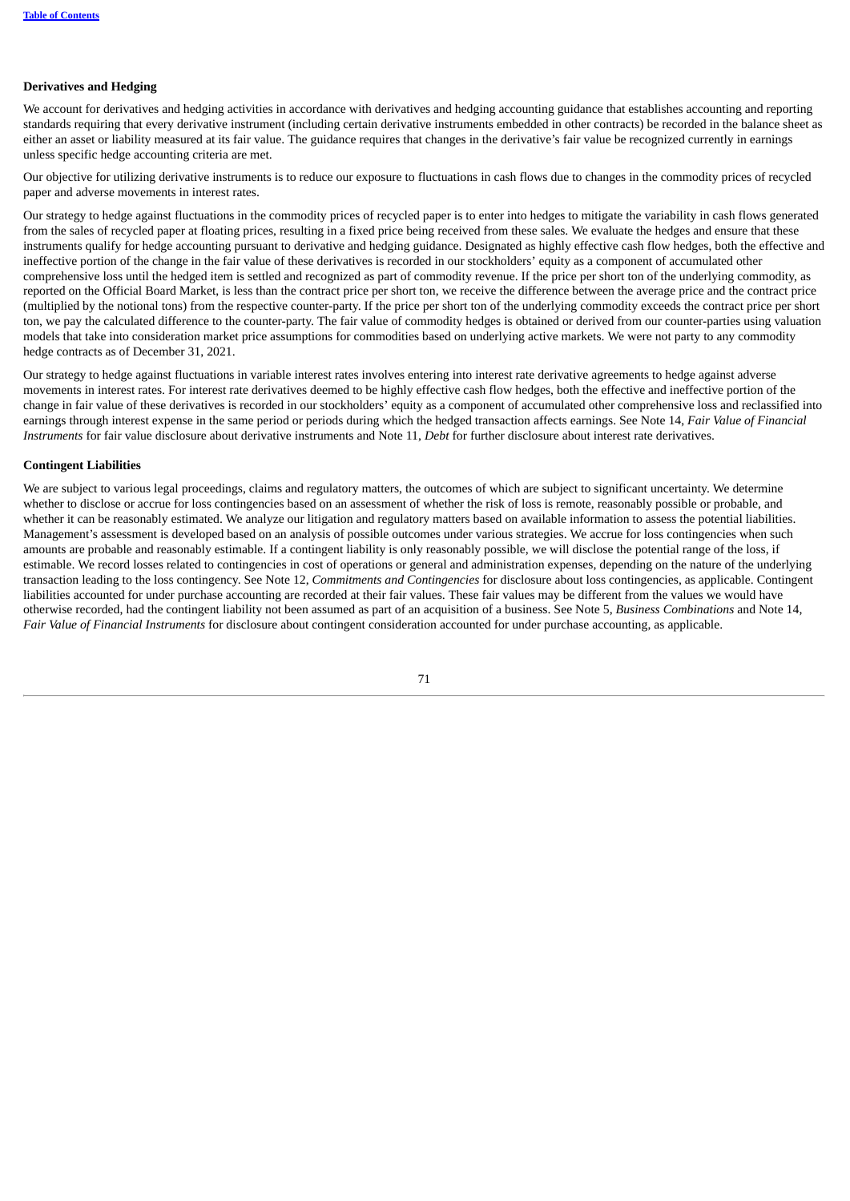### **Derivatives and Hedging**

We account for derivatives and hedging activities in accordance with derivatives and hedging accounting guidance that establishes accounting and reporting standards requiring that every derivative instrument (including certain derivative instruments embedded in other contracts) be recorded in the balance sheet as either an asset or liability measured at its fair value. The guidance requires that changes in the derivative's fair value be recognized currently in earnings unless specific hedge accounting criteria are met.

Our objective for utilizing derivative instruments is to reduce our exposure to fluctuations in cash flows due to changes in the commodity prices of recycled paper and adverse movements in interest rates.

Our strategy to hedge against fluctuations in the commodity prices of recycled paper is to enter into hedges to mitigate the variability in cash flows generated from the sales of recycled paper at floating prices, resulting in a fixed price being received from these sales. We evaluate the hedges and ensure that these instruments qualify for hedge accounting pursuant to derivative and hedging guidance. Designated as highly effective cash flow hedges, both the effective and ineffective portion of the change in the fair value of these derivatives is recorded in our stockholders' equity as a component of accumulated other comprehensive loss until the hedged item is settled and recognized as part of commodity revenue. If the price per short ton of the underlying commodity, as reported on the Official Board Market, is less than the contract price per short ton, we receive the difference between the average price and the contract price (multiplied by the notional tons) from the respective counter-party. If the price per short ton of the underlying commodity exceeds the contract price per short ton, we pay the calculated difference to the counter-party. The fair value of commodity hedges is obtained or derived from our counter-parties using valuation models that take into consideration market price assumptions for commodities based on underlying active markets. We were not party to any commodity hedge contracts as of December 31, 2021.

Our strategy to hedge against fluctuations in variable interest rates involves entering into interest rate derivative agreements to hedge against adverse movements in interest rates. For interest rate derivatives deemed to be highly effective cash flow hedges, both the effective and ineffective portion of the change in fair value of these derivatives is recorded in our stockholders' equity as a component of accumulated other comprehensive loss and reclassified into earnings through interest expense in the same period or periods during which the hedged transaction affects earnings. See Note 14, *Fair Value of Financial Instruments* for fair value disclosure about derivative instruments and Note 11, *Debt* for further disclosure about interest rate derivatives.

## **Contingent Liabilities**

We are subject to various legal proceedings, claims and regulatory matters, the outcomes of which are subject to significant uncertainty. We determine whether to disclose or accrue for loss contingencies based on an assessment of whether the risk of loss is remote, reasonably possible or probable, and whether it can be reasonably estimated. We analyze our litigation and regulatory matters based on available information to assess the potential liabilities. Management's assessment is developed based on an analysis of possible outcomes under various strategies. We accrue for loss contingencies when such amounts are probable and reasonably estimable. If a contingent liability is only reasonably possible, we will disclose the potential range of the loss, if estimable. We record losses related to contingencies in cost of operations or general and administration expenses, depending on the nature of the underlying transaction leading to the loss contingency. See Note 12, *Commitments and Contingencies* for disclosure about loss contingencies, as applicable. Contingent liabilities accounted for under purchase accounting are recorded at their fair values. These fair values may be different from the values we would have otherwise recorded, had the contingent liability not been assumed as part of an acquisition of a business. See Note 5, *Business Combinations* and Note 14, *Fair Value of Financial Instruments* for disclosure about contingent consideration accounted for under purchase accounting, as applicable.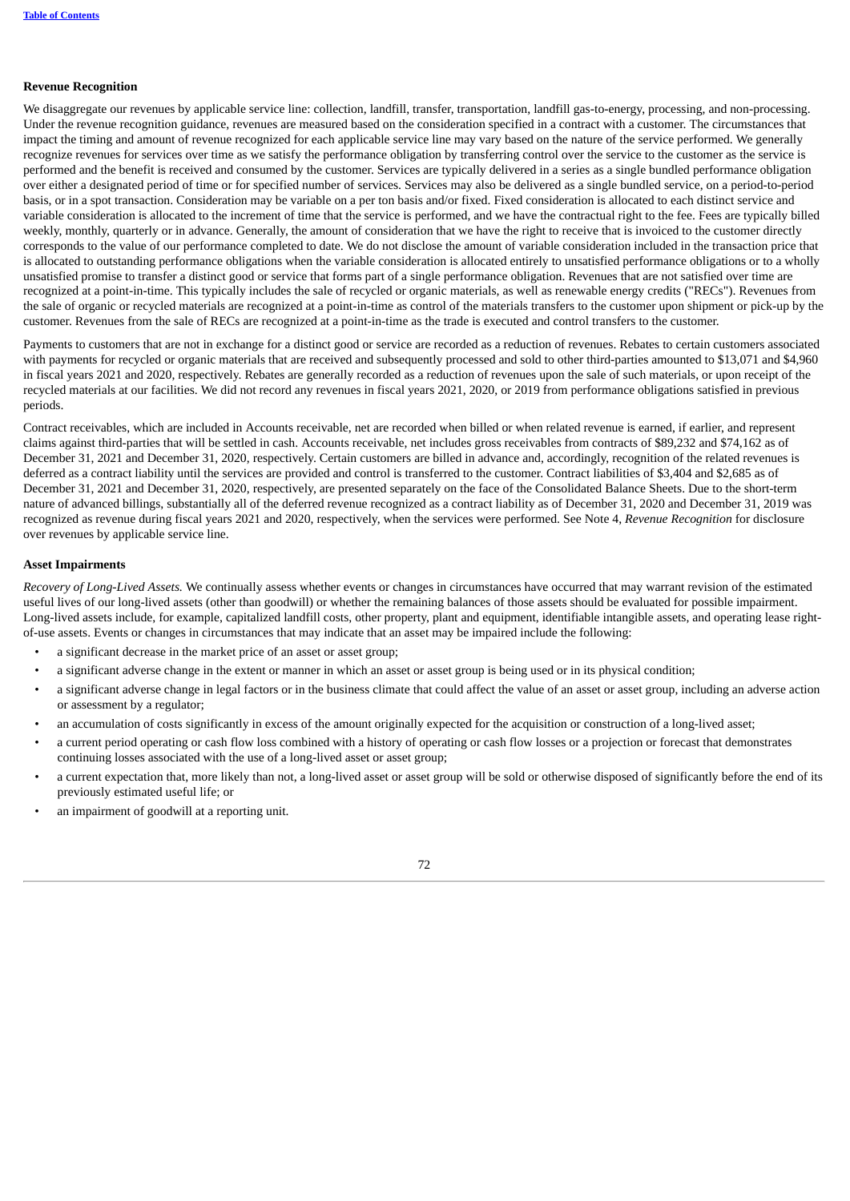### **Revenue Recognition**

We disaggregate our revenues by applicable service line: collection, landfill, transfer, transportation, landfill gas-to-energy, processing, and non-processing. Under the revenue recognition guidance, revenues are measured based on the consideration specified in a contract with a customer. The circumstances that impact the timing and amount of revenue recognized for each applicable service line may vary based on the nature of the service performed. We generally recognize revenues for services over time as we satisfy the performance obligation by transferring control over the service to the customer as the service is performed and the benefit is received and consumed by the customer. Services are typically delivered in a series as a single bundled performance obligation over either a designated period of time or for specified number of services. Services may also be delivered as a single bundled service, on a period-to-period basis, or in a spot transaction. Consideration may be variable on a per ton basis and/or fixed. Fixed consideration is allocated to each distinct service and variable consideration is allocated to the increment of time that the service is performed, and we have the contractual right to the fee. Fees are typically billed weekly, monthly, quarterly or in advance. Generally, the amount of consideration that we have the right to receive that is invoiced to the customer directly corresponds to the value of our performance completed to date. We do not disclose the amount of variable consideration included in the transaction price that is allocated to outstanding performance obligations when the variable consideration is allocated entirely to unsatisfied performance obligations or to a wholly unsatisfied promise to transfer a distinct good or service that forms part of a single performance obligation. Revenues that are not satisfied over time are recognized at a point-in-time. This typically includes the sale of recycled or organic materials, as well as renewable energy credits ("RECs"). Revenues from the sale of organic or recycled materials are recognized at a point-in-time as control of the materials transfers to the customer upon shipment or pick-up by the customer. Revenues from the sale of RECs are recognized at a point-in-time as the trade is executed and control transfers to the customer.

Payments to customers that are not in exchange for a distinct good or service are recorded as a reduction of revenues. Rebates to certain customers associated with payments for recycled or organic materials that are received and subsequently processed and sold to other third-parties amounted to \$13,071 and \$4,960 in fiscal years 2021 and 2020, respectively. Rebates are generally recorded as a reduction of revenues upon the sale of such materials, or upon receipt of the recycled materials at our facilities. We did not record any revenues in fiscal years 2021, 2020, or 2019 from performance obligations satisfied in previous periods.

Contract receivables, which are included in Accounts receivable, net are recorded when billed or when related revenue is earned, if earlier, and represent claims against third-parties that will be settled in cash. Accounts receivable, net includes gross receivables from contracts of \$89,232 and \$74,162 as of December 31, 2021 and December 31, 2020, respectively. Certain customers are billed in advance and, accordingly, recognition of the related revenues is deferred as a contract liability until the services are provided and control is transferred to the customer. Contract liabilities of \$3,404 and \$2,685 as of December 31, 2021 and December 31, 2020, respectively, are presented separately on the face of the Consolidated Balance Sheets. Due to the short-term nature of advanced billings, substantially all of the deferred revenue recognized as a contract liability as of December 31, 2020 and December 31, 2019 was recognized as revenue during fiscal years 2021 and 2020, respectively, when the services were performed. See Note 4, *Revenue Recognition* for disclosure over revenues by applicable service line.

### **Asset Impairments**

*Recovery of Long-Lived Assets.* We continually assess whether events or changes in circumstances have occurred that may warrant revision of the estimated useful lives of our long-lived assets (other than goodwill) or whether the remaining balances of those assets should be evaluated for possible impairment. Long-lived assets include, for example, capitalized landfill costs, other property, plant and equipment, identifiable intangible assets, and operating lease rightof-use assets. Events or changes in circumstances that may indicate that an asset may be impaired include the following:

- a significant decrease in the market price of an asset or asset group;
- a significant adverse change in the extent or manner in which an asset or asset group is being used or in its physical condition;
- a significant adverse change in legal factors or in the business climate that could affect the value of an asset or asset group, including an adverse action or assessment by a regulator;
- an accumulation of costs significantly in excess of the amount originally expected for the acquisition or construction of a long-lived asset;
- a current period operating or cash flow loss combined with a history of operating or cash flow losses or a projection or forecast that demonstrates continuing losses associated with the use of a long-lived asset or asset group;
- a current expectation that, more likely than not, a long-lived asset or asset group will be sold or otherwise disposed of significantly before the end of its previously estimated useful life; or
- an impairment of goodwill at a reporting unit.

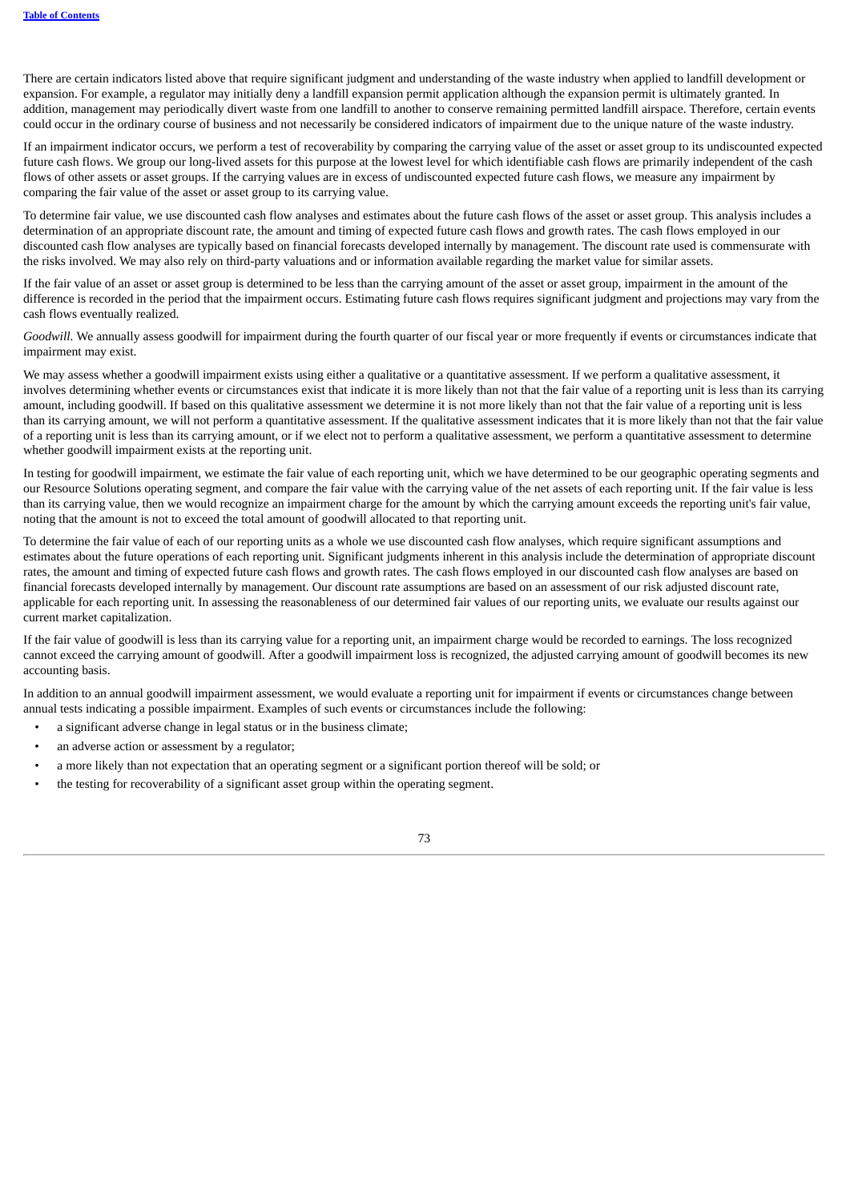There are certain indicators listed above that require significant judgment and understanding of the waste industry when applied to landfill development or expansion. For example, a regulator may initially deny a landfill expansion permit application although the expansion permit is ultimately granted. In addition, management may periodically divert waste from one landfill to another to conserve remaining permitted landfill airspace. Therefore, certain events could occur in the ordinary course of business and not necessarily be considered indicators of impairment due to the unique nature of the waste industry.

If an impairment indicator occurs, we perform a test of recoverability by comparing the carrying value of the asset or asset group to its undiscounted expected future cash flows. We group our long-lived assets for this purpose at the lowest level for which identifiable cash flows are primarily independent of the cash flows of other assets or asset groups. If the carrying values are in excess of undiscounted expected future cash flows, we measure any impairment by comparing the fair value of the asset or asset group to its carrying value.

To determine fair value, we use discounted cash flow analyses and estimates about the future cash flows of the asset or asset group. This analysis includes a determination of an appropriate discount rate, the amount and timing of expected future cash flows and growth rates. The cash flows employed in our discounted cash flow analyses are typically based on financial forecasts developed internally by management. The discount rate used is commensurate with the risks involved. We may also rely on third-party valuations and or information available regarding the market value for similar assets.

If the fair value of an asset or asset group is determined to be less than the carrying amount of the asset or asset group, impairment in the amount of the difference is recorded in the period that the impairment occurs. Estimating future cash flows requires significant judgment and projections may vary from the cash flows eventually realized.

*Goodwill.* We annually assess goodwill for impairment during the fourth quarter of our fiscal year or more frequently if events or circumstances indicate that impairment may exist.

We may assess whether a goodwill impairment exists using either a qualitative or a quantitative assessment. If we perform a qualitative assessment, it involves determining whether events or circumstances exist that indicate it is more likely than not that the fair value of a reporting unit is less than its carrying amount, including goodwill. If based on this qualitative assessment we determine it is not more likely than not that the fair value of a reporting unit is less than its carrying amount, we will not perform a quantitative assessment. If the qualitative assessment indicates that it is more likely than not that the fair value of a reporting unit is less than its carrying amount, or if we elect not to perform a qualitative assessment, we perform a quantitative assessment to determine whether goodwill impairment exists at the reporting unit.

In testing for goodwill impairment, we estimate the fair value of each reporting unit, which we have determined to be our geographic operating segments and our Resource Solutions operating segment, and compare the fair value with the carrying value of the net assets of each reporting unit. If the fair value is less than its carrying value, then we would recognize an impairment charge for the amount by which the carrying amount exceeds the reporting unit's fair value, noting that the amount is not to exceed the total amount of goodwill allocated to that reporting unit.

To determine the fair value of each of our reporting units as a whole we use discounted cash flow analyses, which require significant assumptions and estimates about the future operations of each reporting unit. Significant judgments inherent in this analysis include the determination of appropriate discount rates, the amount and timing of expected future cash flows and growth rates. The cash flows employed in our discounted cash flow analyses are based on financial forecasts developed internally by management. Our discount rate assumptions are based on an assessment of our risk adjusted discount rate, applicable for each reporting unit. In assessing the reasonableness of our determined fair values of our reporting units, we evaluate our results against our current market capitalization.

If the fair value of goodwill is less than its carrying value for a reporting unit, an impairment charge would be recorded to earnings. The loss recognized cannot exceed the carrying amount of goodwill. After a goodwill impairment loss is recognized, the adjusted carrying amount of goodwill becomes its new accounting basis.

In addition to an annual goodwill impairment assessment, we would evaluate a reporting unit for impairment if events or circumstances change between annual tests indicating a possible impairment. Examples of such events or circumstances include the following:

- a significant adverse change in legal status or in the business climate;
- an adverse action or assessment by a regulator;
- a more likely than not expectation that an operating segment or a significant portion thereof will be sold; or
- the testing for recoverability of a significant asset group within the operating segment.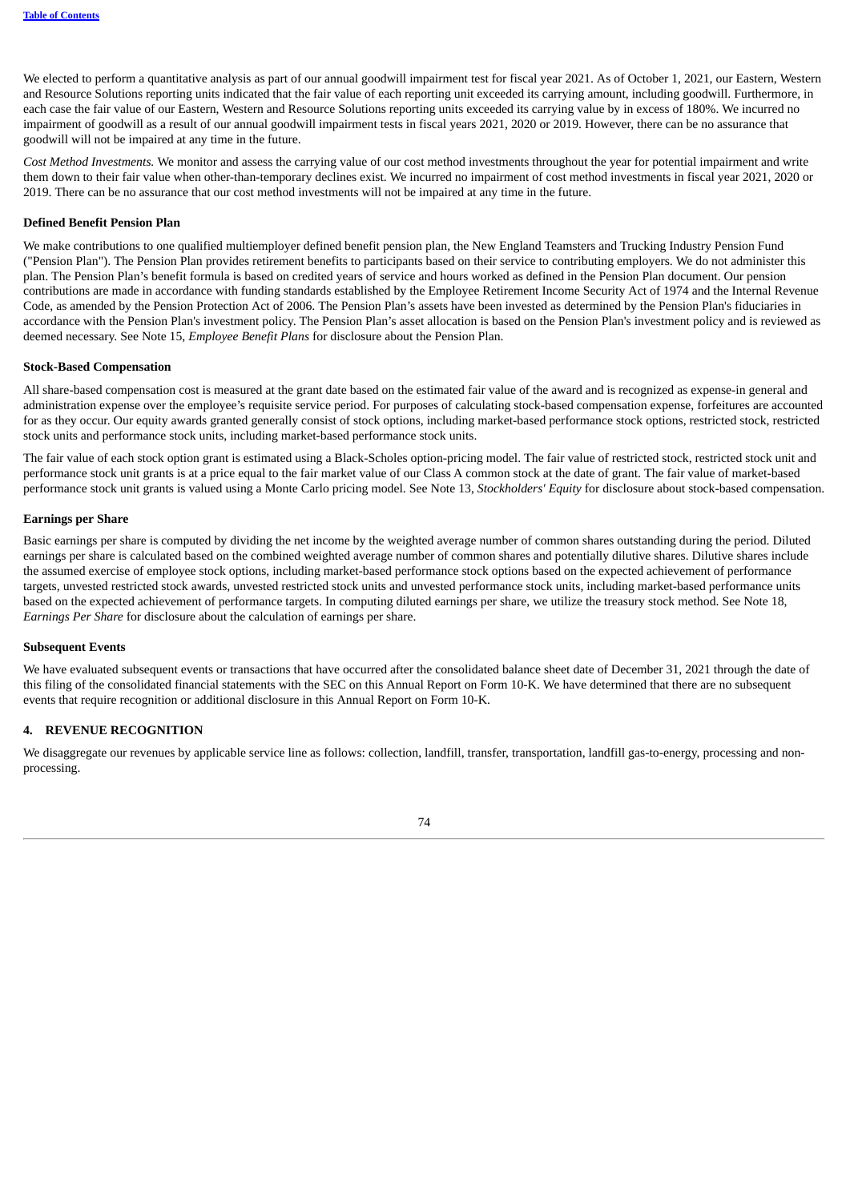We elected to perform a quantitative analysis as part of our annual goodwill impairment test for fiscal year 2021. As of October 1, 2021, our Eastern, Western and Resource Solutions reporting units indicated that the fair value of each reporting unit exceeded its carrying amount, including goodwill. Furthermore, in each case the fair value of our Eastern, Western and Resource Solutions reporting units exceeded its carrying value by in excess of 180%. We incurred no impairment of goodwill as a result of our annual goodwill impairment tests in fiscal years 2021, 2020 or 2019. However, there can be no assurance that goodwill will not be impaired at any time in the future.

*Cost Method Investments.* We monitor and assess the carrying value of our cost method investments throughout the year for potential impairment and write them down to their fair value when other-than-temporary declines exist. We incurred no impairment of cost method investments in fiscal year 2021, 2020 or 2019. There can be no assurance that our cost method investments will not be impaired at any time in the future.

#### **Defined Benefit Pension Plan**

We make contributions to one qualified multiemployer defined benefit pension plan, the New England Teamsters and Trucking Industry Pension Fund ("Pension Plan"). The Pension Plan provides retirement benefits to participants based on their service to contributing employers. We do not administer this plan. The Pension Plan's benefit formula is based on credited years of service and hours worked as defined in the Pension Plan document. Our pension contributions are made in accordance with funding standards established by the Employee Retirement Income Security Act of 1974 and the Internal Revenue Code, as amended by the Pension Protection Act of 2006. The Pension Plan's assets have been invested as determined by the Pension Plan's fiduciaries in accordance with the Pension Plan's investment policy. The Pension Plan's asset allocation is based on the Pension Plan's investment policy and is reviewed as deemed necessary. See Note 15, *Employee Benefit Plans* for disclosure about the Pension Plan.

#### **Stock-Based Compensation**

All share-based compensation cost is measured at the grant date based on the estimated fair value of the award and is recognized as expense-in general and administration expense over the employee's requisite service period. For purposes of calculating stock-based compensation expense, forfeitures are accounted for as they occur. Our equity awards granted generally consist of stock options, including market-based performance stock options, restricted stock, restricted stock units and performance stock units, including market-based performance stock units.

The fair value of each stock option grant is estimated using a Black-Scholes option-pricing model. The fair value of restricted stock, restricted stock unit and performance stock unit grants is at a price equal to the fair market value of our Class A common stock at the date of grant. The fair value of market-based performance stock unit grants is valued using a Monte Carlo pricing model. See Note 13, *Stockholders' Equity* for disclosure about stock-based compensation.

#### **Earnings per Share**

Basic earnings per share is computed by dividing the net income by the weighted average number of common shares outstanding during the period. Diluted earnings per share is calculated based on the combined weighted average number of common shares and potentially dilutive shares. Dilutive shares include the assumed exercise of employee stock options, including market-based performance stock options based on the expected achievement of performance targets, unvested restricted stock awards, unvested restricted stock units and unvested performance stock units, including market-based performance units based on the expected achievement of performance targets. In computing diluted earnings per share, we utilize the treasury stock method. See Note 18, *Earnings Per Share* for disclosure about the calculation of earnings per share.

#### **Subsequent Events**

We have evaluated subsequent events or transactions that have occurred after the consolidated balance sheet date of December 31, 2021 through the date of this filing of the consolidated financial statements with the SEC on this Annual Report on Form 10-K. We have determined that there are no subsequent events that require recognition or additional disclosure in this Annual Report on Form 10-K.

## **4. REVENUE RECOGNITION**

We disaggregate our revenues by applicable service line as follows: collection, landfill, transfer, transportation, landfill gas-to-energy, processing and nonprocessing.

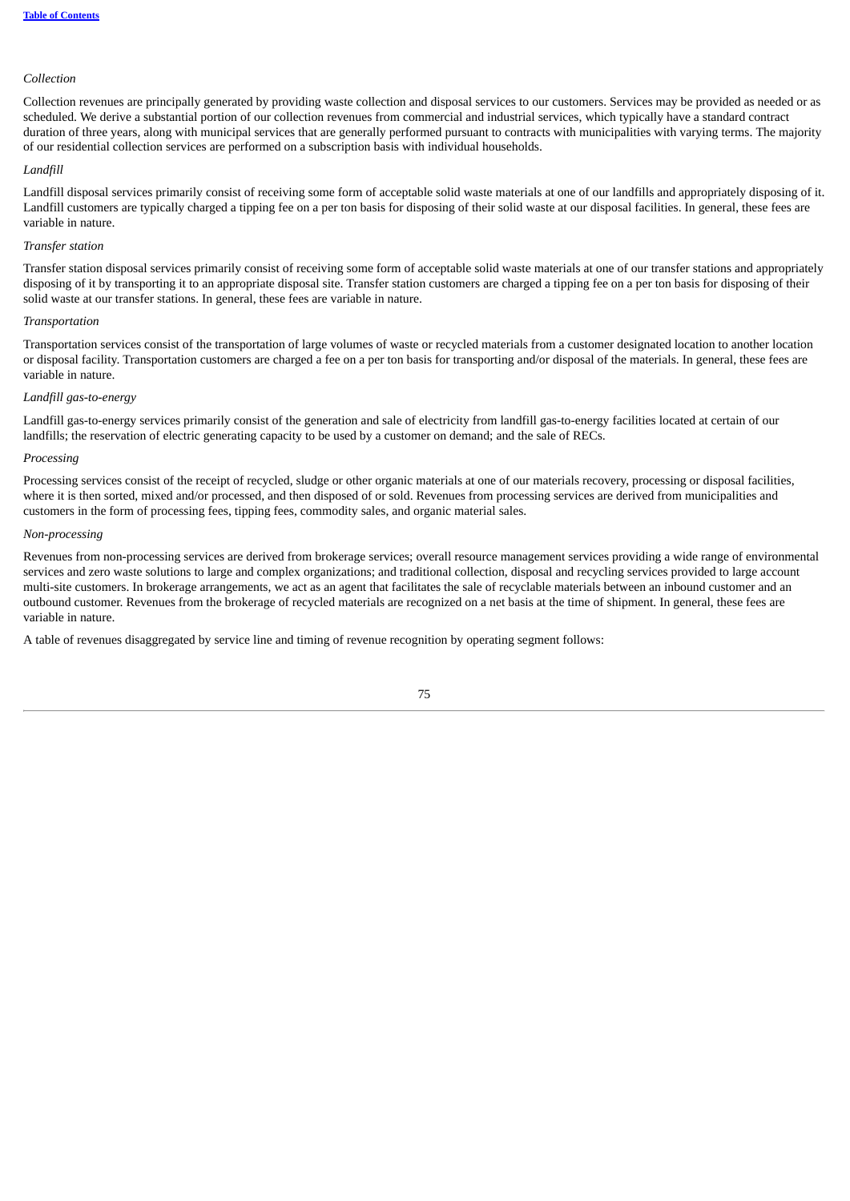#### *Collection*

Collection revenues are principally generated by providing waste collection and disposal services to our customers. Services may be provided as needed or as scheduled. We derive a substantial portion of our collection revenues from commercial and industrial services, which typically have a standard contract duration of three years, along with municipal services that are generally performed pursuant to contracts with municipalities with varying terms. The majority of our residential collection services are performed on a subscription basis with individual households.

#### *Landfill*

Landfill disposal services primarily consist of receiving some form of acceptable solid waste materials at one of our landfills and appropriately disposing of it. Landfill customers are typically charged a tipping fee on a per ton basis for disposing of their solid waste at our disposal facilities. In general, these fees are variable in nature.

#### *Transfer station*

Transfer station disposal services primarily consist of receiving some form of acceptable solid waste materials at one of our transfer stations and appropriately disposing of it by transporting it to an appropriate disposal site. Transfer station customers are charged a tipping fee on a per ton basis for disposing of their solid waste at our transfer stations. In general, these fees are variable in nature.

#### *Transportation*

Transportation services consist of the transportation of large volumes of waste or recycled materials from a customer designated location to another location or disposal facility. Transportation customers are charged a fee on a per ton basis for transporting and/or disposal of the materials. In general, these fees are variable in nature.

#### *Landfill gas-to-energy*

Landfill gas-to-energy services primarily consist of the generation and sale of electricity from landfill gas-to-energy facilities located at certain of our landfills; the reservation of electric generating capacity to be used by a customer on demand; and the sale of RECs.

## *Processing*

Processing services consist of the receipt of recycled, sludge or other organic materials at one of our materials recovery, processing or disposal facilities, where it is then sorted, mixed and/or processed, and then disposed of or sold. Revenues from processing services are derived from municipalities and customers in the form of processing fees, tipping fees, commodity sales, and organic material sales.

#### *Non-processing*

Revenues from non-processing services are derived from brokerage services; overall resource management services providing a wide range of environmental services and zero waste solutions to large and complex organizations; and traditional collection, disposal and recycling services provided to large account multi-site customers. In brokerage arrangements, we act as an agent that facilitates the sale of recyclable materials between an inbound customer and an outbound customer. Revenues from the brokerage of recycled materials are recognized on a net basis at the time of shipment. In general, these fees are variable in nature.

A table of revenues disaggregated by service line and timing of revenue recognition by operating segment follows:

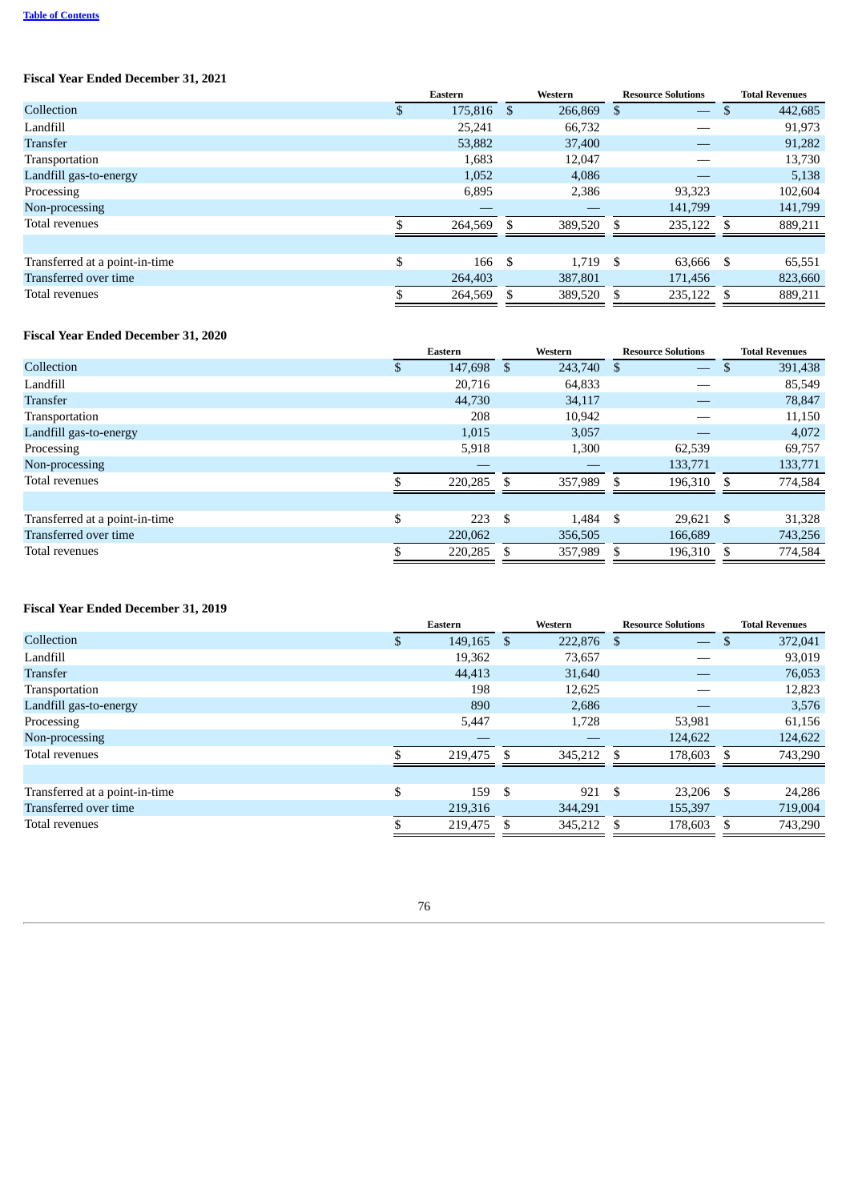# **Fiscal Year Ended December 31, 2021**

| Eastern   |    | Western |               | <b>Resource Solutions</b> |   | <b>Total Revenues</b> |
|-----------|----|---------|---------------|---------------------------|---|-----------------------|
| 175,816   | -S | 266,869 | <sup>\$</sup> |                           | S | 442,685               |
| 25,241    |    | 66,732  |               |                           |   | 91,973                |
| 53,882    |    | 37,400  |               |                           |   | 91,282                |
| 1,683     |    | 12,047  |               |                           |   | 13,730                |
| 1,052     |    | 4,086   |               |                           |   | 5,138                 |
| 6,895     |    | 2,386   |               | 93,323                    |   | 102,604               |
|           |    |         |               | 141,799                   |   | 141,799               |
| 264,569   |    | 389,520 | .S            | 235,122                   |   | 889,211               |
|           |    |         |               |                           |   |                       |
| \$<br>166 | \$ | 1.719   | - \$          |                           |   | 65,551                |
| 264,403   |    | 387,801 |               | 171,456                   |   | 823,660               |
| 264,569   |    | 389,520 |               | 235,122                   |   | 889,211               |
|           |    |         |               |                           |   | - \$<br>63.666 \$     |

## **Fiscal Year Ended December 31, 2020**

|                                |          | <b>Eastern</b> |               | Western |               | <b>Resource Solutions</b> |      | <b>Total Revenues</b> |
|--------------------------------|----------|----------------|---------------|---------|---------------|---------------------------|------|-----------------------|
| Collection                     |          | 147,698        | <sup>\$</sup> | 243,740 | <sup>\$</sup> | $\hspace{0.05cm}$         | S    | 391,438               |
| Landfill                       |          | 20,716         |               | 64,833  |               |                           |      | 85,549                |
| Transfer                       |          | 44,730         |               | 34,117  |               |                           |      | 78,847                |
| Transportation                 |          | 208            |               | 10,942  |               |                           |      | 11,150                |
| Landfill gas-to-energy         |          | 1,015          |               | 3,057   |               |                           |      | 4,072                 |
| Processing                     |          | 5,918          |               | 1,300   |               | 62,539                    |      | 69,757                |
| Non-processing                 |          |                |               |         |               | 133,771                   |      | 133,771               |
| Total revenues                 |          | 220,285        | £.            | 357,989 | \$            | 196.310                   | - \$ | 774,584               |
|                                |          |                |               |         |               |                           |      |                       |
| Transferred at a point-in-time | <b>d</b> | 223            | \$            | 1.484   | - \$          | $29.621$ \$               |      | 31,328                |
| Transferred over time          |          | 220,062        |               | 356,505 |               | 166,689                   |      | 743,256               |
| Total revenues                 |          | 220,285        | S             | 357,989 | \$            | 196,310                   |      | 774,584               |
|                                |          |                |               |         |               |                           |      |                       |

# **Fiscal Year Ended December 31, 2019**

|                                | Eastern   |     | Western |      | <b>Resource Solutions</b> |  | <b>Total Revenues</b> |
|--------------------------------|-----------|-----|---------|------|---------------------------|--|-----------------------|
| Collection                     | 149,165   | -S  | 222,876 | - \$ |                           |  | 372,041               |
| Landfill                       | 19,362    |     | 73,657  |      |                           |  | 93,019                |
| <b>Transfer</b>                | 44,413    |     | 31,640  |      |                           |  | 76,053                |
| Transportation                 | 198       |     | 12,625  |      |                           |  | 12,823                |
| Landfill gas-to-energy         | 890       |     | 2,686   |      |                           |  | 3,576                 |
| Processing                     | 5,447     |     | 1,728   |      | 53,981                    |  | 61,156                |
| Non-processing                 |           |     |         |      | 124,622                   |  | 124,622               |
| Total revenues                 | 219,475   | \$. | 345,212 |      | 178,603 \$                |  | 743,290               |
|                                |           |     |         |      |                           |  |                       |
| Transferred at a point-in-time | \$<br>159 | \$  | 921     | -\$  | 23,206 \$                 |  | 24,286                |
| Transferred over time          | 219,316   |     | 344,291 |      | 155,397                   |  | 719,004               |
| Total revenues                 | 219,475   | \$. | 345,212 |      | 178,603 \$                |  | 743,290               |
|                                |           |     |         |      |                           |  |                       |

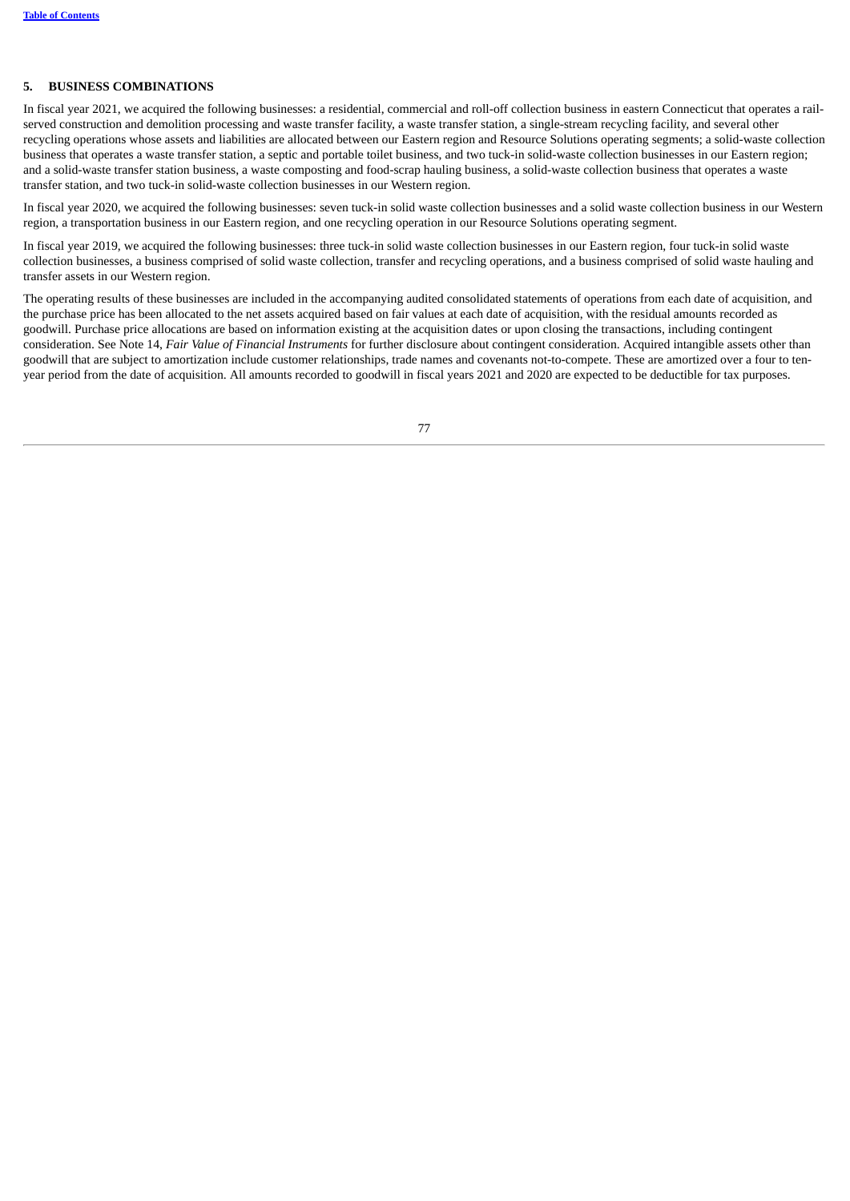## **5. BUSINESS COMBINATIONS**

In fiscal year 2021, we acquired the following businesses: a residential, commercial and roll-off collection business in eastern Connecticut that operates a railserved construction and demolition processing and waste transfer facility, a waste transfer station, a single-stream recycling facility, and several other recycling operations whose assets and liabilities are allocated between our Eastern region and Resource Solutions operating segments; a solid-waste collection business that operates a waste transfer station, a septic and portable toilet business, and two tuck-in solid-waste collection businesses in our Eastern region; and a solid-waste transfer station business, a waste composting and food-scrap hauling business, a solid-waste collection business that operates a waste transfer station, and two tuck-in solid-waste collection businesses in our Western region.

In fiscal year 2020, we acquired the following businesses: seven tuck-in solid waste collection businesses and a solid waste collection business in our Western region, a transportation business in our Eastern region, and one recycling operation in our Resource Solutions operating segment.

In fiscal year 2019, we acquired the following businesses: three tuck-in solid waste collection businesses in our Eastern region, four tuck-in solid waste collection businesses, a business comprised of solid waste collection, transfer and recycling operations, and a business comprised of solid waste hauling and transfer assets in our Western region.

The operating results of these businesses are included in the accompanying audited consolidated statements of operations from each date of acquisition, and the purchase price has been allocated to the net assets acquired based on fair values at each date of acquisition, with the residual amounts recorded as goodwill. Purchase price allocations are based on information existing at the acquisition dates or upon closing the transactions, including contingent consideration. See Note 14, *Fair Value of Financial Instruments* for further disclosure about contingent consideration. Acquired intangible assets other than goodwill that are subject to amortization include customer relationships, trade names and covenants not-to-compete. These are amortized over a four to tenyear period from the date of acquisition. All amounts recorded to goodwill in fiscal years 2021 and 2020 are expected to be deductible for tax purposes.

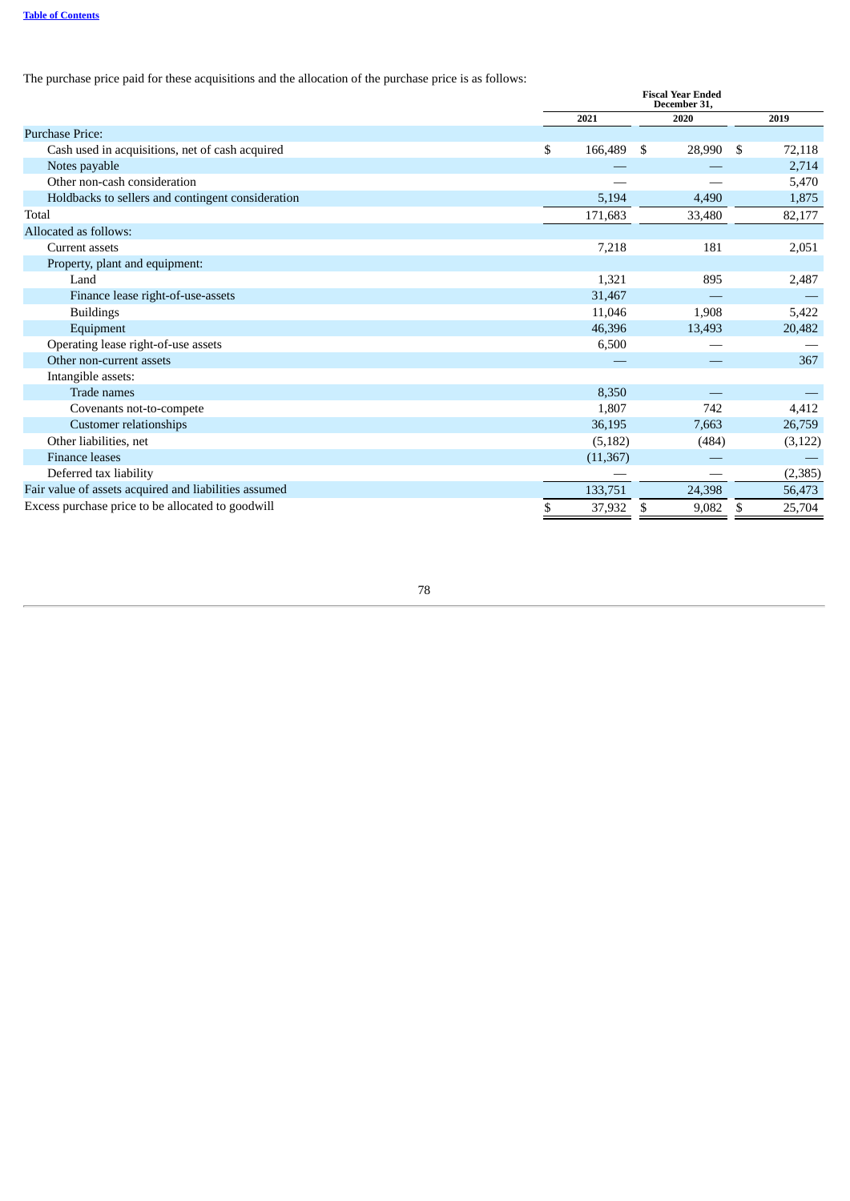The purchase price paid for these acquisitions and the allocation of the purchase price is as follows:

|                                                       |               | <b>Fiscal Year Ended</b><br>December 31, |      |          |
|-------------------------------------------------------|---------------|------------------------------------------|------|----------|
|                                                       | 2021          | 2020                                     |      | 2019     |
| <b>Purchase Price:</b>                                |               |                                          |      |          |
| Cash used in acquisitions, net of cash acquired       | \$<br>166,489 | 28,990<br>-\$                            | - \$ | 72,118   |
| Notes payable                                         |               |                                          |      | 2,714    |
| Other non-cash consideration                          |               |                                          |      | 5,470    |
| Holdbacks to sellers and contingent consideration     | 5,194         | 4,490                                    |      | 1,875    |
| Total                                                 | 171,683       | 33,480                                   |      | 82,177   |
| Allocated as follows:                                 |               |                                          |      |          |
| Current assets                                        | 7,218         | 181                                      |      | 2,051    |
| Property, plant and equipment:                        |               |                                          |      |          |
| Land                                                  | 1,321         | 895                                      |      | 2,487    |
| Finance lease right-of-use-assets                     | 31,467        |                                          |      |          |
| <b>Buildings</b>                                      | 11,046        | 1,908                                    |      | 5,422    |
| Equipment                                             | 46,396        | 13,493                                   |      | 20,482   |
| Operating lease right-of-use assets                   | 6,500         |                                          |      |          |
| Other non-current assets                              |               |                                          |      | 367      |
| Intangible assets:                                    |               |                                          |      |          |
| Trade names                                           | 8,350         |                                          |      |          |
| Covenants not-to-compete                              | 1,807         | 742                                      |      | 4,412    |
| <b>Customer relationships</b>                         | 36,195        | 7,663                                    |      | 26,759   |
| Other liabilities, net                                | (5, 182)      | (484)                                    |      | (3, 122) |
| <b>Finance leases</b>                                 | (11, 367)     |                                          |      |          |
| Deferred tax liability                                |               |                                          |      | (2,385)  |
| Fair value of assets acquired and liabilities assumed | 133,751       | 24,398                                   |      | 56,473   |
| Excess purchase price to be allocated to goodwill     | 37,932        | 9,082<br>\$                              | \$   | 25,704   |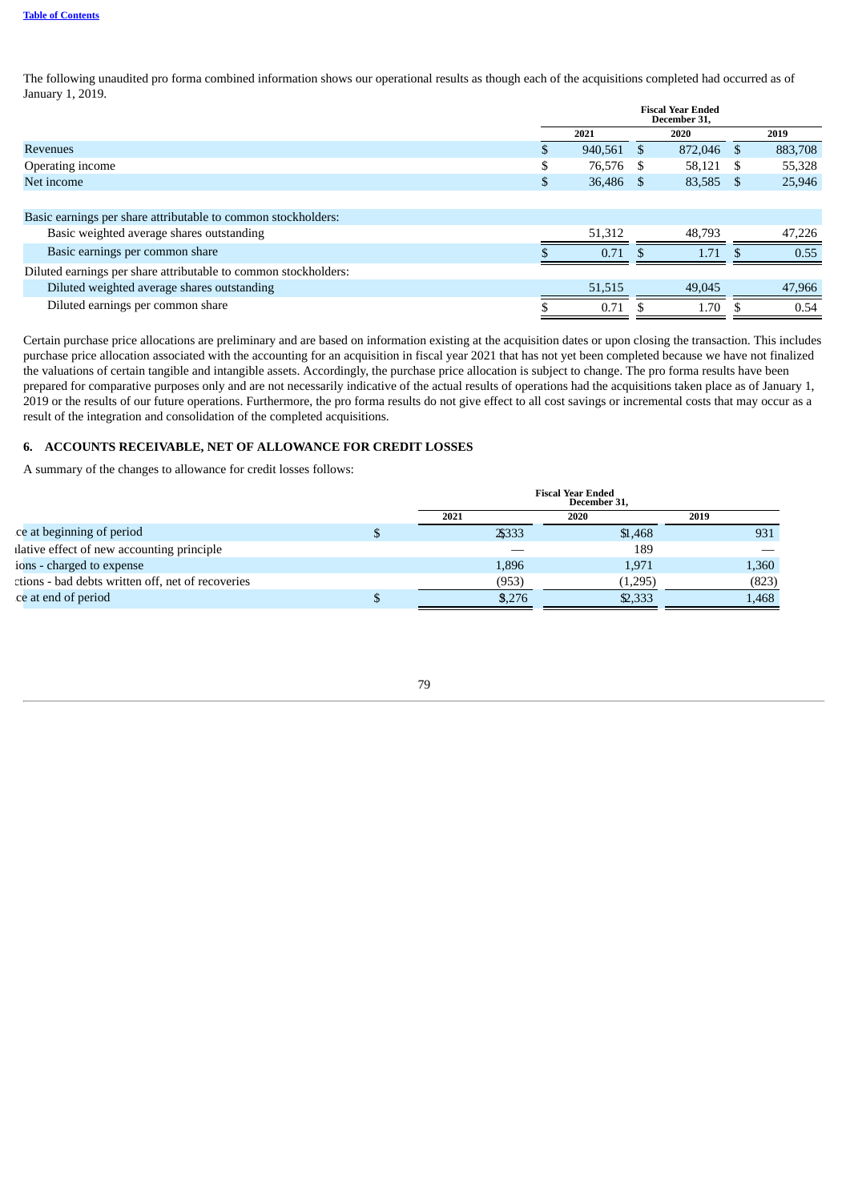The following unaudited pro forma combined information shows our operational results as though each of the acquisitions completed had occurred as of January 1, 2019.

|                                                                 |                 |    | <b>Fiscal Year Ended</b><br>December 31, |         |
|-----------------------------------------------------------------|-----------------|----|------------------------------------------|---------|
|                                                                 | 2021            |    | 2020                                     | 2019    |
| <b>Revenues</b>                                                 | 940.561         | -S | 872,046 \$                               | 883,708 |
| Operating income                                                | 76,576 \$       |    | 58,121 \$                                | 55,328  |
| Net income                                                      | \$<br>36,486 \$ |    | 83,585 \$                                | 25,946  |
|                                                                 |                 |    |                                          |         |
| Basic earnings per share attributable to common stockholders:   |                 |    |                                          |         |
| Basic weighted average shares outstanding                       | 51,312          |    | 48,793                                   | 47,226  |
| Basic earnings per common share                                 | 0.71            |    | 1.71                                     | 0.55    |
| Diluted earnings per share attributable to common stockholders: |                 |    |                                          |         |
| Diluted weighted average shares outstanding                     | 51,515          |    | 49,045                                   | 47,966  |
| Diluted earnings per common share                               | 0.71            |    | 1.70                                     | 0.54    |

Certain purchase price allocations are preliminary and are based on information existing at the acquisition dates or upon closing the transaction. This includes purchase price allocation associated with the accounting for an acquisition in fiscal year 2021 that has not yet been completed because we have not finalized the valuations of certain tangible and intangible assets. Accordingly, the purchase price allocation is subject to change. The pro forma results have been prepared for comparative purposes only and are not necessarily indicative of the actual results of operations had the acquisitions taken place as of January 1, 2019 or the results of our future operations. Furthermore, the pro forma results do not give effect to all cost savings or incremental costs that may occur as a result of the integration and consolidation of the completed acquisitions.

## **6. ACCOUNTS RECEIVABLE, NET OF ALLOWANCE FOR CREDIT LOSSES**

A summary of the changes to allowance for credit losses follows:

|                                                   |        | <b>Fiscal Year Ended</b><br>December 31, |       |
|---------------------------------------------------|--------|------------------------------------------|-------|
|                                                   | 2021   | 2020                                     | 2019  |
| ce at beginning of period                         | 2\$333 | \$1,468                                  | 931   |
| ilative effect of new accounting principle        |        | 189                                      |       |
| ions - charged to expense                         | 1,896  | 1,971                                    | 1,360 |
| ctions - bad debts written off, net of recoveries | (953)  | (1,295)                                  | (823) |
| ce at end of period                               | \$,276 | $\Omega$ , 333                           | 1,468 |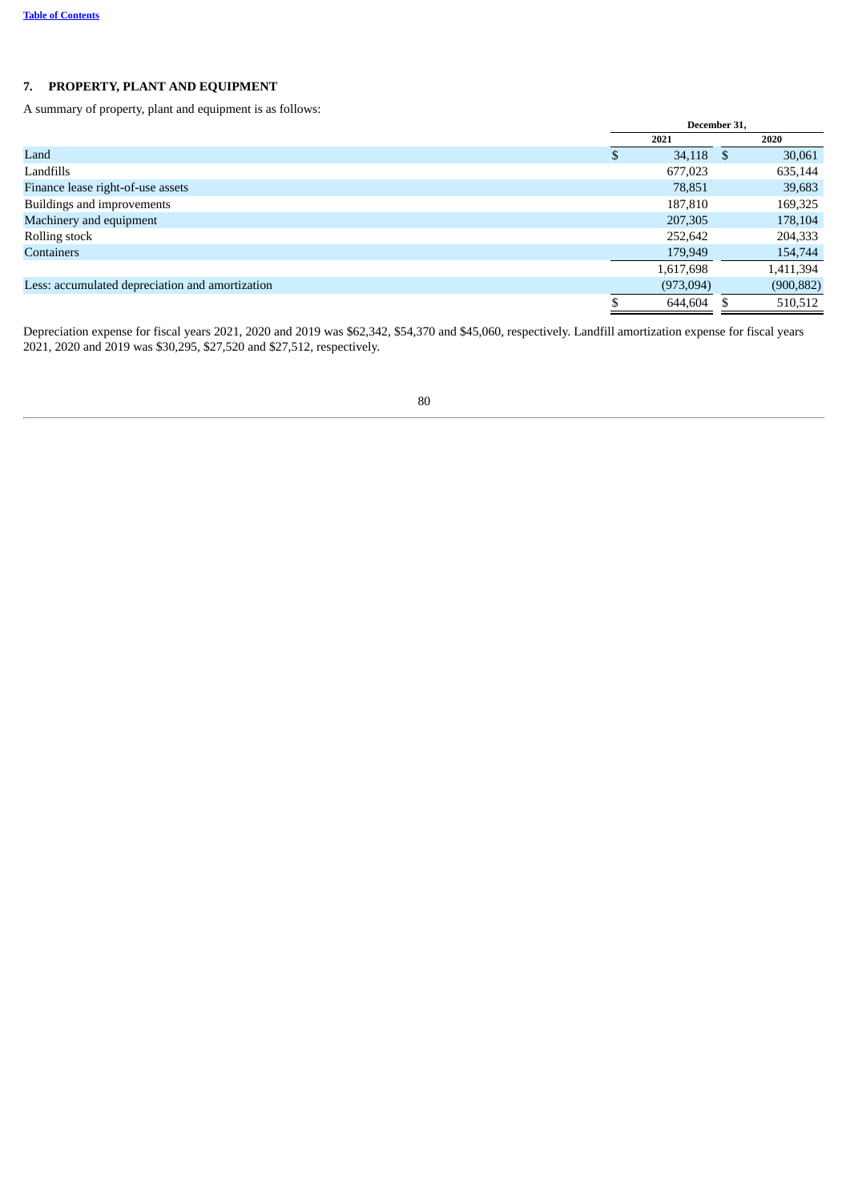# **7. PROPERTY, PLANT AND EQUIPMENT**

A summary of property, plant and equipment is as follows:

|                                                 |           | December 31. |            |  |  |
|-------------------------------------------------|-----------|--------------|------------|--|--|
|                                                 | 2021      |              | 2020       |  |  |
| Land                                            |           | $34,118$ \$  | 30,061     |  |  |
| Landfills                                       | 677,023   |              | 635,144    |  |  |
| Finance lease right-of-use assets               | 78,851    |              | 39,683     |  |  |
| Buildings and improvements                      | 187,810   |              | 169,325    |  |  |
| Machinery and equipment                         | 207,305   |              | 178,104    |  |  |
| Rolling stock                                   | 252,642   |              | 204,333    |  |  |
| <b>Containers</b>                               | 179,949   |              | 154,744    |  |  |
|                                                 | 1,617,698 |              | 1,411,394  |  |  |
| Less: accumulated depreciation and amortization | (973,094) |              | (900, 882) |  |  |
|                                                 | 644,604   |              | 510,512    |  |  |
|                                                 |           |              |            |  |  |

Depreciation expense for fiscal years 2021, 2020 and 2019 was \$62,342, \$54,370 and \$45,060, respectively. Landfill amortization expense for fiscal years 2021, 2020 and 2019 was \$30,295, \$27,520 and \$27,512, respectively.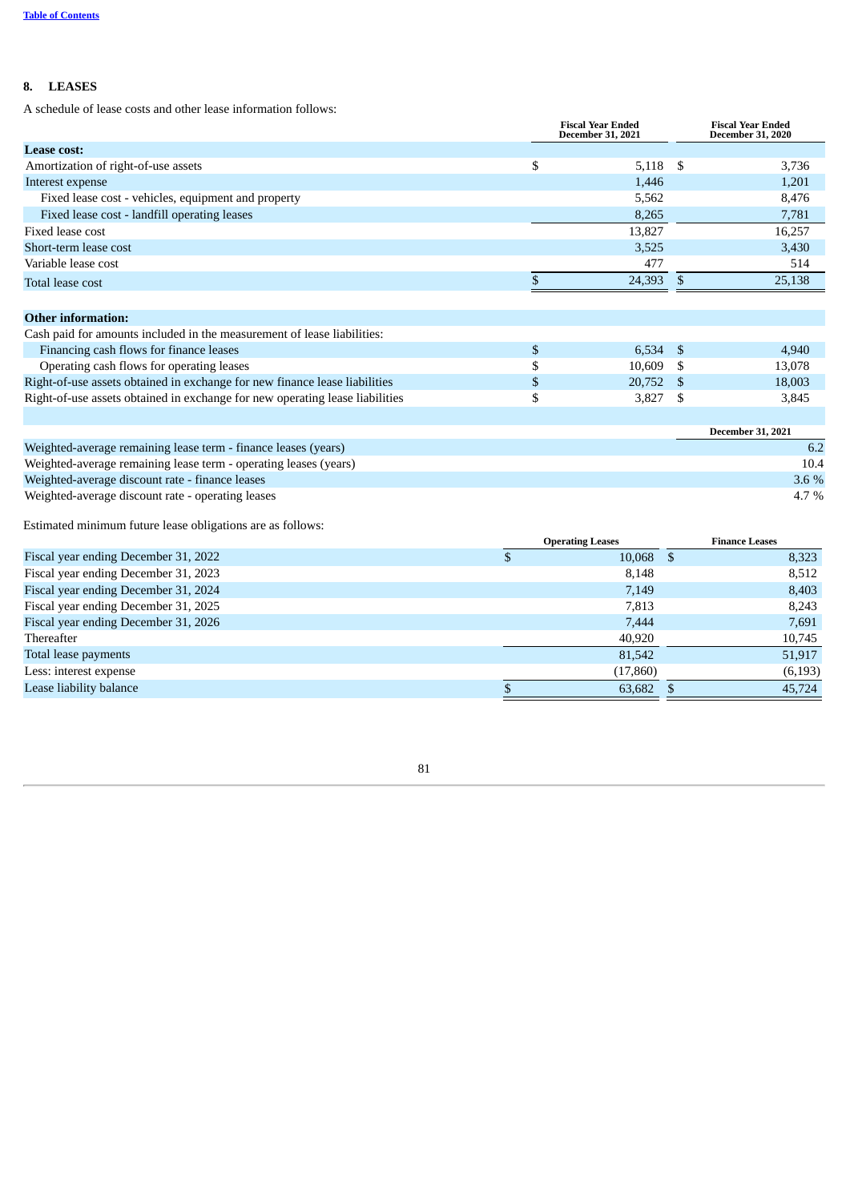# **8. LEASES**

A schedule of lease costs and other lease information follows:

|                                                     | <b>Fiscal Year Ended</b><br><b>December 31, 2021</b> | <b>Fiscal Year Ended</b><br><b>December 31, 2020</b> |
|-----------------------------------------------------|------------------------------------------------------|------------------------------------------------------|
| <b>Lease cost:</b>                                  |                                                      |                                                      |
| Amortization of right-of-use assets                 | ¢<br>$5,118$ \$                                      | 3,736                                                |
| Interest expense                                    | 1,446                                                | 1,201                                                |
| Fixed lease cost - vehicles, equipment and property | 5,562                                                | 8,476                                                |
| Fixed lease cost - landfill operating leases        | 8,265                                                | 7,781                                                |
| Fixed lease cost                                    | 13,827                                               | 16,257                                               |
| Short-term lease cost                               | 3,525                                                | 3,430                                                |
| Variable lease cost                                 | 477                                                  | 514                                                  |
| Total lease cost                                    | 24,393 \$                                            | 25,138                                               |
|                                                     |                                                      |                                                      |

## **Other information:**

| Cash paid for amounts included in the measurement of lease liabilities:      |           |        |
|------------------------------------------------------------------------------|-----------|--------|
| Financing cash flows for finance leases                                      | 6.534 \$  | 4.940  |
| Operating cash flows for operating leases                                    | 10.609    | 13,078 |
| Right-of-use assets obtained in exchange for new finance lease liabilities   | 20.752 \$ | 18,003 |
| Right-of-use assets obtained in exchange for new operating lease liabilities | 3.827     | 3.845  |

|                                                                  | <b>December 31, 2021</b> |
|------------------------------------------------------------------|--------------------------|
| Weighted-average remaining lease term - finance leases (years)   | 6.2                      |
| Weighted-average remaining lease term - operating leases (years) | 10.4                     |
| Weighted-average discount rate - finance leases                  | $3.6\%$                  |
| Weighted-average discount rate - operating leases                | $4.7\%$                  |

Estimated minimum future lease obligations are as follows:

| Louinace minimain ratare rease congarons are as ronows. |                         |                       |
|---------------------------------------------------------|-------------------------|-----------------------|
|                                                         | <b>Operating Leases</b> | <b>Finance Leases</b> |
| Fiscal year ending December 31, 2022                    | 10,068 \$               | 8,323                 |
| Fiscal year ending December 31, 2023                    | 8.148                   | 8,512                 |
| Fiscal year ending December 31, 2024                    | 7,149                   | 8,403                 |
| Fiscal year ending December 31, 2025                    | 7,813                   | 8,243                 |
| Fiscal year ending December 31, 2026                    | 7.444                   | 7,691                 |
| Thereafter                                              | 40,920                  | 10,745                |
| Total lease payments                                    | 81,542                  | 51,917                |
| Less: interest expense                                  | (17, 860)               | (6, 193)              |
| Lease liability balance                                 | 63,682                  | 45,724                |
|                                                         |                         |                       |

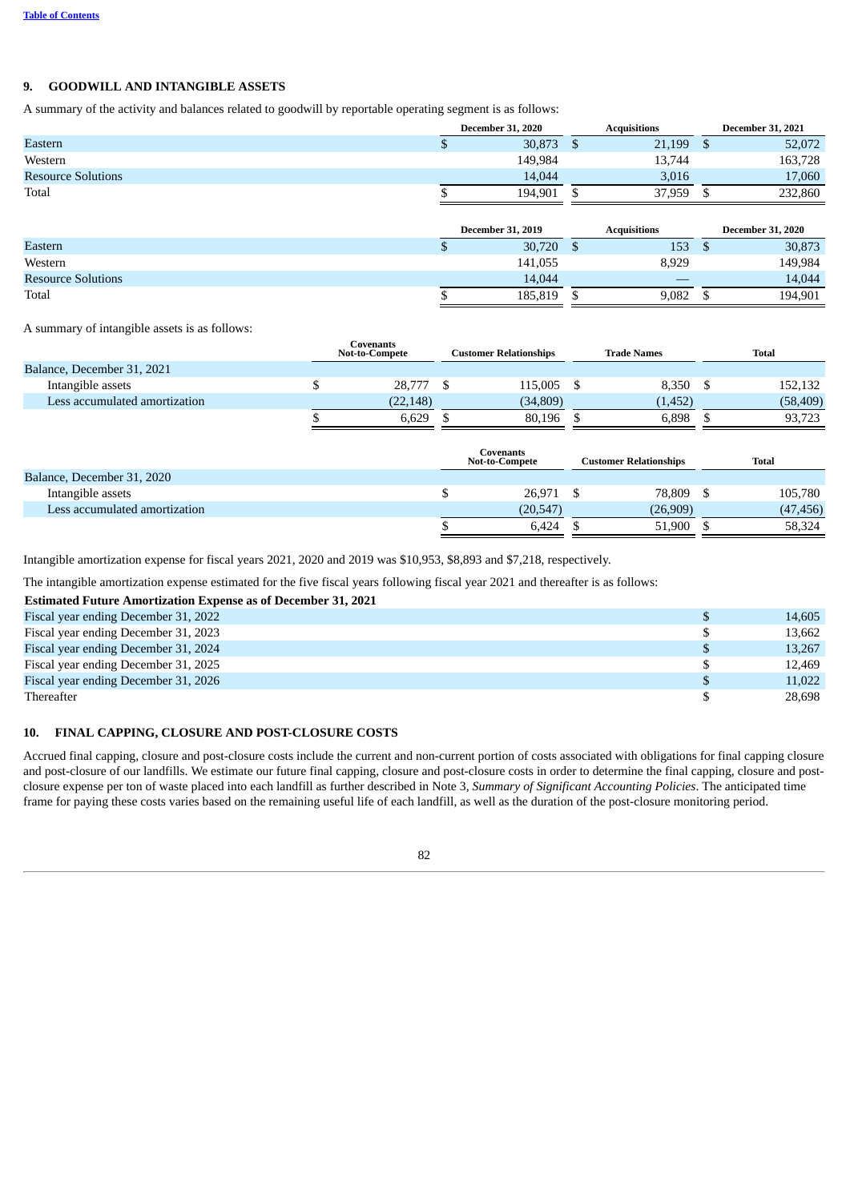## **9. GOODWILL AND INTANGIBLE ASSETS**

A summary of the activity and balances related to goodwill by reportable operating segment is as follows:

|                           | <b>December 31, 2020</b> |      | <b>Acquisitions</b> |      | <b>December 31, 2021</b> |
|---------------------------|--------------------------|------|---------------------|------|--------------------------|
| Eastern                   | 30,873                   | - \$ | 21,199              | - \$ | 52,072                   |
| Western                   | 149,984                  |      | 13,744              |      | 163,728                  |
| <b>Resource Solutions</b> | 14,044                   |      | 3,016               |      | 17,060                   |
| Total                     | 194,901                  | S.   | 37,959              | - \$ | 232,860                  |
|                           |                          |      |                     |      |                          |
|                           | <b>December 31, 2019</b> |      | <b>Acquisitions</b> |      | <b>December 31, 2020</b> |
| Eastern                   | 30,720                   | - \$ | 153                 | - S  | 30,873                   |
| Western                   | 141,055                  |      | 8,929               |      | 149,984                  |
| <b>Resource Solutions</b> | 14,044                   |      |                     |      | 14,044                   |
| Total                     | 185,819                  | .S   | 9,082               |      | 194,901                  |

A summary of intangible assets is as follows:

|                               |   | <b>Covenants</b><br>Not-to-Compete |     | <b>Customer Relationships</b> |      | <b>Trade Names</b>            |      | <b>Total</b> |
|-------------------------------|---|------------------------------------|-----|-------------------------------|------|-------------------------------|------|--------------|
| Balance, December 31, 2021    |   |                                    |     |                               |      |                               |      |              |
| Intangible assets             | œ | 28,777                             | -\$ | 115,005                       | - \$ | 8,350                         | S    | 152,132      |
| Less accumulated amortization |   | (22, 148)                          |     | (34, 809)                     |      | (1,452)                       |      | (58, 409)    |
|                               |   | 6,629                              |     | 80,196                        |      | 6,898                         |      | 93,723       |
|                               |   |                                    |     | Covenants<br>Not-to-Compete   |      | <b>Customer Relationships</b> |      | <b>Total</b> |
| Balance, December 31, 2020    |   |                                    |     |                               |      |                               |      |              |
| Intangible assets             |   |                                    | \$  | 26,971                        | - \$ | 78.809                        | - \$ | 105,780      |
| Less accumulated amortization |   |                                    |     | (20, 547)                     |      | (26,909)                      |      | (47, 456)    |
|                               |   |                                    |     | 6,424                         |      | 51,900                        |      | 58,324       |

Intangible amortization expense for fiscal years 2021, 2020 and 2019 was \$10,953, \$8,893 and \$7,218, respectively.

The intangible amortization expense estimated for the five fiscal years following fiscal year 2021 and thereafter is as follows:

## **Estimated Future Amortization Expense as of December 31, 2021**

| Fiscal year ending December 31, 2022 | 14,605 |
|--------------------------------------|--------|
| Fiscal year ending December 31, 2023 | 13.662 |
| Fiscal year ending December 31, 2024 | 13.267 |
| Fiscal year ending December 31, 2025 | 12.469 |
| Fiscal year ending December 31, 2026 | 11.022 |
| Thereafter                           | 28,698 |

#### **10. FINAL CAPPING, CLOSURE AND POST-CLOSURE COSTS**

Accrued final capping, closure and post-closure costs include the current and non-current portion of costs associated with obligations for final capping closure and post-closure of our landfills. We estimate our future final capping, closure and post-closure costs in order to determine the final capping, closure and postclosure expense per ton of waste placed into each landfill as further described in Note 3, *Summary of Significant Accounting Policies*. The anticipated time frame for paying these costs varies based on the remaining useful life of each landfill, as well as the duration of the post-closure monitoring period.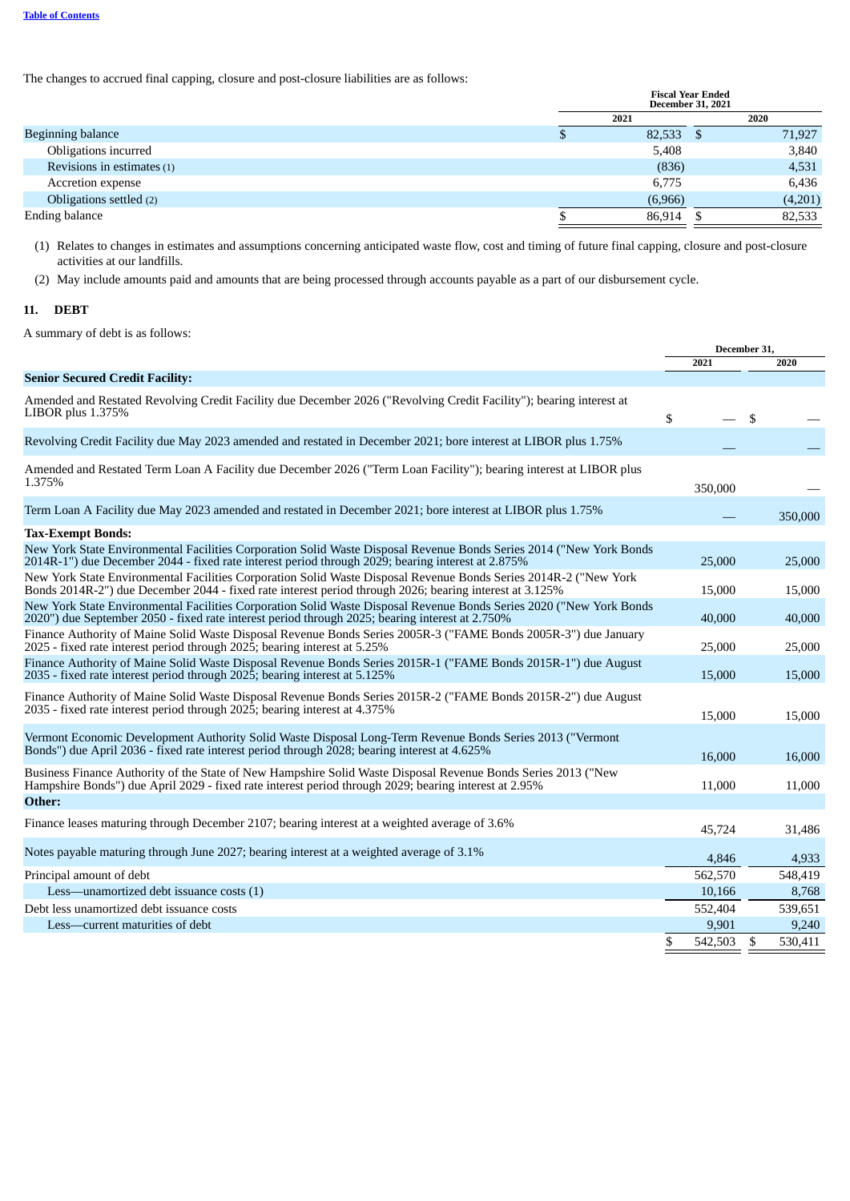The changes to accrued final capping, closure and post-closure liabilities are as follows:

| $\tilde{}$<br>. .          |      | <b>Fiscal Year Ended</b><br><b>December 31, 2021</b> |              |         |  |  |
|----------------------------|------|------------------------------------------------------|--------------|---------|--|--|
|                            | 2021 |                                                      |              | 2020    |  |  |
| Beginning balance          | D    | 82,533                                               | <sup>3</sup> | 71,927  |  |  |
| Obligations incurred       |      | 5,408                                                |              | 3,840   |  |  |
| Revisions in estimates (1) |      | (836)                                                |              | 4,531   |  |  |
| Accretion expense          |      | 6,775                                                |              | 6,436   |  |  |
| Obligations settled (2)    |      | (6,966)                                              |              | (4,201) |  |  |
| Ending balance             |      | 86,914                                               |              | 82,533  |  |  |
|                            |      |                                                      |              |         |  |  |

(1) Relates to changes in estimates and assumptions concerning anticipated waste flow, cost and timing of future final capping, closure and post-closure activities at our landfills.

(2) May include amounts paid and amounts that are being processed through accounts payable as a part of our disbursement cycle.

## **11. DEBT**

A summary of debt is as follows:

|                                                                                                                                                                                                                             | December 31,  |               |
|-----------------------------------------------------------------------------------------------------------------------------------------------------------------------------------------------------------------------------|---------------|---------------|
|                                                                                                                                                                                                                             | 2021          | 2020          |
| <b>Senior Secured Credit Facility:</b>                                                                                                                                                                                      |               |               |
| Amended and Restated Revolving Credit Facility due December 2026 ("Revolving Credit Facility"); bearing interest at<br>LIBOR plus 1.375%                                                                                    | \$            | \$            |
| Revolving Credit Facility due May 2023 amended and restated in December 2021; bore interest at LIBOR plus 1.75%                                                                                                             |               |               |
| Amended and Restated Term Loan A Facility due December 2026 ("Term Loan Facility"); bearing interest at LIBOR plus<br>1.375%                                                                                                | 350,000       |               |
| Term Loan A Facility due May 2023 amended and restated in December 2021; bore interest at LIBOR plus 1.75%                                                                                                                  |               | 350,000       |
| <b>Tax-Exempt Bonds:</b>                                                                                                                                                                                                    |               |               |
| New York State Environmental Facilities Corporation Solid Waste Disposal Revenue Bonds Series 2014 ("New York Bonds<br>2014R-1") due December 2044 - fixed rate interest period through 2029; bearing interest at 2.875%    | 25,000        | 25,000        |
| New York State Environmental Facilities Corporation Solid Waste Disposal Revenue Bonds Series 2014R-2 ("New York<br>Bonds 2014R-2") due December 2044 - fixed rate interest period through 2026; bearing interest at 3.125% | 15,000        | 15,000        |
| New York State Environmental Facilities Corporation Solid Waste Disposal Revenue Bonds Series 2020 ("New York Bonds<br>2020") due September 2050 - fixed rate interest period through 2025; bearing interest at 2.750%      | 40,000        | 40.000        |
| Finance Authority of Maine Solid Waste Disposal Revenue Bonds Series 2005R-3 ("FAME Bonds 2005R-3") due January<br>2025 - fixed rate interest period through 2025; bearing interest at 5.25%                                | 25,000        | 25,000        |
| Finance Authority of Maine Solid Waste Disposal Revenue Bonds Series 2015R-1 ("FAME Bonds 2015R-1") due August<br>2035 - fixed rate interest period through 2025; bearing interest at 5.125%                                | 15,000        | 15,000        |
| Finance Authority of Maine Solid Waste Disposal Revenue Bonds Series 2015R-2 ("FAME Bonds 2015R-2") due August<br>2035 - fixed rate interest period through 2025; bearing interest at 4.375%                                | 15,000        | 15,000        |
| Vermont Economic Development Authority Solid Waste Disposal Long-Term Revenue Bonds Series 2013 ("Vermont<br>Bonds") due April 2036 - fixed rate interest period through 2028; bearing interest at 4.625%                   | 16,000        | 16,000        |
| Business Finance Authority of the State of New Hampshire Solid Waste Disposal Revenue Bonds Series 2013 ("New<br>Hampshire Bonds") due April 2029 - fixed rate interest period through 2029; bearing interest at 2.95%      | 11,000        | 11,000        |
| Other:                                                                                                                                                                                                                      |               |               |
| Finance leases maturing through December 2107; bearing interest at a weighted average of 3.6%                                                                                                                               | 45,724        | 31,486        |
| Notes payable maturing through June 2027; bearing interest at a weighted average of 3.1%                                                                                                                                    | 4,846         | 4,933         |
| Principal amount of debt                                                                                                                                                                                                    | 562,570       | 548,419       |
| Less—unamortized debt issuance costs (1)                                                                                                                                                                                    | 10.166        | 8,768         |
| Debt less unamortized debt issuance costs                                                                                                                                                                                   | 552,404       | 539,651       |
| Less-current maturities of debt                                                                                                                                                                                             | 9,901         | 9,240         |
|                                                                                                                                                                                                                             | \$<br>542,503 | \$<br>530,411 |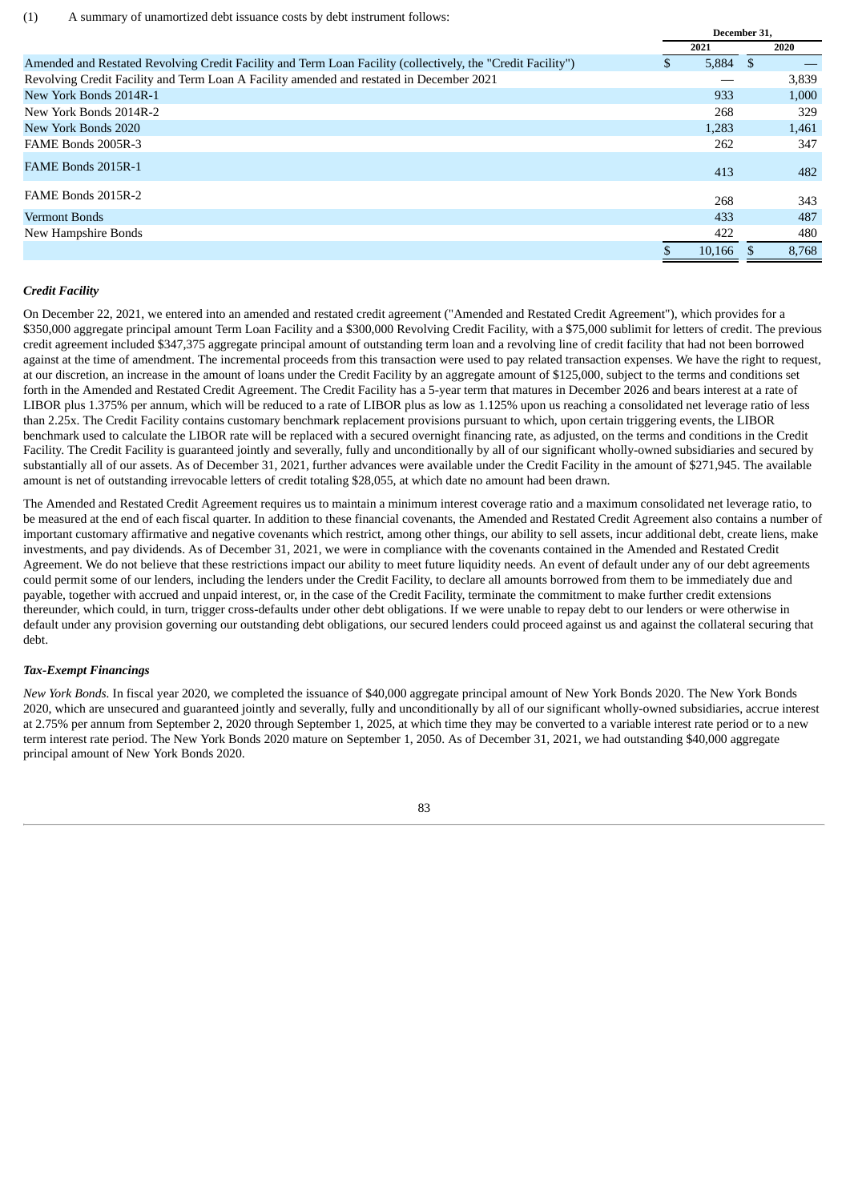|                                                                                                             | December 31. |            |       |
|-------------------------------------------------------------------------------------------------------------|--------------|------------|-------|
|                                                                                                             |              | 2021       | 2020  |
| Amended and Restated Revolving Credit Facility and Term Loan Facility (collectively, the "Credit Facility") | S            | $5,884$ \$ |       |
| Revolving Credit Facility and Term Loan A Facility amended and restated in December 2021                    |              |            | 3,839 |
| New York Bonds 2014R-1                                                                                      |              | 933        | 1,000 |
| New York Bonds 2014R-2                                                                                      |              | 268        | 329   |
| New York Bonds 2020                                                                                         |              | 1,283      | 1,461 |
| FAME Bonds 2005R-3                                                                                          |              | 262        | 347   |
| FAME Bonds 2015R-1                                                                                          |              | 413        | 482   |
| FAME Bonds 2015R-2                                                                                          |              | 268        | 343   |
| <b>Vermont Bonds</b>                                                                                        |              | 433        | 487   |
| New Hampshire Bonds                                                                                         |              | 422        | 480   |
|                                                                                                             |              | 10,166     | 8,768 |

#### *Credit Facility*

On December 22, 2021, we entered into an amended and restated credit agreement ("Amended and Restated Credit Agreement"), which provides for a \$350,000 aggregate principal amount Term Loan Facility and a \$300,000 Revolving Credit Facility, with a \$75,000 sublimit for letters of credit. The previous credit agreement included \$347,375 aggregate principal amount of outstanding term loan and a revolving line of credit facility that had not been borrowed against at the time of amendment. The incremental proceeds from this transaction were used to pay related transaction expenses. We have the right to request, at our discretion, an increase in the amount of loans under the Credit Facility by an aggregate amount of \$125,000, subject to the terms and conditions set forth in the Amended and Restated Credit Agreement. The Credit Facility has a 5-year term that matures in December 2026 and bears interest at a rate of LIBOR plus 1.375% per annum, which will be reduced to a rate of LIBOR plus as low as 1.125% upon us reaching a consolidated net leverage ratio of less than 2.25x. The Credit Facility contains customary benchmark replacement provisions pursuant to which, upon certain triggering events, the LIBOR benchmark used to calculate the LIBOR rate will be replaced with a secured overnight financing rate, as adjusted, on the terms and conditions in the Credit Facility. The Credit Facility is guaranteed jointly and severally, fully and unconditionally by all of our significant wholly-owned subsidiaries and secured by substantially all of our assets. As of December 31, 2021, further advances were available under the Credit Facility in the amount of \$271,945. The available amount is net of outstanding irrevocable letters of credit totaling \$28,055, at which date no amount had been drawn.

The Amended and Restated Credit Agreement requires us to maintain a minimum interest coverage ratio and a maximum consolidated net leverage ratio, to be measured at the end of each fiscal quarter. In addition to these financial covenants, the Amended and Restated Credit Agreement also contains a number of important customary affirmative and negative covenants which restrict, among other things, our ability to sell assets, incur additional debt, create liens, make investments, and pay dividends. As of December 31, 2021, we were in compliance with the covenants contained in the Amended and Restated Credit Agreement. We do not believe that these restrictions impact our ability to meet future liquidity needs. An event of default under any of our debt agreements could permit some of our lenders, including the lenders under the Credit Facility, to declare all amounts borrowed from them to be immediately due and payable, together with accrued and unpaid interest, or, in the case of the Credit Facility, terminate the commitment to make further credit extensions thereunder, which could, in turn, trigger cross-defaults under other debt obligations. If we were unable to repay debt to our lenders or were otherwise in default under any provision governing our outstanding debt obligations, our secured lenders could proceed against us and against the collateral securing that debt.

### *Tax-Exempt Financings*

*New York Bonds.* In fiscal year 2020, we completed the issuance of \$40,000 aggregate principal amount of New York Bonds 2020. The New York Bonds 2020, which are unsecured and guaranteed jointly and severally, fully and unconditionally by all of our significant wholly-owned subsidiaries, accrue interest at 2.75% per annum from September 2, 2020 through September 1, 2025, at which time they may be converted to a variable interest rate period or to a new term interest rate period. The New York Bonds 2020 mature on September 1, 2050. As of December 31, 2021, we had outstanding \$40,000 aggregate principal amount of New York Bonds 2020.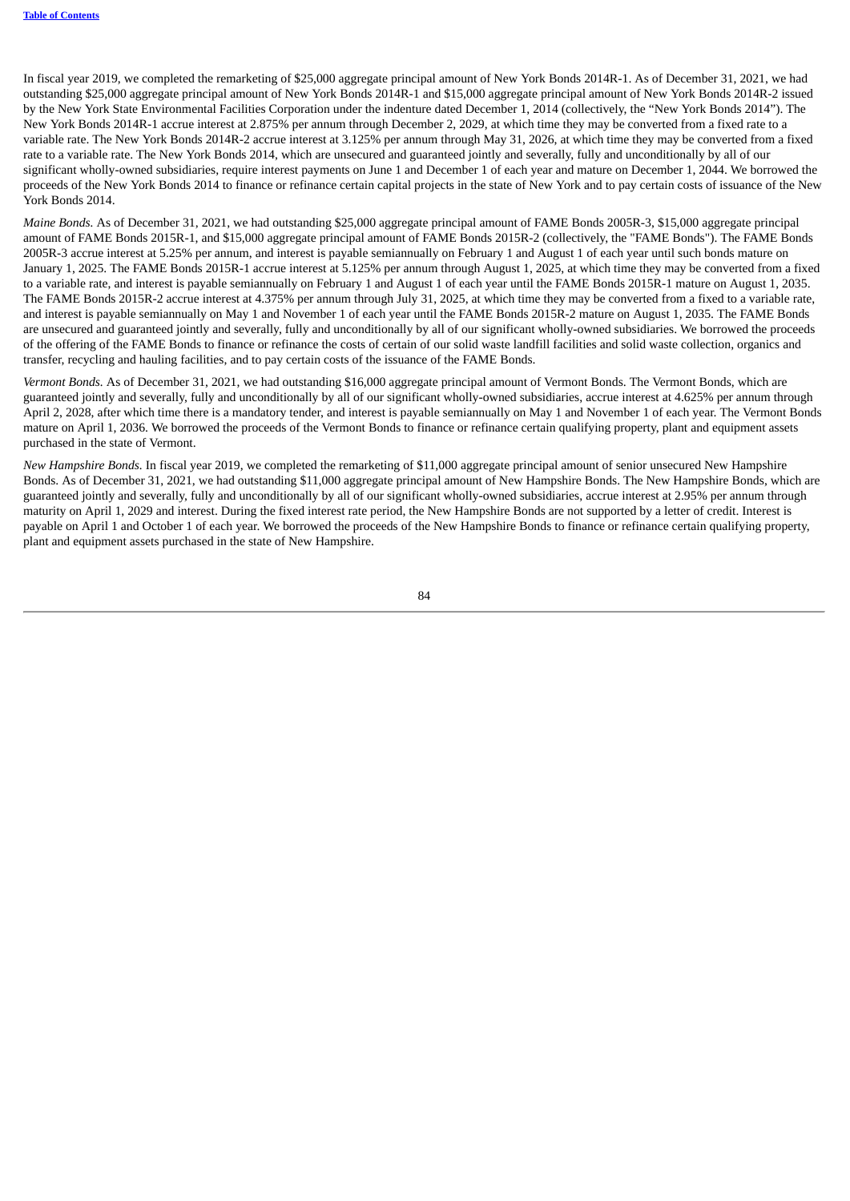In fiscal year 2019, we completed the remarketing of \$25,000 aggregate principal amount of New York Bonds 2014R-1. As of December 31, 2021, we had outstanding \$25,000 aggregate principal amount of New York Bonds 2014R-1 and \$15,000 aggregate principal amount of New York Bonds 2014R-2 issued by the New York State Environmental Facilities Corporation under the indenture dated December 1, 2014 (collectively, the "New York Bonds 2014"). The New York Bonds 2014R-1 accrue interest at 2.875% per annum through December 2, 2029, at which time they may be converted from a fixed rate to a variable rate. The New York Bonds 2014R-2 accrue interest at 3.125% per annum through May 31, 2026, at which time they may be converted from a fixed rate to a variable rate. The New York Bonds 2014, which are unsecured and guaranteed jointly and severally, fully and unconditionally by all of our significant wholly-owned subsidiaries, require interest payments on June 1 and December 1 of each year and mature on December 1, 2044. We borrowed the proceeds of the New York Bonds 2014 to finance or refinance certain capital projects in the state of New York and to pay certain costs of issuance of the New York Bonds 2014.

*Maine Bonds.* As of December 31, 2021, we had outstanding \$25,000 aggregate principal amount of FAME Bonds 2005R-3, \$15,000 aggregate principal amount of FAME Bonds 2015R-1, and \$15,000 aggregate principal amount of FAME Bonds 2015R-2 (collectively, the "FAME Bonds"). The FAME Bonds 2005R-3 accrue interest at 5.25% per annum, and interest is payable semiannually on February 1 and August 1 of each year until such bonds mature on January 1, 2025. The FAME Bonds 2015R-1 accrue interest at 5.125% per annum through August 1, 2025, at which time they may be converted from a fixed to a variable rate, and interest is payable semiannually on February 1 and August 1 of each year until the FAME Bonds 2015R-1 mature on August 1, 2035. The FAME Bonds 2015R-2 accrue interest at 4.375% per annum through July 31, 2025, at which time they may be converted from a fixed to a variable rate, and interest is payable semiannually on May 1 and November 1 of each year until the FAME Bonds 2015R-2 mature on August 1, 2035. The FAME Bonds are unsecured and guaranteed jointly and severally, fully and unconditionally by all of our significant wholly-owned subsidiaries. We borrowed the proceeds of the offering of the FAME Bonds to finance or refinance the costs of certain of our solid waste landfill facilities and solid waste collection, organics and transfer, recycling and hauling facilities, and to pay certain costs of the issuance of the FAME Bonds.

*Vermont Bonds.* As of December 31, 2021, we had outstanding \$16,000 aggregate principal amount of Vermont Bonds. The Vermont Bonds, which are guaranteed jointly and severally, fully and unconditionally by all of our significant wholly-owned subsidiaries, accrue interest at 4.625% per annum through April 2, 2028, after which time there is a mandatory tender, and interest is payable semiannually on May 1 and November 1 of each year. The Vermont Bonds mature on April 1, 2036. We borrowed the proceeds of the Vermont Bonds to finance or refinance certain qualifying property, plant and equipment assets purchased in the state of Vermont.

*New Hampshire Bonds.* In fiscal year 2019, we completed the remarketing of \$11,000 aggregate principal amount of senior unsecured New Hampshire Bonds. As of December 31, 2021, we had outstanding \$11,000 aggregate principal amount of New Hampshire Bonds. The New Hampshire Bonds, which are guaranteed jointly and severally, fully and unconditionally by all of our significant wholly-owned subsidiaries, accrue interest at 2.95% per annum through maturity on April 1, 2029 and interest. During the fixed interest rate period, the New Hampshire Bonds are not supported by a letter of credit. Interest is payable on April 1 and October 1 of each year. We borrowed the proceeds of the New Hampshire Bonds to finance or refinance certain qualifying property, plant and equipment assets purchased in the state of New Hampshire.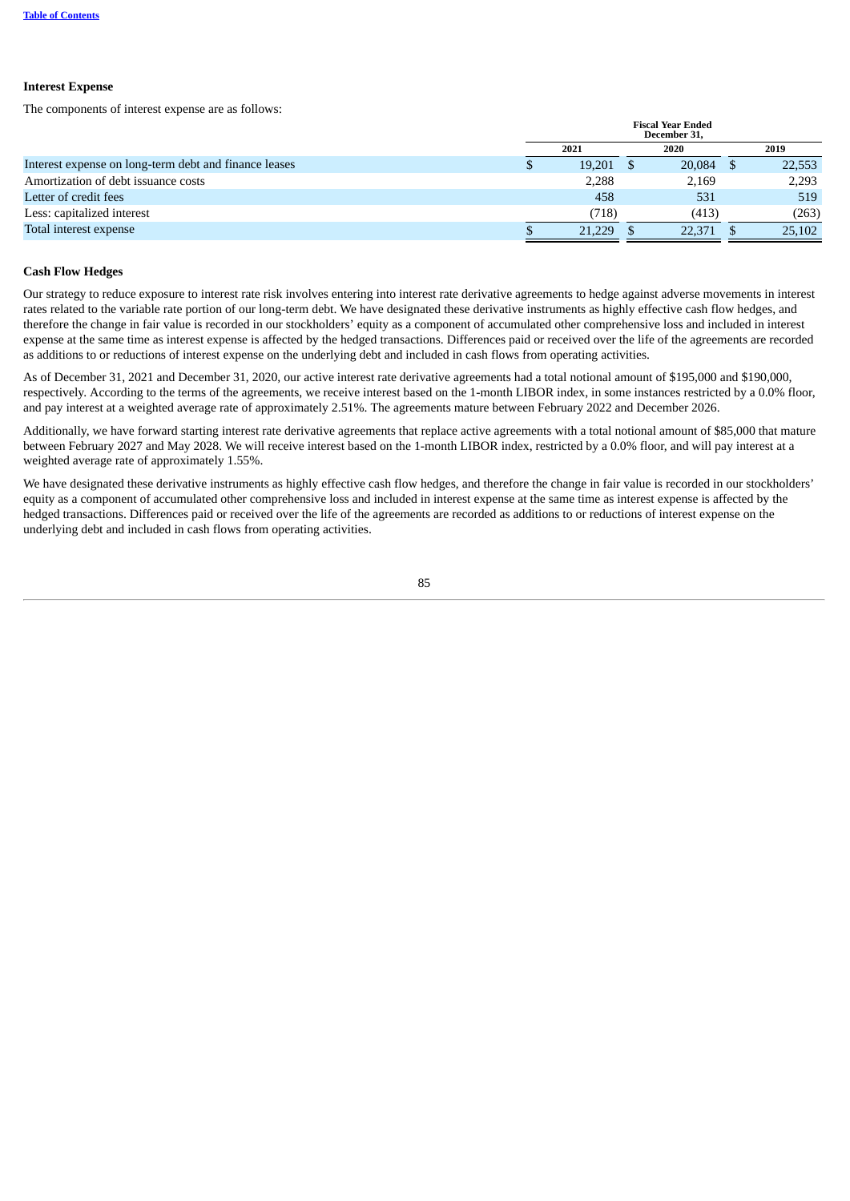#### **Interest Expense**

The components of interest expense are as follows:

| December 31. |        |  |        |  |                          |
|--------------|--------|--|--------|--|--------------------------|
|              | 2021   |  | 2020   |  | 2019                     |
|              | 19,201 |  | 20,084 |  | 22,553                   |
|              | 2,288  |  | 2,169  |  | 2,293                    |
|              | 458    |  | 531    |  | 519                      |
|              | (718)  |  | (413)  |  | (263)                    |
|              | 21,229 |  | 22,371 |  | 25,102                   |
|              |        |  |        |  | <b>Fiscal Year Ended</b> |

## **Cash Flow Hedges**

Our strategy to reduce exposure to interest rate risk involves entering into interest rate derivative agreements to hedge against adverse movements in interest rates related to the variable rate portion of our long-term debt. We have designated these derivative instruments as highly effective cash flow hedges, and therefore the change in fair value is recorded in our stockholders' equity as a component of accumulated other comprehensive loss and included in interest expense at the same time as interest expense is affected by the hedged transactions. Differences paid or received over the life of the agreements are recorded as additions to or reductions of interest expense on the underlying debt and included in cash flows from operating activities.

As of December 31, 2021 and December 31, 2020, our active interest rate derivative agreements had a total notional amount of \$195,000 and \$190,000, respectively. According to the terms of the agreements, we receive interest based on the 1-month LIBOR index, in some instances restricted by a 0.0% floor, and pay interest at a weighted average rate of approximately 2.51%. The agreements mature between February 2022 and December 2026.

Additionally, we have forward starting interest rate derivative agreements that replace active agreements with a total notional amount of \$85,000 that mature between February 2027 and May 2028. We will receive interest based on the 1-month LIBOR index, restricted by a 0.0% floor, and will pay interest at a weighted average rate of approximately 1.55%.

We have designated these derivative instruments as highly effective cash flow hedges, and therefore the change in fair value is recorded in our stockholders' equity as a component of accumulated other comprehensive loss and included in interest expense at the same time as interest expense is affected by the hedged transactions. Differences paid or received over the life of the agreements are recorded as additions to or reductions of interest expense on the underlying debt and included in cash flows from operating activities.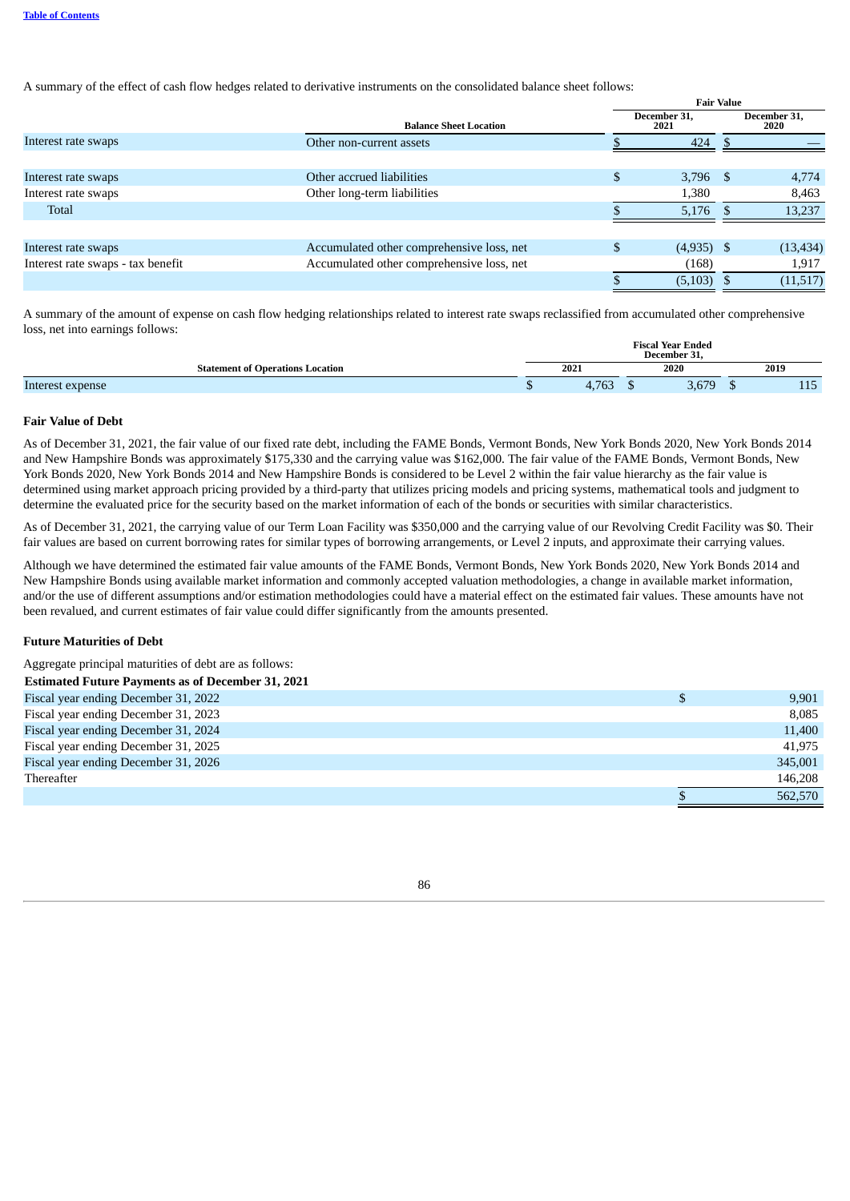A summary of the effect of cash flow hedges related to derivative instruments on the consolidated balance sheet follows:

| December 31,                                                                            | December 31,<br>2020 |
|-----------------------------------------------------------------------------------------|----------------------|
| <b>Balance Sheet Location</b><br>2021                                                   |                      |
| Interest rate swaps<br>424<br>Other non-current assets                                  |                      |
|                                                                                         |                      |
| Other accrued liabilities<br>\$<br>$3,796$ \$<br>Interest rate swaps                    | 4,774                |
| Other long-term liabilities<br>1,380<br>Interest rate swaps                             | 8,463                |
| Total<br>5,176                                                                          | 13,237               |
|                                                                                         |                      |
| \$<br>$(4,935)$ \$<br>Accumulated other comprehensive loss, net<br>Interest rate swaps  | (13, 434)            |
| Accumulated other comprehensive loss, net<br>Interest rate swaps - tax benefit<br>(168) | 1,917                |
| (5, 103)                                                                                | (11, 517)            |

A summary of the amount of expense on cash flow hedging relationships related to interest rate swaps reclassified from accumulated other comprehensive loss, net into earnings follows: **Fiscal Year Ended**

|                                         | Fiscal Year Ended<br>December 31. |  |      |  |       |  |                       |  |
|-----------------------------------------|-----------------------------------|--|------|--|-------|--|-----------------------|--|
| <b>Statement of Operations Location</b> |                                   |  | 2021 |  | 2020  |  | 2019<br>$\sim$ $\sim$ |  |
| Interest expense                        |                                   |  | 700  |  | 3.679 |  | $\overline{A}$<br>.   |  |
|                                         |                                   |  |      |  |       |  |                       |  |

#### **Fair Value of Debt**

As of December 31, 2021, the fair value of our fixed rate debt, including the FAME Bonds, Vermont Bonds, New York Bonds 2020, New York Bonds 2014 and New Hampshire Bonds was approximately \$175,330 and the carrying value was \$162,000. The fair value of the FAME Bonds, Vermont Bonds, New York Bonds 2020, New York Bonds 2014 and New Hampshire Bonds is considered to be Level 2 within the fair value hierarchy as the fair value is determined using market approach pricing provided by a third-party that utilizes pricing models and pricing systems, mathematical tools and judgment to determine the evaluated price for the security based on the market information of each of the bonds or securities with similar characteristics.

As of December 31, 2021, the carrying value of our Term Loan Facility was \$350,000 and the carrying value of our Revolving Credit Facility was \$0. Their fair values are based on current borrowing rates for similar types of borrowing arrangements, or Level 2 inputs, and approximate their carrying values.

Although we have determined the estimated fair value amounts of the FAME Bonds, Vermont Bonds, New York Bonds 2020, New York Bonds 2014 and New Hampshire Bonds using available market information and commonly accepted valuation methodologies, a change in available market information, and/or the use of different assumptions and/or estimation methodologies could have a material effect on the estimated fair values. These amounts have not been revalued, and current estimates of fair value could differ significantly from the amounts presented.

#### **Future Maturities of Debt**

Aggregate principal maturities of debt are as follows: **Estimated Future Payments as of December 31, 2021**

| Estimated Future Payments as 01 December 31, 2021 |    |         |
|---------------------------------------------------|----|---------|
| Fiscal year ending December 31, 2022              | -S | 9,901   |
| Fiscal year ending December 31, 2023              |    | 8,085   |
| Fiscal year ending December 31, 2024              |    | 11,400  |
| Fiscal year ending December 31, 2025              |    | 41,975  |
| Fiscal year ending December 31, 2026              |    | 345,001 |
| Thereafter                                        |    | 146,208 |
|                                                   |    | 562,570 |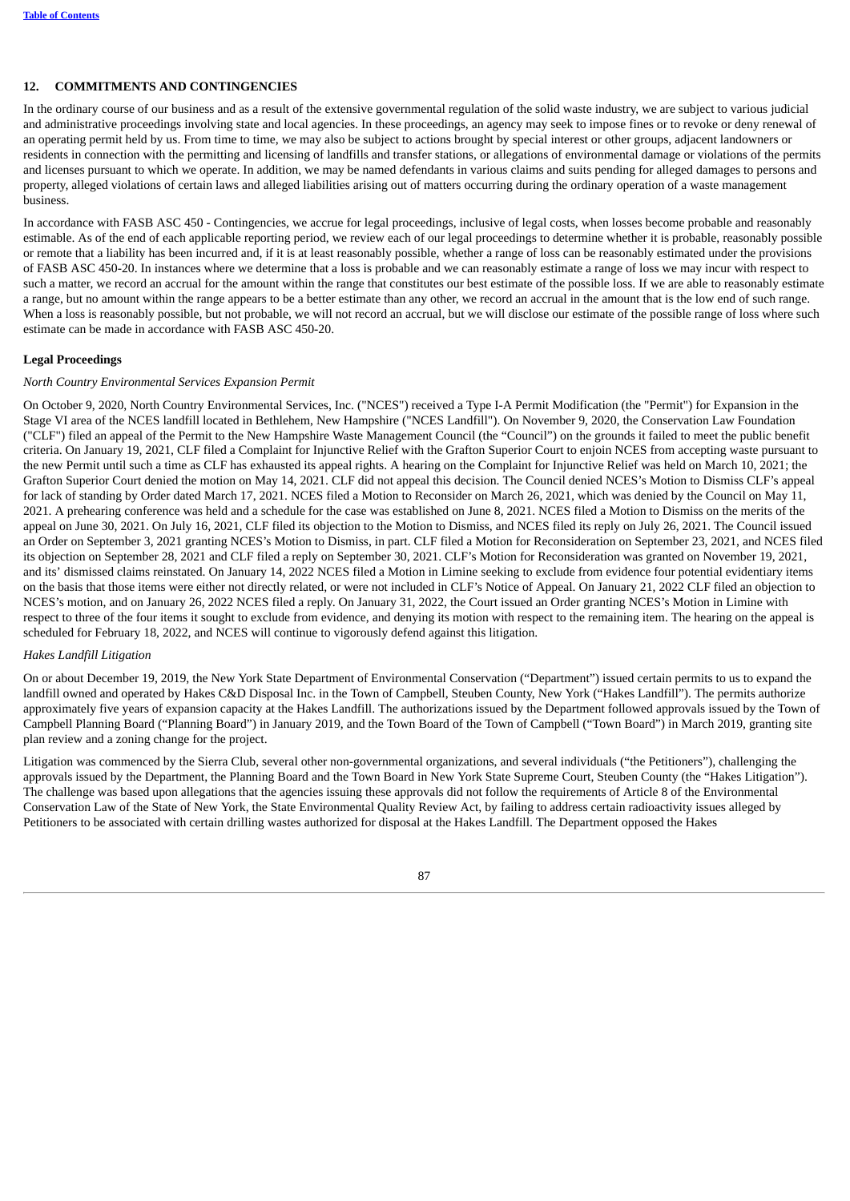## **12. COMMITMENTS AND CONTINGENCIES**

In the ordinary course of our business and as a result of the extensive governmental regulation of the solid waste industry, we are subject to various judicial and administrative proceedings involving state and local agencies. In these proceedings, an agency may seek to impose fines or to revoke or deny renewal of an operating permit held by us. From time to time, we may also be subject to actions brought by special interest or other groups, adjacent landowners or residents in connection with the permitting and licensing of landfills and transfer stations, or allegations of environmental damage or violations of the permits and licenses pursuant to which we operate. In addition, we may be named defendants in various claims and suits pending for alleged damages to persons and property, alleged violations of certain laws and alleged liabilities arising out of matters occurring during the ordinary operation of a waste management business.

In accordance with FASB ASC 450 - Contingencies, we accrue for legal proceedings, inclusive of legal costs, when losses become probable and reasonably estimable. As of the end of each applicable reporting period, we review each of our legal proceedings to determine whether it is probable, reasonably possible or remote that a liability has been incurred and, if it is at least reasonably possible, whether a range of loss can be reasonably estimated under the provisions of FASB ASC 450-20. In instances where we determine that a loss is probable and we can reasonably estimate a range of loss we may incur with respect to such a matter, we record an accrual for the amount within the range that constitutes our best estimate of the possible loss. If we are able to reasonably estimate a range, but no amount within the range appears to be a better estimate than any other, we record an accrual in the amount that is the low end of such range. When a loss is reasonably possible, but not probable, we will not record an accrual, but we will disclose our estimate of the possible range of loss where such estimate can be made in accordance with FASB ASC 450-20.

## **Legal Proceedings**

### *North Country Environmental Services Expansion Permit*

On October 9, 2020, North Country Environmental Services, Inc. ("NCES") received a Type I-A Permit Modification (the "Permit") for Expansion in the Stage VI area of the NCES landfill located in Bethlehem, New Hampshire ("NCES Landfill"). On November 9, 2020, the Conservation Law Foundation ("CLF") filed an appeal of the Permit to the New Hampshire Waste Management Council (the "Council") on the grounds it failed to meet the public benefit criteria. On January 19, 2021, CLF filed a Complaint for Injunctive Relief with the Grafton Superior Court to enjoin NCES from accepting waste pursuant to the new Permit until such a time as CLF has exhausted its appeal rights. A hearing on the Complaint for Injunctive Relief was held on March 10, 2021; the Grafton Superior Court denied the motion on May 14, 2021. CLF did not appeal this decision. The Council denied NCES's Motion to Dismiss CLF's appeal for lack of standing by Order dated March 17, 2021. NCES filed a Motion to Reconsider on March 26, 2021, which was denied by the Council on May 11, 2021. A prehearing conference was held and a schedule for the case was established on June 8, 2021. NCES filed a Motion to Dismiss on the merits of the appeal on June 30, 2021. On July 16, 2021, CLF filed its objection to the Motion to Dismiss, and NCES filed its reply on July 26, 2021. The Council issued an Order on September 3, 2021 granting NCES's Motion to Dismiss, in part. CLF filed a Motion for Reconsideration on September 23, 2021, and NCES filed its objection on September 28, 2021 and CLF filed a reply on September 30, 2021. CLF's Motion for Reconsideration was granted on November 19, 2021, and its' dismissed claims reinstated. On January 14, 2022 NCES filed a Motion in Limine seeking to exclude from evidence four potential evidentiary items on the basis that those items were either not directly related, or were not included in CLF's Notice of Appeal. On January 21, 2022 CLF filed an objection to NCES's motion, and on January 26, 2022 NCES filed a reply. On January 31, 2022, the Court issued an Order granting NCES's Motion in Limine with respect to three of the four items it sought to exclude from evidence, and denying its motion with respect to the remaining item. The hearing on the appeal is scheduled for February 18, 2022, and NCES will continue to vigorously defend against this litigation.

#### *Hakes Landfill Litigation*

On or about December 19, 2019, the New York State Department of Environmental Conservation ("Department") issued certain permits to us to expand the landfill owned and operated by Hakes C&D Disposal Inc. in the Town of Campbell, Steuben County, New York ("Hakes Landfill"). The permits authorize approximately five years of expansion capacity at the Hakes Landfill. The authorizations issued by the Department followed approvals issued by the Town of Campbell Planning Board ("Planning Board") in January 2019, and the Town Board of the Town of Campbell ("Town Board") in March 2019, granting site plan review and a zoning change for the project.

Litigation was commenced by the Sierra Club, several other non-governmental organizations, and several individuals ("the Petitioners"), challenging the approvals issued by the Department, the Planning Board and the Town Board in New York State Supreme Court, Steuben County (the "Hakes Litigation"). The challenge was based upon allegations that the agencies issuing these approvals did not follow the requirements of Article 8 of the Environmental Conservation Law of the State of New York, the State Environmental Quality Review Act, by failing to address certain radioactivity issues alleged by Petitioners to be associated with certain drilling wastes authorized for disposal at the Hakes Landfill. The Department opposed the Hakes

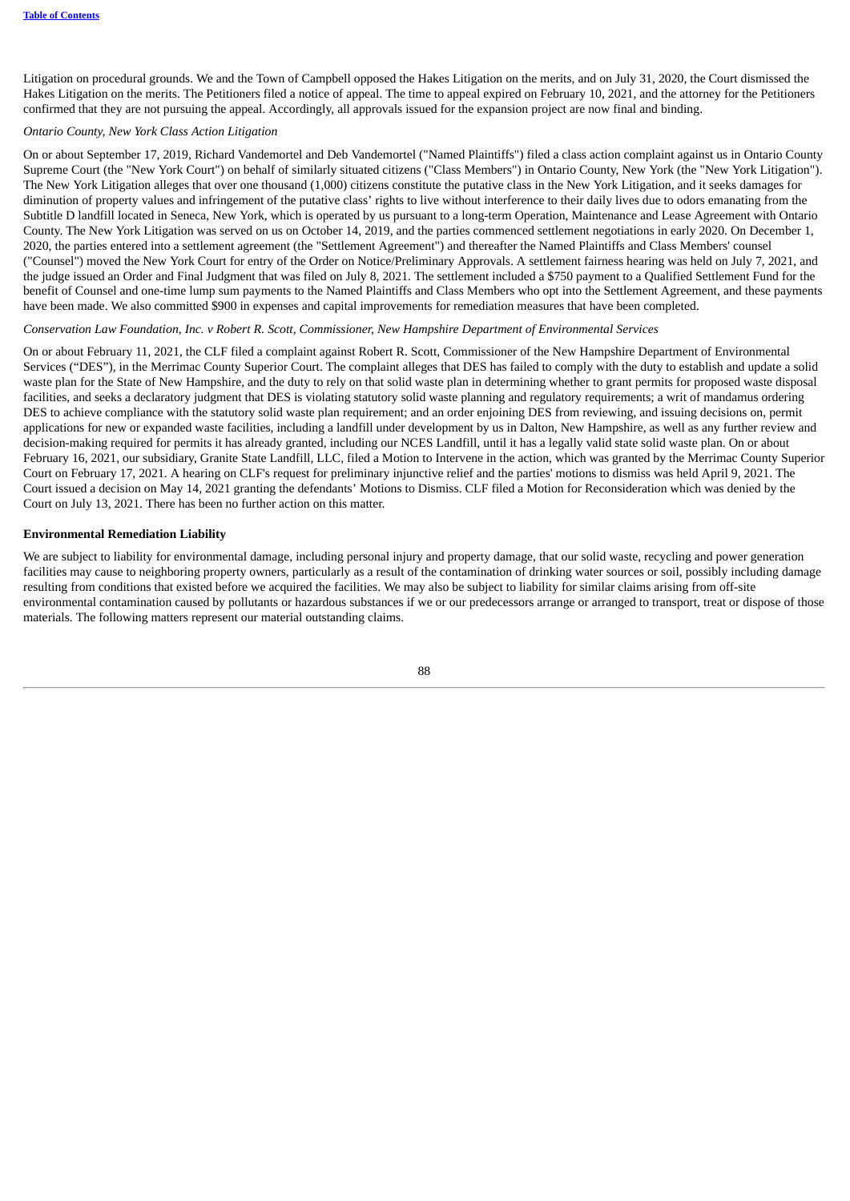Litigation on procedural grounds. We and the Town of Campbell opposed the Hakes Litigation on the merits, and on July 31, 2020, the Court dismissed the Hakes Litigation on the merits. The Petitioners filed a notice of appeal. The time to appeal expired on February 10, 2021, and the attorney for the Petitioners confirmed that they are not pursuing the appeal. Accordingly, all approvals issued for the expansion project are now final and binding.

## *Ontario County, New York Class Action Litigation*

On or about September 17, 2019, Richard Vandemortel and Deb Vandemortel ("Named Plaintiffs") filed a class action complaint against us in Ontario County Supreme Court (the "New York Court") on behalf of similarly situated citizens ("Class Members") in Ontario County, New York (the "New York Litigation"). The New York Litigation alleges that over one thousand (1,000) citizens constitute the putative class in the New York Litigation, and it seeks damages for diminution of property values and infringement of the putative class' rights to live without interference to their daily lives due to odors emanating from the Subtitle D landfill located in Seneca, New York, which is operated by us pursuant to a long-term Operation, Maintenance and Lease Agreement with Ontario County. The New York Litigation was served on us on October 14, 2019, and the parties commenced settlement negotiations in early 2020. On December 1, 2020, the parties entered into a settlement agreement (the "Settlement Agreement") and thereafter the Named Plaintiffs and Class Members' counsel ("Counsel") moved the New York Court for entry of the Order on Notice/Preliminary Approvals. A settlement fairness hearing was held on July 7, 2021, and the judge issued an Order and Final Judgment that was filed on July 8, 2021. The settlement included a \$750 payment to a Qualified Settlement Fund for the benefit of Counsel and one-time lump sum payments to the Named Plaintiffs and Class Members who opt into the Settlement Agreement, and these payments have been made. We also committed \$900 in expenses and capital improvements for remediation measures that have been completed.

### *Conservation Law Foundation, Inc. v Robert R. Scott, Commissioner, New Hampshire Department of Environmental Services*

On or about February 11, 2021, the CLF filed a complaint against Robert R. Scott, Commissioner of the New Hampshire Department of Environmental Services ("DES"), in the Merrimac County Superior Court. The complaint alleges that DES has failed to comply with the duty to establish and update a solid waste plan for the State of New Hampshire, and the duty to rely on that solid waste plan in determining whether to grant permits for proposed waste disposal facilities, and seeks a declaratory judgment that DES is violating statutory solid waste planning and regulatory requirements; a writ of mandamus ordering DES to achieve compliance with the statutory solid waste plan requirement; and an order enjoining DES from reviewing, and issuing decisions on, permit applications for new or expanded waste facilities, including a landfill under development by us in Dalton, New Hampshire, as well as any further review and decision-making required for permits it has already granted, including our NCES Landfill, until it has a legally valid state solid waste plan. On or about February 16, 2021, our subsidiary, Granite State Landfill, LLC, filed a Motion to Intervene in the action, which was granted by the Merrimac County Superior Court on February 17, 2021. A hearing on CLF's request for preliminary injunctive relief and the parties' motions to dismiss was held April 9, 2021. The Court issued a decision on May 14, 2021 granting the defendants' Motions to Dismiss. CLF filed a Motion for Reconsideration which was denied by the Court on July 13, 2021. There has been no further action on this matter.

#### **Environmental Remediation Liability**

We are subject to liability for environmental damage, including personal injury and property damage, that our solid waste, recycling and power generation facilities may cause to neighboring property owners, particularly as a result of the contamination of drinking water sources or soil, possibly including damage resulting from conditions that existed before we acquired the facilities. We may also be subject to liability for similar claims arising from off-site environmental contamination caused by pollutants or hazardous substances if we or our predecessors arrange or arranged to transport, treat or dispose of those materials. The following matters represent our material outstanding claims.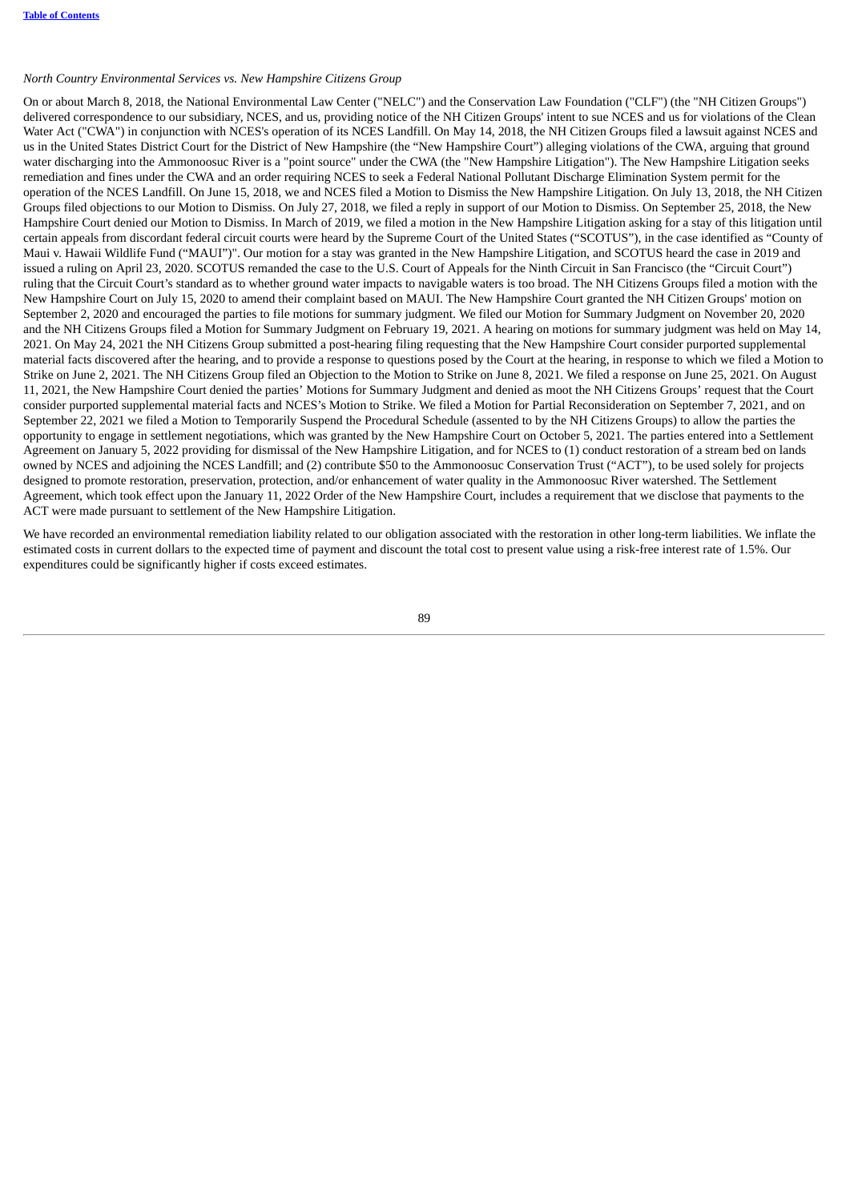#### *North Country Environmental Services vs. New Hampshire Citizens Group*

On or about March 8, 2018, the National Environmental Law Center ("NELC") and the Conservation Law Foundation ("CLF") (the "NH Citizen Groups") delivered correspondence to our subsidiary, NCES, and us, providing notice of the NH Citizen Groups' intent to sue NCES and us for violations of the Clean Water Act ("CWA") in conjunction with NCES's operation of its NCES Landfill. On May 14, 2018, the NH Citizen Groups filed a lawsuit against NCES and us in the United States District Court for the District of New Hampshire (the "New Hampshire Court") alleging violations of the CWA, arguing that ground water discharging into the Ammonoosuc River is a "point source" under the CWA (the "New Hampshire Litigation"). The New Hampshire Litigation seeks remediation and fines under the CWA and an order requiring NCES to seek a Federal National Pollutant Discharge Elimination System permit for the operation of the NCES Landfill. On June 15, 2018, we and NCES filed a Motion to Dismiss the New Hampshire Litigation. On July 13, 2018, the NH Citizen Groups filed objections to our Motion to Dismiss. On July 27, 2018, we filed a reply in support of our Motion to Dismiss. On September 25, 2018, the New Hampshire Court denied our Motion to Dismiss. In March of 2019, we filed a motion in the New Hampshire Litigation asking for a stay of this litigation until certain appeals from discordant federal circuit courts were heard by the Supreme Court of the United States ("SCOTUS"), in the case identified as "County of Maui v. Hawaii Wildlife Fund ("MAUI")". Our motion for a stay was granted in the New Hampshire Litigation, and SCOTUS heard the case in 2019 and issued a ruling on April 23, 2020. SCOTUS remanded the case to the U.S. Court of Appeals for the Ninth Circuit in San Francisco (the "Circuit Court") ruling that the Circuit Court's standard as to whether ground water impacts to navigable waters is too broad. The NH Citizens Groups filed a motion with the New Hampshire Court on July 15, 2020 to amend their complaint based on MAUI. The New Hampshire Court granted the NH Citizen Groups' motion on September 2, 2020 and encouraged the parties to file motions for summary judgment. We filed our Motion for Summary Judgment on November 20, 2020 and the NH Citizens Groups filed a Motion for Summary Judgment on February 19, 2021. A hearing on motions for summary judgment was held on May 14, 2021. On May 24, 2021 the NH Citizens Group submitted a post-hearing filing requesting that the New Hampshire Court consider purported supplemental material facts discovered after the hearing, and to provide a response to questions posed by the Court at the hearing, in response to which we filed a Motion to Strike on June 2, 2021. The NH Citizens Group filed an Objection to the Motion to Strike on June 8, 2021. We filed a response on June 25, 2021. On August 11, 2021, the New Hampshire Court denied the parties' Motions for Summary Judgment and denied as moot the NH Citizens Groups' request that the Court consider purported supplemental material facts and NCES's Motion to Strike. We filed a Motion for Partial Reconsideration on September 7, 2021, and on September 22, 2021 we filed a Motion to Temporarily Suspend the Procedural Schedule (assented to by the NH Citizens Groups) to allow the parties the opportunity to engage in settlement negotiations, which was granted by the New Hampshire Court on October 5, 2021. The parties entered into a Settlement Agreement on January 5, 2022 providing for dismissal of the New Hampshire Litigation, and for NCES to (1) conduct restoration of a stream bed on lands owned by NCES and adjoining the NCES Landfill; and (2) contribute \$50 to the Ammonoosuc Conservation Trust ("ACT"), to be used solely for projects designed to promote restoration, preservation, protection, and/or enhancement of water quality in the Ammonoosuc River watershed. The Settlement Agreement, which took effect upon the January 11, 2022 Order of the New Hampshire Court, includes a requirement that we disclose that payments to the ACT were made pursuant to settlement of the New Hampshire Litigation.

We have recorded an environmental remediation liability related to our obligation associated with the restoration in other long-term liabilities. We inflate the estimated costs in current dollars to the expected time of payment and discount the total cost to present value using a risk-free interest rate of 1.5%. Our expenditures could be significantly higher if costs exceed estimates.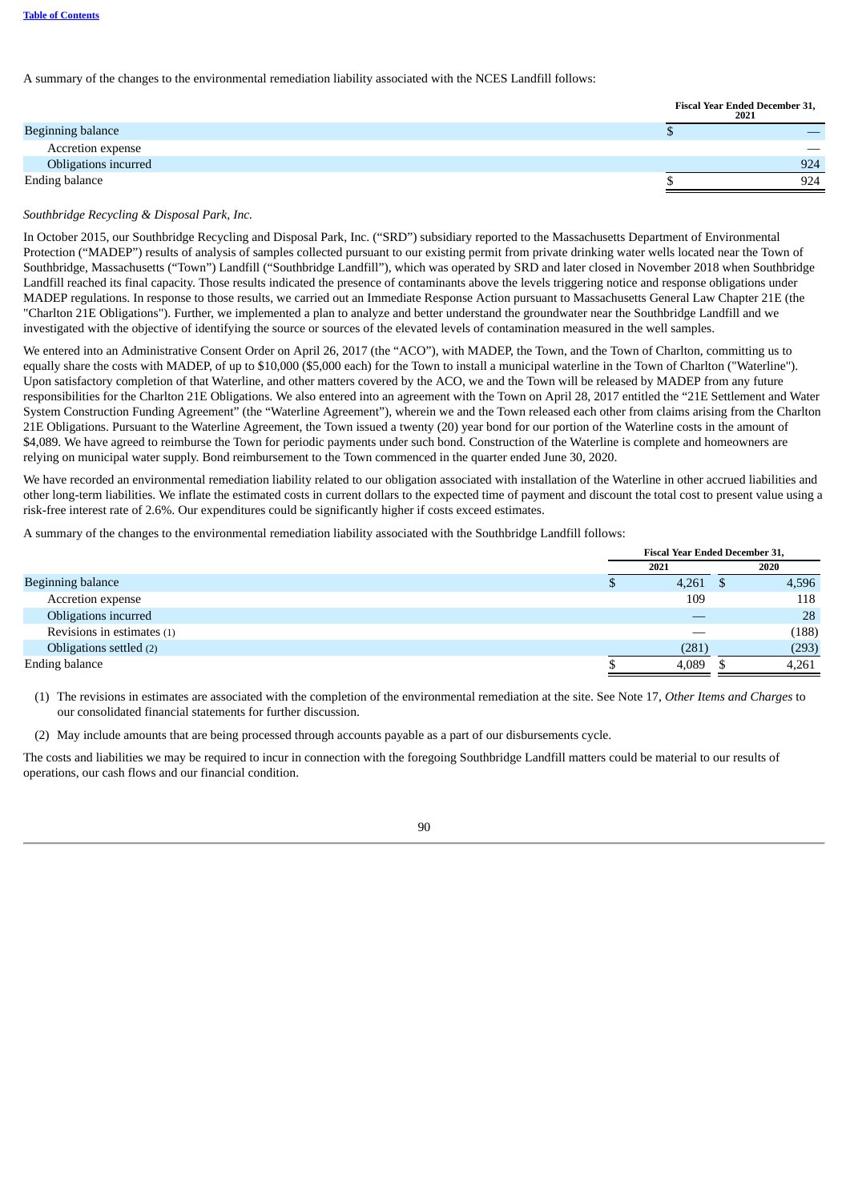A summary of the changes to the environmental remediation liability associated with the NCES Landfill follows:

|                          | <b>Fiscal Year Ended December 31,</b><br>2021 |
|--------------------------|-----------------------------------------------|
| <b>Beginning balance</b> |                                               |
| Accretion expense        |                                               |
| Obligations incurred     | 924                                           |
| Ending balance           | 924                                           |

## *Southbridge Recycling & Disposal Park, Inc.*

In October 2015, our Southbridge Recycling and Disposal Park, Inc. ("SRD") subsidiary reported to the Massachusetts Department of Environmental Protection ("MADEP") results of analysis of samples collected pursuant to our existing permit from private drinking water wells located near the Town of Southbridge, Massachusetts ("Town") Landfill ("Southbridge Landfill"), which was operated by SRD and later closed in November 2018 when Southbridge Landfill reached its final capacity. Those results indicated the presence of contaminants above the levels triggering notice and response obligations under MADEP regulations. In response to those results, we carried out an Immediate Response Action pursuant to Massachusetts General Law Chapter 21E (the "Charlton 21E Obligations"). Further, we implemented a plan to analyze and better understand the groundwater near the Southbridge Landfill and we investigated with the objective of identifying the source or sources of the elevated levels of contamination measured in the well samples.

We entered into an Administrative Consent Order on April 26, 2017 (the "ACO"), with MADEP, the Town, and the Town of Charlton, committing us to equally share the costs with MADEP, of up to \$10,000 (\$5,000 each) for the Town to install a municipal waterline in the Town of Charlton ("Waterline"). Upon satisfactory completion of that Waterline, and other matters covered by the ACO, we and the Town will be released by MADEP from any future responsibilities for the Charlton 21E Obligations. We also entered into an agreement with the Town on April 28, 2017 entitled the "21E Settlement and Water System Construction Funding Agreement" (the "Waterline Agreement"), wherein we and the Town released each other from claims arising from the Charlton 21E Obligations. Pursuant to the Waterline Agreement, the Town issued a twenty (20) year bond for our portion of the Waterline costs in the amount of \$4,089. We have agreed to reimburse the Town for periodic payments under such bond. Construction of the Waterline is complete and homeowners are relying on municipal water supply. Bond reimbursement to the Town commenced in the quarter ended June 30, 2020.

We have recorded an environmental remediation liability related to our obligation associated with installation of the Waterline in other accrued liabilities and other long-term liabilities. We inflate the estimated costs in current dollars to the expected time of payment and discount the total cost to present value using a risk-free interest rate of 2.6%. Our expenditures could be significantly higher if costs exceed estimates.

A summary of the changes to the environmental remediation liability associated with the Southbridge Landfill follows:

|                            | <b>Fiscal Year Ended December 31,</b> |       |  |       |
|----------------------------|---------------------------------------|-------|--|-------|
|                            |                                       | 2021  |  | 2020  |
| Beginning balance          |                                       | 4,261 |  | 4,596 |
| Accretion expense          |                                       | 109   |  | 118   |
| Obligations incurred       |                                       |       |  | 28    |
| Revisions in estimates (1) |                                       |       |  | (188) |
| Obligations settled (2)    |                                       | (281) |  | (293) |
| <b>Ending balance</b>      |                                       | 4,089 |  | 4,261 |

(1) The revisions in estimates are associated with the completion of the environmental remediation at the site. See Note 17, *Other Items and Charges* to our consolidated financial statements for further discussion.

(2) May include amounts that are being processed through accounts payable as a part of our disbursements cycle.

The costs and liabilities we may be required to incur in connection with the foregoing Southbridge Landfill matters could be material to our results of operations, our cash flows and our financial condition.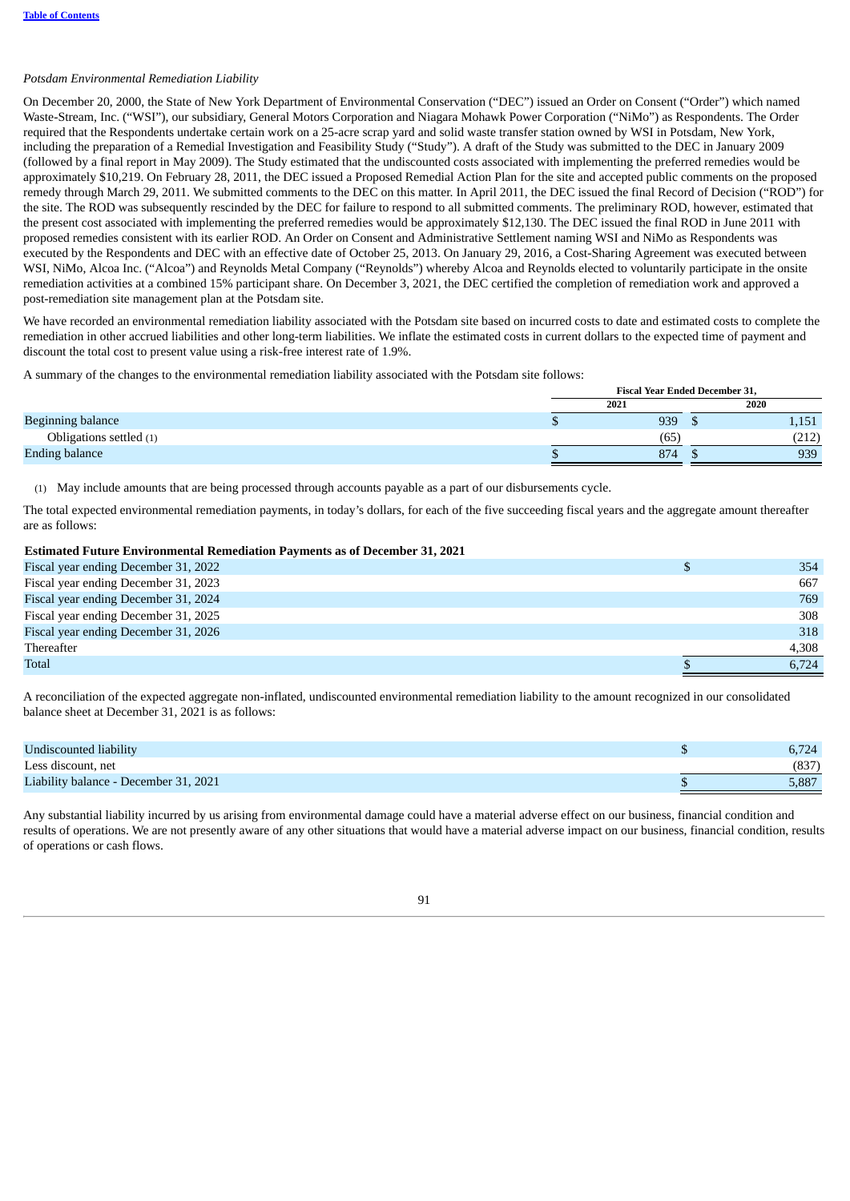#### *Potsdam Environmental Remediation Liability*

On December 20, 2000, the State of New York Department of Environmental Conservation ("DEC") issued an Order on Consent ("Order") which named Waste-Stream, Inc. ("WSI"), our subsidiary, General Motors Corporation and Niagara Mohawk Power Corporation ("NiMo") as Respondents. The Order required that the Respondents undertake certain work on a 25-acre scrap yard and solid waste transfer station owned by WSI in Potsdam, New York, including the preparation of a Remedial Investigation and Feasibility Study ("Study"). A draft of the Study was submitted to the DEC in January 2009 (followed by a final report in May 2009). The Study estimated that the undiscounted costs associated with implementing the preferred remedies would be approximately \$10,219. On February 28, 2011, the DEC issued a Proposed Remedial Action Plan for the site and accepted public comments on the proposed remedy through March 29, 2011. We submitted comments to the DEC on this matter. In April 2011, the DEC issued the final Record of Decision ("ROD") for the site. The ROD was subsequently rescinded by the DEC for failure to respond to all submitted comments. The preliminary ROD, however, estimated that the present cost associated with implementing the preferred remedies would be approximately \$12,130. The DEC issued the final ROD in June 2011 with proposed remedies consistent with its earlier ROD. An Order on Consent and Administrative Settlement naming WSI and NiMo as Respondents was executed by the Respondents and DEC with an effective date of October 25, 2013. On January 29, 2016, a Cost-Sharing Agreement was executed between WSI, NiMo, Alcoa Inc. ("Alcoa") and Reynolds Metal Company ("Reynolds") whereby Alcoa and Reynolds elected to voluntarily participate in the onsite remediation activities at a combined 15% participant share. On December 3, 2021, the DEC certified the completion of remediation work and approved a post-remediation site management plan at the Potsdam site.

We have recorded an environmental remediation liability associated with the Potsdam site based on incurred costs to date and estimated costs to complete the remediation in other accrued liabilities and other long-term liabilities. We inflate the estimated costs in current dollars to the expected time of payment and discount the total cost to present value using a risk-free interest rate of 1.9%.

A summary of the changes to the environmental remediation liability associated with the Potsdam site follows:

|                         | <b>Fiscal Year Ended December 31,</b> |       |  |  |
|-------------------------|---------------------------------------|-------|--|--|
|                         | 2021                                  | 2020  |  |  |
| Beginning balance       | 939                                   | 1,151 |  |  |
| Obligations settled (1) | (65                                   | (212) |  |  |
| <b>Ending balance</b>   | 874                                   | 939   |  |  |

(1) May include amounts that are being processed through accounts payable as a part of our disbursements cycle.

The total expected environmental remediation payments, in today's dollars, for each of the five succeeding fiscal years and the aggregate amount thereafter are as follows:

#### **Estimated Future Environmental Remediation Payments as of December 31, 2021**

| Fiscal year ending December 31, 2022 |  | 354   |
|--------------------------------------|--|-------|
| Fiscal year ending December 31, 2023 |  | 667   |
| Fiscal year ending December 31, 2024 |  | 769   |
| Fiscal year ending December 31, 2025 |  | 308   |
| Fiscal year ending December 31, 2026 |  | 318   |
| Thereafter                           |  | 4.308 |
| <b>Total</b>                         |  | 6.724 |

A reconciliation of the expected aggregate non-inflated, undiscounted environmental remediation liability to the amount recognized in our consolidated balance sheet at December 31, 2021 is as follows:

| Undiscounted liability                | 5.724 |
|---------------------------------------|-------|
| Less discount, net                    | (837) |
| Liability balance - December 31, 2021 | 5,887 |

Any substantial liability incurred by us arising from environmental damage could have a material adverse effect on our business, financial condition and results of operations. We are not presently aware of any other situations that would have a material adverse impact on our business, financial condition, results of operations or cash flows.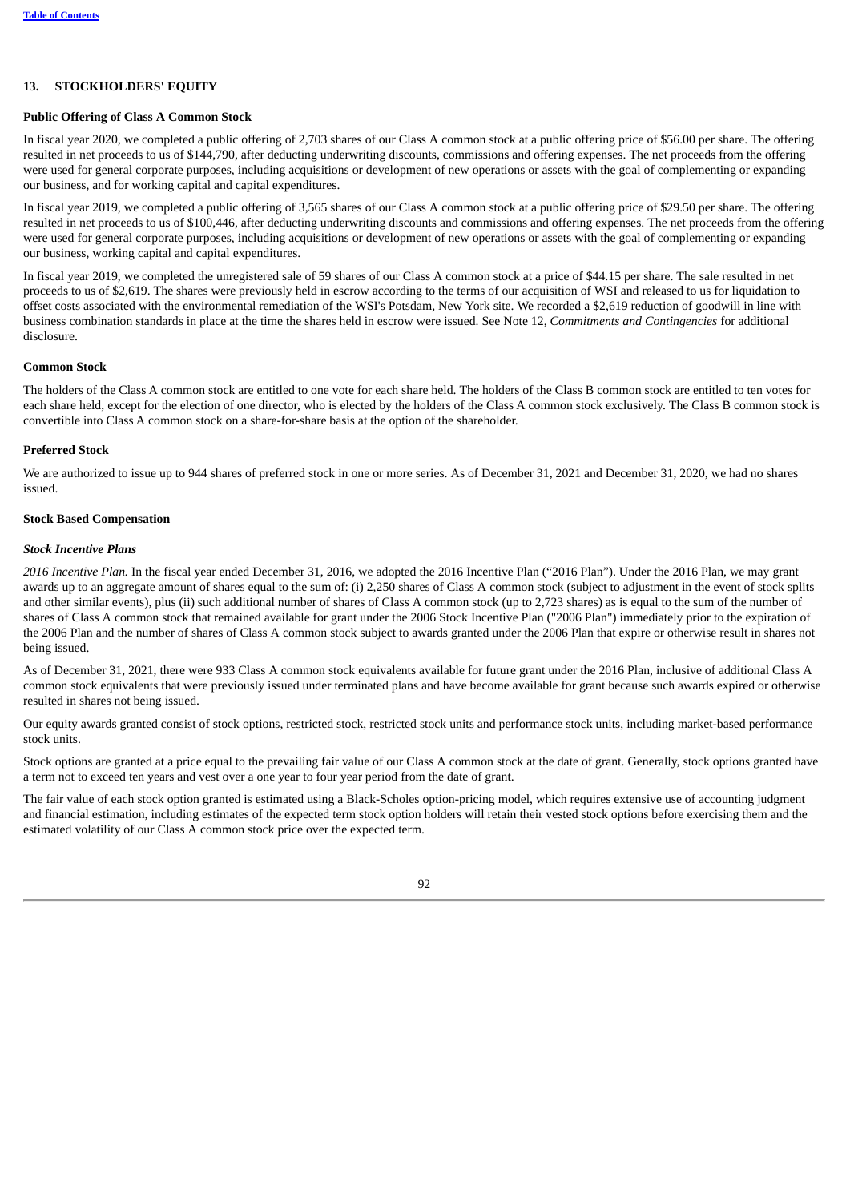## **13. STOCKHOLDERS' EQUITY**

### **Public Offering of Class A Common Stock**

In fiscal year 2020, we completed a public offering of 2,703 shares of our Class A common stock at a public offering price of \$56.00 per share. The offering resulted in net proceeds to us of \$144,790, after deducting underwriting discounts, commissions and offering expenses. The net proceeds from the offering were used for general corporate purposes, including acquisitions or development of new operations or assets with the goal of complementing or expanding our business, and for working capital and capital expenditures.

In fiscal year 2019, we completed a public offering of 3,565 shares of our Class A common stock at a public offering price of \$29.50 per share. The offering resulted in net proceeds to us of \$100,446, after deducting underwriting discounts and commissions and offering expenses. The net proceeds from the offering were used for general corporate purposes, including acquisitions or development of new operations or assets with the goal of complementing or expanding our business, working capital and capital expenditures.

In fiscal year 2019, we completed the unregistered sale of 59 shares of our Class A common stock at a price of \$44.15 per share. The sale resulted in net proceeds to us of \$2,619. The shares were previously held in escrow according to the terms of our acquisition of WSI and released to us for liquidation to offset costs associated with the environmental remediation of the WSI's Potsdam, New York site. We recorded a \$2,619 reduction of goodwill in line with business combination standards in place at the time the shares held in escrow were issued. See Note 12, *Commitments and Contingencies* for additional disclosure.

#### **Common Stock**

The holders of the Class A common stock are entitled to one vote for each share held. The holders of the Class B common stock are entitled to ten votes for each share held, except for the election of one director, who is elected by the holders of the Class A common stock exclusively. The Class B common stock is convertible into Class A common stock on a share-for-share basis at the option of the shareholder.

#### **Preferred Stock**

We are authorized to issue up to 944 shares of preferred stock in one or more series. As of December 31, 2021 and December 31, 2020, we had no shares issued.

#### **Stock Based Compensation**

#### *Stock Incentive Plans*

*2016 Incentive Plan.* In the fiscal year ended December 31, 2016, we adopted the 2016 Incentive Plan ("2016 Plan"). Under the 2016 Plan, we may grant awards up to an aggregate amount of shares equal to the sum of: (i) 2,250 shares of Class A common stock (subject to adjustment in the event of stock splits and other similar events), plus (ii) such additional number of shares of Class A common stock (up to 2,723 shares) as is equal to the sum of the number of shares of Class A common stock that remained available for grant under the 2006 Stock Incentive Plan ("2006 Plan") immediately prior to the expiration of the 2006 Plan and the number of shares of Class A common stock subject to awards granted under the 2006 Plan that expire or otherwise result in shares not being issued.

As of December 31, 2021, there were 933 Class A common stock equivalents available for future grant under the 2016 Plan, inclusive of additional Class A common stock equivalents that were previously issued under terminated plans and have become available for grant because such awards expired or otherwise resulted in shares not being issued.

Our equity awards granted consist of stock options, restricted stock, restricted stock units and performance stock units, including market-based performance stock units.

Stock options are granted at a price equal to the prevailing fair value of our Class A common stock at the date of grant. Generally, stock options granted have a term not to exceed ten years and vest over a one year to four year period from the date of grant.

The fair value of each stock option granted is estimated using a Black-Scholes option-pricing model, which requires extensive use of accounting judgment and financial estimation, including estimates of the expected term stock option holders will retain their vested stock options before exercising them and the estimated volatility of our Class A common stock price over the expected term.

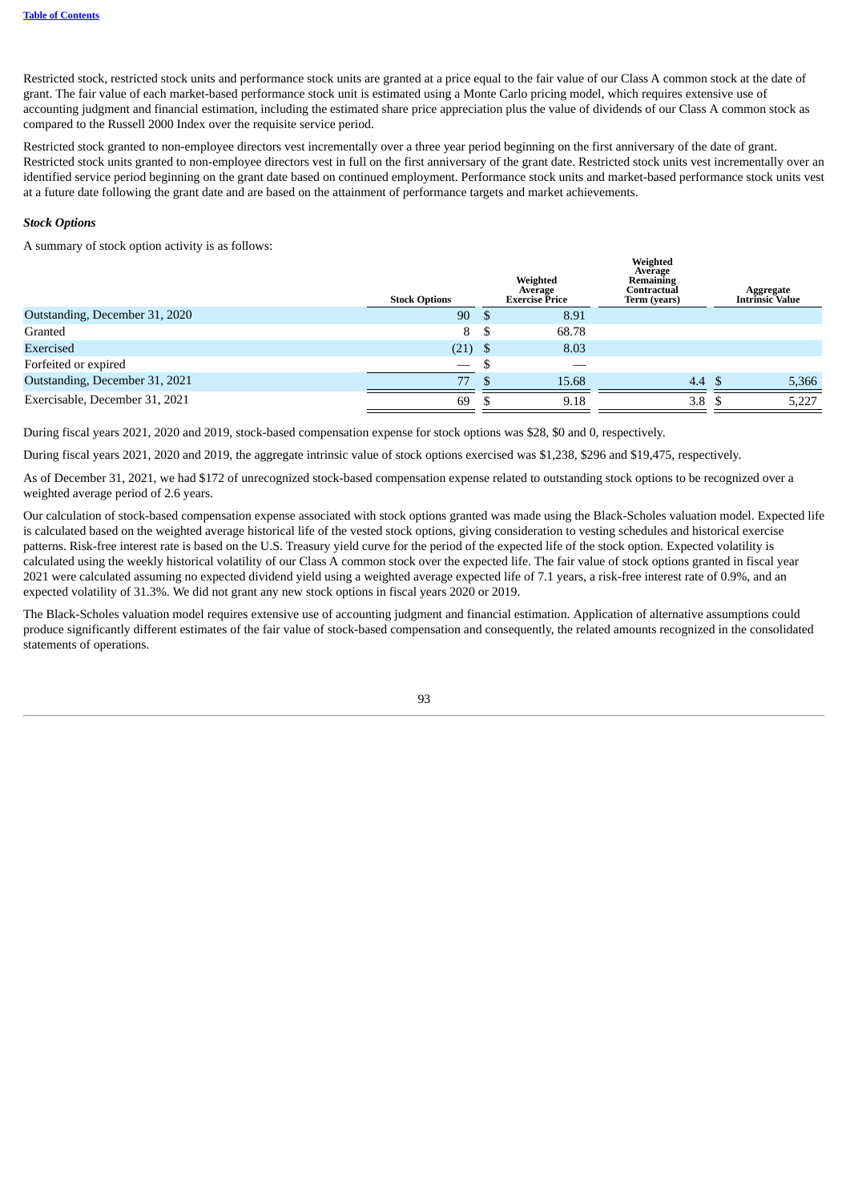Restricted stock, restricted stock units and performance stock units are granted at a price equal to the fair value of our Class A common stock at the date of grant. The fair value of each market-based performance stock unit is estimated using a Monte Carlo pricing model, which requires extensive use of accounting judgment and financial estimation, including the estimated share price appreciation plus the value of dividends of our Class A common stock as compared to the Russell 2000 Index over the requisite service period.

Restricted stock granted to non-employee directors vest incrementally over a three year period beginning on the first anniversary of the date of grant. Restricted stock units granted to non-employee directors vest in full on the first anniversary of the grant date. Restricted stock units vest incrementally over an identified service period beginning on the grant date based on continued employment. Performance stock units and market-based performance stock units vest at a future date following the grant date and are based on the attainment of performance targets and market achievements.

**Weighted**

#### *Stock Options*

A summary of stock option activity is as follows:

| Weighted<br>Remaining<br>Contractual<br>Average<br><b>Stock Options</b><br><b>Exercise Price</b><br>Term (years) |                   | Aggregate<br><b>Intrinsic Value</b> |
|------------------------------------------------------------------------------------------------------------------|-------------------|-------------------------------------|
| Outstanding, December 31, 2020<br>90<br>8.91                                                                     |                   |                                     |
| Granted<br>68.78<br>8<br>- \$                                                                                    |                   |                                     |
| Exercised<br>8.03<br>(21)<br>- S                                                                                 |                   |                                     |
| Forfeited or expired<br>__                                                                                       |                   |                                     |
| Outstanding, December 31, 2021<br>77<br>15.68                                                                    | $4.4 \text{ } $5$ | 5,366                               |
| Exercisable, December 31, 2021<br>69<br>9.18                                                                     | 3.8               | 5,227                               |

During fiscal years 2021, 2020 and 2019, stock-based compensation expense for stock options was \$28, \$0 and 0, respectively.

During fiscal years 2021, 2020 and 2019, the aggregate intrinsic value of stock options exercised was \$1,238, \$296 and \$19,475, respectively.

As of December 31, 2021, we had \$172 of unrecognized stock-based compensation expense related to outstanding stock options to be recognized over a weighted average period of 2.6 years.

Our calculation of stock-based compensation expense associated with stock options granted was made using the Black-Scholes valuation model. Expected life is calculated based on the weighted average historical life of the vested stock options, giving consideration to vesting schedules and historical exercise patterns. Risk-free interest rate is based on the U.S. Treasury yield curve for the period of the expected life of the stock option. Expected volatility is calculated using the weekly historical volatility of our Class A common stock over the expected life. The fair value of stock options granted in fiscal year 2021 were calculated assuming no expected dividend yield using a weighted average expected life of 7.1 years, a risk-free interest rate of 0.9%, and an expected volatility of 31.3%. We did not grant any new stock options in fiscal years 2020 or 2019.

The Black-Scholes valuation model requires extensive use of accounting judgment and financial estimation. Application of alternative assumptions could produce significantly different estimates of the fair value of stock-based compensation and consequently, the related amounts recognized in the consolidated statements of operations.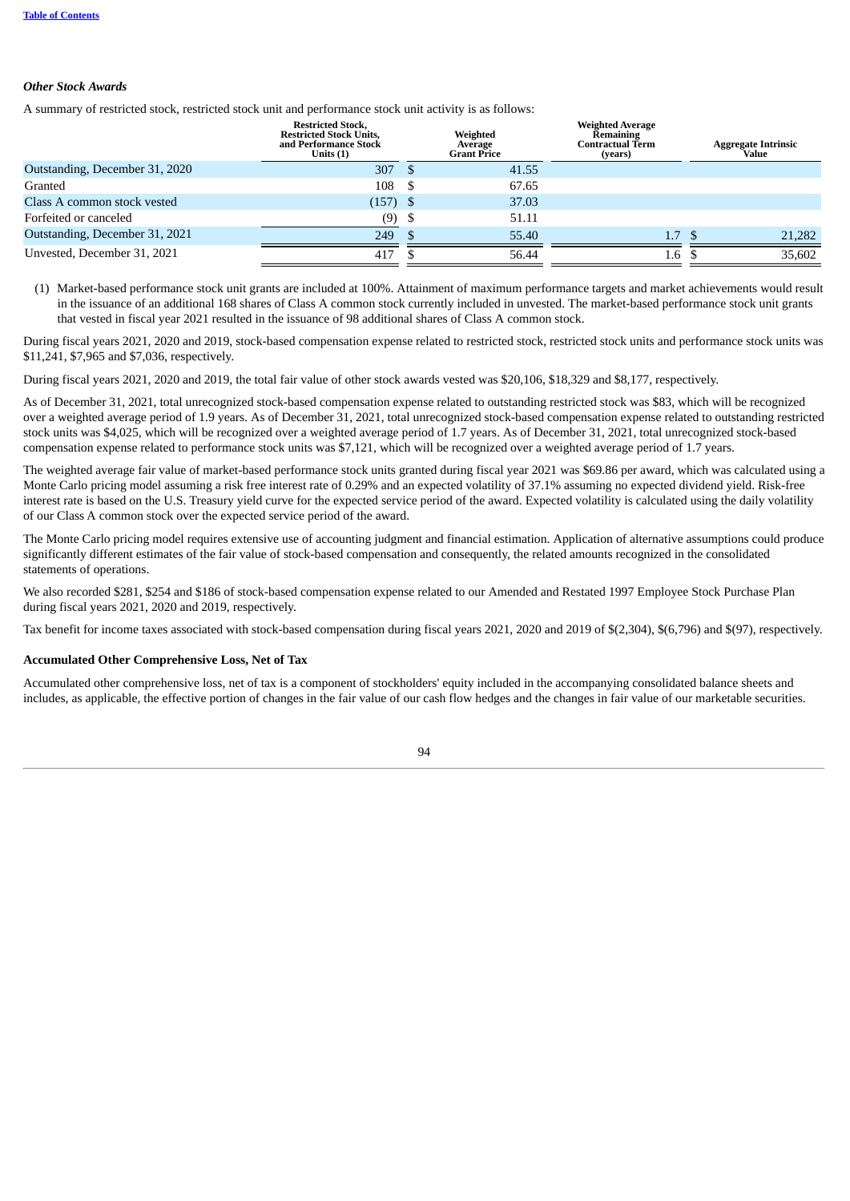#### *Other Stock Awards*

A summary of restricted stock, restricted stock unit and performance stock unit activity is as follows:

|                                | <b>Restricted Stock,</b><br><b>Restricted Stock Units.</b><br>and Performance Stock<br>Units $(1)$ |   | Weighted<br>Average<br><b>Grant Price</b> | <b>Weighted Average</b><br>Remaining<br><b>Contractual Term</b><br>(years) | <b>Aggregate Intrinsic</b><br>Value |
|--------------------------------|----------------------------------------------------------------------------------------------------|---|-------------------------------------------|----------------------------------------------------------------------------|-------------------------------------|
| Outstanding, December 31, 2020 | 307                                                                                                |   | 41.55                                     |                                                                            |                                     |
| Granted                        | 108                                                                                                | S | 67.65                                     |                                                                            |                                     |
| Class A common stock vested    | $(157)$ \$                                                                                         |   | 37.03                                     |                                                                            |                                     |
| Forfeited or canceled          | (9)                                                                                                | S | 51.11                                     |                                                                            |                                     |
| Outstanding, December 31, 2021 | 249                                                                                                |   | 55.40                                     | 1.7                                                                        | 21,282                              |
| Unvested, December 31, 2021    | 417                                                                                                |   | 56.44                                     | 1.6 <sup>5</sup>                                                           | 35,602                              |

(1) Market-based performance stock unit grants are included at 100%. Attainment of maximum performance targets and market achievements would result in the issuance of an additional 168 shares of Class A common stock currently included in unvested. The market-based performance stock unit grants that vested in fiscal year 2021 resulted in the issuance of 98 additional shares of Class A common stock.

During fiscal years 2021, 2020 and 2019, stock-based compensation expense related to restricted stock, restricted stock units and performance stock units was \$11,241, \$7,965 and \$7,036, respectively.

During fiscal years 2021, 2020 and 2019, the total fair value of other stock awards vested was \$20,106, \$18,329 and \$8,177, respectively.

As of December 31, 2021, total unrecognized stock-based compensation expense related to outstanding restricted stock was \$83, which will be recognized over a weighted average period of 1.9 years. As of December 31, 2021, total unrecognized stock-based compensation expense related to outstanding restricted stock units was \$4,025, which will be recognized over a weighted average period of 1.7 years. As of December 31, 2021, total unrecognized stock-based compensation expense related to performance stock units was \$7,121, which will be recognized over a weighted average period of 1.7 years.

The weighted average fair value of market-based performance stock units granted during fiscal year 2021 was \$69.86 per award, which was calculated using a Monte Carlo pricing model assuming a risk free interest rate of 0.29% and an expected volatility of 37.1% assuming no expected dividend yield. Risk-free interest rate is based on the U.S. Treasury yield curve for the expected service period of the award. Expected volatility is calculated using the daily volatility of our Class A common stock over the expected service period of the award.

The Monte Carlo pricing model requires extensive use of accounting judgment and financial estimation. Application of alternative assumptions could produce significantly different estimates of the fair value of stock-based compensation and consequently, the related amounts recognized in the consolidated statements of operations.

We also recorded \$281, \$254 and \$186 of stock-based compensation expense related to our Amended and Restated 1997 Employee Stock Purchase Plan during fiscal years 2021, 2020 and 2019, respectively.

Tax benefit for income taxes associated with stock-based compensation during fiscal years 2021, 2020 and 2019 of \$(2,304), \$(6,796) and \$(97), respectively.

#### **Accumulated Other Comprehensive Loss, Net of Tax**

Accumulated other comprehensive loss, net of tax is a component of stockholders' equity included in the accompanying consolidated balance sheets and includes, as applicable, the effective portion of changes in the fair value of our cash flow hedges and the changes in fair value of our marketable securities.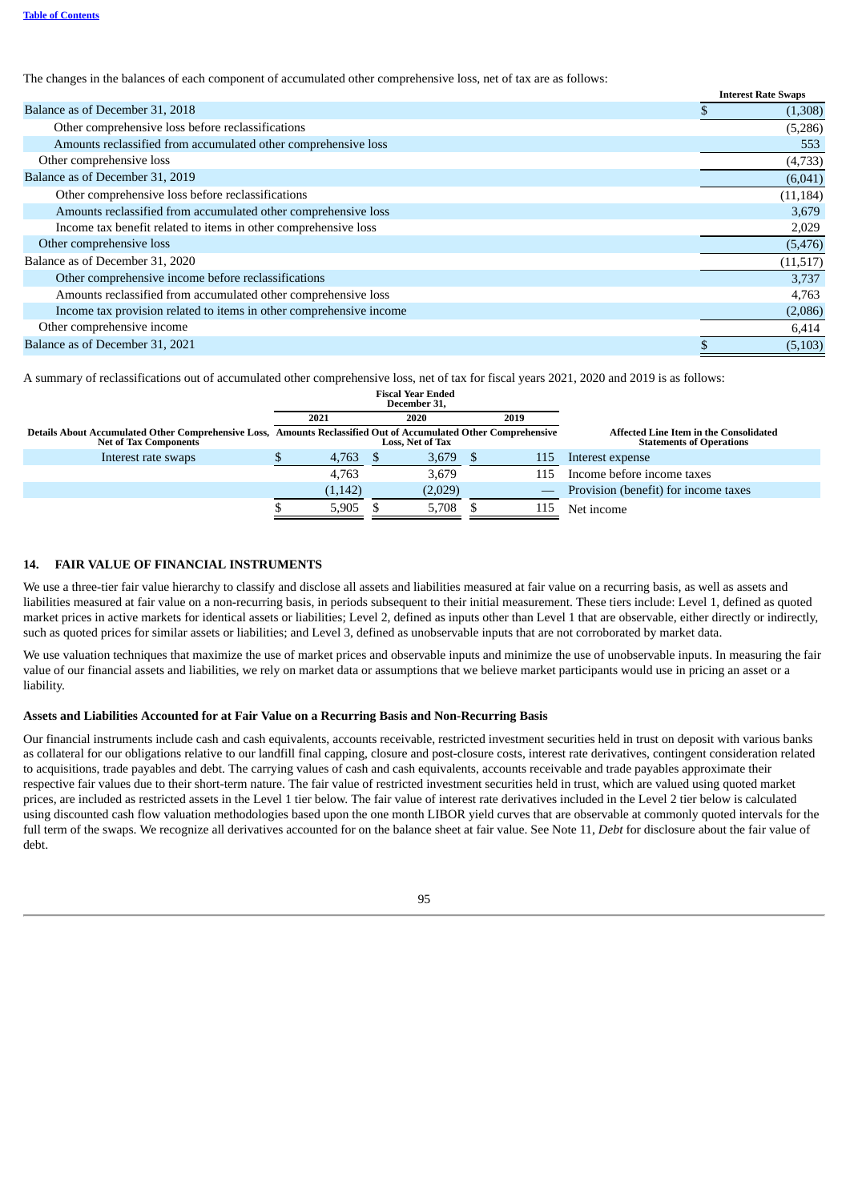The changes in the balances of each component of accumulated other comprehensive loss, net of tax are as follows:

|                                                                     | <b>Interest Rate Swaps</b> |
|---------------------------------------------------------------------|----------------------------|
| Balance as of December 31, 2018                                     | (1,308)                    |
| Other comprehensive loss before reclassifications                   | (5,286)                    |
| Amounts reclassified from accumulated other comprehensive loss      | 553                        |
| Other comprehensive loss                                            | (4,733)                    |
| Balance as of December 31, 2019                                     | (6,041)                    |
| Other comprehensive loss before reclassifications                   | (11, 184)                  |
| Amounts reclassified from accumulated other comprehensive loss      | 3,679                      |
| Income tax benefit related to items in other comprehensive loss     | 2,029                      |
| Other comprehensive loss                                            | (5, 476)                   |
| Balance as of December 31, 2020                                     | (11, 517)                  |
| Other comprehensive income before reclassifications                 | 3,737                      |
| Amounts reclassified from accumulated other comprehensive loss      | 4,763                      |
| Income tax provision related to items in other comprehensive income | (2,086)                    |
| Other comprehensive income                                          | 6,414                      |
| Balance as of December 31, 2021                                     | (5, 103)                   |

A summary of reclassifications out of accumulated other comprehensive loss, net of tax for fiscal years 2021, 2020 and 2019 is as follows:

|                                                                                                                                                 |          | <b>Fiscal Year Ended</b><br>December 31. |                                                                           |                                      |
|-------------------------------------------------------------------------------------------------------------------------------------------------|----------|------------------------------------------|---------------------------------------------------------------------------|--------------------------------------|
|                                                                                                                                                 | 2021     | 2020                                     | 2019                                                                      |                                      |
| Details About Accumulated Other Comprehensive Loss, Amounts Reclassified Out of Accumulated Other Comprehensive<br><b>Net of Tax Components</b> |          | Loss, Net of Tax                         | Affected Line Item in the Consolidated<br><b>Statements of Operations</b> |                                      |
| Interest rate swaps                                                                                                                             | 4.763    | 3.679                                    | 115                                                                       | Interest expense                     |
|                                                                                                                                                 | 4,763    | 3,679                                    |                                                                           | Income before income taxes           |
|                                                                                                                                                 | (1, 142) | (2,029)                                  |                                                                           | Provision (benefit) for income taxes |
|                                                                                                                                                 | 5.905    | 5.708                                    | 115                                                                       | Net income                           |

## **14. FAIR VALUE OF FINANCIAL INSTRUMENTS**

We use a three-tier fair value hierarchy to classify and disclose all assets and liabilities measured at fair value on a recurring basis, as well as assets and liabilities measured at fair value on a non-recurring basis, in periods subsequent to their initial measurement. These tiers include: Level 1, defined as quoted market prices in active markets for identical assets or liabilities; Level 2, defined as inputs other than Level 1 that are observable, either directly or indirectly, such as quoted prices for similar assets or liabilities; and Level 3, defined as unobservable inputs that are not corroborated by market data.

We use valuation techniques that maximize the use of market prices and observable inputs and minimize the use of unobservable inputs. In measuring the fair value of our financial assets and liabilities, we rely on market data or assumptions that we believe market participants would use in pricing an asset or a liability.

## **Assets and Liabilities Accounted for at Fair Value on a Recurring Basis and Non-Recurring Basis**

Our financial instruments include cash and cash equivalents, accounts receivable, restricted investment securities held in trust on deposit with various banks as collateral for our obligations relative to our landfill final capping, closure and post-closure costs, interest rate derivatives, contingent consideration related to acquisitions, trade payables and debt. The carrying values of cash and cash equivalents, accounts receivable and trade payables approximate their respective fair values due to their short-term nature. The fair value of restricted investment securities held in trust, which are valued using quoted market prices, are included as restricted assets in the Level 1 tier below. The fair value of interest rate derivatives included in the Level 2 tier below is calculated using discounted cash flow valuation methodologies based upon the one month LIBOR yield curves that are observable at commonly quoted intervals for the full term of the swaps. We recognize all derivatives accounted for on the balance sheet at fair value. See Note 11, *Debt* for disclosure about the fair value of debt.

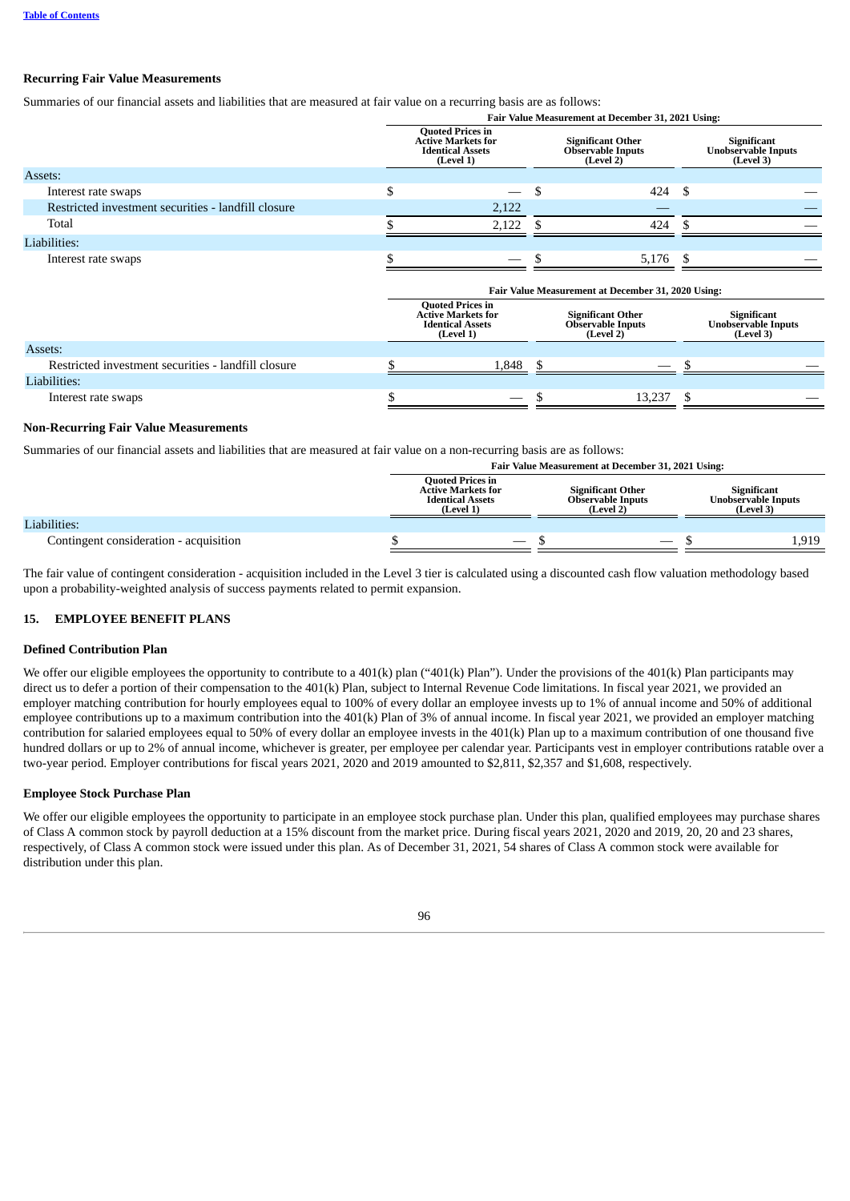## **Recurring Fair Value Measurements**

Summaries of our financial assets and liabilities that are measured at fair value on a recurring basis are as follows:

|                                                     | Fair value measurement at December 51, 2021 Using:                                           |  |                                                                   |    |                                                               |  |  |
|-----------------------------------------------------|----------------------------------------------------------------------------------------------|--|-------------------------------------------------------------------|----|---------------------------------------------------------------|--|--|
|                                                     | <b>Quoted Prices in</b><br><b>Active Markets for</b><br><b>Identical Assets</b><br>(Level 1) |  | <b>Significant Other</b><br><b>Observable Inputs</b><br>(Level 2) |    | <b>Significant</b><br><b>Unobservable Inputs</b><br>(Level 3) |  |  |
| Assets:                                             |                                                                                              |  |                                                                   |    |                                                               |  |  |
| Interest rate swaps                                 |                                                                                              |  | 424                                                               | -S |                                                               |  |  |
| Restricted investment securities - landfill closure | 2,122                                                                                        |  |                                                                   |    |                                                               |  |  |
| Total                                               | 2.122                                                                                        |  | 424                                                               |    |                                                               |  |  |
| Liabilities:                                        |                                                                                              |  |                                                                   |    |                                                               |  |  |
| Interest rate swaps                                 | $\overline{\phantom{m}}$                                                                     |  | $5,176$ \$                                                        |    |                                                               |  |  |
|                                                     |                                                                                              |  | Fair Value Measurement at December 31, 2020 Using:                |    |                                                               |  |  |

**Fair Value Measurement at December 31, 2021 Using:**

| <b>Active Markets for</b><br><b>Identical Assets</b><br>(Level 1) | <b>Significant Other</b><br><b>Observable Inputs</b><br>(Level 2) | <b>Significant</b><br><b>Unobservable Inputs</b><br>(Level 3) |  |  |
|-------------------------------------------------------------------|-------------------------------------------------------------------|---------------------------------------------------------------|--|--|
|                                                                   |                                                                   |                                                               |  |  |
|                                                                   |                                                                   |                                                               |  |  |
|                                                                   |                                                                   |                                                               |  |  |
|                                                                   | 13,237                                                            |                                                               |  |  |
|                                                                   |                                                                   | <b>Quoted Prices in</b><br>1,848                              |  |  |

#### **Non-Recurring Fair Value Measurements**

Summaries of our financial assets and liabilities that are measured at fair value on a non-recurring basis are as follows:

|                                        | Fair Value Measurement at December 31, 2021 Using:                                           |                                                                   |                                                        |  |  |  |  |  |
|----------------------------------------|----------------------------------------------------------------------------------------------|-------------------------------------------------------------------|--------------------------------------------------------|--|--|--|--|--|
|                                        | <b>Ouoted Prices in</b><br><b>Active Markets for</b><br><b>Identical Assets</b><br>(Level 1) | <b>Significant Other</b><br><b>Observable Inputs</b><br>(Level 2) | Significant<br><b>Unobservable Inputs</b><br>(Level 3) |  |  |  |  |  |
| Liabilities:                           |                                                                                              |                                                                   |                                                        |  |  |  |  |  |
| Contingent consideration - acquisition | $\qquad \qquad$                                                                              | $\hspace{0.05cm}$                                                 | 1,919                                                  |  |  |  |  |  |

The fair value of contingent consideration - acquisition included in the Level 3 tier is calculated using a discounted cash flow valuation methodology based upon a probability-weighted analysis of success payments related to permit expansion.

## **15. EMPLOYEE BENEFIT PLANS**

## **Defined Contribution Plan**

We offer our eligible employees the opportunity to contribute to a 401(k) plan ("401(k) Plan"). Under the provisions of the 401(k) Plan participants may direct us to defer a portion of their compensation to the 401(k) Plan, subject to Internal Revenue Code limitations. In fiscal year 2021, we provided an employer matching contribution for hourly employees equal to 100% of every dollar an employee invests up to 1% of annual income and 50% of additional employee contributions up to a maximum contribution into the 401(k) Plan of  $3\%$  of annual income. In fiscal year 2021, we provided an employer matching contribution for salaried employees equal to 50% of every dollar an employee invests in the 401(k) Plan up to a maximum contribution of one thousand five hundred dollars or up to 2% of annual income, whichever is greater, per employee per calendar year. Participants vest in employer contributions ratable over a two-year period. Employer contributions for fiscal years 2021, 2020 and 2019 amounted to \$2,811, \$2,357 and \$1,608, respectively.

### **Employee Stock Purchase Plan**

We offer our eligible employees the opportunity to participate in an employee stock purchase plan. Under this plan, qualified employees may purchase shares of Class A common stock by payroll deduction at a 15% discount from the market price. During fiscal years 2021, 2020 and 2019, 20, 20 and 23 shares, respectively, of Class A common stock were issued under this plan. As of December 31, 2021, 54 shares of Class A common stock were available for distribution under this plan.

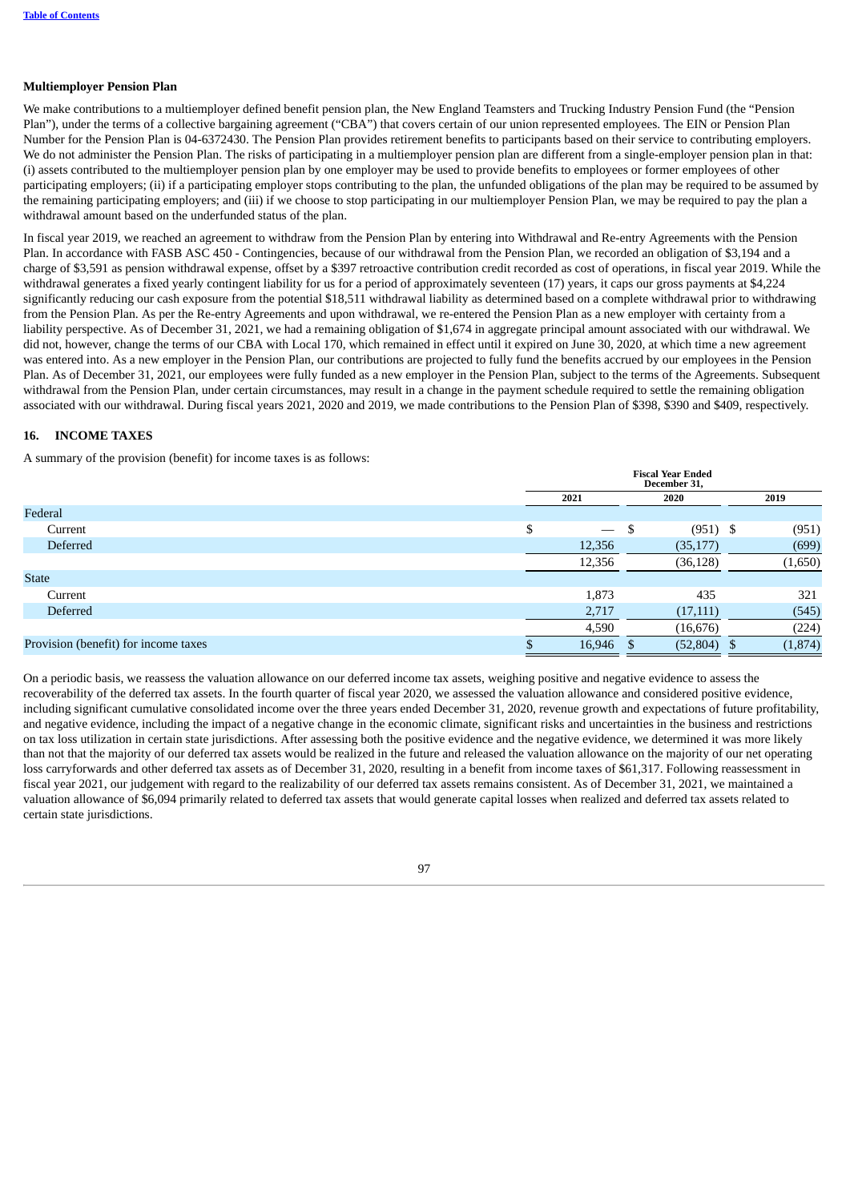#### **Multiemployer Pension Plan**

We make contributions to a multiemployer defined benefit pension plan, the New England Teamsters and Trucking Industry Pension Fund (the "Pension Plan"), under the terms of a collective bargaining agreement ("CBA") that covers certain of our union represented employees. The EIN or Pension Plan Number for the Pension Plan is 04-6372430. The Pension Plan provides retirement benefits to participants based on their service to contributing employers. We do not administer the Pension Plan. The risks of participating in a multiemployer pension plan are different from a single-employer pension plan in that: (i) assets contributed to the multiemployer pension plan by one employer may be used to provide benefits to employees or former employees of other participating employers; (ii) if a participating employer stops contributing to the plan, the unfunded obligations of the plan may be required to be assumed by the remaining participating employers; and (iii) if we choose to stop participating in our multiemployer Pension Plan, we may be required to pay the plan a withdrawal amount based on the underfunded status of the plan.

In fiscal year 2019, we reached an agreement to withdraw from the Pension Plan by entering into Withdrawal and Re-entry Agreements with the Pension Plan. In accordance with FASB ASC 450 - Contingencies, because of our withdrawal from the Pension Plan, we recorded an obligation of \$3,194 and a charge of \$3,591 as pension withdrawal expense, offset by a \$397 retroactive contribution credit recorded as cost of operations, in fiscal year 2019. While the withdrawal generates a fixed yearly contingent liability for us for a period of approximately seventeen (17) years, it caps our gross payments at \$4,224 significantly reducing our cash exposure from the potential \$18,511 withdrawal liability as determined based on a complete withdrawal prior to withdrawing from the Pension Plan. As per the Re-entry Agreements and upon withdrawal, we re-entered the Pension Plan as a new employer with certainty from a liability perspective. As of December 31, 2021, we had a remaining obligation of \$1,674 in aggregate principal amount associated with our withdrawal. We did not, however, change the terms of our CBA with Local 170, which remained in effect until it expired on June 30, 2020, at which time a new agreement was entered into. As a new employer in the Pension Plan, our contributions are projected to fully fund the benefits accrued by our employees in the Pension Plan. As of December 31, 2021, our employees were fully funded as a new employer in the Pension Plan, subject to the terms of the Agreements. Subsequent withdrawal from the Pension Plan, under certain circumstances, may result in a change in the payment schedule required to settle the remaining obligation associated with our withdrawal. During fiscal years 2021, 2020 and 2019, we made contributions to the Pension Plan of \$398, \$390 and \$409, respectively.

## **16. INCOME TAXES**

A summary of the provision (benefit) for income taxes is as follows:

|                                      | <b>Fiscal Year Ended</b><br>December 31, |   |            |      |          |  |
|--------------------------------------|------------------------------------------|---|------------|------|----------|--|
|                                      | 2021                                     |   | 2020       |      | 2019     |  |
| Federal                              |                                          |   |            |      |          |  |
| Current                              | \$<br>$\overline{\phantom{0}}$           | ూ | $(951)$ \$ |      | (951)    |  |
| <b>Deferred</b>                      | 12,356                                   |   | (35, 177)  |      | (699)    |  |
|                                      | 12,356                                   |   | (36, 128)  |      | (1,650)  |  |
| <b>State</b>                         |                                          |   |            |      |          |  |
| Current                              | 1,873                                    |   | 435        |      | 321      |  |
| Deferred                             | 2,717                                    |   | (17, 111)  |      | (545)    |  |
|                                      | 4,590                                    |   | (16, 676)  |      | (224)    |  |
| Provision (benefit) for income taxes | 16,946                                   |   | (52, 804)  | - \$ | (1, 874) |  |

On a periodic basis, we reassess the valuation allowance on our deferred income tax assets, weighing positive and negative evidence to assess the recoverability of the deferred tax assets. In the fourth quarter of fiscal year 2020, we assessed the valuation allowance and considered positive evidence, including significant cumulative consolidated income over the three years ended December 31, 2020, revenue growth and expectations of future profitability, and negative evidence, including the impact of a negative change in the economic climate, significant risks and uncertainties in the business and restrictions on tax loss utilization in certain state jurisdictions. After assessing both the positive evidence and the negative evidence, we determined it was more likely than not that the majority of our deferred tax assets would be realized in the future and released the valuation allowance on the majority of our net operating loss carryforwards and other deferred tax assets as of December 31, 2020, resulting in a benefit from income taxes of \$61,317. Following reassessment in fiscal year 2021, our judgement with regard to the realizability of our deferred tax assets remains consistent. As of December 31, 2021, we maintained a valuation allowance of \$6,094 primarily related to deferred tax assets that would generate capital losses when realized and deferred tax assets related to certain state jurisdictions.

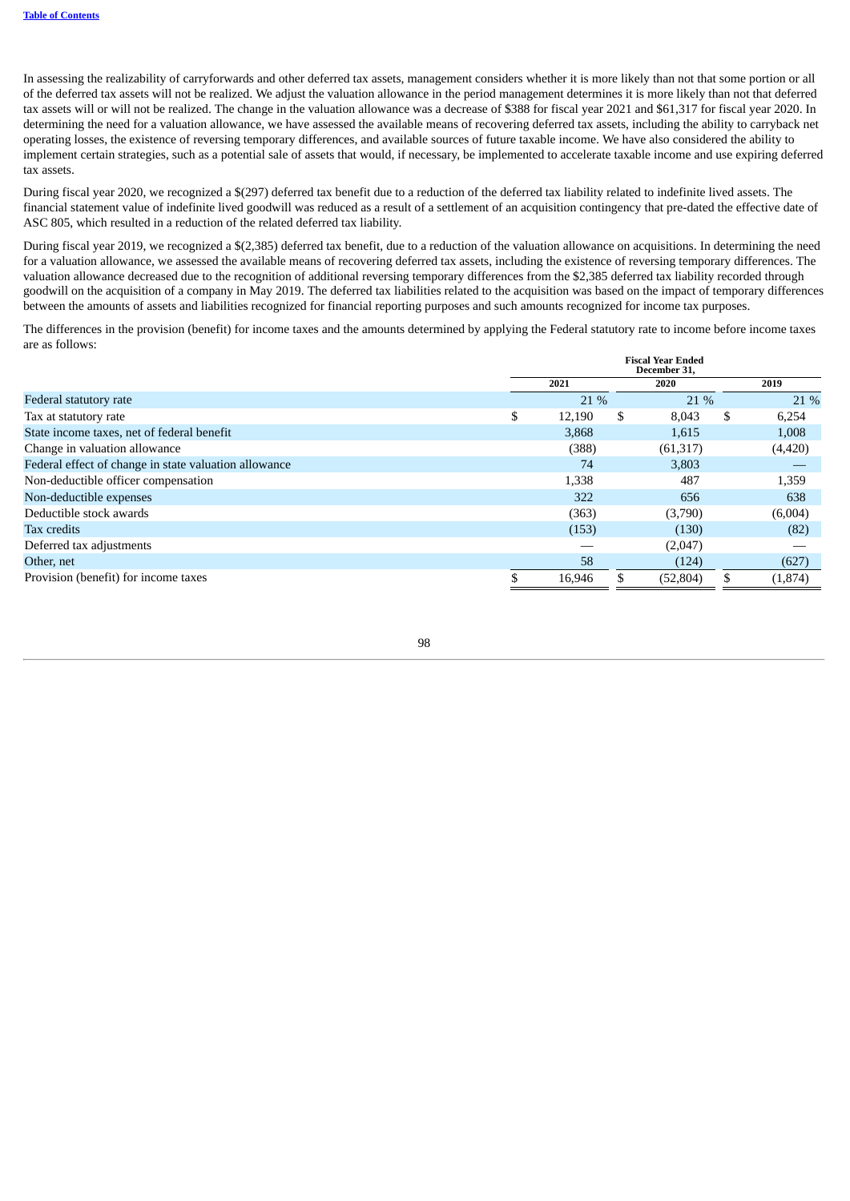In assessing the realizability of carryforwards and other deferred tax assets, management considers whether it is more likely than not that some portion or all of the deferred tax assets will not be realized. We adjust the valuation allowance in the period management determines it is more likely than not that deferred tax assets will or will not be realized. The change in the valuation allowance was a decrease of \$388 for fiscal year 2021 and \$61,317 for fiscal year 2020. In determining the need for a valuation allowance, we have assessed the available means of recovering deferred tax assets, including the ability to carryback net operating losses, the existence of reversing temporary differences, and available sources of future taxable income. We have also considered the ability to implement certain strategies, such as a potential sale of assets that would, if necessary, be implemented to accelerate taxable income and use expiring deferred tax assets.

During fiscal year 2020, we recognized a \$(297) deferred tax benefit due to a reduction of the deferred tax liability related to indefinite lived assets. The financial statement value of indefinite lived goodwill was reduced as a result of a settlement of an acquisition contingency that pre-dated the effective date of ASC 805, which resulted in a reduction of the related deferred tax liability.

During fiscal year 2019, we recognized a \$(2,385) deferred tax benefit, due to a reduction of the valuation allowance on acquisitions. In determining the need for a valuation allowance, we assessed the available means of recovering deferred tax assets, including the existence of reversing temporary differences. The valuation allowance decreased due to the recognition of additional reversing temporary differences from the \$2,385 deferred tax liability recorded through goodwill on the acquisition of a company in May 2019. The deferred tax liabilities related to the acquisition was based on the impact of temporary differences between the amounts of assets and liabilities recognized for financial reporting purposes and such amounts recognized for income tax purposes.

The differences in the provision (benefit) for income taxes and the amounts determined by applying the Federal statutory rate to income before income taxes are as follows:

|                                                       | <b>Fiscal Year Ended</b><br>December 31, |        |    |           |    |         |
|-------------------------------------------------------|------------------------------------------|--------|----|-----------|----|---------|
|                                                       |                                          | 2021   |    | 2020      |    | 2019    |
| Federal statutory rate                                |                                          | 21 %   |    | 21 %      |    | 21 %    |
| Tax at statutory rate                                 | \$                                       | 12,190 | \$ | 8,043     | \$ | 6,254   |
| State income taxes, net of federal benefit            |                                          | 3,868  |    | 1,615     |    | 1,008   |
| Change in valuation allowance                         |                                          | (388)  |    | (61, 317) |    | (4,420) |
| Federal effect of change in state valuation allowance |                                          | 74     |    | 3,803     |    |         |
| Non-deductible officer compensation                   |                                          | 1,338  |    | 487       |    | 1,359   |
| Non-deductible expenses                               |                                          | 322    |    | 656       |    | 638     |
| Deductible stock awards                               |                                          | (363)  |    | (3,790)   |    | (6,004) |
| Tax credits                                           |                                          | (153)  |    | (130)     |    | (82)    |
| Deferred tax adjustments                              |                                          |        |    | (2,047)   |    |         |
| Other, net                                            |                                          | 58     |    | (124)     |    | (627)   |
| Provision (benefit) for income taxes                  |                                          | 16,946 |    | (52, 804) |    | (1,874) |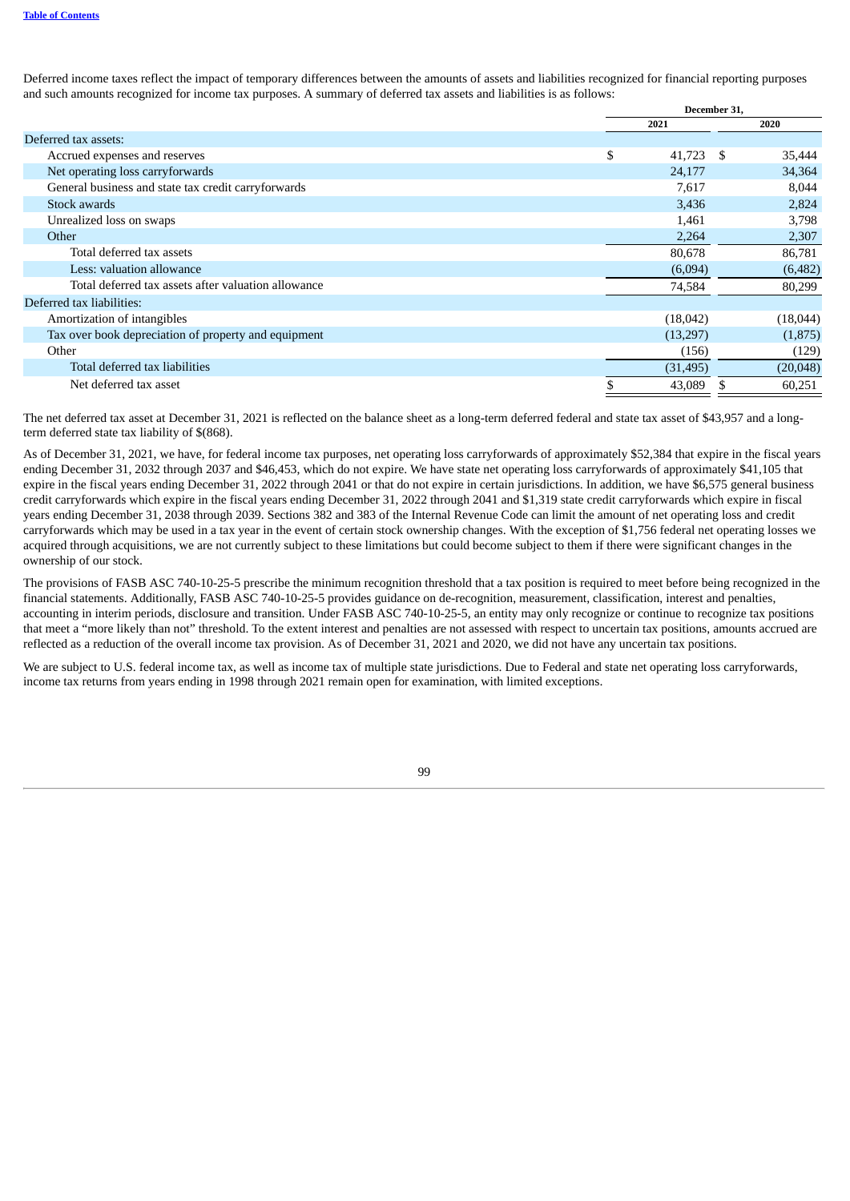Deferred income taxes reflect the impact of temporary differences between the amounts of assets and liabilities recognized for financial reporting purposes and such amounts recognized for income tax purposes. A summary of deferred tax assets and liabilities is as follows:

|                                                      | December 31, |    |           |
|------------------------------------------------------|--------------|----|-----------|
|                                                      | 2021         |    | 2020      |
| Deferred tax assets:                                 |              |    |           |
| Accrued expenses and reserves                        | \$<br>41,723 | -S | 35,444    |
| Net operating loss carryforwards                     | 24,177       |    | 34,364    |
| General business and state tax credit carryforwards  | 7,617        |    | 8,044     |
| Stock awards                                         | 3,436        |    | 2,824     |
| Unrealized loss on swaps                             | 1,461        |    | 3,798     |
| Other                                                | 2,264        |    | 2,307     |
| Total deferred tax assets                            | 80,678       |    | 86,781    |
| Less: valuation allowance                            | (6,094)      |    | (6,482)   |
| Total deferred tax assets after valuation allowance  | 74,584       |    | 80,299    |
| Deferred tax liabilities:                            |              |    |           |
| Amortization of intangibles                          | (18, 042)    |    | (18,044)  |
| Tax over book depreciation of property and equipment | (13,297)     |    | (1,875)   |
| Other                                                | (156)        |    | (129)     |
| Total deferred tax liabilities                       | (31, 495)    |    | (20, 048) |
| Net deferred tax asset                               | 43,089       |    | 60,251    |

The net deferred tax asset at December 31, 2021 is reflected on the balance sheet as a long-term deferred federal and state tax asset of \$43,957 and a longterm deferred state tax liability of \$(868).

As of December 31, 2021, we have, for federal income tax purposes, net operating loss carryforwards of approximately \$52,384 that expire in the fiscal years ending December 31, 2032 through 2037 and \$46,453, which do not expire. We have state net operating loss carryforwards of approximately \$41,105 that expire in the fiscal years ending December 31, 2022 through 2041 or that do not expire in certain jurisdictions. In addition, we have \$6,575 general business credit carryforwards which expire in the fiscal years ending December 31, 2022 through 2041 and \$1,319 state credit carryforwards which expire in fiscal years ending December 31, 2038 through 2039. Sections 382 and 383 of the Internal Revenue Code can limit the amount of net operating loss and credit carryforwards which may be used in a tax year in the event of certain stock ownership changes. With the exception of \$1,756 federal net operating losses we acquired through acquisitions, we are not currently subject to these limitations but could become subject to them if there were significant changes in the ownership of our stock.

The provisions of FASB ASC 740-10-25-5 prescribe the minimum recognition threshold that a tax position is required to meet before being recognized in the financial statements. Additionally, FASB ASC 740-10-25-5 provides guidance on de-recognition, measurement, classification, interest and penalties, accounting in interim periods, disclosure and transition. Under FASB ASC 740-10-25-5, an entity may only recognize or continue to recognize tax positions that meet a "more likely than not" threshold. To the extent interest and penalties are not assessed with respect to uncertain tax positions, amounts accrued are reflected as a reduction of the overall income tax provision. As of December 31, 2021 and 2020, we did not have any uncertain tax positions.

We are subject to U.S. federal income tax, as well as income tax of multiple state jurisdictions. Due to Federal and state net operating loss carryforwards, income tax returns from years ending in 1998 through 2021 remain open for examination, with limited exceptions.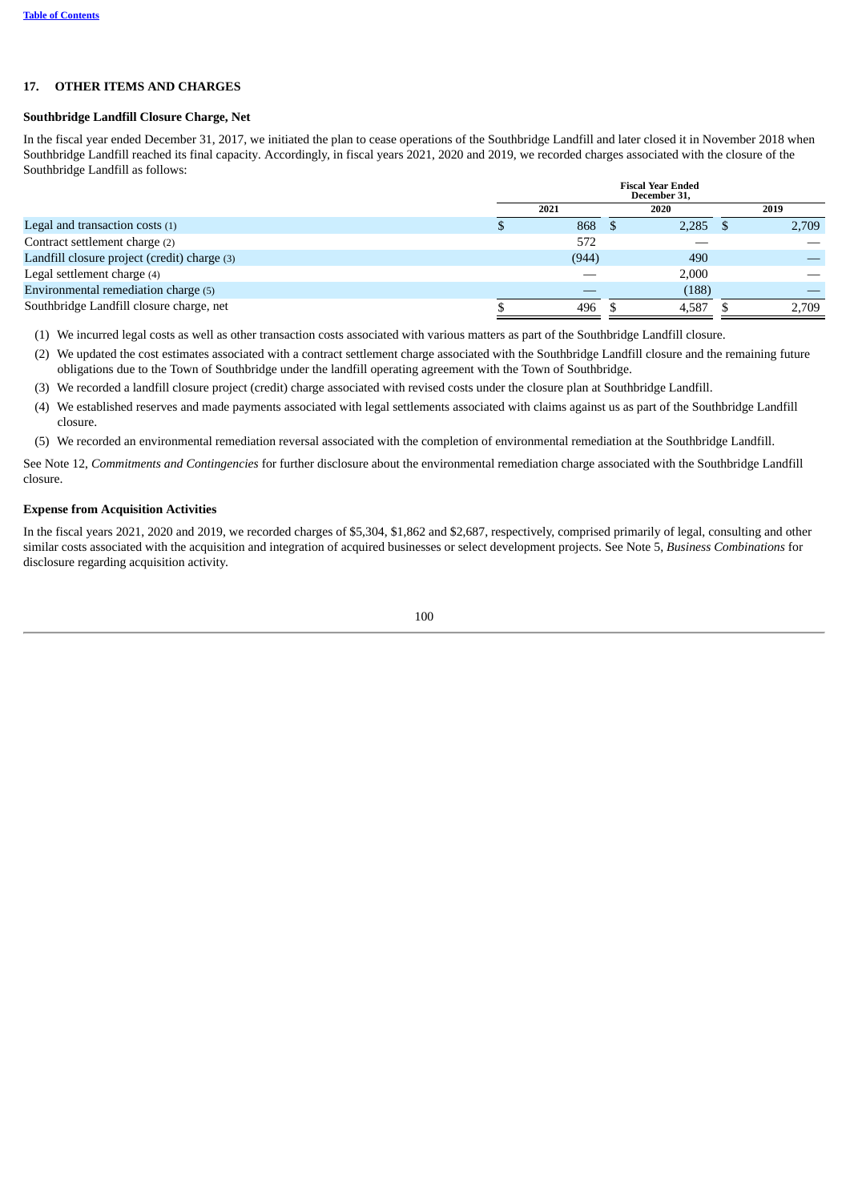## **17. OTHER ITEMS AND CHARGES**

## **Southbridge Landfill Closure Charge, Net**

In the fiscal year ended December 31, 2017, we initiated the plan to cease operations of the Southbridge Landfill and later closed it in November 2018 when Southbridge Landfill reached its final capacity*.* Accordingly, in fiscal years 2021, 2020 and 2019, we recorded charges associated with the closure of the Southbridge Landfill as follows:

|                                              |      |       | <b>Fiscal Year Ended</b><br>December 31, |       |
|----------------------------------------------|------|-------|------------------------------------------|-------|
|                                              | 2021 |       | 2020                                     | 2019  |
| Legal and transaction costs (1)              |      | 868   | 2,285                                    | 2,709 |
| Contract settlement charge (2)               |      | 572   |                                          |       |
| Landfill closure project (credit) charge (3) |      | (944) | 490                                      |       |
| Legal settlement charge (4)                  |      |       | 2,000                                    |       |
| Environmental remediation charge (5)         |      |       | (188)                                    |       |
| Southbridge Landfill closure charge, net     |      | 496   | 4,587                                    | 2,709 |

- (1) We incurred legal costs as well as other transaction costs associated with various matters as part of the Southbridge Landfill closure.
- (2) We updated the cost estimates associated with a contract settlement charge associated with the Southbridge Landfill closure and the remaining future obligations due to the Town of Southbridge under the landfill operating agreement with the Town of Southbridge.
- (3) We recorded a landfill closure project (credit) charge associated with revised costs under the closure plan at Southbridge Landfill.
- (4) We established reserves and made payments associated with legal settlements associated with claims against us as part of the Southbridge Landfill closure.
- (5) We recorded an environmental remediation reversal associated with the completion of environmental remediation at the Southbridge Landfill.

See Note 12, *Commitments and Contingencies* for further disclosure about the environmental remediation charge associated with the Southbridge Landfill closure.

## **Expense from Acquisition Activities**

In the fiscal years 2021, 2020 and 2019, we recorded charges of \$5,304, \$1,862 and \$2,687, respectively, comprised primarily of legal, consulting and other similar costs associated with the acquisition and integration of acquired businesses or select development projects. See Note 5, *Business Combinations* for disclosure regarding acquisition activity.

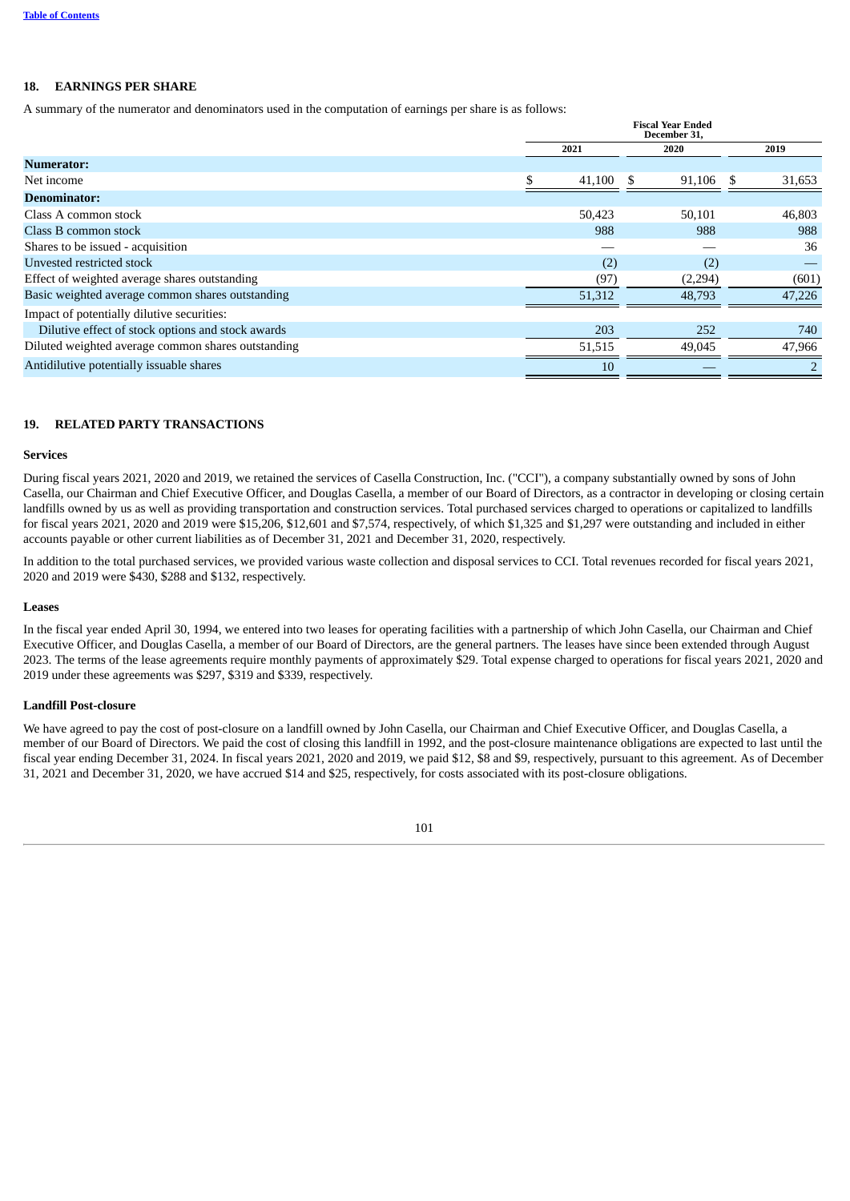## **18. EARNINGS PER SHARE**

A summary of the numerator and denominators used in the computation of earnings per share is as follows:

|                                                    |        | <b>Fiscal Year Ended</b><br>December 31, |              |
|----------------------------------------------------|--------|------------------------------------------|--------------|
|                                                    | 2021   | 2020                                     | 2019         |
| <b>Numerator:</b>                                  |        |                                          |              |
| Net income                                         | 41,100 | 91,106<br>\$.                            | 31,653<br>-S |
| <b>Denominator:</b>                                |        |                                          |              |
| Class A common stock                               | 50,423 | 50,101                                   | 46,803       |
| Class B common stock                               | 988    | 988                                      | 988          |
| Shares to be issued - acquisition                  |        |                                          | 36           |
| Unvested restricted stock                          | (2)    | (2)                                      |              |
| Effect of weighted average shares outstanding      | (97)   | (2,294)                                  | (601)        |
| Basic weighted average common shares outstanding   | 51,312 | 48,793                                   | 47,226       |
| Impact of potentially dilutive securities:         |        |                                          |              |
| Dilutive effect of stock options and stock awards  | 203    | 252                                      | 740          |
| Diluted weighted average common shares outstanding | 51,515 | 49,045                                   | 47,966       |
| Antidilutive potentially issuable shares           | 10     |                                          | 2            |

## **19. RELATED PARTY TRANSACTIONS**

#### **Services**

During fiscal years 2021, 2020 and 2019, we retained the services of Casella Construction, Inc. ("CCI"), a company substantially owned by sons of John Casella, our Chairman and Chief Executive Officer, and Douglas Casella, a member of our Board of Directors, as a contractor in developing or closing certain landfills owned by us as well as providing transportation and construction services. Total purchased services charged to operations or capitalized to landfills for fiscal years 2021, 2020 and 2019 were \$15,206, \$12,601 and \$7,574, respectively, of which \$1,325 and \$1,297 were outstanding and included in either accounts payable or other current liabilities as of December 31, 2021 and December 31, 2020, respectively.

In addition to the total purchased services, we provided various waste collection and disposal services to CCI. Total revenues recorded for fiscal years 2021, 2020 and 2019 were \$430, \$288 and \$132, respectively.

#### **Leases**

In the fiscal year ended April 30, 1994, we entered into two leases for operating facilities with a partnership of which John Casella, our Chairman and Chief Executive Officer, and Douglas Casella, a member of our Board of Directors, are the general partners. The leases have since been extended through August 2023. The terms of the lease agreements require monthly payments of approximately \$29. Total expense charged to operations for fiscal years 2021, 2020 and 2019 under these agreements was \$297, \$319 and \$339, respectively.

#### **Landfill Post-closure**

We have agreed to pay the cost of post-closure on a landfill owned by John Casella, our Chairman and Chief Executive Officer, and Douglas Casella, a member of our Board of Directors. We paid the cost of closing this landfill in 1992, and the post-closure maintenance obligations are expected to last until the fiscal year ending December 31, 2024. In fiscal years 2021, 2020 and 2019, we paid \$12, \$8 and \$9, respectively, pursuant to this agreement. As of December 31, 2021 and December 31, 2020, we have accrued \$14 and \$25, respectively, for costs associated with its post-closure obligations.

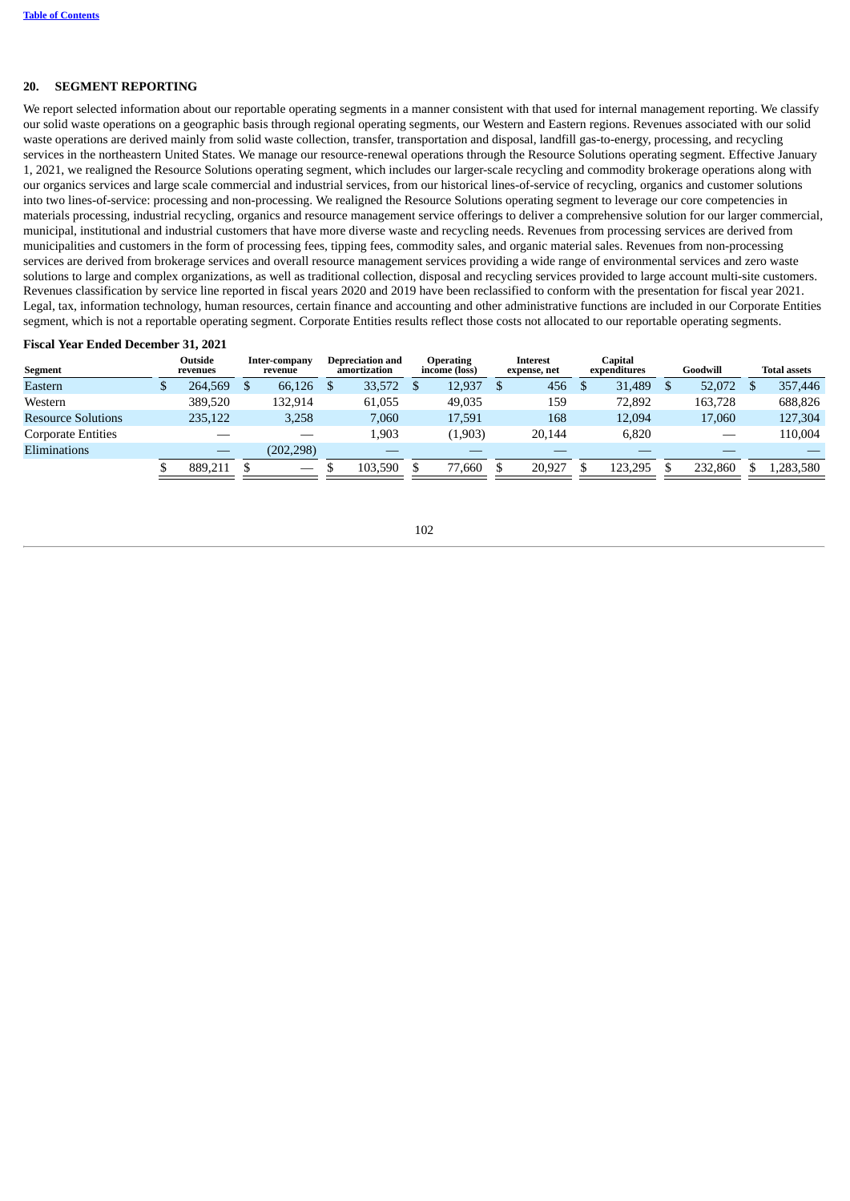## **20. SEGMENT REPORTING**

We report selected information about our reportable operating segments in a manner consistent with that used for internal management reporting. We classify our solid waste operations on a geographic basis through regional operating segments, our Western and Eastern regions. Revenues associated with our solid waste operations are derived mainly from solid waste collection, transfer, transportation and disposal, landfill gas-to-energy, processing, and recycling services in the northeastern United States. We manage our resource-renewal operations through the Resource Solutions operating segment. Effective January 1, 2021, we realigned the Resource Solutions operating segment, which includes our larger-scale recycling and commodity brokerage operations along with our organics services and large scale commercial and industrial services, from our historical lines-of-service of recycling, organics and customer solutions into two lines-of-service: processing and non-processing. We realigned the Resource Solutions operating segment to leverage our core competencies in materials processing, industrial recycling, organics and resource management service offerings to deliver a comprehensive solution for our larger commercial, municipal, institutional and industrial customers that have more diverse waste and recycling needs. Revenues from processing services are derived from municipalities and customers in the form of processing fees, tipping fees, commodity sales, and organic material sales. Revenues from non-processing services are derived from brokerage services and overall resource management services providing a wide range of environmental services and zero waste solutions to large and complex organizations, as well as traditional collection, disposal and recycling services provided to large account multi-site customers. Revenues classification by service line reported in fiscal years 2020 and 2019 have been reclassified to conform with the presentation for fiscal year 2021. Legal, tax, information technology, human resources, certain finance and accounting and other administrative functions are included in our Corporate Entities segment, which is not a reportable operating segment. Corporate Entities results reflect those costs not allocated to our reportable operating segments.

## **Fiscal Year Ended December 31, 2021**

| Segment                   | Outside<br>revenues | Inter-company<br>revenue | <b>Depreciation and</b><br>amortization | Operating<br>income (loss) | Interest<br>expense, net | Capital<br>expenditures | Goodwill | <b>Total assets</b> |
|---------------------------|---------------------|--------------------------|-----------------------------------------|----------------------------|--------------------------|-------------------------|----------|---------------------|
| Eastern                   | 264,569             | 66,126                   | 33,572                                  | 12.937                     | 456                      | 31,489                  | 52,072   | 357,446             |
| Western                   | 389.520             | 132.914                  | 61.055                                  | 49,035                     | 159                      | 72,892                  | 163,728  | 688.826             |
| <b>Resource Solutions</b> | 235,122             | 3,258                    | 7,060                                   | 17.591                     | 168                      | 12,094                  | 17,060   | 127,304             |
| <b>Corporate Entities</b> |                     |                          | .903                                    | (1,903)                    | 20,144                   | 6,820                   |          | 110,004             |
| <b>Eliminations</b>       |                     | (202, 298)               |                                         |                            |                          |                         |          |                     |
|                           | 889.211             |                          | 103.590                                 | 77,660                     | 20,927                   | 123.295                 | 232.860  | 1.283.580           |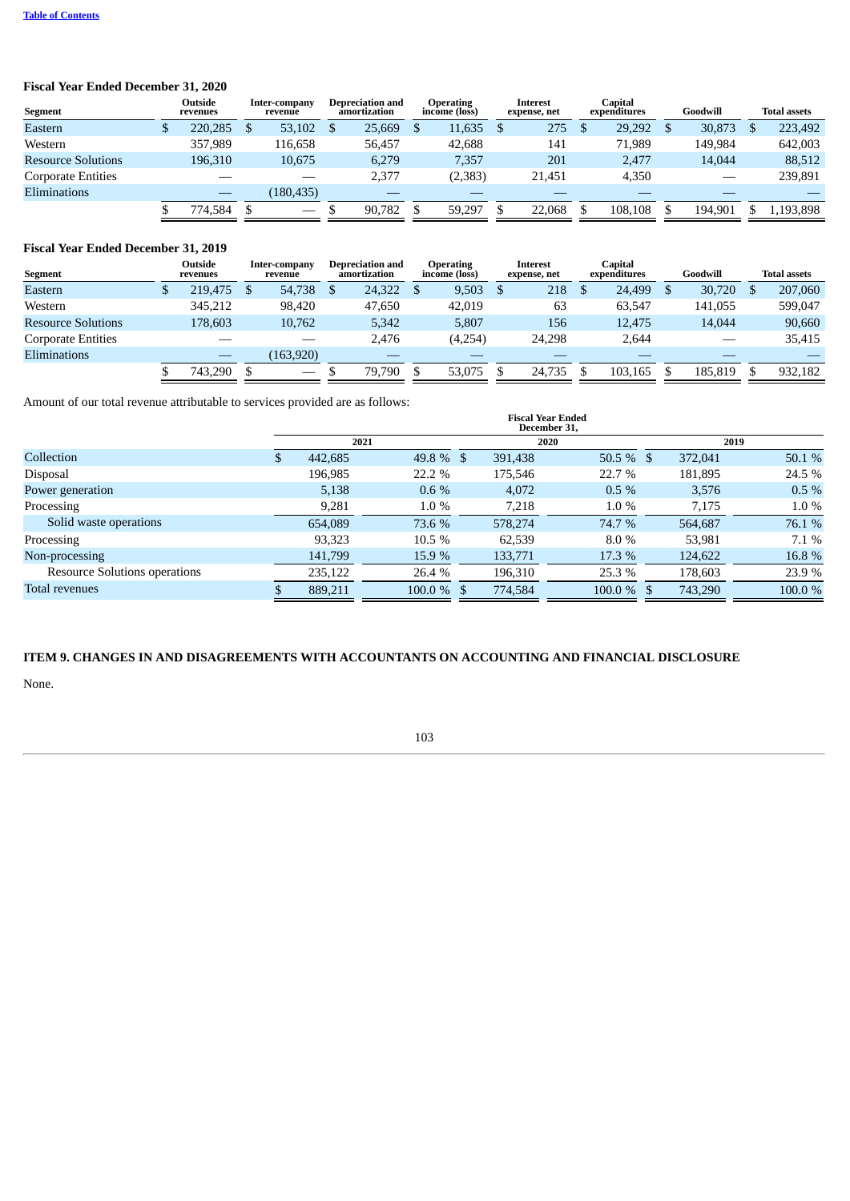## **Fiscal Year Ended December 31, 2020**

| Segment                   | Outside<br>revenues | Inter-company<br>revenue | <b>Depreciation and</b><br>amortization | <b>Operating</b><br>income (loss) | Interest<br>expense, net | Capital<br>expenditures | Goodwill | <b>Total assets</b> |
|---------------------------|---------------------|--------------------------|-----------------------------------------|-----------------------------------|--------------------------|-------------------------|----------|---------------------|
| Eastern                   | 220,285             | 53,102                   | 25,669                                  | 11,635                            | 275                      | 29,292                  | 30,873   | 223,492             |
| Western                   | 357,989             | 116.658                  | 56,457                                  | 42,688                            | 141                      | 71,989                  | 149.984  | 642,003             |
| <b>Resource Solutions</b> | 196.310             | 10,675                   | 6,279                                   | 7,357                             | 201                      | 2,477                   | 14.044   | 88,512              |
| <b>Corporate Entities</b> |                     |                          | 2.377                                   | (2,383)                           | 21,451                   | 4,350                   |          | 239,891             |
| <b>Eliminations</b>       |                     | (180, 435)               |                                         |                                   |                          |                         |          |                     |
|                           | 774,584             |                          | 90,782                                  | 59.297                            | 22,068                   | 108.108                 | 194.901  | 1.193.898           |

## **Fiscal Year Ended December 31, 2019**

| Segment                   | <b>Outside</b><br>revenues | Inter-company<br>revenue | <b>Depreciation and</b><br>amortization | <b>Operating</b><br>income (loss) |         | Interest<br>expense, net |  | Capital<br>expenditures | Goodwill | <b>Total assets</b> |  |
|---------------------------|----------------------------|--------------------------|-----------------------------------------|-----------------------------------|---------|--------------------------|--|-------------------------|----------|---------------------|--|
| Eastern                   | 219,475                    | 54,738                   | 24,322                                  |                                   | 9,503   | 218                      |  | 24,499                  | 30,720   | 207,060             |  |
| Western                   | 345,212                    | 98.420                   | 47,650                                  |                                   | 42,019  | 63                       |  | 63.547                  | 141,055  | 599,047             |  |
| <b>Resource Solutions</b> | 178.603                    | 10,762                   | 5,342                                   |                                   | 5,807   | 156                      |  | 12,475                  | 14,044   | 90,660              |  |
| <b>Corporate Entities</b> |                            |                          | 2,476                                   |                                   | (4,254) | 24,298                   |  | 2,644                   |          | 35,415              |  |
| <b>Eliminations</b>       |                            | (163, 920)               |                                         |                                   |         |                          |  |                         |          |                     |  |
|                           | 743,290                    |                          | 79,790                                  |                                   | 53.075  | 24,735                   |  | 103.165                 | 185.819  | 932.182             |  |

Amount of our total revenue attributable to services provided are as follows:

|                                      |    |         |              |         | <b>Fiscal Year Ended</b><br>December 31. |         |         |
|--------------------------------------|----|---------|--------------|---------|------------------------------------------|---------|---------|
|                                      |    |         | 2021         |         | 2020                                     |         | 2019    |
| Collection                           | Ъ. | 442,685 | 49.8 $%$ \$  | 391,438 | 50.5 $%$ \$                              | 372,041 | 50.1 %  |
| <b>Disposal</b>                      |    | 196,985 | 22.2 %       | 175,546 | 22.7 %                                   | 181,895 | 24.5 %  |
| Power generation                     |    | 5,138   | $0.6\%$      | 4,072   | $0.5\%$                                  | 3,576   | $0.5\%$ |
| Processing                           |    | 9,281   | 1.0%         | 7,218   | 1.0%                                     | 7,175   | 1.0 %   |
| Solid waste operations               |    | 654,089 | 73.6 %       | 578.274 | 74.7 %                                   | 564,687 | 76.1 %  |
| Processing                           |    | 93,323  | 10.5 %       | 62,539  | 8.0%                                     | 53,981  | $7.1\%$ |
| Non-processing                       |    | 141,799 | 15.9 %       | 133,771 | 17.3 %                                   | 124,622 | 16.8 %  |
| <b>Resource Solutions operations</b> |    | 235,122 | 26.4 %       | 196,310 | 25.3 %                                   | 178,603 | 23.9 %  |
| Total revenues                       |    | 889.211 | $100.0\%$ \$ | 774,584 | $100.0\%$ \$                             | 743,290 | 100.0%  |

## **ITEM 9. CHANGES IN AND DISAGREEMENTS WITH ACCOUNTANTS ON ACCOUNTING AND FINANCIAL DISCLOSURE**

None.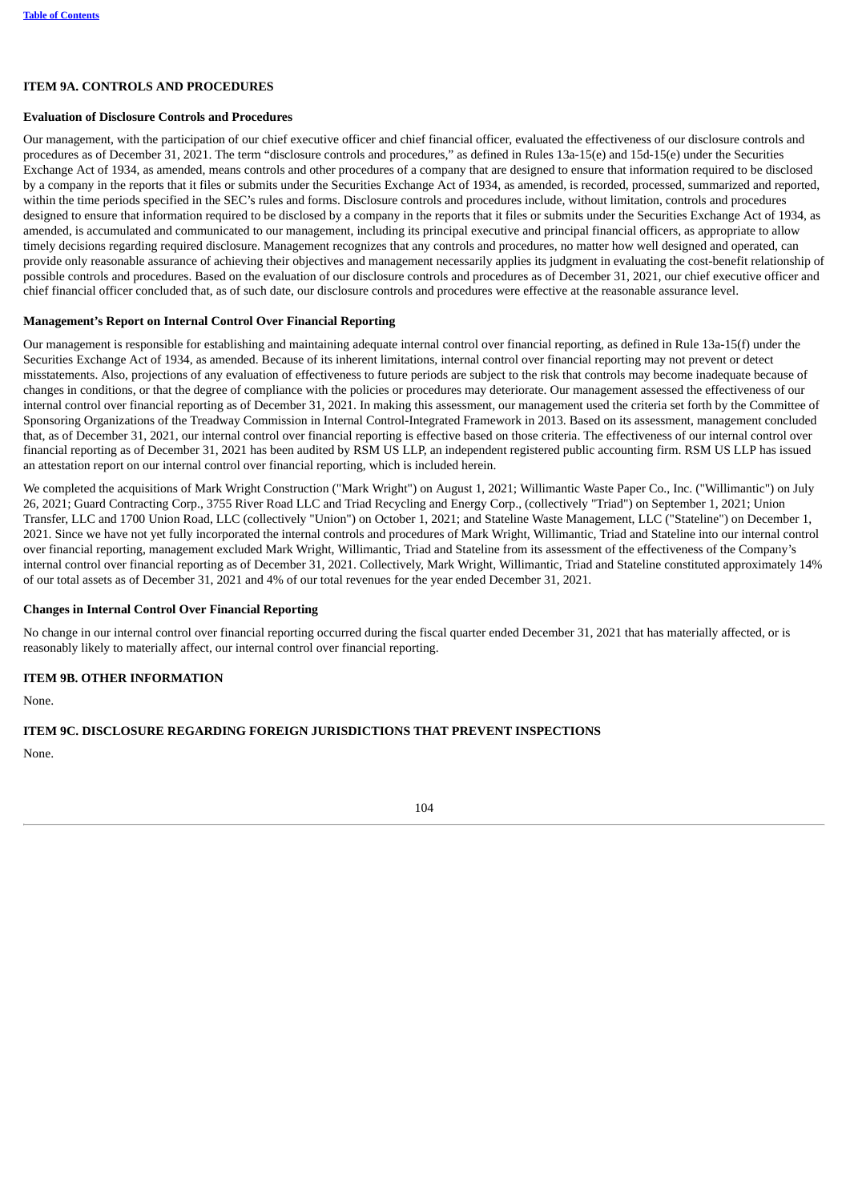## **ITEM 9A. CONTROLS AND PROCEDURES**

## **Evaluation of Disclosure Controls and Procedures**

Our management, with the participation of our chief executive officer and chief financial officer, evaluated the effectiveness of our disclosure controls and procedures as of December 31, 2021. The term "disclosure controls and procedures," as defined in Rules 13a-15(e) and 15d-15(e) under the Securities Exchange Act of 1934, as amended, means controls and other procedures of a company that are designed to ensure that information required to be disclosed by a company in the reports that it files or submits under the Securities Exchange Act of 1934, as amended, is recorded, processed, summarized and reported, within the time periods specified in the SEC's rules and forms. Disclosure controls and procedures include, without limitation, controls and procedures designed to ensure that information required to be disclosed by a company in the reports that it files or submits under the Securities Exchange Act of 1934, as amended, is accumulated and communicated to our management, including its principal executive and principal financial officers, as appropriate to allow timely decisions regarding required disclosure. Management recognizes that any controls and procedures, no matter how well designed and operated, can provide only reasonable assurance of achieving their objectives and management necessarily applies its judgment in evaluating the cost-benefit relationship of possible controls and procedures. Based on the evaluation of our disclosure controls and procedures as of December 31, 2021, our chief executive officer and chief financial officer concluded that, as of such date, our disclosure controls and procedures were effective at the reasonable assurance level.

## **Management's Report on Internal Control Over Financial Reporting**

Our management is responsible for establishing and maintaining adequate internal control over financial reporting, as defined in Rule 13a-15(f) under the Securities Exchange Act of 1934, as amended. Because of its inherent limitations, internal control over financial reporting may not prevent or detect misstatements. Also, projections of any evaluation of effectiveness to future periods are subject to the risk that controls may become inadequate because of changes in conditions, or that the degree of compliance with the policies or procedures may deteriorate. Our management assessed the effectiveness of our internal control over financial reporting as of December 31, 2021. In making this assessment, our management used the criteria set forth by the Committee of Sponsoring Organizations of the Treadway Commission in Internal Control-Integrated Framework in 2013. Based on its assessment, management concluded that, as of December 31, 2021, our internal control over financial reporting is effective based on those criteria. The effectiveness of our internal control over financial reporting as of December 31, 2021 has been audited by RSM US LLP, an independent registered public accounting firm. RSM US LLP has issued an attestation report on our internal control over financial reporting, which is included herein.

We completed the acquisitions of Mark Wright Construction ("Mark Wright") on August 1, 2021; Willimantic Waste Paper Co., Inc. ("Willimantic") on July 26, 2021; Guard Contracting Corp., 3755 River Road LLC and Triad Recycling and Energy Corp., (collectively "Triad") on September 1, 2021; Union Transfer, LLC and 1700 Union Road, LLC (collectively "Union") on October 1, 2021; and Stateline Waste Management, LLC ("Stateline") on December 1, 2021. Since we have not yet fully incorporated the internal controls and procedures of Mark Wright, Willimantic, Triad and Stateline into our internal control over financial reporting, management excluded Mark Wright, Willimantic, Triad and Stateline from its assessment of the effectiveness of the Company's internal control over financial reporting as of December 31, 2021. Collectively, Mark Wright, Willimantic, Triad and Stateline constituted approximately 14% of our total assets as of December 31, 2021 and 4% of our total revenues for the year ended December 31, 2021.

#### **Changes in Internal Control Over Financial Reporting**

No change in our internal control over financial reporting occurred during the fiscal quarter ended December 31, 2021 that has materially affected, or is reasonably likely to materially affect, our internal control over financial reporting.

## **ITEM 9B. OTHER INFORMATION**

None.

# **ITEM 9C. DISCLOSURE REGARDING FOREIGN JURISDICTIONS THAT PREVENT INSPECTIONS**

None.

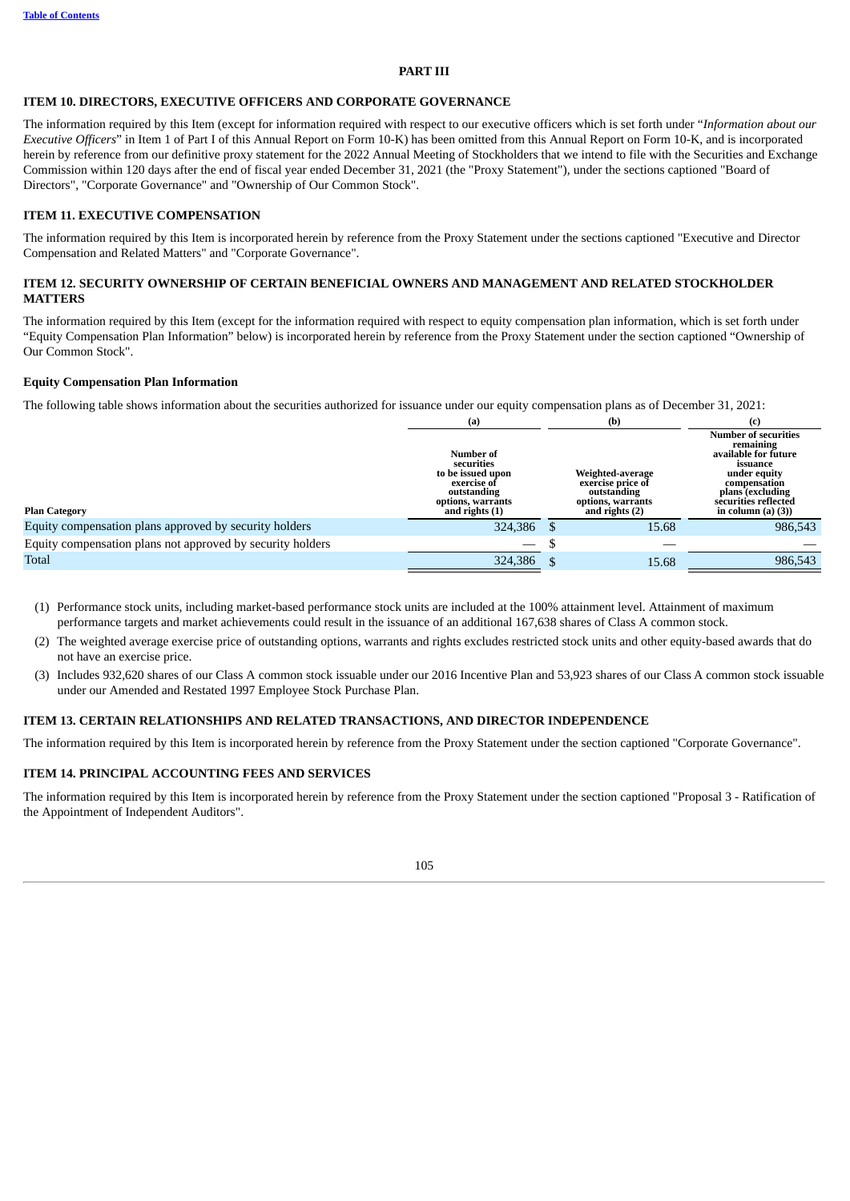#### **PART III**

### **ITEM 10. DIRECTORS, EXECUTIVE OFFICERS AND CORPORATE GOVERNANCE**

The information required by this Item (except for information required with respect to our executive officers which is set forth under "*Information about our Executive Officers*" in Item 1 of Part I of this Annual Report on Form 10-K) has been omitted from this Annual Report on Form 10-K, and is incorporated herein by reference from our definitive proxy statement for the 2022 Annual Meeting of Stockholders that we intend to file with the Securities and Exchange Commission within 120 days after the end of fiscal year ended December 31, 2021 (the "Proxy Statement"), under the sections captioned "Board of Directors", "Corporate Governance" and "Ownership of Our Common Stock".

#### **ITEM 11. EXECUTIVE COMPENSATION**

The information required by this Item is incorporated herein by reference from the Proxy Statement under the sections captioned "Executive and Director Compensation and Related Matters" and "Corporate Governance".

## **ITEM 12. SECURITY OWNERSHIP OF CERTAIN BENEFICIAL OWNERS AND MANAGEMENT AND RELATED STOCKHOLDER MATTERS**

The information required by this Item (except for the information required with respect to equity compensation plan information, which is set forth under "Equity Compensation Plan Information" below) is incorporated herein by reference from the Proxy Statement under the section captioned "Ownership of Our Common Stock".

### **Equity Compensation Plan Information**

The following table shows information about the securities authorized for issuance under our equity compensation plans as of December 31, 2021:

|                                                            | (a)                                                                                                                      | (b)                                                                                         | (c)                                                                                                                                                                               |
|------------------------------------------------------------|--------------------------------------------------------------------------------------------------------------------------|---------------------------------------------------------------------------------------------|-----------------------------------------------------------------------------------------------------------------------------------------------------------------------------------|
| <b>Plan Category</b>                                       | <b>Number of</b><br>securities<br>to be issued upon<br>exercise of<br>outstanding<br>options, warrants<br>and rights (1) | Weighted-average<br>exercise price of<br>outstanding<br>options, warrants<br>and rights (2) | <b>Number of securities</b><br>remaining<br>available for future<br>issuance<br>under equity<br>compensation<br>plans (excluding<br>securities reflected<br>in column (a) $(3)$ ) |
| Equity compensation plans approved by security holders     | 324,386                                                                                                                  | 15.68                                                                                       | 986,543                                                                                                                                                                           |
| Equity compensation plans not approved by security holders | __                                                                                                                       |                                                                                             |                                                                                                                                                                                   |
| Total                                                      | 324,386                                                                                                                  | 15.68                                                                                       | 986,543                                                                                                                                                                           |

- (1) Performance stock units, including market-based performance stock units are included at the 100% attainment level. Attainment of maximum performance targets and market achievements could result in the issuance of an additional 167,638 shares of Class A common stock.
- (2) The weighted average exercise price of outstanding options, warrants and rights excludes restricted stock units and other equity-based awards that do not have an exercise price.
- (3) Includes 932,620 shares of our Class A common stock issuable under our 2016 Incentive Plan and 53,923 shares of our Class A common stock issuable under our Amended and Restated 1997 Employee Stock Purchase Plan.

### **ITEM 13. CERTAIN RELATIONSHIPS AND RELATED TRANSACTIONS, AND DIRECTOR INDEPENDENCE**

The information required by this Item is incorporated herein by reference from the Proxy Statement under the section captioned "Corporate Governance".

## **ITEM 14. PRINCIPAL ACCOUNTING FEES AND SERVICES**

The information required by this Item is incorporated herein by reference from the Proxy Statement under the section captioned "Proposal 3 - Ratification of the Appointment of Independent Auditors".

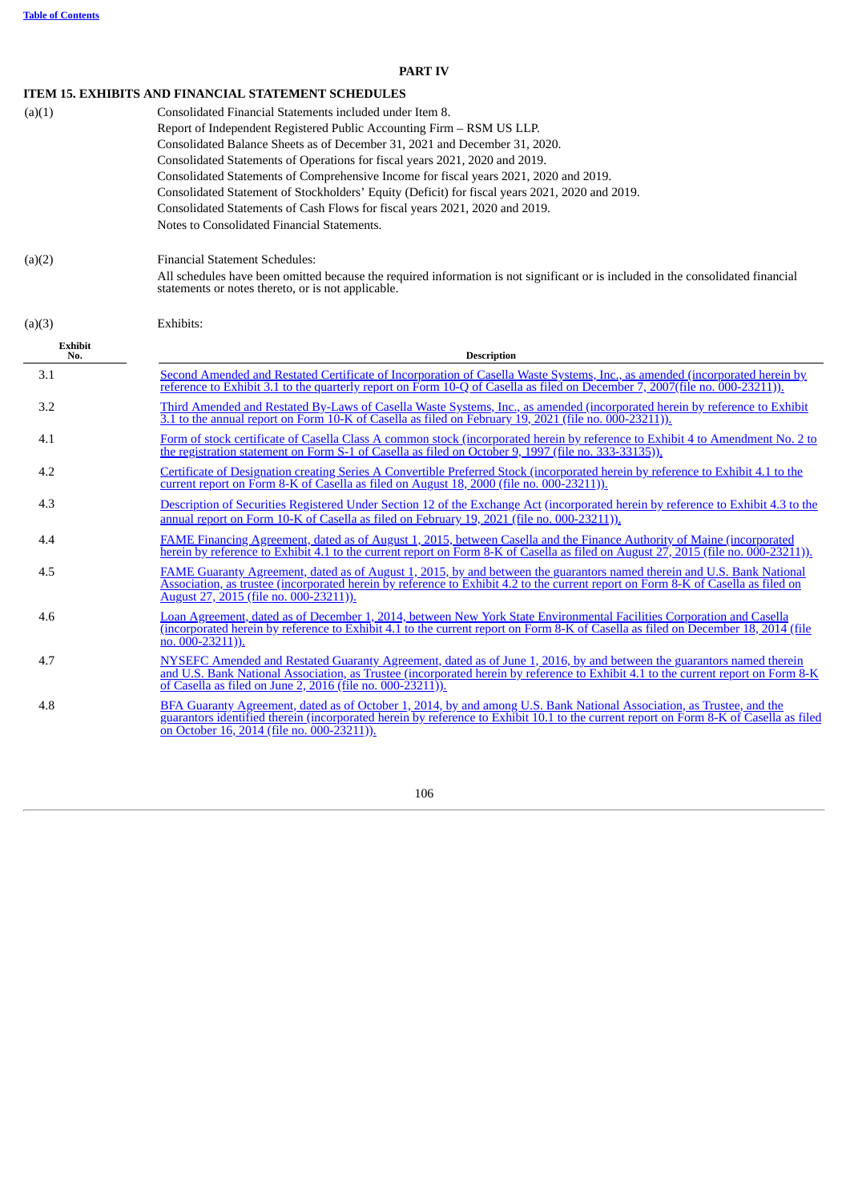## **PART IV**

|                       | <b>ITEM 15. EXHIBITS AND FINANCIAL STATEMENT SCHEDULES</b>                                                                                                                                                                                                                                                                                                                                                                                                                                                                                                                                                              |
|-----------------------|-------------------------------------------------------------------------------------------------------------------------------------------------------------------------------------------------------------------------------------------------------------------------------------------------------------------------------------------------------------------------------------------------------------------------------------------------------------------------------------------------------------------------------------------------------------------------------------------------------------------------|
| (a)(1)                | Consolidated Financial Statements included under Item 8.<br>Report of Independent Registered Public Accounting Firm - RSM US LLP.<br>Consolidated Balance Sheets as of December 31, 2021 and December 31, 2020.<br>Consolidated Statements of Operations for fiscal years 2021, 2020 and 2019.<br>Consolidated Statements of Comprehensive Income for fiscal years 2021, 2020 and 2019.<br>Consolidated Statement of Stockholders' Equity (Deficit) for fiscal years 2021, 2020 and 2019.<br>Consolidated Statements of Cash Flows for fiscal years 2021, 2020 and 2019.<br>Notes to Consolidated Financial Statements. |
| (a)(2)                | <b>Financial Statement Schedules:</b><br>All schedules have been omitted because the required information is not significant or is included in the consolidated financial<br>statements or notes thereto, or is not applicable.                                                                                                                                                                                                                                                                                                                                                                                         |
| (a)(3)                | Exhibits:                                                                                                                                                                                                                                                                                                                                                                                                                                                                                                                                                                                                               |
| <b>Exhibit</b><br>No. | <b>Description</b>                                                                                                                                                                                                                                                                                                                                                                                                                                                                                                                                                                                                      |
| 3.1                   | Second Amended and Restated Certificate of Incorporation of Casella Waste Systems, Inc., as amended (incorporated herein by<br>reference to Exhibit 3.1 to the quarterly report on Form 10-Q of Casella as filed on December 7, 2007(file no. 000-23211)).                                                                                                                                                                                                                                                                                                                                                              |
| 3.2                   | Third Amended and Restated By-Laws of Casella Waste Systems, Inc., as amended (incorporated herein by reference to Exhibit<br>3.1 to the annual report on Form 10-K of Casella as filed on February 19, 2021 (file no. 000-23211)).                                                                                                                                                                                                                                                                                                                                                                                     |
| 4.1                   | Form of stock certificate of Casella Class A common stock (incorporated herein by reference to Exhibit 4 to Amendment No. 2 to<br>the registration statement on Form S-1 of Casella as filed on October 9, 1997 (file no. 333-33135)).                                                                                                                                                                                                                                                                                                                                                                                  |
| 4.2                   | Certificate of Designation creating Series A Convertible Preferred Stock (incorporated herein by reference to Exhibit 4.1 to the<br>current report on Form 8-K of Casella as filed on August 18, 2000 (file no. 000-23211)).                                                                                                                                                                                                                                                                                                                                                                                            |
| 4.3                   | Description of Securities Registered Under Section 12 of the Exchange Act (incorporated herein by reference to Exhibit 4.3 to the<br>annual report on Form 10-K of Casella as filed on February 19, 2021 (file no. 000-23211)).                                                                                                                                                                                                                                                                                                                                                                                         |
| 4.4                   | FAME Financing Agreement, dated as of August 1, 2015, between Casella and the Finance Authority of Maine (incorporated<br>herein by reference to Exhibit 4.1 to the current report on Form 8-K of Casella as filed on August 27,                                                                                                                                                                                                                                                                                                                                                                                        |
| 4.5                   | FAME Guaranty Agreement, dated as of August 1, 2015, by and between the guarantors named therein and U.S. Bank National<br>Association, as trustee (incorporated herein by reference to Exhibit 4.2 to the current report on Form 8-K of Casella as filed on<br><u>August 27, 2015 (file no. 000-23211)).</u>                                                                                                                                                                                                                                                                                                           |
| 4.6                   | Loan Agreement, dated as of December 1, 2014, between New York State Environmental Facilities Corporation and Casella<br>(incorporated herein by reference to Exhibit 4.1 to the current report on Form 8-K of Casella as filed on December 18, 2014 (file<br>no. $000 - 23211$ )).                                                                                                                                                                                                                                                                                                                                     |
| 4.7                   | NYSEFC Amended and Restated Guaranty Agreement, dated as of June 1, 2016, by and between the guarantors named therein<br>and U.S. Bank National Association, as Trustee (incorporated herein by reference to Exhibit 4.1 to the current report on Form 8-K<br>of Casella as filed on June 2, 2016 (file no. $000 - 23211$ ).                                                                                                                                                                                                                                                                                            |
| 4.8                   | BFA Guaranty Agreement, dated as of October 1, 2014, by and among U.S. Bank National Association, as Trustee, and the<br>guarantors identified therein (incorporated herein by reference to Exhibit 10.1 to the current report on Form 8-K of Casella as filed<br>on October 16, 2014 (file no. 000-23211)).                                                                                                                                                                                                                                                                                                            |
|                       |                                                                                                                                                                                                                                                                                                                                                                                                                                                                                                                                                                                                                         |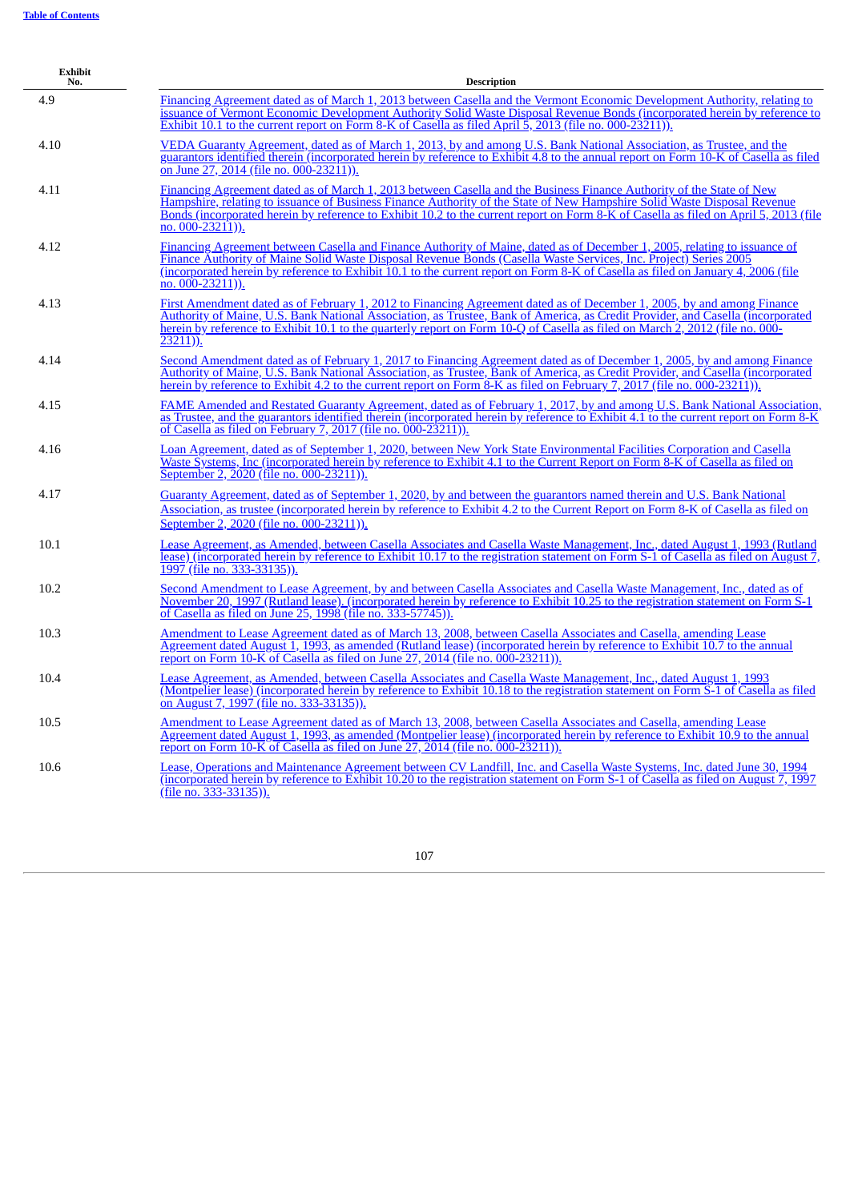| <b>Exhibit</b><br>No. | <b>Description</b>                                                                                                                                                                                                                                                                                                                                                                                              |
|-----------------------|-----------------------------------------------------------------------------------------------------------------------------------------------------------------------------------------------------------------------------------------------------------------------------------------------------------------------------------------------------------------------------------------------------------------|
| 4.9                   | Financing Agreement dated as of March 1, 2013 between Casella and the Vermont Economic Development Authority, relating to<br>issuance of Vermont Economic Development Authority Solid Waste Disposal Revenue Bonds (incorporated herein by reference to<br>Exhibit 10.1 to the current report on Form 8-K of Casella as filed April 5, 2013 (file no. 000-23211)).                                              |
| 4.10                  | VEDA Guaranty Agreement, dated as of March 1, 2013, by and among U.S. Bank National Association, as Trustee, and the<br>guarantors identified therein (incorporated herein by reference to Exhibit 4.8 to the annual report on Form 10-K of Casella as filed<br>on June 27, 2014 (file no. 000-23211)).                                                                                                         |
| 4.11                  | Financing Agreement dated as of March 1, 2013 between Casella and the Business Finance Authority of the State of New<br>Hampshire, relating to issuance of Business Finance Authority of the State of New Hampshire Solid Waste Disposal Revenue<br>Bonds (incorporated herein by reference to Exhibit 10.2 to the current report on Form 8-K of Casella as filed on April 5, 2013 (file<br>no. $000-23211$ )). |
| 4.12                  | Financing Agreement between Casella and Finance Authority of Maine, dated as of December 1, 2005, relating to issuance of<br>Finance Authority of Maine Solid Waste Disposal Revenue Bonds (Casella Waste Services, Inc. Project) Series 2005<br>(incorporated herein by reference to Exhibit 10.1 to the current report on Form 8-K of Casella as filed on January 4, 2006 (file<br>no. $000 - 23211$ )).      |
| 4.13                  | First Amendment dated as of February 1, 2012 to Financing Agreement dated as of December 1, 2005, by and among Finance<br>Authority of Maine, U.S. Bank National Association, as Trustee, Bank of America, as Credit Provider, and Casella (incorporated<br>herein by reference to Exhibit 10.1 to the quarterly report on Form 10-Q of Casella as filed on March 2, 2012 (file no. 000-<br>$23211)$ ).         |
| 4.14                  | Second Amendment dated as of February 1, 2017 to Financing Agreement dated as of December 1, 2005, by and among Finance<br>Authority of Maine, U.S. Bank National Association, as Trustee, Bank of America, as Credit Provider, and Casella (incorporated<br>herein by reference to Exhibit 4.2 to the current report on Form 8-K as filed on February 7, 2017 (file no. 000-23211)).                           |
| 4.15                  | FAME Amended and Restated Guaranty Agreement, dated as of February 1, 2017, by and among U.S. Bank National Association,<br>as Trustee, and the guarantors identified therein (incorporated herein by reference to Exhibit 4.1 to the current report on Form 8-K<br>of Casella as filed on February 7, 2017 (file no. 000-23211)).                                                                              |
| 4.16                  | Loan Agreement, dated as of September 1, 2020, between New York State Environmental Facilities Corporation and Casella<br>Waste Systems, Inc (incorporated herein by reference to Exhibit 4.1 to the Current Report on Form 8-K of Casella as filed on<br>September 2, 2020 (file no. 000-23211)).                                                                                                              |
| 4.17                  | Guaranty Agreement, dated as of September 1, 2020, by and between the guarantors named therein and U.S. Bank National<br>Association, as trustee (incorporated herein by reference to Exhibit 4.2 to the Current Report on Form 8-K of Casella as filed on<br>September 2, 2020 (file no. 000-23211)).                                                                                                          |
| 10.1                  | Lease Agreement, as Amended, between Casella Associates and Casella Waste Management, Inc., dated August 1, 1993 (Rutland<br><u>lease) (incorporated herein by reference to Exhibit 10.17 to the registration statement on Form S-1 of Casella as filed on August 7,</u><br><u>1997 (file no. 333-33135)).</u>                                                                                                  |
| 10.2                  | Second Amendment to Lease Agreement, by and between Casella Associates and Casella Waste Management, Inc., dated as of<br>November 20, 1997 (Rutland lease). (incorporated herein by reference to Exhibit 10.25 to the registration statement on Form S-1<br>of Casella as filed on June 25, 1998 (file no. 333-57745)).                                                                                        |
| 10.3                  | Amendment to Lease Agreement dated as of March 13, 2008, between Casella Associates and Casella, amending Lease<br>Agreement dated August 1, 1993, as amended (Rutland lease) (incorporated herein by reference to Exhibit 10.7 to the annual<br>report on Form 10-K of Casella as filed on June 27, 2014 (file no. 000-23211)).                                                                                |
| 10.4                  | Lease Agreement, as Amended, between Casella Associates and Casella Waste Management, Inc., dated August 1, 1993<br>(Montpelier lease) (incorporated herein by reference to Exhibit 10.18 to the registration statement on Form S-1 of Casella as filed<br>on August 7, 1997 (file no. 333-33135)).                                                                                                             |
| 10.5                  | Amendment to Lease Agreement dated as of March 13, 2008, between Casella Associates and Casella, amending Lease<br>Agreement dated August 1, 1993, as amended (Montpelier lease) (incorporated herein by reference to Exhibit 10.9 to the annual<br>report on Form 10-K of Casella as filed on June 27, 2014 (file no. 000-23211)).                                                                             |
| 10.6                  | Lease, Operations and Maintenance Agreement between CV Landfill, Inc. and Casella Waste Systems, Inc. dated June 30, 1994<br>(incorporated herein by reference to Exhibit 10.20 to the registration statement on Form S-1 of Casella as filed on August 7, 1997<br>(file no. 333-33135)).                                                                                                                       |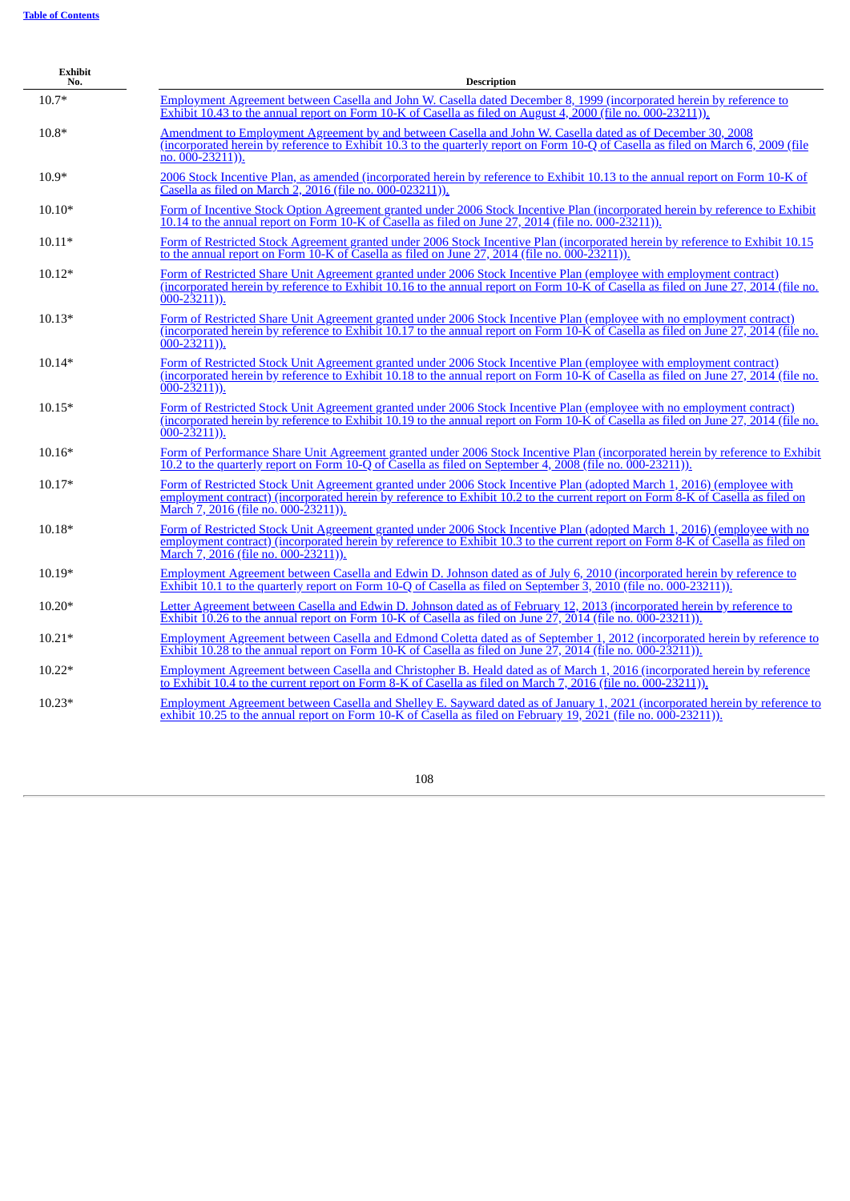| <b>Exhibit</b><br>No. | <b>Description</b>                                                                                                                                                                                                                                                                                       |
|-----------------------|----------------------------------------------------------------------------------------------------------------------------------------------------------------------------------------------------------------------------------------------------------------------------------------------------------|
| $10.7*$               | Employment Agreement between Casella and John W. Casella dated December 8, 1999 (incorporated herein by reference to<br>Exhibit 10.43 to the annual report on Form 10-K of Casella as filed on August 4, 2000 (file no. 000-23211)).                                                                     |
| $10.8*$               | Amendment to Employment Agreement by and between Casella and John W. Casella dated as of December 30, 2008<br>(incorporated herein by reference to Exhibit 10.3 to the quarterly report on Form 10-Q of Casella as filed on March 6, 2009 (file<br>no. $000 - 23211$ ).                                  |
| $10.9*$               | 2006 Stock Incentive Plan, as amended (incorporated herein by reference to Exhibit 10.13 to the annual report on Form 10-K of<br>Casella as filed on March 2, 2016 (file no. 000-023211)).                                                                                                               |
| $10.10*$              | Form of Incentive Stock Option Agreement granted under 2006 Stock Incentive Plan (incorporated herein by reference to Exhibit<br>$\overline{10.14}$ to the annual report on Form $\overline{10-K}$ of Casella as filed on June 27, 2014 (file no. 000-23211)).                                           |
| $10.11*$              | Form of Restricted Stock Agreement granted under 2006 Stock Incentive Plan (incorporated herein by reference to Exhibit 10.15<br>to the annual report on Form 10-K of Casella as filed on June 27, 2014 (file no. 000-23211)).                                                                           |
| $10.12*$              | Form of Restricted Share Unit Agreement granted under 2006 Stock Incentive Plan (employee with employment contract)<br>(incorporated herein by reference to Exhibit 10.16 to the annual report on Form 10-K of Casella as filed on June 27, 2014 (file no.<br>$\frac{000 - 23211)}{000 - 23211}$ .       |
| $10.13*$              | Form of Restricted Share Unit Agreement granted under 2006 Stock Incentive Plan (employee with no employment contract)<br>(incorporated herein by reference to Exhibit 10.17 to the annual report on Form 10-K of Casella as filed on June 27, 2014 (file no.<br>$000 - 23211)$ .                        |
| $10.14*$              | Form of Restricted Stock Unit Agreement granted under 2006 Stock Incentive Plan (employee with employment contract)<br>(incorporated herein by reference to Exhibit 10.18 to the annual report on Form 10-K of Casella as filed on June 27, 2014 (file no.<br>$\overline{000-23211}).$                   |
| $10.15*$              | Form of Restricted Stock Unit Agreement granted under 2006 Stock Incentive Plan (employee with no employment contract)<br>(incorporated herein by reference to Exhibit 10.19 to the annual report on Form 10-K of Casella as filed on June 27, 2014 (file no.<br>$000 - 23211)$ .                        |
| $10.16*$              | Form of Performance Share Unit Agreement granted under 2006 Stock Incentive Plan (incorporated herein by reference to Exhibit<br>10.2 to the quarterly report on Form 10-Q of Casella as filed on September 4, 2008 (file no. 000-23211)).                                                               |
| $10.17*$              | Form of Restricted Stock Unit Agreement granted under 2006 Stock Incentive Plan (adopted March 1, 2016) (employee with<br><u>employment contract) (incorporated herein by reference to Exhibit 10.2 to the current report on Form 8-K of Casella as filed on</u><br>March 7, 2016 (file no. 000-23211)). |
| $10.18*$              | Form of Restricted Stock Unit Agreement granted under 2006 Stock Incentive Plan (adopted March 1, 2016) (employee with no<br>employment contract) (incorporated herein by reference to Exhibit 10.3 to the current report on Form 8-K of Casella as filed on<br>March 7, 2016 (file no. 000-23211)).     |
| $10.19*$              | Employment Agreement between Casella and Edwin D. Johnson dated as of July 6, 2010 (incorporated herein by reference to<br>Exhibit 10.1 to the quarterly report on Form 10-Q of Casella as filed on September 3, 2010 (file no. 000-23211)).                                                             |
| $10.20*$              | Letter Agreement between Casella and Edwin D. Johnson dated as of February 12, 2013 (incorporated herein by reference to<br>Exhibit 10.26 to the annual report on Form 10-K of Casella as filed on June $27$ , $2014$ (file no. 000-23211)).                                                             |
| $10.21*$              | Employment Agreement between Casella and Edmond Coletta dated as of September 1, 2012 (incorporated herein by reference to Exhibit 10.28 to the annual report on Form 10-K of Casella as filed on June 27, 2014 (file no. 000-                                                                           |
| $10.22*$              | Employment Agreement between Casella and Christopher B. Heald dated as of March 1, 2016 (incorporated herein by reference<br>to Exhibit 10.4 to the current report on Form 8-K of Casella as filed on March 7, 2016 (file no. 000-23211)).                                                               |
| $10.23*$              | Employment Agreement between Casella and Shelley E. Sayward dated as of January 1, 2021 (incorporated herein by reference to<br>exhibit 10.25 to the annual report on Form 10-K of Casella as filed on February 19, 2021 (file no. 000-23211)).                                                          |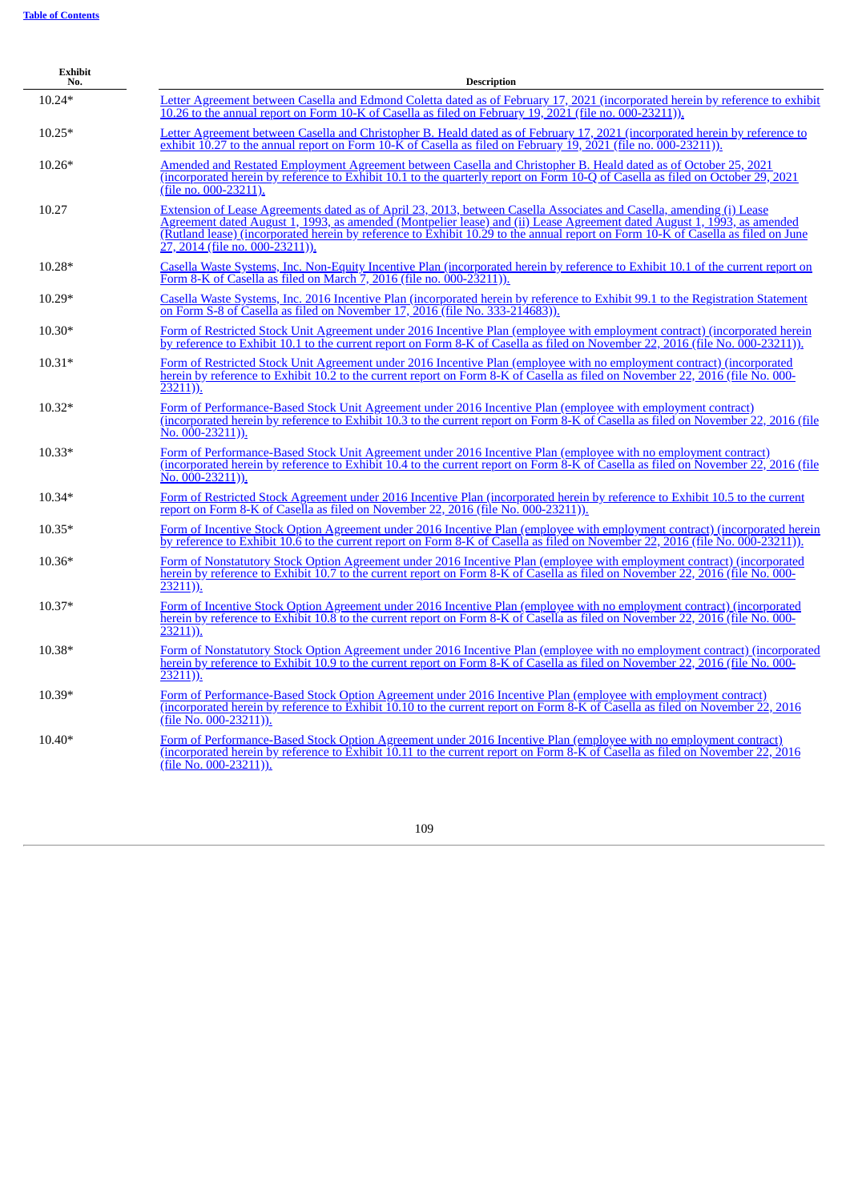| <b>Exhibit</b><br>No. | <b>Description</b>                                                                                                                                                                                                                                                                                                                                                                                                     |
|-----------------------|------------------------------------------------------------------------------------------------------------------------------------------------------------------------------------------------------------------------------------------------------------------------------------------------------------------------------------------------------------------------------------------------------------------------|
| $10.24*$              | Letter Agreement between Casella and Edmond Coletta dated as of February 17, 2021 (incorporated herein by reference to exhibit<br>10.26 to the annual report on Form 10-K of Casella as filed on February 19, 2021 (file no. 000-23211)).                                                                                                                                                                              |
| $10.25*$              | Letter Agreement between Casella and Christopher B. Heald dated as of February 17, 2021 (incorporated herein by reference to<br>exhibit 10.27 to the annual report on Form 10-K of Casella as filed on February 19, 2021 (file no. 000-23211)).                                                                                                                                                                        |
| $10.26*$              | Amended and Restated Employment Agreement between Casella and Christopher B. Heald dated as of October 25, 2021<br>(incorporated herein by reference to Exhibit 10.1 to the quarterly report on Form 10-Q of Casella as filed on October 29, 2021<br><u>(file no. 000-23211).</u>                                                                                                                                      |
| 10.27                 | Extension of Lease Agreements dated as of April 23, 2013, between Casella Associates and Casella, amending (i) Lease<br>Agreement dated August 1, 1993, as amended (Montpelier lease) and (ii) Lease Agreement dated August 1, 1993, as amended<br>(Rutland lease) (incorporated herein by reference to Exhibit 10.29 to the annual report on Form 10-K of Casella as filed on June<br>27, 2014 (file no. 000-23211)). |
| 10.28*                | Casella Waste Systems, Inc. Non-Equity Incentive Plan (incorporated herein by reference to Exhibit 10.1 of the current report on<br>Form 8-K of Casella as filed on March 7, 2016 (file no. 000-23211)).                                                                                                                                                                                                               |
| $10.29*$              | Casella Waste Systems, Inc. 2016 Incentive Plan (incorporated herein by reference to Exhibit 99.1 to the Registration Statement<br>on Form S-8 of Casella as filed on November 17, 2016 (file No. 333-214683)).                                                                                                                                                                                                        |
| $10.30*$              | Form of Restricted Stock Unit Agreement under 2016 Incentive Plan (employee with employment contract) (incorporated herein<br>by reference to Exhibit 10.1 to the current report on Form 8-K of Casella as filed on November 22, 2016 (file No. 000-23211)).                                                                                                                                                           |
| $10.31*$              | Form of Restricted Stock Unit Agreement under 2016 Incentive Plan (employee with no employment contract) (incorporated<br>herein by reference to Exhibit 10.2 to the current report on Form 8-K of Casella as filed on November 22, 2016 (file No. 000-<br>23211)).                                                                                                                                                    |
| $10.32*$              | Form of Performance-Based Stock Unit Agreement under 2016 Incentive Plan (employee with employment contract)<br>(incorporated herein by reference to Exhibit 10.3 to the current report on Form 8-K of Casella as filed on November 22, 2016 (file<br>No. 000-23211)).                                                                                                                                                 |
| $10.33*$              | Form of Performance-Based Stock Unit Agreement under 2016 Incentive Plan (employee with no employment contract)<br>(incorporated herein by reference to Exhibit 10.4 to the current report on Form 8-K of Casella as filed on November 22, 2016 (file<br>No. 000-23211)).                                                                                                                                              |
| $10.34*$              | Form of Restricted Stock Agreement under 2016 Incentive Plan (incorporated herein by reference to Exhibit 10.5 to the current<br>report on Form 8-K of Casella as filed on November 22, 2016 (file No. 000-23211)).                                                                                                                                                                                                    |
| $10.35*$              | Form of Incentive Stock Option Agreement under 2016 Incentive Plan (employee with employment contract) (incorporated herein<br>by reference to Exhibit 10.6 to the current report on Form 8-K of Casella as filed on November 22, 2016 (file No. 000-23211)).                                                                                                                                                          |
| 10.36*                | Form of Nonstatutory Stock Option Agreement under 2016 Incentive Plan (employee with employment contract) (incorporated<br>herein by reference to Exhibit 10.7 to the current report on Form 8-K of Casella as filed on November 22, 2016 (file No. 000-<br>23211)).                                                                                                                                                   |
| $10.37*$              | Form of Incentive Stock Option Agreement under 2016 Incentive Plan (employee with no employment contract) (incorporated<br>herein by reference to Exhibit 10.8 to the current report on Form 8-K of Casella as filed on November 22, 2016 (file No. 000-<br>23211)).                                                                                                                                                   |
| $10.38*$              | Form of Nonstatutory Stock Option Agreement under 2016 Incentive Plan (employee with no employment contract) (incorporated<br>herein by reference to Exhibit 10.9 to the current report on Form 8-K of Casella as filed on November 22, 2016 (file No. 000-<br>$23211)$ ).                                                                                                                                             |
| $10.39*$              | Form of Performance-Based Stock Option Agreement under 2016 Incentive Plan (employee with employment contract)<br>(incorporated herein by reference to Exhibit 10.10 to the current report on Form 8-K of Casella as filed on November 22, 2016<br>(file No. 000-23211)).                                                                                                                                              |
| $10.40*$              | Form of Performance-Based Stock Option Agreement under 2016 Incentive Plan (employee with no employment contract)<br>(incorporated herein by reference to Exhibit 10.11 to the current report on Form 8-K of Casella as filed on November 22, 2016<br>(file No. 000-23211)).                                                                                                                                           |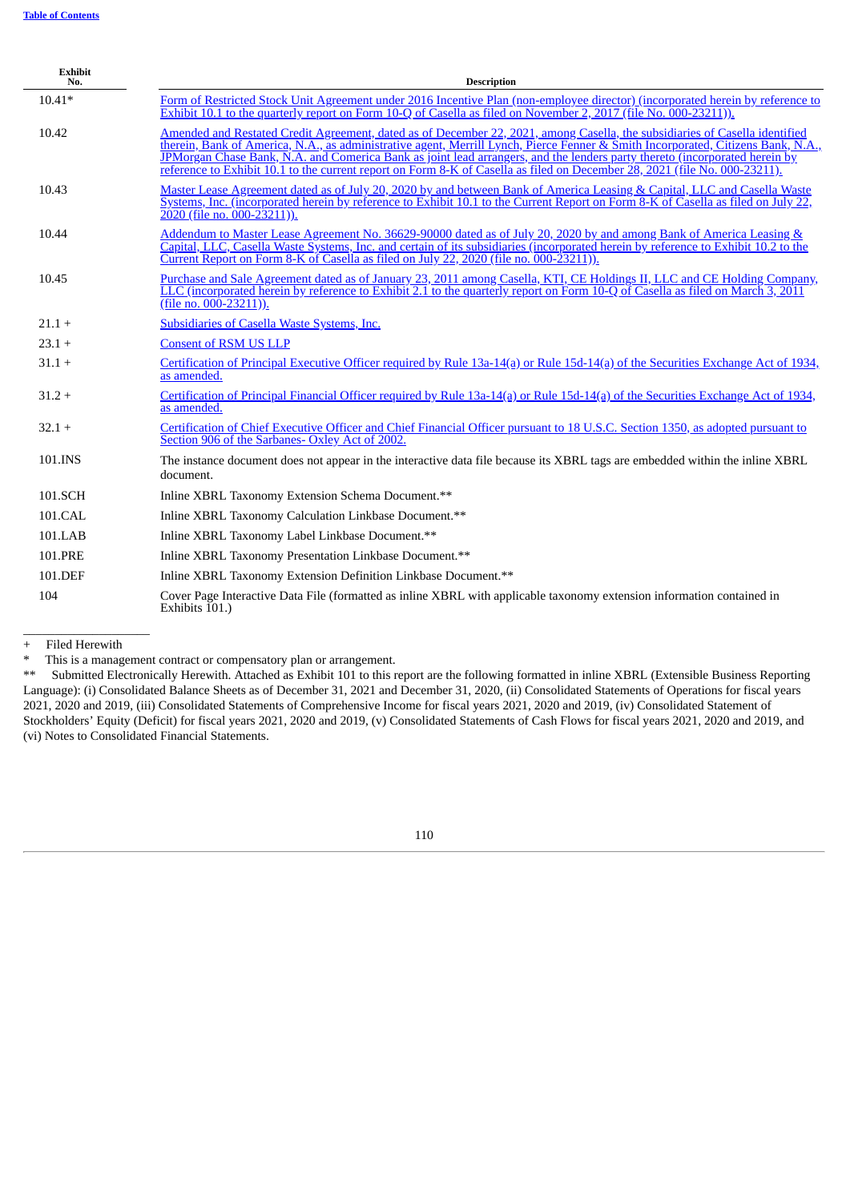| <b>Exhibit</b><br>No. | <b>Description</b>                                                                                                                                                                                                                                                                                                                                                                                                                                                                                                         |
|-----------------------|----------------------------------------------------------------------------------------------------------------------------------------------------------------------------------------------------------------------------------------------------------------------------------------------------------------------------------------------------------------------------------------------------------------------------------------------------------------------------------------------------------------------------|
| $10.41*$              | Form of Restricted Stock Unit Agreement under 2016 Incentive Plan (non-employee director) (incorporated herein by reference to<br>Exhibit 10.1 to the quarterly report on Form 10-Q of Casella as filed on November 2, 2017 (file No. 000-23211)).                                                                                                                                                                                                                                                                         |
| 10.42                 | Amended and Restated Credit Agreement, dated as of December 22, 2021, among Casella, the subsidiaries of Casella identified<br>therein, Bank of America, N.A., as administrative agent, Merrill Lynch, Pierce Fenner & Smith Incorporated, Citizens Bank, N.A.<br>JPMorgan Chase Bank, N.A. and Comerica Bank as joint lead arrangers, and the lenders party thereto (incorporated herein by<br>reference to Exhibit 10.1 to the current report on Form 8-K of Casella as filed on December 28, 2021 (file No. 000-23211). |
| 10.43                 | Master Lease Agreement dated as of July 20, 2020 by and between Bank of America Leasing & Capital, LLC and Casella Waste<br>Systems, Inc. (incorporated herein by reference to Exhibit 10.1 to the Current Report on Form 8-K of Casella as filed on July 22,<br>2020 (file no. 000-23211)).                                                                                                                                                                                                                               |
| 10.44                 | Addendum to Master Lease Agreement No. 36629-90000 dated as of July 20, 2020 by and among Bank of America Leasing &<br>Capital, LLC, Casella Waste Systems, Inc. and certain of its subsidiaries (incorporated herein by reference to Exhibit 10.2 to the<br>Current Report on Form 8-K of Casella as filed on July 22, 2020 (file no. 000-23211)).                                                                                                                                                                        |
| 10.45                 | Purchase and Sale Agreement dated as of January 23, 2011 among Casella, KTI, CE Holdings II, LLC and CE Holding Company,<br>LLC (incorporated herein by reference to Exhibit 2.1 to the quarterly report on Form 10-Q of Casella as filed on March 3, 2011<br>(file no. $000-23211$ )).                                                                                                                                                                                                                                    |
| $21.1 +$              | Subsidiaries of Casella Waste Systems, Inc.                                                                                                                                                                                                                                                                                                                                                                                                                                                                                |
| $23.1 +$              | <b>Consent of RSM US LLP</b>                                                                                                                                                                                                                                                                                                                                                                                                                                                                                               |
| $31.1 +$              | Certification of Principal Executive Officer required by Rule 13a-14(a) or Rule 15d-14(a) of the Securities Exchange Act of 1934,<br>as amended.                                                                                                                                                                                                                                                                                                                                                                           |
| $31.2 +$              | Certification of Principal Financial Officer required by Rule 13a-14(a) or Rule 15d-14(a) of the Securities Exchange Act of 1934,<br>as amended.                                                                                                                                                                                                                                                                                                                                                                           |
| $32.1 +$              | Certification of Chief Executive Officer and Chief Financial Officer pursuant to 18 U.S.C. Section 1350, as adopted pursuant to<br>Section 906 of the Sarbanes-Oxley Act of 2002.                                                                                                                                                                                                                                                                                                                                          |
| 101.INS               | The instance document does not appear in the interactive data file because its XBRL tags are embedded within the inline XBRL<br>document.                                                                                                                                                                                                                                                                                                                                                                                  |
| 101.SCH               | Inline XBRL Taxonomy Extension Schema Document.**                                                                                                                                                                                                                                                                                                                                                                                                                                                                          |
| 101.CAL               | Inline XBRL Taxonomy Calculation Linkbase Document.**                                                                                                                                                                                                                                                                                                                                                                                                                                                                      |
| 101.LAB               | Inline XBRL Taxonomy Label Linkbase Document.**                                                                                                                                                                                                                                                                                                                                                                                                                                                                            |
| 101.PRE               | Inline XBRL Taxonomy Presentation Linkbase Document.**                                                                                                                                                                                                                                                                                                                                                                                                                                                                     |
| 101.DEF               | Inline XBRL Taxonomy Extension Definition Linkbase Document.**                                                                                                                                                                                                                                                                                                                                                                                                                                                             |
| 104                   | Cover Page Interactive Data File (formatted as inline XBRL with applicable taxonomy extension information contained in<br>Exhibits $101$ .)                                                                                                                                                                                                                                                                                                                                                                                |
|                       |                                                                                                                                                                                                                                                                                                                                                                                                                                                                                                                            |

+ Filed Herewith

<sup>\*</sup> This is a management contract or compensatory plan or arrangement.

Submitted Electronically Herewith. Attached as Exhibit 101 to this report are the following formatted in inline XBRL (Extensible Business Reporting Language): (i) Consolidated Balance Sheets as of December 31, 2021 and December 31, 2020, (ii) Consolidated Statements of Operations for fiscal years 2021, 2020 and 2019, (iii) Consolidated Statements of Comprehensive Income for fiscal years 2021, 2020 and 2019, (iv) Consolidated Statement of Stockholders' Equity (Deficit) for fiscal years 2021, 2020 and 2019, (v) Consolidated Statements of Cash Flows for fiscal years 2021, 2020 and 2019, and (vi) Notes to Consolidated Financial Statements.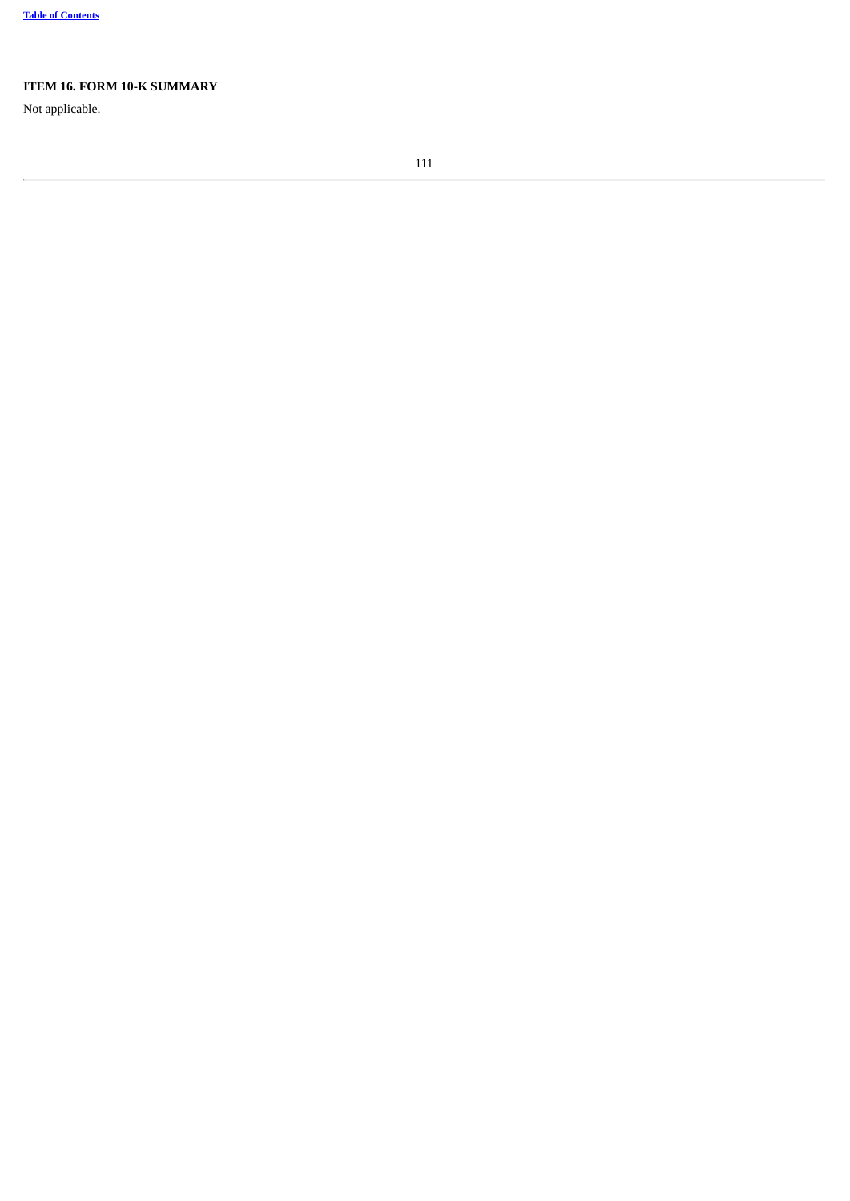# **ITEM 16. FORM 10-K SUMMARY**

Not applicable.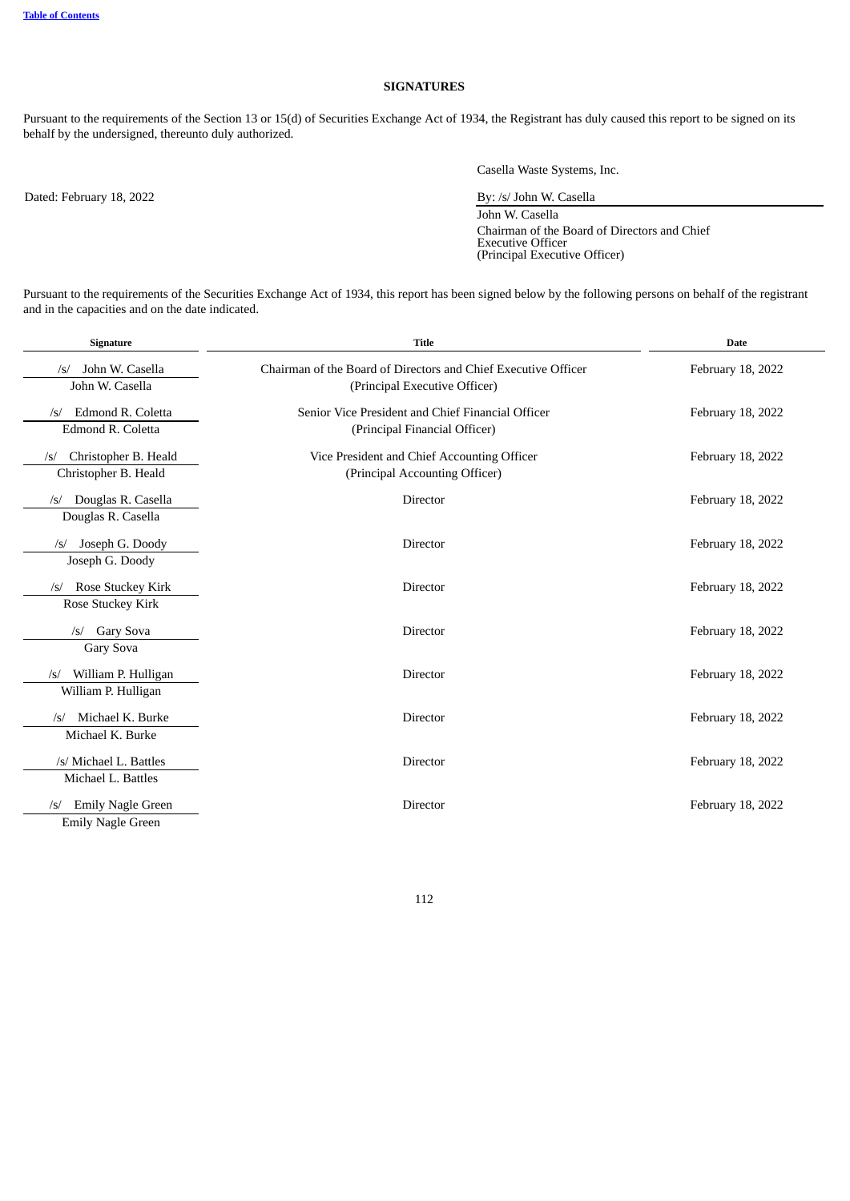## **SIGNATURES**

Pursuant to the requirements of the Section 13 or 15(d) of Securities Exchange Act of 1934, the Registrant has duly caused this report to be signed on its behalf by the undersigned, thereunto duly authorized.

Dated: February 18, 2022 By: /s/ John W. Casella

Casella Waste Systems, Inc.

John W. Casella Chairman of the Board of Directors and Chief Executive Officer (Principal Executive Officer)

Pursuant to the requirements of the Securities Exchange Act of 1934, this report has been signed below by the following persons on behalf of the registrant and in the capacities and on the date indicated.

| <b>Signature</b>                                            | <b>Title</b>                                                                                    | <b>Date</b>       |
|-------------------------------------------------------------|-------------------------------------------------------------------------------------------------|-------------------|
| John W. Casella<br>$\sqrt{s}$<br>John W. Casella            | Chairman of the Board of Directors and Chief Executive Officer<br>(Principal Executive Officer) | February 18, 2022 |
| Edmond R. Coletta<br>$\sqrt{s}$<br>Edmond R. Coletta        | Senior Vice President and Chief Financial Officer<br>(Principal Financial Officer)              | February 18, 2022 |
| Christopher B. Heald<br>$\sqrt{s}$<br>Christopher B. Heald  | Vice President and Chief Accounting Officer<br>(Principal Accounting Officer)                   | February 18, 2022 |
| Douglas R. Casella<br>$\sqrt{s}$<br>Douglas R. Casella      | Director                                                                                        | February 18, 2022 |
| Joseph G. Doody<br>$\sqrt{s}$<br>Joseph G. Doody            | Director                                                                                        | February 18, 2022 |
| Rose Stuckey Kirk<br>$\sqrt{s}$<br>Rose Stuckey Kirk        | Director                                                                                        | February 18, 2022 |
| Gary Sova<br>$\sqrt{s}$<br>Gary Sova                        | Director                                                                                        | February 18, 2022 |
| William P. Hulligan<br>/s/<br>William P. Hulligan           | Director                                                                                        | February 18, 2022 |
| Michael K. Burke<br>$\sqrt{s}$<br>Michael K. Burke          | Director                                                                                        | February 18, 2022 |
| /s/ Michael L. Battles<br>Michael L. Battles                | Director                                                                                        | February 18, 2022 |
| <b>Emily Nagle Green</b><br>$\sqrt{s}$<br>Emily Nagle Green | Director                                                                                        | February 18, 2022 |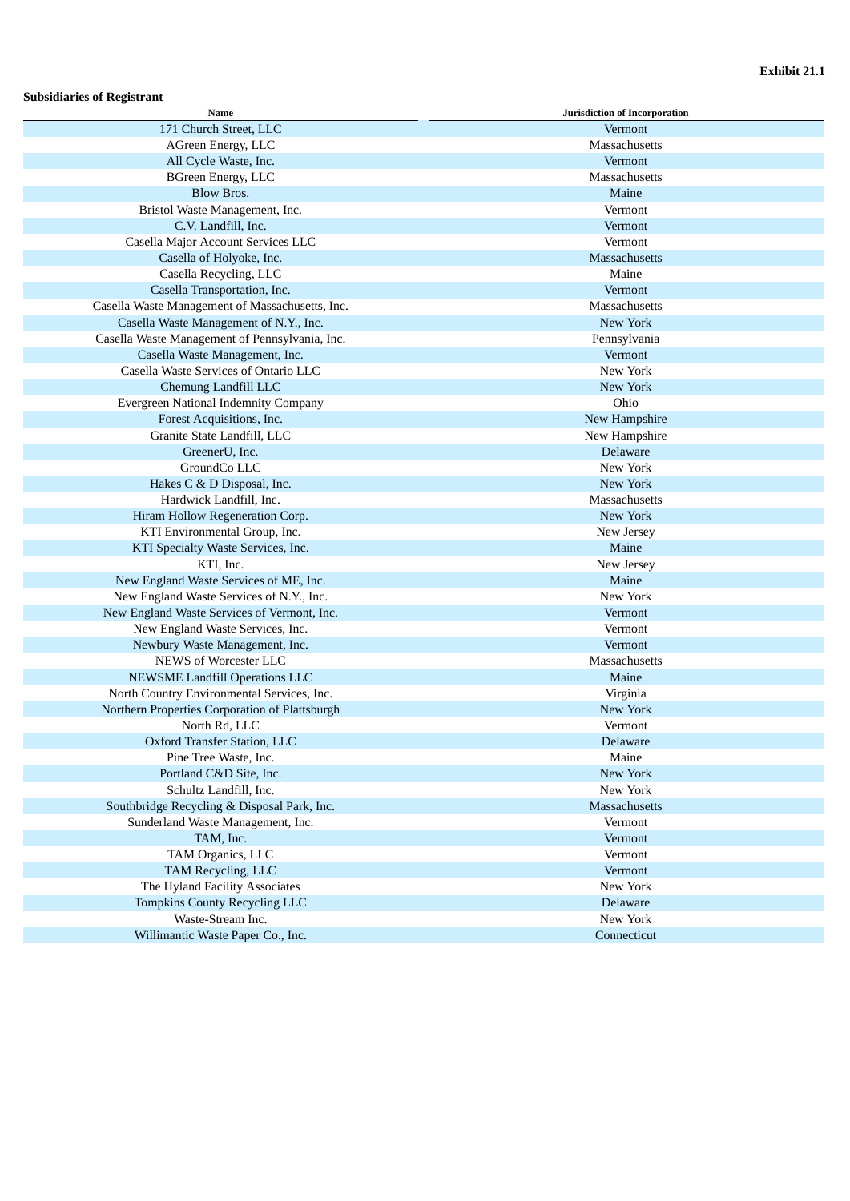#### <span id="page-113-0"></span>Subsidiaries of Registrant

| Name                                            | <b>Jurisdiction of Incorporation</b> |
|-------------------------------------------------|--------------------------------------|
| 171 Church Street, LLC                          | Vermont                              |
| AGreen Energy, LLC                              | Massachusetts                        |
| All Cycle Waste, Inc.                           | Vermont                              |
| <b>BGreen Energy, LLC</b>                       | Massachusetts                        |
| <b>Blow Bros.</b>                               | Maine                                |
| Bristol Waste Management, Inc.                  | Vermont                              |
| C.V. Landfill, Inc.                             | Vermont                              |
| Casella Major Account Services LLC              | Vermont                              |
| Casella of Holyoke, Inc.                        | <b>Massachusetts</b>                 |
| Casella Recycling, LLC                          | Maine                                |
| Casella Transportation, Inc.                    | Vermont                              |
| Casella Waste Management of Massachusetts, Inc. | <b>Massachusetts</b>                 |
| Casella Waste Management of N.Y., Inc.          | New York                             |
| Casella Waste Management of Pennsylvania, Inc.  | Pennsylvania                         |
| Casella Waste Management, Inc.                  | Vermont                              |
| Casella Waste Services of Ontario LLC           | New York                             |
| Chemung Landfill LLC                            | New York                             |
| <b>Evergreen National Indemnity Company</b>     | Ohio                                 |
| Forest Acquisitions, Inc.                       | New Hampshire                        |
| Granite State Landfill, LLC                     | New Hampshire                        |
| GreenerU, Inc.                                  | Delaware                             |
| GroundCo LLC                                    | New York                             |
|                                                 | New York                             |
| Hakes C & D Disposal, Inc.                      |                                      |
| Hardwick Landfill, Inc.                         | Massachusetts                        |
| Hiram Hollow Regeneration Corp.                 | New York                             |
| KTI Environmental Group, Inc.                   | New Jersey                           |
| KTI Specialty Waste Services, Inc.              | Maine                                |
| KTI, Inc.                                       | New Jersey                           |
| New England Waste Services of ME, Inc.          | Maine                                |
| New England Waste Services of N.Y., Inc.        | New York                             |
| New England Waste Services of Vermont, Inc.     | Vermont                              |
| New England Waste Services, Inc.                | Vermont                              |
| Newbury Waste Management, Inc.                  | Vermont                              |
| NEWS of Worcester LLC                           | Massachusetts                        |
| <b>NEWSME Landfill Operations LLC</b>           | Maine                                |
| North Country Environmental Services, Inc.      | Virginia                             |
| Northern Properties Corporation of Plattsburgh  | New York                             |
| North Rd, LLC                                   | Vermont                              |
| Oxford Transfer Station, LLC                    | Delaware                             |
| Pine Tree Waste, Inc.                           | Maine                                |
| Portland C&D Site, Inc.                         | New York                             |
| Schultz Landfill, Inc.                          | New York                             |
| Southbridge Recycling & Disposal Park, Inc.     | <b>Massachusetts</b>                 |
| Sunderland Waste Management, Inc.               | Vermont                              |
| TAM, Inc.                                       | Vermont                              |
| TAM Organics, LLC                               | Vermont                              |
| TAM Recycling, LLC                              | Vermont                              |
| The Hyland Facility Associates                  | New York                             |
| Tompkins County Recycling LLC                   | Delaware                             |
| Waste-Stream Inc.                               | New York                             |
| Willimantic Waste Paper Co., Inc.               | Connecticut                          |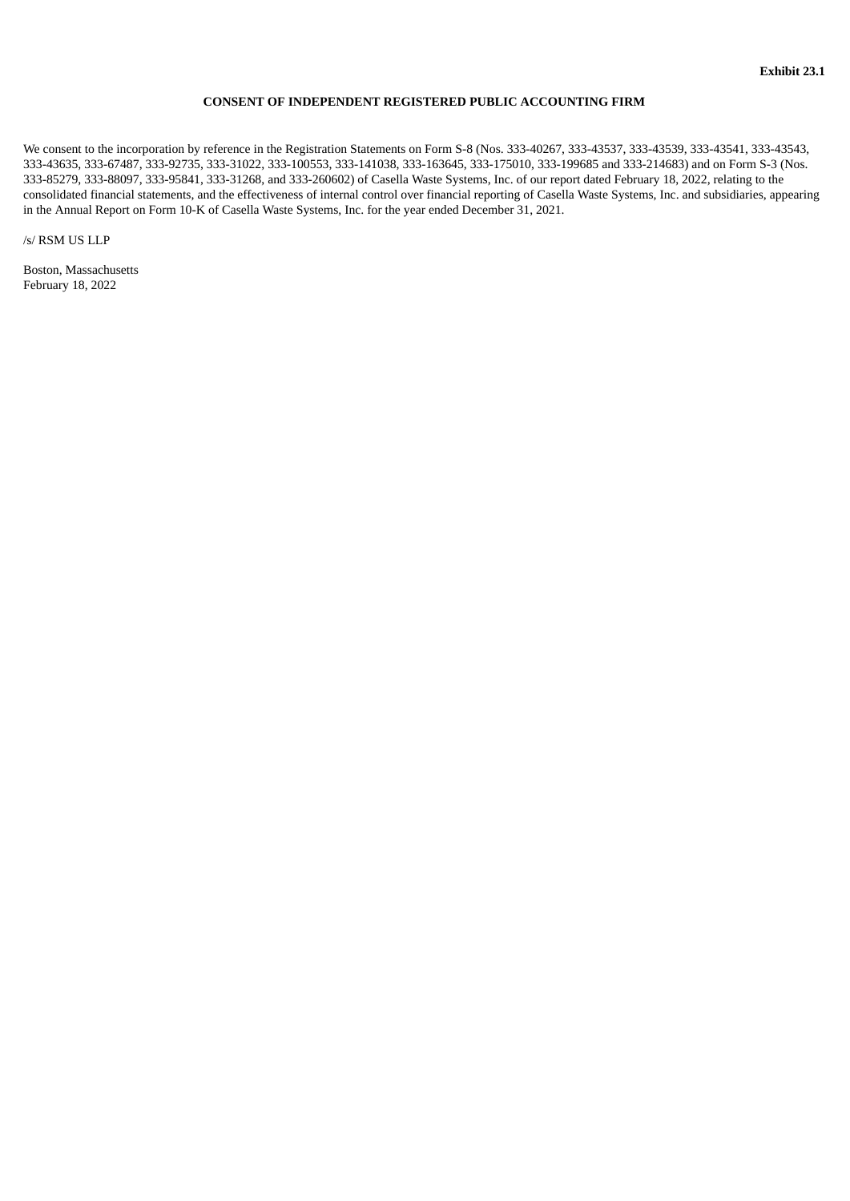## **CONSENT OF INDEPENDENT REGISTERED PUBLIC ACCOUNTING FIRM**

<span id="page-114-0"></span>We consent to the incorporation by reference in the Registration Statements on Form S-8 (Nos. 333-40267, 333-43537, 333-43539, 333-43541, 333-43543, 333-43635, 333-67487, 333-92735, 333-31022, 333-100553, 333-141038, 333-163645, 333-175010, 333-199685 and 333-214683) and on Form S-3 (Nos. 333-85279, 333-88097, 333-95841, 333-31268, and 333-260602) of Casella Waste Systems, Inc. of our report dated February 18, 2022, relating to the consolidated financial statements, and the effectiveness of internal control over financial reporting of Casella Waste Systems, Inc. and subsidiaries, appearing in the Annual Report on Form 10-K of Casella Waste Systems, Inc. for the year ended December 31, 2021.

/s/ RSM US LLP

Boston, Massachusetts February 18, 2022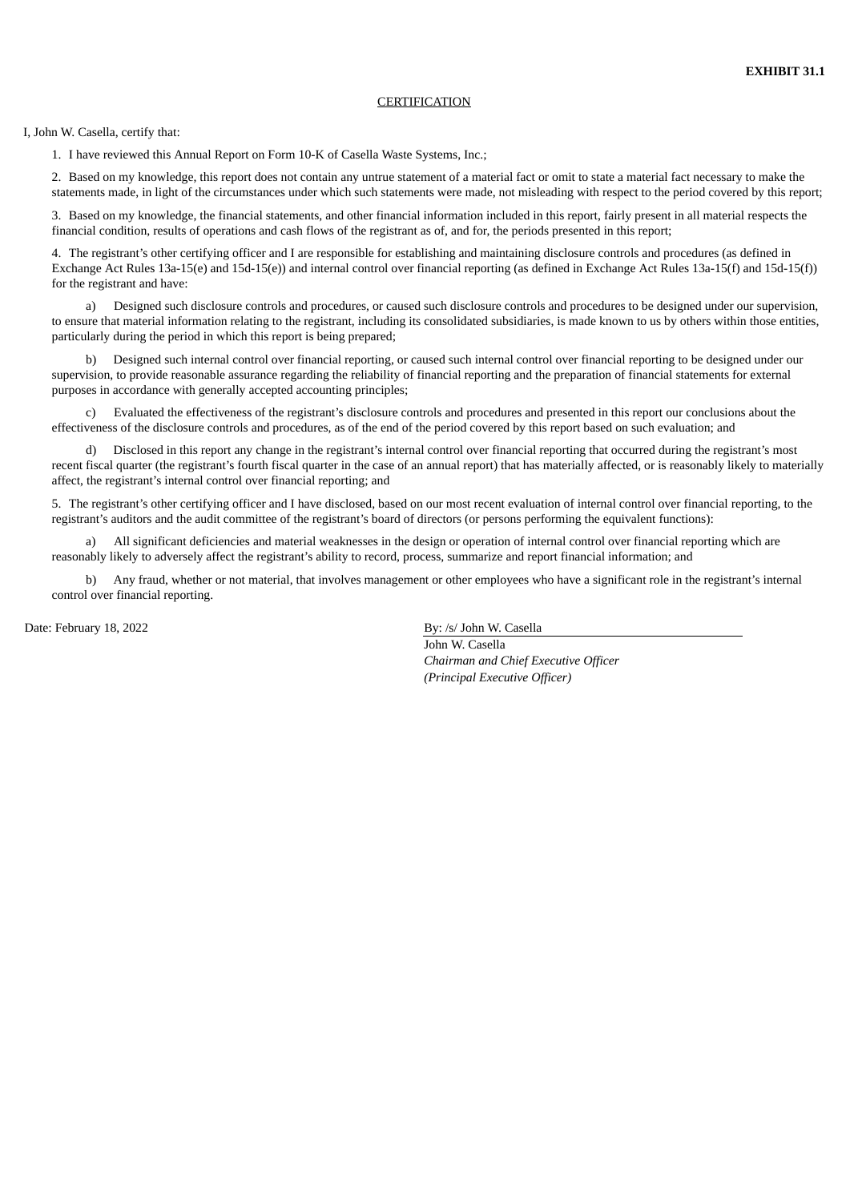#### **CERTIFICATION**

<span id="page-115-0"></span>I, John W. Casella, certify that:

1. I have reviewed this Annual Report on Form 10-K of Casella Waste Systems, Inc.;

2. Based on my knowledge, this report does not contain any untrue statement of a material fact or omit to state a material fact necessary to make the statements made, in light of the circumstances under which such statements were made, not misleading with respect to the period covered by this report;

3. Based on my knowledge, the financial statements, and other financial information included in this report, fairly present in all material respects the financial condition, results of operations and cash flows of the registrant as of, and for, the periods presented in this report;

4. The registrant's other certifying officer and I are responsible for establishing and maintaining disclosure controls and procedures (as defined in Exchange Act Rules 13a-15(e) and 15d-15(e)) and internal control over financial reporting (as defined in Exchange Act Rules 13a-15(f) and 15d-15(f)) for the registrant and have:

a) Designed such disclosure controls and procedures, or caused such disclosure controls and procedures to be designed under our supervision, to ensure that material information relating to the registrant, including its consolidated subsidiaries, is made known to us by others within those entities, particularly during the period in which this report is being prepared;

b) Designed such internal control over financial reporting, or caused such internal control over financial reporting to be designed under our supervision, to provide reasonable assurance regarding the reliability of financial reporting and the preparation of financial statements for external purposes in accordance with generally accepted accounting principles;

c) Evaluated the effectiveness of the registrant's disclosure controls and procedures and presented in this report our conclusions about the effectiveness of the disclosure controls and procedures, as of the end of the period covered by this report based on such evaluation; and

d) Disclosed in this report any change in the registrant's internal control over financial reporting that occurred during the registrant's most recent fiscal quarter (the registrant's fourth fiscal quarter in the case of an annual report) that has materially affected, or is reasonably likely to materially affect, the registrant's internal control over financial reporting; and

5. The registrant's other certifying officer and I have disclosed, based on our most recent evaluation of internal control over financial reporting, to the registrant's auditors and the audit committee of the registrant's board of directors (or persons performing the equivalent functions):

a) All significant deficiencies and material weaknesses in the design or operation of internal control over financial reporting which are reasonably likely to adversely affect the registrant's ability to record, process, summarize and report financial information; and

b) Any fraud, whether or not material, that involves management or other employees who have a significant role in the registrant's internal control over financial reporting.

Date: February 18, 2022 By: /s/ John W. Casella

John W. Casella *Chairman and Chief Executive Officer (Principal Executive Officer)*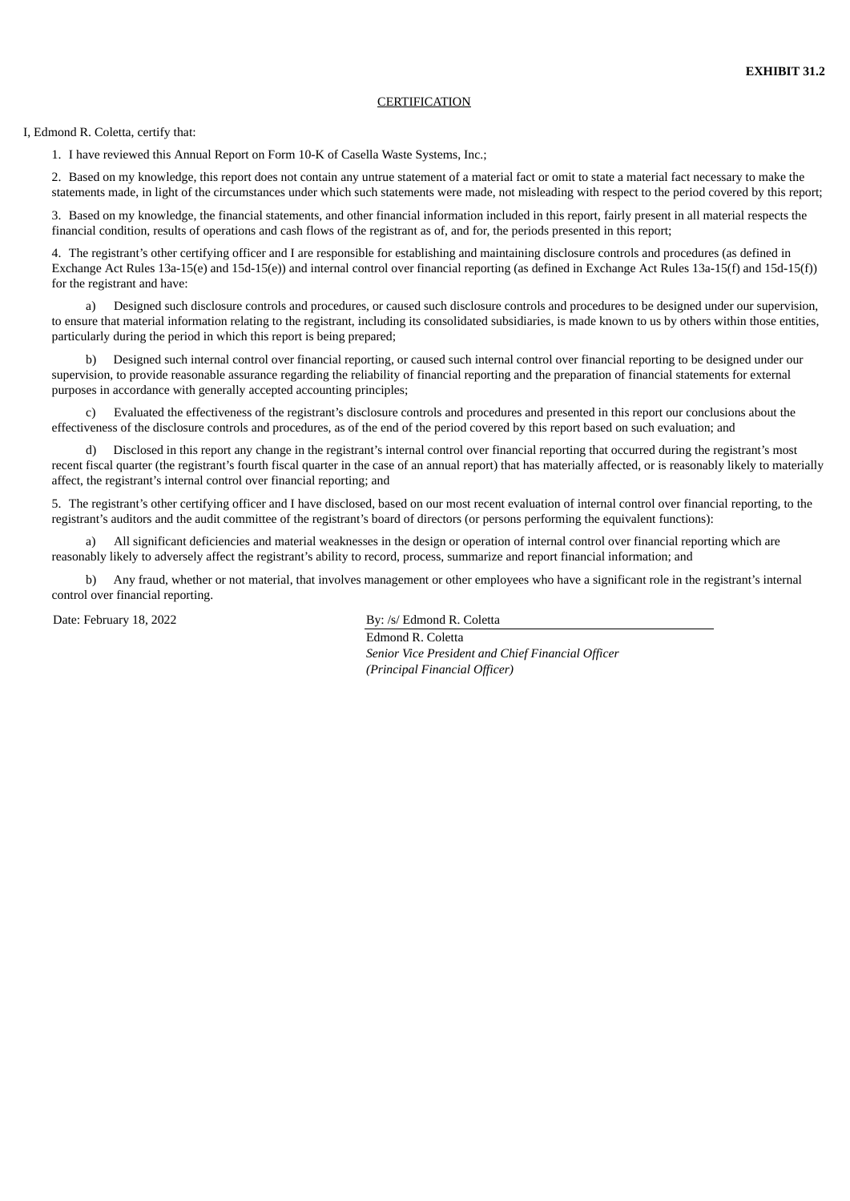#### **CERTIFICATION**

<span id="page-116-0"></span>I, Edmond R. Coletta, certify that:

1. I have reviewed this Annual Report on Form 10-K of Casella Waste Systems, Inc.;

2. Based on my knowledge, this report does not contain any untrue statement of a material fact or omit to state a material fact necessary to make the statements made, in light of the circumstances under which such statements were made, not misleading with respect to the period covered by this report;

3. Based on my knowledge, the financial statements, and other financial information included in this report, fairly present in all material respects the financial condition, results of operations and cash flows of the registrant as of, and for, the periods presented in this report;

4. The registrant's other certifying officer and I are responsible for establishing and maintaining disclosure controls and procedures (as defined in Exchange Act Rules 13a-15(e) and 15d-15(e)) and internal control over financial reporting (as defined in Exchange Act Rules 13a-15(f) and 15d-15(f)) for the registrant and have:

a) Designed such disclosure controls and procedures, or caused such disclosure controls and procedures to be designed under our supervision, to ensure that material information relating to the registrant, including its consolidated subsidiaries, is made known to us by others within those entities, particularly during the period in which this report is being prepared;

b) Designed such internal control over financial reporting, or caused such internal control over financial reporting to be designed under our supervision, to provide reasonable assurance regarding the reliability of financial reporting and the preparation of financial statements for external purposes in accordance with generally accepted accounting principles;

c) Evaluated the effectiveness of the registrant's disclosure controls and procedures and presented in this report our conclusions about the effectiveness of the disclosure controls and procedures, as of the end of the period covered by this report based on such evaluation; and

d) Disclosed in this report any change in the registrant's internal control over financial reporting that occurred during the registrant's most recent fiscal quarter (the registrant's fourth fiscal quarter in the case of an annual report) that has materially affected, or is reasonably likely to materially affect, the registrant's internal control over financial reporting; and

5. The registrant's other certifying officer and I have disclosed, based on our most recent evaluation of internal control over financial reporting, to the registrant's auditors and the audit committee of the registrant's board of directors (or persons performing the equivalent functions):

a) All significant deficiencies and material weaknesses in the design or operation of internal control over financial reporting which are reasonably likely to adversely affect the registrant's ability to record, process, summarize and report financial information; and

b) Any fraud, whether or not material, that involves management or other employees who have a significant role in the registrant's internal control over financial reporting.

Date: February 18, 2022 By: /s/ Edmond R. Coletta Edmond R. Coletta

*Senior Vice President and Chief Financial Officer (Principal Financial Officer)*